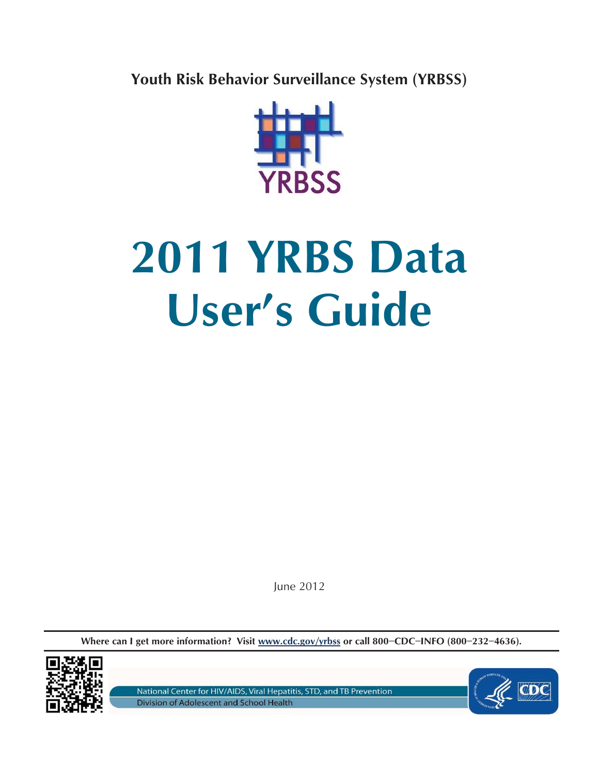**Youth Risk Behavior Surveillance System (YRBSS)** 



# **2011 YRBS Data User's Guide**

June 2012

**Where can I get more information? Visit www.cdc.gov/yrbss or call 800−CDC−INFO (800−232−4636).** 



National Center for HIV/AIDS, Viral Hepatitis, STD, and TB Prevention Division of Adolescent and School Health

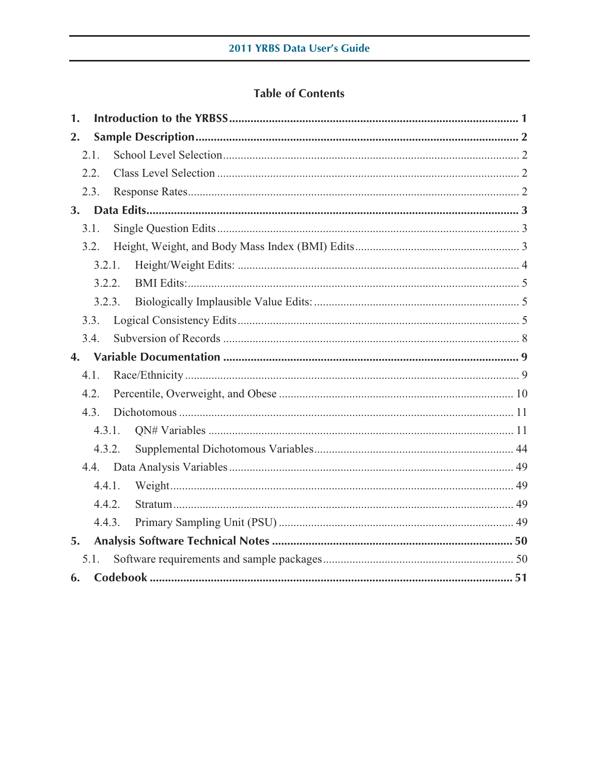# **Table of Contents**

| 1. |        |  |  |  |  |  |
|----|--------|--|--|--|--|--|
| 2. |        |  |  |  |  |  |
|    | 2.1.   |  |  |  |  |  |
|    | 2.2.   |  |  |  |  |  |
|    | 2.3.   |  |  |  |  |  |
|    |        |  |  |  |  |  |
|    | 3.1.   |  |  |  |  |  |
|    | 3.2.   |  |  |  |  |  |
|    | 3.2.1. |  |  |  |  |  |
|    | 3.2.2. |  |  |  |  |  |
|    | 3.2.3. |  |  |  |  |  |
|    | 3.3.   |  |  |  |  |  |
|    | 3.4.   |  |  |  |  |  |
|    |        |  |  |  |  |  |
|    |        |  |  |  |  |  |
|    | 4.1.   |  |  |  |  |  |
|    | 4.2.   |  |  |  |  |  |
|    | 4.3.   |  |  |  |  |  |
|    | 4.3.1. |  |  |  |  |  |
|    | 4.3.2. |  |  |  |  |  |
|    |        |  |  |  |  |  |
|    | 4.4.1. |  |  |  |  |  |
|    | 4.4.2. |  |  |  |  |  |
|    | 4.4.3. |  |  |  |  |  |
| 5. |        |  |  |  |  |  |
|    | 5.1.   |  |  |  |  |  |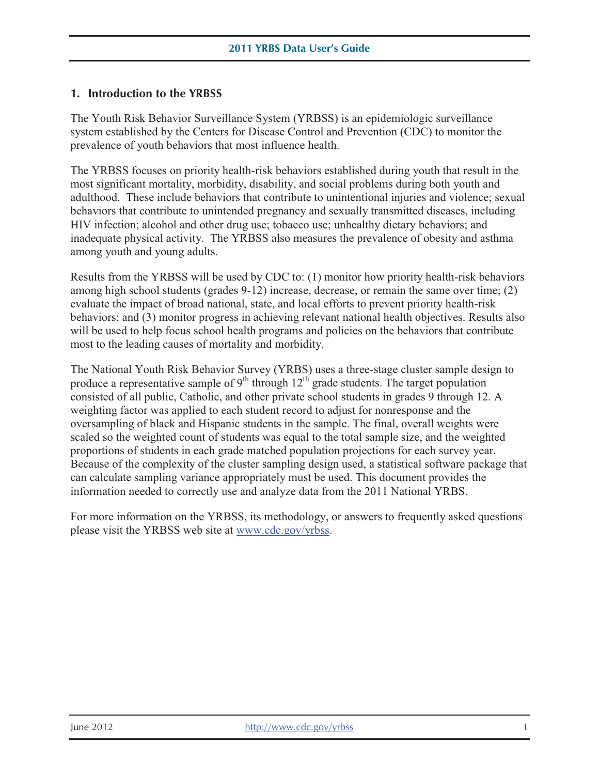#### **1. Introduction to the YRBSS**

The Youth Risk Behavior Surveillance System (YRBSS) is an epidemiologic surveillance system established by the Centers for Disease Control and Prevention (CDC) to monitor the prevalence of youth behaviors that most influence health.

 among youth and young adults. The YRBSS focuses on priority health-risk behaviors established during youth that result in the most significant mortality, morbidity, disability, and social problems during both youth and adulthood. These include behaviors that contribute to unintentional injuries and violence; sexual behaviors that contribute to unintended pregnancy and sexually transmitted diseases, including HIV infection; alcohol and other drug use; tobacco use; unhealthy dietary behaviors; and inadequate physical activity. The YRBSS also measures the prevalence of obesity and asthma

Results from the YRBSS will be used by CDC to: (1) monitor how priority health-risk behaviors among high school students (grades 9-12) increase, decrease, or remain the same over time; (2) evaluate the impact of broad national, state, and local efforts to prevent priority health-risk behaviors; and (3) monitor progress in achieving relevant national health objectives. Results also will be used to help focus school health programs and policies on the behaviors that contribute most to the leading causes of mortality and morbidity.

The National Youth Risk Behavior Survey (YRBS) uses a three-stage cluster sample design to produce a representative sample of  $9<sup>th</sup>$  through  $12<sup>th</sup>$  grade students. The target population consisted of all public, Catholic, and other private school students in grades 9 through 12. A weighting factor was applied to each student record to adjust for nonresponse and the oversampling of black and Hispanic students in the sample. The final, overall weights were scaled so the weighted count of students was equal to the total sample size, and the weighted proportions of students in each grade matched population projections for each survey year. Because of the complexity of the cluster sampling design used, a statistical software package that can calculate sampling variance appropriately must be used. This document provides the information needed to correctly use and analyze data from the 2011 National YRBS.

For more information on the YRBSS, its methodology, or answers to frequently asked questions please visit the YRBSS web site at www.cdc.gov/yrbss.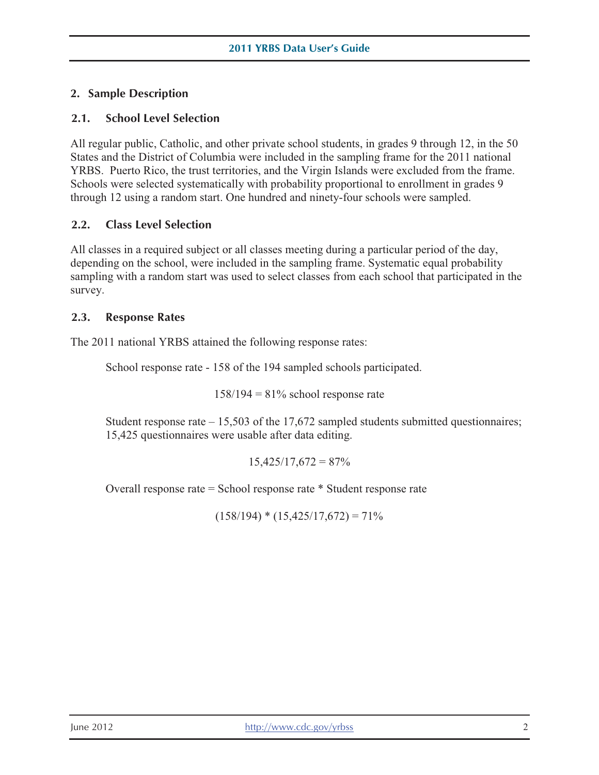# **2. Sample Description**

## **2.1. School Level Selection**

All regular public, Catholic, and other private school students, in grades 9 through 12, in the 50 States and the District of Columbia were included in the sampling frame for the 2011 national YRBS. Puerto Rico, the trust territories, and the Virgin Islands were excluded from the frame. Schools were selected systematically with probability proportional to enrollment in grades 9 through 12 using a random start. One hundred and ninety-four schools were sampled.

#### **2.2. Class Level Selection**

All classes in a required subject or all classes meeting during a particular period of the day, depending on the school, were included in the sampling frame. Systematic equal probability sampling with a random start was used to select classes from each school that participated in the survey.

#### **2.3. Response Rates**

The 2011 national YRBS attained the following response rates:

School response rate - 158 of the 194 sampled schools participated.

 $158/194 = 81\%$  school response rate

Student response rate  $-15,503$  of the 17,672 sampled students submitted questionnaires; 15,425 questionnaires were usable after data editing.

 $15,425/17,672 = 87%$ 

Overall response rate = School response rate \* Student response rate

 $(158/194) * (15,425/17,672) = 71\%$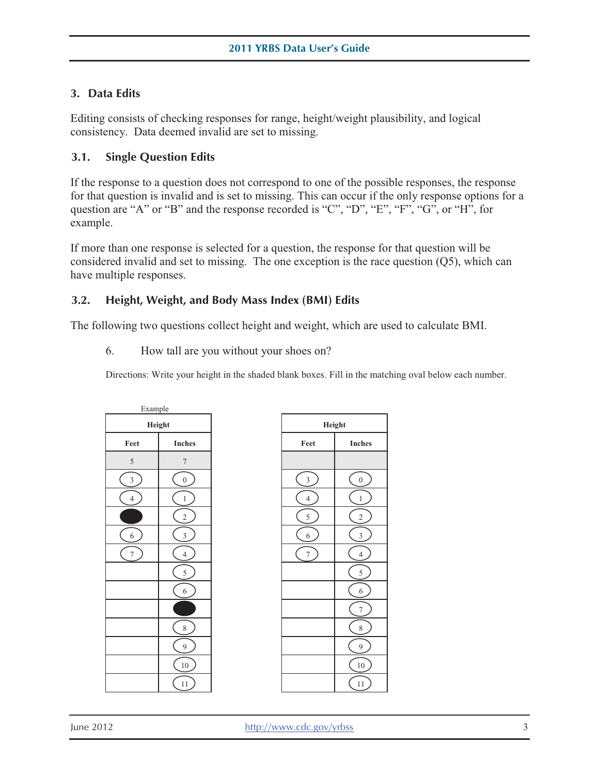## **3. Data Edits**

Editing consists of checking responses for range, height/weight plausibility, and logical consistency. Data deemed invalid are set to missing.

#### **3.1. Single Question Edits**

If the response to a question does not correspond to one of the possible responses, the response for that question is invalid and is set to missing. This can occur if the only response options for a question are "A" or "B" and the response recorded is "C", "D", "E", "F", "G", or "H", for example.

If more than one response is selected for a question, the response for that question will be considered invalid and set to missing. The one exception is the race question  $(Q5)$ , which can have multiple responses.

#### **3.2. Height, Weight, and Body Mass Index (BMI) Edits**

The following two questions collect height and weight, which are used to calculate BMI.

6. How tall are you without your shoes on?

Directions: Write your height in the shaded blank boxes. Fill in the matching oval below each number.

| Example          |                |  |
|------------------|----------------|--|
| Height           |                |  |
| Feet             | <b>Inches</b>  |  |
| 5                | 7              |  |
| 3                | $\overline{0}$ |  |
| $\overline{4}$   | $\mathbf{1}$   |  |
|                  | $\overline{c}$ |  |
| $\boldsymbol{6}$ | 3              |  |
| $\overline{7}$   | $\overline{4}$ |  |
|                  | 5              |  |
|                  | 6              |  |
|                  |                |  |
|                  | 8              |  |
|                  | 9              |  |
|                  | 10             |  |
|                  | 11             |  |

| Height         |                         |  |
|----------------|-------------------------|--|
| Feet           | <b>Inches</b>           |  |
|                |                         |  |
| 3              | $\boldsymbol{0}$        |  |
| $\overline{4}$ | $\mathbf{1}$            |  |
| 5              | $\overline{\mathbf{c}}$ |  |
| 6              | 3                       |  |
| 7              | $\overline{4}$          |  |
|                | 5                       |  |
|                | $\overline{6}$          |  |
|                | 7                       |  |
|                | 8                       |  |
|                | 9                       |  |
|                | 10                      |  |
|                | 11                      |  |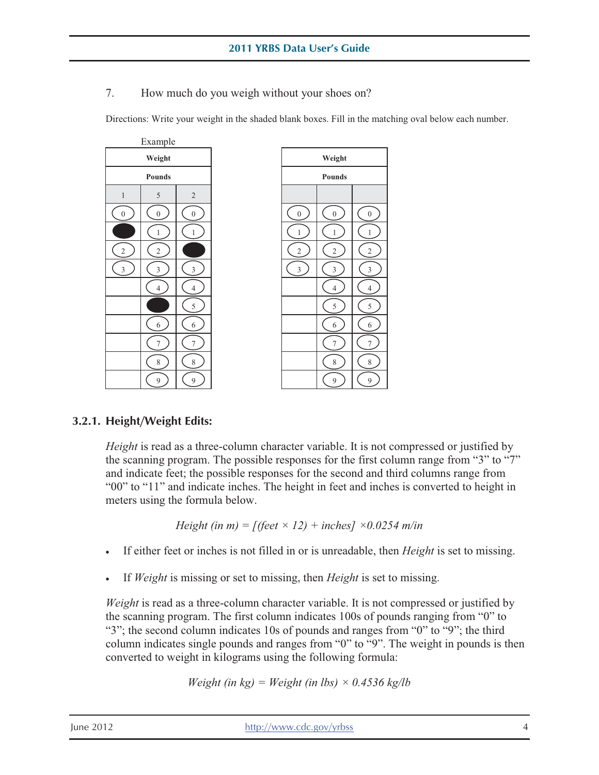7. How much do you weigh without your shoes on?

Directions: Write your weight in the shaded blank boxes. Fill in the matching oval below each number.

| Example                 |                          |                          |  |
|-------------------------|--------------------------|--------------------------|--|
| Weight                  |                          |                          |  |
|                         | Pounds                   |                          |  |
| $\mathbf{1}$            | 5                        | $\overline{c}$           |  |
| $\boldsymbol{0}$        | $\boldsymbol{0}$         | $\overline{0}$           |  |
|                         | $\mathbf{1}$             | $\,1\,$                  |  |
| $\overline{\mathbf{c}}$ | $\overline{\mathbf{c}}$  |                          |  |
| 3                       | 3                        | 3                        |  |
|                         | $\overline{\mathcal{L}}$ | $\overline{\mathcal{L}}$ |  |
|                         |                          | 5                        |  |
|                         | 6                        | 6                        |  |
|                         | 7                        | 7                        |  |
|                         | 8                        | 8                        |  |
|                         | 9                        | 9                        |  |



#### **3.2.1. Height/Weight Edits:**

*Height* is read as a three-column character variable. It is not compressed or justified by the scanning program. The possible responses for the first column range from "3" to "7" and indicate feet; the possible responses for the second and third columns range from "00" to "11" and indicate inches. The height in feet and inches is converted to height in meters using the formula below.

Height (in m) = 
$$
[(feet \times 12) + inches] \times 0.0254 \text{ m/in}
$$

- If either feet or inches is not filled in or is unreadable, then *Height* is set to missing.
- If *Weight* is missing or set to missing, then *Height* is set to missing.

*Weight* is read as a three-column character variable. It is not compressed or justified by the scanning program. The first column indicates 100s of pounds ranging from "0" to "3"; the second column indicates 10s of pounds and ranges from "0" to "9"; the third column indicates single pounds and ranges from "0" to "9". The weight in pounds is then converted to weight in kilograms using the following formula:

$$
Weight (in kg) = Weight (in lbs) \times 0.4536 kg/lb
$$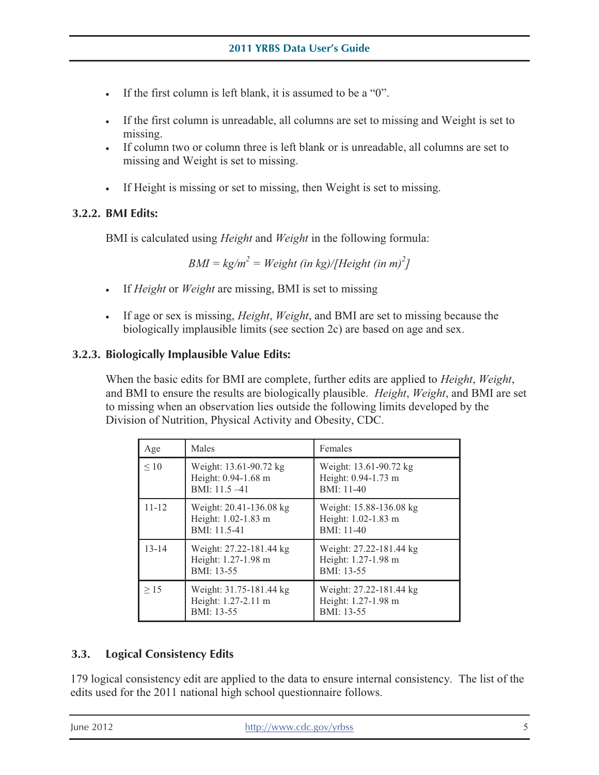- If the first column is left blank, it is assumed to be a "0".
- If the first column is unreadable, all columns are set to missing and Weight is set to missing.
- If column two or column three is left blank or is unreadable, all columns are set to missing and Weight is set to missing.
- If Height is missing or set to missing, then Weight is set to missing.

# **3.2.2. BMI Edits:**

BMI is calculated using *Height* and *Weight* in the following formula:

*BMI* =  $k\frac{g}{m^2}$  = *Weight (in kg)*/*[Height (in m)<sup>2</sup>] ]* 

- • If *Height* or *Weight* are missing, BMI is set to missing
- • If age or sex is missing, *Height*, *Weight*, and BMI are set to missing because the biologically implausible limits (see section 2c) are based on age and sex.

# **3.2.3. Biologically Implausible Value Edits:**

When the basic edits for BMI are complete, further edits are applied to *Height*, *Weight*, and BMI to ensure the results are biologically plausible. *Height*, *Weight*, and BMI are set to missing when an observation lies outside the following limits developed by the Division of Nutrition, Physical Activity and Obesity, CDC.

| Age       | Males                                                             | Females                                                      |
|-----------|-------------------------------------------------------------------|--------------------------------------------------------------|
| $\leq 10$ | Weight: 13.61-90.72 kg<br>Height: 0.94-1.68 m<br>BMI: $11.5 - 41$ | Weight: 13.61-90.72 kg<br>Height: 0.94-1.73 m<br>BMI: 11-40  |
| $11 - 12$ | Weight: 20.41-136.08 kg<br>Height: 1.02-1.83 m<br>BMI: 11.5-41    | Weight: 15.88-136.08 kg<br>Height: 1.02-1.83 m<br>BMI: 11-40 |
| $13 - 14$ | Weight: 27.22-181.44 kg<br>Height: 1.27-1.98 m<br>BMI: 13-55      | Weight: 27.22-181.44 kg<br>Height: 1.27-1.98 m<br>BMI: 13-55 |
| >15       | Weight: 31.75-181.44 kg<br>Height: 1.27-2.11 m<br>BMI: 13-55      | Weight: 27.22-181.44 kg<br>Height: 1.27-1.98 m<br>BMI: 13-55 |

# **3.3. Logical Consistency Edits**

 179 logical consistency edit are applied to the data to ensure internal consistency. The list of the edits used for the 2011 national high school questionnaire follows.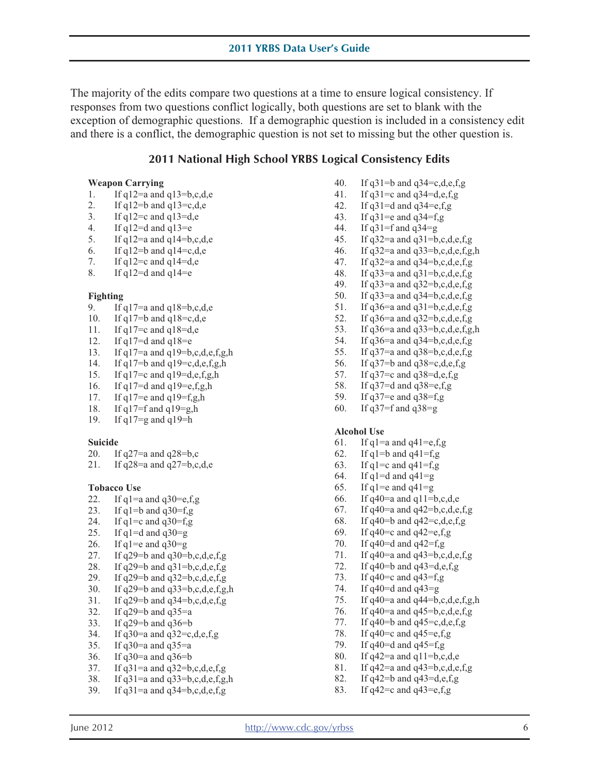The majority of the edits compare two questions at a time to ensure logical consistency. If responses from two questions conflict logically, both questions are set to blank with the exception of demographic questions. If a demographic question is included in a consistency edit and there is a conflict, the demographic question is not set to missing but the other question is.

#### **2011 National High School YRBS Logical Consistency Edits**

#### **Weapon Carrying**

- 1. If  $q12=a$  and  $q13=b,c,d,e$
- 2. If  $q12 = b$  and  $q13 = c,d,e$
- 3. If  $q12 = c$  and  $q13 = d$ , e
- 4. If  $q12=d$  and  $q13=e$
- 5. If  $q12=a$  and  $q14=b,c,d,e$
- 6. If  $q12=$ b and  $q14=$ c,d,e
- 7. If  $q12 = c$  and  $q14 = d,e$
- 8. If  $q12=d$  and  $q14=e$

#### **Fighting**

- 9. If  $q17=a$  and  $q18=b,c,d,e$
- 10. If  $q17 = b$  and  $q18 = c,d,e$
- 11. If  $q17=$ c and  $q18=$ d,e
- 12. If  $q17=d$  and  $q18=e$
- 13. If  $q17=a$  and  $q19=b,c,d,e,f,g,h$
- 14. If  $q17=$ b and  $q19=$ c,d,e,f,g,h
- 15. If q17=c and q19=d,e,f,g,h
- 16. If  $q17=d$  and  $q19=e,f,g,h$
- 17. If  $q17$ =e and  $q19$ =f,g,h
- 18. If q17=f and q19=g,h
- 19. If q17=g and q19=h

#### **Suicide**

- 20. If  $q27=a$  and  $q28=b$ ,c
- 21. If  $q28=a$  and  $q27=b,c,d,e$

#### **Tobacco Use**

- 22. If  $q1$ =a and  $q30$ =e,f,g
- 23. If  $q1=b$  and  $q30=f$ ,  $g$
- 24. If  $q1 = c$  and  $q30 = f$ , g
- 25. If  $q1 = d$  and  $q30 = g$
- 26. If  $q1 = e$  and  $q30 = g$
- 27. If  $q29 = b$  and  $q30 = b, c, d, e, f, g$
- 28. If  $q29 = b$  and  $q31 = b, c, d, e, f, g$
- 29. If  $q29 = b$  and  $q32 = b$ , c, d, e, f, g
- 30. If  $q29 = b$  and  $q33 = b, c, d, e, f, g, h$
- 31. If  $q29 = b$  and  $q34 = b, c, d, e, f, g$
- 32. If  $q29 = b$  and  $q35 = a$
- 33. If q29=b and q36=b
- 34. If q30=a and q32=c,d,e,f,g
- 35. If  $q30$ =a and  $q35$ =a
- 36. If q30=a and q36=b
- 37. If  $q31=a$  and  $q32=b,c,d,e,f,g$
- 38. If  $q31=a$  and  $q33=b,c,d,e,f,g,h$
- 39. If  $q31=a$  and  $q34=b,c,d,e,f,g$
- 40. If  $q31=$ b and  $q34=$ c,d,e,f,g
- 41. If  $q31 = c$  and  $q34 = d,e,f,g$
- 42. If  $q31=d$  and  $q34=e,f,g$
- 43. If  $q31 = e$  and  $q34 = f, g$ <br>44. If  $q31 = f$  and  $q34 = g$
- If  $q31=f$  and  $q34=g$
- 45. If  $q32=a$  and  $q31=b,c,d,e,f,g$
- 46. If  $q32=a$  and  $q33=b,c,d,e,f,g,h$
- 47. If  $q32=a$  and  $q34=b,c,d,e,f,g$
- 48. If  $q33=a$  and  $q31=b,c,d,e,f,g$
- 49. If q33=a and q32=b,c,d,e,f,g<br>50. If q33=a and q34=b,c,d,e,f,g
- If  $q33=a$  and  $q34=b,c,d,e,f,g$
- 51. If  $q36=a$  and  $q31=b,c,d,e,f,g$
- 
- 52. If  $q36=a$  and  $q32=b,c,d,e,f,g$ <br>53. If  $q36=a$  and  $q33=b,c,d,e,f,g$ If  $q36=a$  and  $q33=b,c,d,e,f,g,h$
- 54. If  $q36=a$  and  $q34=b,c,d,e,f,g$
- 55. If  $q37=a$  and  $q38=b,c,d,e,f,g$ <br>56. If  $q37=b$  and  $q38=c,d,e,f,g$
- If  $q37=$ b and  $q38=$ c,d,e,f,g
- 57. If q37=c and q38=d,e,f,g
- 58. If q37=d and q38=e,f,g
- 59. If q37=e and q38=f,g
- 60. If q37=f and q38=g

#### **Alcohol Use**

- 61. If  $q1=a$  and  $q41=e,f,g$
- 62. If  $q1=b$  and  $q41=f$ ,  $g$
- 63. If  $q1=c$  and  $q41=f$ , g
- 64. If  $q1=d$  and  $q41=q$
- 65. If  $q1 = e$  and  $q41 = g$
- 66. If  $q40$ =a and  $q11$ =b,c,d,e
- 67. If  $q40=a$  and  $q42=b,c,d,e,f,g$
- 68. If q40=b and q42=c,d,e,f,g
- 69. If  $q40 = c$  and  $q42 = e,f,g$
- 70. If  $q40 = d$  and  $q42 = f$ , g
- 71. If  $q40=a$  and  $q43=b,c,d,e,f,g$
- 72. If  $q40 = b$  and  $q43 = d,e,f,g$
- 73. If  $q40=c$  and  $q43=f$ ,  $g$
- 74. If  $q40 = d$  and  $q43 = g$
- 75. If  $q40$ =a and  $q44$ =b,c,d,e,f,g,h
- 76. If q40=a and q45=b,c,d,e,f,g
- 77. If  $q40=$ b and  $q45=$ c,d,e,f,g
- 78. If q40=c and q45=e,f,g<br>79. If q40=d and q45=f,g
- If  $q40=$ d and  $q45=$ f,g
- 80. If  $q42=a$  and  $q11=b,c,d,e$
- 81. If q42=a and q43=b,c,d,e,f,g
- 82. If  $q42 = b$  and  $q43 = d,e,f,g$
- 83. If  $q42 = c$  and  $q43 = e$ , f, g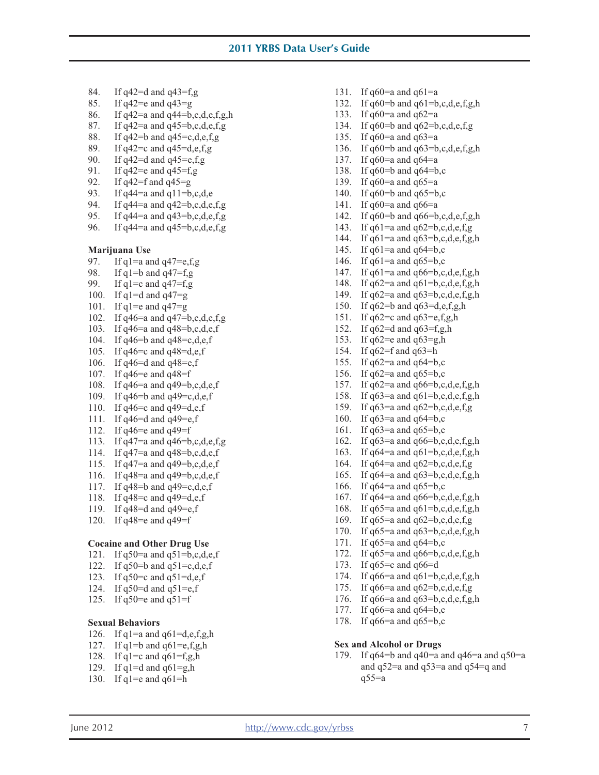- 84. If q42=d and q43=f,g 131. If  $q60=$ a and  $q61=$ a
- 
- 86. If  $q42=a$  and  $q44=b$ , c, d, e, f, g, h 133. If  $q60=a$  and  $q62=a$
- 
- 88. If q42=b and q45=c,d,e,f,g 135. If q60=a and q63=a
- 
- 90. If  $q42=d$  and  $q45=e,f,g$ <br>
91. If  $q42=e$  and  $q45=f,g$ <br>
91. If  $q60=e$  and  $q64=e$ <br>
91. If  $q60=e$  and  $q64=e$
- 
- 
- 93. If  $q44=a$  and  $q11=b,c,d,e$  140. If  $q60=b$  and  $q65=b,c$
- 94. If q44=a and q42=b,c,d,e,f,g 141. If q60=a and q66=a
- 
- 

- 
- 
- 
- 
- 
- 
- 103. If q46=a and q48=b,c,d,e,f <br>152. If q62=d and q63=f,g,h<br>164. If q46=b and q48=c,d,e,f <br>153. If q62=e and q63=g,h
- 104. If  $q46 = b$  and  $q48 = c,d,e,f$ <br>105. If  $q46 = c$  and  $q48 = d,e,f$ <br>153. If  $q62 = e$  and  $q63 = h$ <br>154. If  $q62 = f$  and  $q63 = h$
- 105. If  $q46 = c$  and  $q48 = d,e,f$
- 
- 
- 
- 
- 
- 
- 
- 
- 
- 
- 
- 117. If  $q48 = b$  and  $q49 = c,d,e,f$  166. If  $q64 = a$  and  $q65 = b,c$
- 
- 
- 

#### **Cocaine and Other Drug Use** 171. If q65=a and q64=b,c

- 
- 122. If  $q50 = b$  and  $q51 = c,d,e,f$ <br>
123. If  $q65 = c$  and  $q61 = b,c,d,e,f,g,h$ <br>
174. If  $q66 = a$  and  $q61 = b,c,d,e,f,g,h$
- 123. If  $q50=$ c and  $q51=$ d,e,f
- 
- 

June 2012

- 126. If  $q1=a$  and  $q61=d,e,f,g,h$
- 
- 128. If  $q1 = c$  and  $q61 = f, g, h$  179. If  $q64 = b$  and  $q40 = a$  and  $q46 = a$  and  $q50 = a$
- 129. If  $q1=d$  and  $q61=q$ , h
- 130. If  $q1$ =e and  $q61$ =h
- 
- 85. If  $q42 = e$  and  $q43 = g$  132. If  $q60 = b$  and  $q61 = b, c, d, e, f, g, h$ 
	-
- 87. If  $q42=a$  and  $q45=b$ ,c,d,e,f,g 134. If  $q60=b$  and  $q62=b$ ,c,d,e,f,g
	-
- 89. If  $q42 = c$  and  $q45 = d, e, f, g$  136. If  $q60 = b$  and  $q63 = b, c, d, e, f, g, h$ 
	-
	- If  $q42 = e$  and  $q45 = f,g$  138. If  $q60 = b$  and  $q64 = b,c$
- 92. If  $q42=f$  and  $q45=g$  139. If  $q60=g$  and  $q65=g$ 
	-
	-
- 95. If  $q44=a$  and  $q43=b,c,d,e,f,g$  142. If  $q60=b$  and  $q66=b,c,d,e,f,g,h$
- 96. If  $q44=a$  and  $q45=b,c,d,e,f,g$  143. If  $q61=a$  and  $q62=b,c,d,e,f,g$ 
	- 144. If  $q61=a$  and  $q63=b,c,d,e,f,g,h$
- **Marijuana Use** 145. If q61=a and q64=b,c
- 97. If  $q1=a$  and  $q47=e,f,g$  146. If  $q61=a$  and  $q65=b,c$
- 98. If  $q1=b$  and  $q47=f,g$  147. If  $q61=a$  and  $q66=b,c,d,e,f,g,h$
- 99. If  $q1 = c$  and  $q47 = f,g$  148. If  $q62 = a$  and  $q61 = b,c,d,e,f,g,h$
- 100. If  $q1 = d$  and  $q47 = g$  149. If  $q62 = a$  and  $q63 = b, c, d, e, f, g, h$
- 101. If  $q1 = e$  and  $q47 = g$  150. If  $q62 = b$  and  $q63 = d, e, f, g, h$
- 102. If  $q46=a$  and  $q47=b,c,d,e,f,g$  151. If  $q62=c$  and  $q63=e,f,g,h$ 
	-
	-
	-
- 106. If q46=d and q48=e,f 155. If q62=a and  $q64=$ b,c
- 107. If  $q46 = e$  and  $q48 = f$  156. If  $q62 = a$  and  $q65 = b$ ,c
- 108. If q46=a and q49=b,c,d,e,f 157. If q62=a and q66=b,c,d,e,f,g,h
- 109. If  $q46 = b$  and  $q49 = c,d,e,f$  158. If  $q63 = a$  and  $q61 = b,c,d,e,f,g,h$
- 110. If  $q46 = c$  and  $q49 = d,e,f$  159. If  $q63 = a$  and  $q62 = b,c,d,e,f,g$
- 111. If q46=d and q49=e,f 160. If q63=a and q64=b,c
- 112. If  $q46 = e$  and  $q49 = f$  161. If  $q63 = a$  and  $q65 = b$ ,c
- 113. If  $q47=a$  and  $q46=b,c,d,e,f,g$  162. If  $q63=a$  and  $q66=b,c,d,e,f,g,h$
- 114. If  $q47=a$  and  $q48=b,c,d,e,f$  163. If  $q64=a$  and  $q61=b,c,d,e,f,g,h$
- 115. If  $q^{47}=a$  and  $q^{49}=b,c,d,e,f$  164. If  $q^{64}=a$  and  $q^{62}=b,c,d,e,f,g$
- 116. If  $q48=a$  and  $q49=b,c,d,e,f$  165. If  $q64=a$  and  $q63=b,c,d,e,f,g,h$ 
	-
- 118. If  $q48 = c$  and  $q49 = d, e, f$  167. If  $q64 = a$  and  $q66 = b, c, d, e, f, g, h$
- 119. If  $q48=d$  and  $q49=e,f$  168. If  $q65=a$  and  $q61=b,c,d,e,f,g,h$
- 120. If  $q48 =$ e and  $q49 = f$  169. If  $q65 =$ a and  $q62 = b, c, d, e, f, g$ 
	- 170. If q65=a and q63=b,c,d,e,f,g,h
	-
- 121. If  $q50=a$  and  $q51=b,c,d,e,f$ <br>
122. If  $q50=b$  and  $q51=c,d,e,f$ <br>
173. If  $q65=c$  and  $q66=d$ 
	-
	-
- 124. If  $q50 = d$  and  $q51 = e,f$  175. If  $q66 = a$  and  $q62 = b,c,d,e,f,g$
- 125. If  $q50 = e$  and  $q51 = f$  176. If  $q66 = a$  and  $q63 = b, c, d, e, f, g, h$

and q52=a and q53=a and q54=q and

- 177. If q66=a and q64=b,c
- **Sexual Behaviors Sexual Behaviors 178.** If  $q66=a$  and  $q65=b,c$

#### 127. If q1=b and q61=e,f,g,h **Sex and Alcohol or Drugs**

http://www.cdc.gov/yrbss 7

 $q55=a$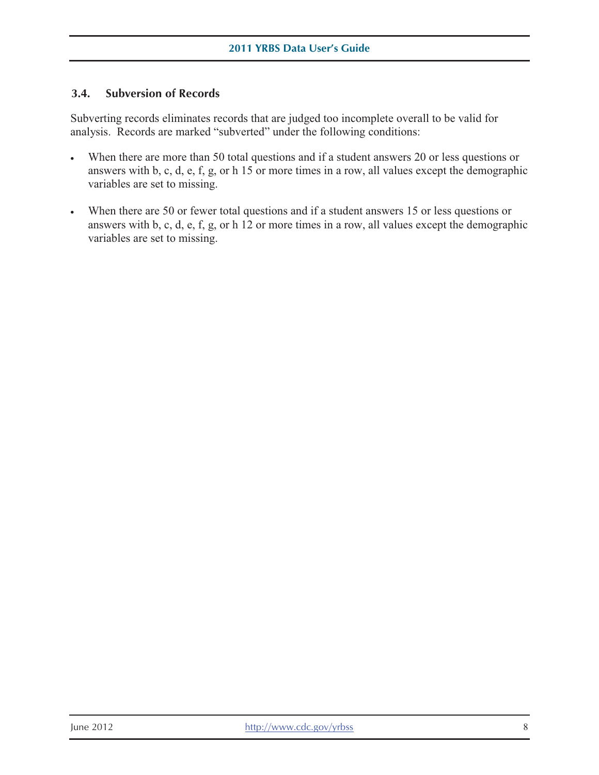# **3.4. Subversion of Records**

Subverting records eliminates records that are judged too incomplete overall to be valid for analysis. Records are marked "subverted" under the following conditions:

- When there are more than 50 total questions and if a student answers 20 or less questions or answers with b, c, d, e, f, g, or h 15 or more times in a row, all values except the demographic variables are set to missing.
- When there are 50 or fewer total questions and if a student answers 15 or less questions or answers with b, c, d, e, f, g, or h 12 or more times in a row, all values except the demographic variables are set to missing.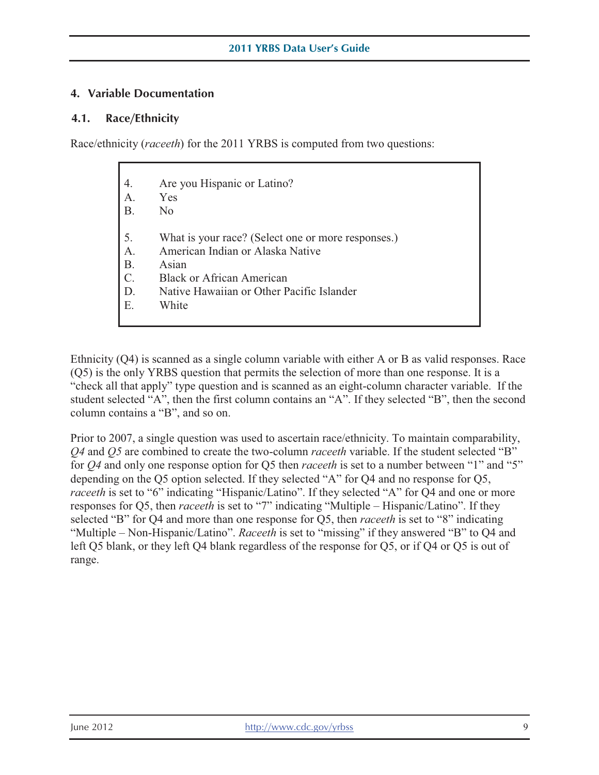#### **4. Variable Documentation**

#### **4.1. Race/Ethnicity**

Race/ethnicity (*raceeth*) for the 2011 YRBS is computed from two questions:

| 4.              | Are you Hispanic or Latino?                        |
|-----------------|----------------------------------------------------|
| A.              | Yes                                                |
| <b>B.</b>       | N <sub>0</sub>                                     |
| 5.              | What is your race? (Select one or more responses.) |
| $A$ .           | American Indian or Alaska Native                   |
| <b>B.</b>       | Asian                                              |
| $\mathcal{C}$ . | <b>Black or African American</b>                   |
| D.              | Native Hawaiian or Other Pacific Islander          |
| E.              | White                                              |

Ethnicity (Q4) is scanned as a single column variable with either A or B as valid responses. Race (Q5) is the only YRBS question that permits the selection of more than one response. It is a "check all that apply" type question and is scanned as an eight-column character variable. If the student selected "A", then the first column contains an "A". If they selected "B", then the second column contains a "B", and so on.

responses for Q5, then *raceeth* is set to "7" indicating "Multiple – Hispanic/Latino". If they<br>selected "B" for Q4 and more than one response for Q5, then *raceeth* is set to "8" indicating Prior to 2007, a single question was used to ascertain race/ethnicity. To maintain comparability, *Q4* and *Q5* are combined to create the two-column *raceeth* variable. If the student selected "B" for *Q4* and only one response option for Q5 then *raceeth* is set to a number between "1" and "5" depending on the Q5 option selected. If they selected "A" for Q4 and no response for Q5, *raceeth* is set to "6" indicating "Hispanic/Latino". If they selected "A" for Q4 and one or more selected "B" for Q4 and more than one response for Q5, then *raceeth* is set to "8" indicating "Multiple – Non-Hispanic/Latino". *Raceeth* is set to "missing" if they answered "B" to Q4 and left Q5 blank, or they left Q4 blank regardless of the response for Q5, or if Q4 or Q5 is out of range.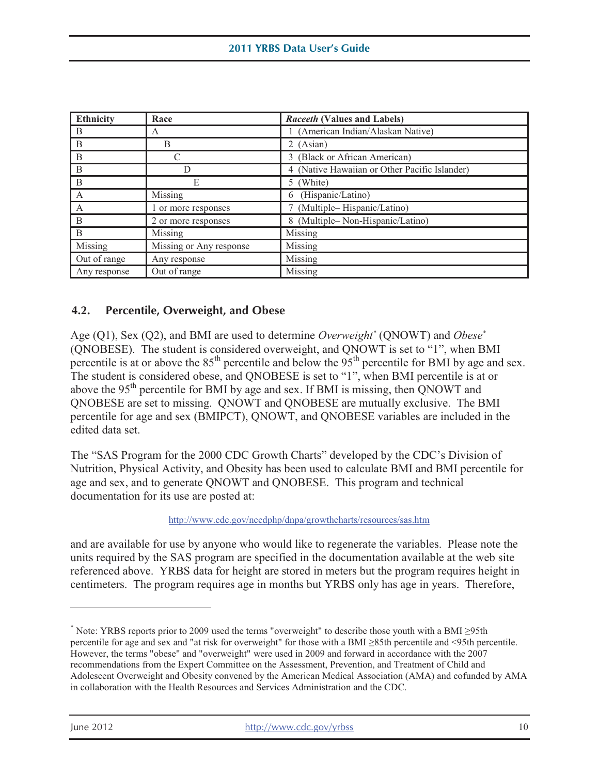| <b>Ethnicity</b> | Race                    | Raceeth (Values and Labels)                   |
|------------------|-------------------------|-----------------------------------------------|
| B                | A                       | (American Indian/Alaskan Native)              |
| B                | B                       | 2 (Asian)                                     |
| B                |                         | (Black or African American)<br>$\mathcal{E}$  |
| B                |                         | 4 (Native Hawaiian or Other Pacific Islander) |
| B                | Е                       | 5 (White)                                     |
| A                | Missing                 | (Hispanic/Latino)<br>6                        |
| A                | 1 or more responses     | (Multiple-Hispanic/Latino)                    |
| B                | 2 or more responses     | (Multiple-Non-Hispanic/Latino)<br>8           |
| B                | Missing                 | Missing                                       |
| Missing          | Missing or Any response | Missing                                       |
| Out of range     | Any response            | Missing                                       |
| Any response     | Out of range            | Missing                                       |

# **4.2. Percentile, Overweight, and Obese**

Age (Q1), Sex (Q2), and BMI are used to determine *Overweight\** (QNOWT) and *Obese\**  (QNOBESE). The student is considered overweight, and QNOWT is set to "1", when BMI percentile is at or above the  $85<sup>th</sup>$  percentile and below the  $95<sup>th</sup>$  percentile for BMI by age and sex. The student is considered obese, and QNOBESE is set to "1", when BMI percentile is at or above the 95<sup>th</sup> percentile for BMI by age and sex. If BMI is missing, then QNOWT and QNOBESE are set to missing. QNOWT and QNOBESE are mutually exclusive. The BMI percentile for age and sex (BMIPCT), QNOWT, and QNOBESE variables are included in the edited data set.

The "SAS Program for the 2000 CDC Growth Charts" developed by the CDC's Division of Nutrition, Physical Activity, and Obesity has been used to calculate BMI and BMI percentile for age and sex, and to generate QNOWT and QNOBESE. This program and technical documentation for its use are posted at:

http://www.cdc.gov/nccdphp/dnpa/growthcharts/resources/sas.htm

and are available for use by anyone who would like to regenerate the variables. Please note the units required by the SAS program are specified in the documentation available at the web site referenced above. YRBS data for height are stored in meters but the program requires height in centimeters. The program requires age in months but YRBS only has age in years. Therefore,

 Adolescent Overweight and Obesity convened by the American Medical Association (AMA) and cofunded by AMA \* Note: YRBS reports prior to 2009 used the terms "overweight" to describe those youth with a BMI ≥95th percentile for age and sex and "at risk for overweight" for those with a BMI ≥85th percentile and <95th percentile. However, the terms "obese" and "overweight" were used in 2009 and forward in accordance with the 2007 recommendations from the Expert Committee on the Assessment, Prevention, and Treatment of Child and in collaboration with the Health Resources and Services Administration and the CDC.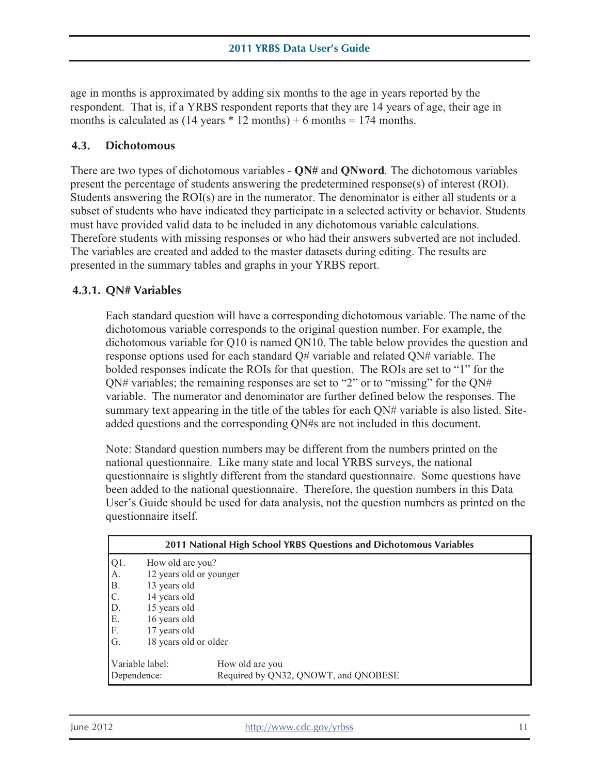age in months is approximated by adding six months to the age in years reported by the respondent. That is, if a YRBS respondent reports that they are 14 years of age, their age in months is calculated as  $(14 \text{ years} * 12 \text{ months}) + 6 \text{ months} = 174 \text{ months}.$ 

#### **4.3. Dichotomous**

There are two types of dichotomous variables - **QN#** and **QNword***.* The dichotomous variables present the percentage of students answering the predetermined response(s) of interest (ROI). Students answering the ROI(s) are in the numerator. The denominator is either all students or a subset of students who have indicated they participate in a selected activity or behavior. Students must have provided valid data to be included in any dichotomous variable calculations. Therefore students with missing responses or who had their answers subverted are not included. The variables are created and added to the master datasets during editing. The results are presented in the summary tables and graphs in your YRBS report.

#### **4.3.1. QN# Variables**

Each standard question will have a corresponding dichotomous variable. The name of the dichotomous variable corresponds to the original question number. For example, the dichotomous variable for Q10 is named QN10. The table below provides the question and response options used for each standard Q# variable and related QN# variable. The bolded responses indicate the ROIs for that question. The ROIs are set to "1" for the QN# variables; the remaining responses are set to "2" or to "missing" for the QN# variable. The numerator and denominator are further defined below the responses. The summary text appearing in the title of the tables for each QN# variable is also listed. Siteadded questions and the corresponding QN#s are not included in this document.

Note: Standard question numbers may be different from the numbers printed on the national questionnaire. Like many state and local YRBS surveys, the national questionnaire is slightly different from the standard questionnaire. Some questions have been added to the national questionnaire. Therefore, the question numbers in this Data User's Guide should be used for data analysis, not the question numbers as printed on the questionnaire itself.

| 2011 National High School YRBS Questions and Dichotomous Variables |                         |                                                         |  |
|--------------------------------------------------------------------|-------------------------|---------------------------------------------------------|--|
| $ Q1$ .                                                            | How old are you?        |                                                         |  |
| A.                                                                 | 12 years old or younger |                                                         |  |
| B.                                                                 | 13 years old            |                                                         |  |
| $\mathsf{C}.$                                                      | 14 years old            |                                                         |  |
| D.                                                                 | 15 years old            |                                                         |  |
| E.                                                                 | 16 years old            |                                                         |  |
| IF.                                                                | 17 years old            |                                                         |  |
| IG.                                                                | 18 years old or older   |                                                         |  |
| Variable label:<br>Dependence:                                     |                         | How old are you<br>Required by QN32, QNOWT, and QNOBESE |  |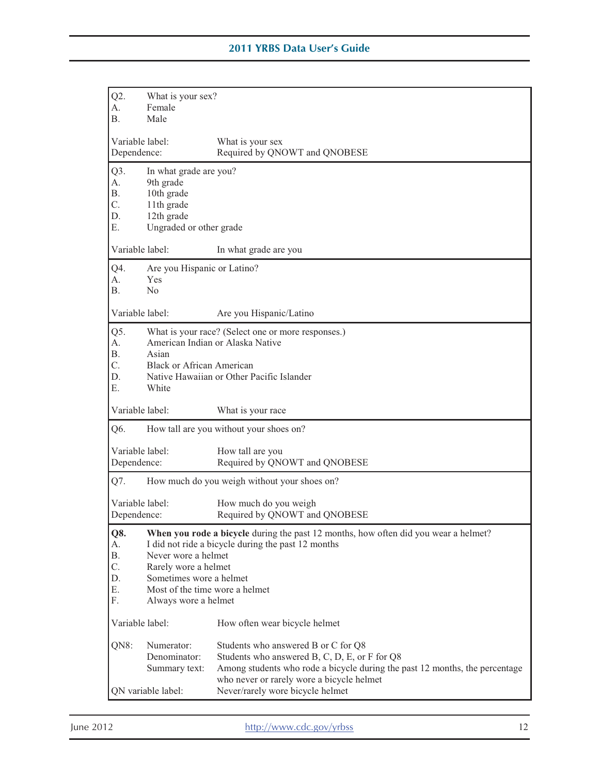| $Q2$ .                           | What is your sex?                |                                                                                     |  |
|----------------------------------|----------------------------------|-------------------------------------------------------------------------------------|--|
| А.                               | Female                           |                                                                                     |  |
| <b>B.</b>                        | Male                             |                                                                                     |  |
|                                  |                                  |                                                                                     |  |
| Variable label:                  |                                  | What is your sex                                                                    |  |
| Dependence:                      |                                  | Required by QNOWT and QNOBESE                                                       |  |
| Q3.                              | In what grade are you?           |                                                                                     |  |
| A.                               | 9th grade                        |                                                                                     |  |
| <b>B.</b>                        | 10th grade                       |                                                                                     |  |
| C.                               | 11th grade                       |                                                                                     |  |
| D.                               | 12th grade                       |                                                                                     |  |
| Ε.                               | Ungraded or other grade          |                                                                                     |  |
|                                  |                                  |                                                                                     |  |
| Variable label:                  |                                  | In what grade are you                                                               |  |
| Q4.                              | Are you Hispanic or Latino?      |                                                                                     |  |
| A.                               | <b>Yes</b>                       |                                                                                     |  |
| <b>B.</b>                        | No                               |                                                                                     |  |
|                                  |                                  |                                                                                     |  |
| Variable label:                  |                                  | Are you Hispanic/Latino                                                             |  |
| Q5.                              |                                  | What is your race? (Select one or more responses.)                                  |  |
| А.                               |                                  | American Indian or Alaska Native                                                    |  |
| В.                               | Asian                            |                                                                                     |  |
| C.                               | <b>Black or African American</b> |                                                                                     |  |
| D.                               |                                  | Native Hawaiian or Other Pacific Islander                                           |  |
| Е.                               | White                            |                                                                                     |  |
|                                  |                                  |                                                                                     |  |
| Variable label:                  |                                  | What is your race                                                                   |  |
| Q6.                              |                                  | How tall are you without your shoes on?                                             |  |
| Variable label:                  |                                  |                                                                                     |  |
|                                  |                                  | How tall are you<br>Required by QNOWT and QNOBESE                                   |  |
| Dependence:                      |                                  |                                                                                     |  |
| Q7.                              |                                  | How much do you weigh without your shoes on?                                        |  |
| Variable label:                  |                                  | How much do you weigh                                                               |  |
| Dependence:                      |                                  | Required by QNOWT and QNOBESE                                                       |  |
|                                  |                                  |                                                                                     |  |
| Q8.                              |                                  | When you rode a bicycle during the past 12 months, how often did you wear a helmet? |  |
| А.                               |                                  | I did not ride a bicycle during the past 12 months                                  |  |
| <b>B.</b><br>Never wore a helmet |                                  |                                                                                     |  |
| C.                               | Rarely wore a helmet             |                                                                                     |  |
| Sometimes wore a helmet<br>D.    |                                  |                                                                                     |  |
| Ε.                               | Most of the time wore a helmet   |                                                                                     |  |
| F.                               | Always wore a helmet             |                                                                                     |  |
| Variable label:                  |                                  | How often wear bicycle helmet                                                       |  |
| QN8:                             | Numerator:                       | Students who answered B or C for Q8                                                 |  |
|                                  | Denominator:                     | Students who answered B, C, D, E, or F for Q8                                       |  |
|                                  | Summary text:                    | Among students who rode a bicycle during the past 12 months, the percentage         |  |
|                                  |                                  | who never or rarely wore a bicycle helmet                                           |  |
|                                  | QN variable label:               | Never/rarely wore bicycle helmet                                                    |  |
|                                  |                                  |                                                                                     |  |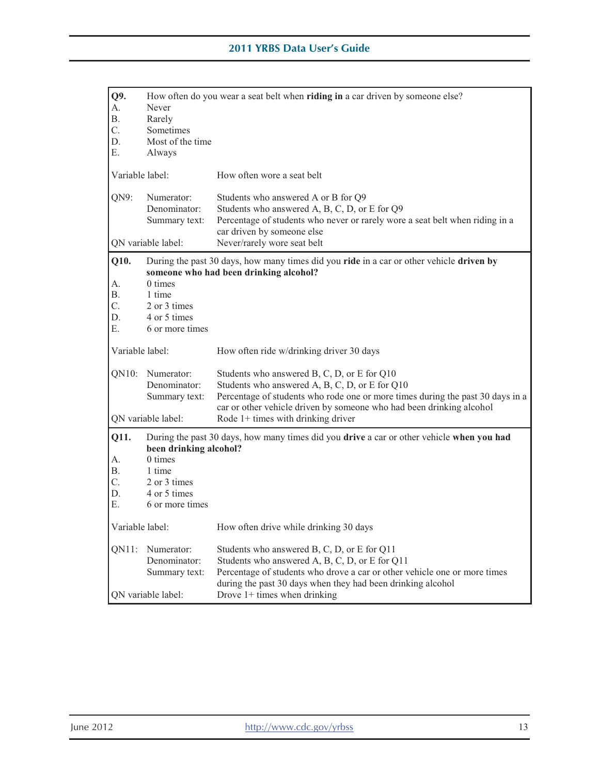| Q9.<br>А.<br>В. | How often do you wear a seat belt when riding in a car driven by someone else?<br>Never<br>Rarely |                                                                                                                                                                                                                                                                             |  |
|-----------------|---------------------------------------------------------------------------------------------------|-----------------------------------------------------------------------------------------------------------------------------------------------------------------------------------------------------------------------------------------------------------------------------|--|
| C.              | Sometimes                                                                                         |                                                                                                                                                                                                                                                                             |  |
| D.              | Most of the time                                                                                  |                                                                                                                                                                                                                                                                             |  |
| Е.              | Always                                                                                            |                                                                                                                                                                                                                                                                             |  |
| Variable label: |                                                                                                   | How often wore a seat belt                                                                                                                                                                                                                                                  |  |
| QN9:            | Numerator:<br>Denominator:<br>Summary text:                                                       | Students who answered A or B for Q9<br>Students who answered A, B, C, D, or E for Q9<br>Percentage of students who never or rarely wore a seat belt when riding in a<br>car driven by someone else                                                                          |  |
|                 | QN variable label:                                                                                | Never/rarely wore seat belt                                                                                                                                                                                                                                                 |  |
| Q10.<br>А.      | 0 times                                                                                           | During the past 30 days, how many times did you ride in a car or other vehicle driven by<br>someone who had been drinking alcohol?                                                                                                                                          |  |
| В.              | 1 time                                                                                            |                                                                                                                                                                                                                                                                             |  |
| C.              | 2 or 3 times                                                                                      |                                                                                                                                                                                                                                                                             |  |
| D.              | 4 or 5 times                                                                                      |                                                                                                                                                                                                                                                                             |  |
| Ε.              | 6 or more times                                                                                   |                                                                                                                                                                                                                                                                             |  |
| Variable label: |                                                                                                   | How often ride w/drinking driver 30 days                                                                                                                                                                                                                                    |  |
| $QN10$ :        | Numerator:<br>Denominator:<br>Summary text:                                                       | Students who answered B, C, D, or E for Q10<br>Students who answered A, B, C, D, or E for Q10<br>Percentage of students who rode one or more times during the past 30 days in a                                                                                             |  |
|                 | QN variable label:                                                                                | car or other vehicle driven by someone who had been drinking alcohol<br>Rode $1+$ times with drinking driver                                                                                                                                                                |  |
| Q11.            | been drinking alcohol?                                                                            | During the past 30 days, how many times did you drive a car or other vehicle when you had                                                                                                                                                                                   |  |
| А.              | 0 times                                                                                           |                                                                                                                                                                                                                                                                             |  |
| Β.              | 1 time                                                                                            |                                                                                                                                                                                                                                                                             |  |
| C.<br>D.        | 2 or 3 times<br>4 or 5 times                                                                      |                                                                                                                                                                                                                                                                             |  |
| E.              | 6 or more times                                                                                   |                                                                                                                                                                                                                                                                             |  |
|                 |                                                                                                   |                                                                                                                                                                                                                                                                             |  |
| Variable label: |                                                                                                   | How often drive while drinking 30 days                                                                                                                                                                                                                                      |  |
| $QN11$ :        | Numerator:<br>Denominator:<br>Summary text:                                                       | Students who answered B, C, D, or E for Q11<br>Students who answered A, B, C, D, or E for Q11<br>Percentage of students who drove a car or other vehicle one or more times<br>during the past 30 days when they had been drinking alcohol<br>Drove $1+$ times when drinking |  |
|                 | QN variable label:                                                                                |                                                                                                                                                                                                                                                                             |  |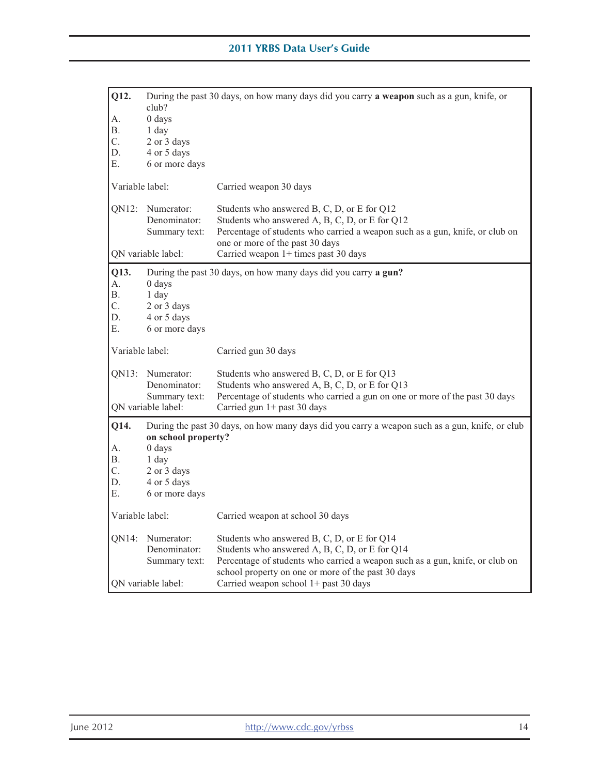| Q12.<br>А.<br>В.<br>C.<br>D.<br>Е. | club?<br>0 days<br>1 day<br>2 or 3 days<br>4 or 5 days<br>6 or more days               | During the past 30 days, on how many days did you carry a weapon such as a gun, knife, or                                                                                                                                           |
|------------------------------------|----------------------------------------------------------------------------------------|-------------------------------------------------------------------------------------------------------------------------------------------------------------------------------------------------------------------------------------|
| Variable label:                    |                                                                                        | Carried weapon 30 days                                                                                                                                                                                                              |
| $QN12$ :                           | Numerator:<br>Denominator:<br>Summary text:                                            | Students who answered B, C, D, or E for Q12<br>Students who answered A, B, C, D, or E for Q12<br>Percentage of students who carried a weapon such as a gun, knife, or club on<br>one or more of the past 30 days                    |
|                                    | QN variable label:                                                                     | Carried weapon 1+ times past 30 days                                                                                                                                                                                                |
| Q13.<br>А.<br>Β.<br>C.<br>D.<br>Е. | 0 days<br>1 day<br>2 or 3 days<br>4 or 5 days<br>6 or more days                        | During the past 30 days, on how many days did you carry a gun?                                                                                                                                                                      |
| Variable label:                    |                                                                                        | Carried gun 30 days                                                                                                                                                                                                                 |
| QN13:                              | Numerator:<br>Denominator:<br>Summary text:<br>QN variable label:                      | Students who answered B, C, D, or E for Q13<br>Students who answered A, B, C, D, or E for Q13<br>Percentage of students who carried a gun on one or more of the past 30 days<br>Carried gun 1+ past 30 days                         |
| Q14.<br>А.<br>В.<br>C.<br>D.<br>E. | on school property?<br>0 days<br>1 day<br>2 or 3 days<br>4 or 5 days<br>6 or more days | During the past 30 days, on how many days did you carry a weapon such as a gun, knife, or club                                                                                                                                      |
| Variable label:                    |                                                                                        | Carried weapon at school 30 days                                                                                                                                                                                                    |
| QN14:                              | Numerator:<br>Denominator:<br>Summary text:                                            | Students who answered B, C, D, or E for Q14<br>Students who answered A, B, C, D, or E for Q14<br>Percentage of students who carried a weapon such as a gun, knife, or club on<br>school property on one or more of the past 30 days |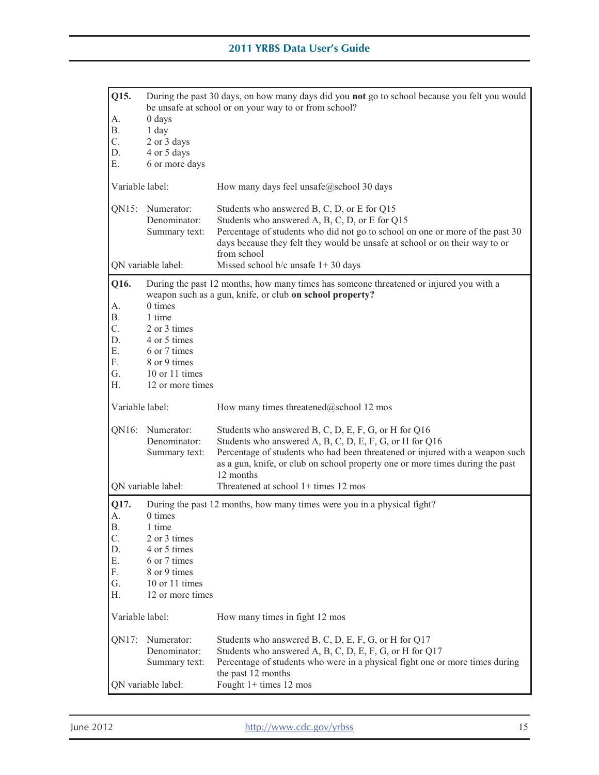| Q15.<br>А.<br>Β.<br>C.<br>D.<br>Е.                          | $0$ days<br>1 day<br>2 or 3 days<br>4 or 5 days<br>6 or more days                                                          | During the past 30 days, on how many days did you not go to school because you felt you would<br>be unsafe at school or on your way to or from school?                                                                                                                                        |
|-------------------------------------------------------------|----------------------------------------------------------------------------------------------------------------------------|-----------------------------------------------------------------------------------------------------------------------------------------------------------------------------------------------------------------------------------------------------------------------------------------------|
| Variable label:                                             |                                                                                                                            | How many days feel unsafe@school 30 days                                                                                                                                                                                                                                                      |
| QN15:                                                       | Numerator:<br>Denominator:<br>Summary text:                                                                                | Students who answered B, C, D, or E for Q15<br>Students who answered A, B, C, D, or E for Q15<br>Percentage of students who did not go to school on one or more of the past 30<br>days because they felt they would be unsafe at school or on their way to or<br>from school                  |
|                                                             | QN variable label:                                                                                                         | Missed school $b/c$ unsafe $1+30$ days                                                                                                                                                                                                                                                        |
| Q16.<br>А.<br><b>B.</b><br>C.<br>D.<br>Ε.<br>F.<br>G.<br>Н. | $0 \times$<br>1 time<br>2 or 3 times<br>4 or 5 times<br>6 or 7 times<br>8 or 9 times<br>10 or 11 times<br>12 or more times | During the past 12 months, how many times has someone threatened or injured you with a<br>weapon such as a gun, knife, or club on school property?                                                                                                                                            |
| Variable label:                                             |                                                                                                                            | How many times threatened@school 12 mos                                                                                                                                                                                                                                                       |
| QN16:                                                       | Numerator:<br>Denominator:<br>Summary text:                                                                                | Students who answered B, C, D, E, F, G, or H for Q16<br>Students who answered A, B, C, D, E, F, G, or H for Q16<br>Percentage of students who had been threatened or injured with a weapon such<br>as a gun, knife, or club on school property one or more times during the past<br>12 months |
|                                                             | QN variable label:                                                                                                         | Threatened at school 1+ times 12 mos                                                                                                                                                                                                                                                          |
| Q17.<br>A.<br>В.<br>C.<br>D.<br>Ε.<br>F.<br>G.<br>Н.        | 0 times<br>1 time<br>2 or 3 times<br>4 or 5 times<br>6 or 7 times<br>8 or 9 times<br>10 or 11 times<br>12 or more times    | During the past 12 months, how many times were you in a physical fight?                                                                                                                                                                                                                       |
| Variable label:                                             |                                                                                                                            | How many times in fight 12 mos                                                                                                                                                                                                                                                                |
| QN17:                                                       | Numerator:<br>Denominator:<br>Summary text:<br>QN variable label:                                                          | Students who answered B, C, D, E, F, G, or H for Q17<br>Students who answered A, B, C, D, E, F, G, or H for Q17<br>Percentage of students who were in a physical fight one or more times during<br>the past 12 months<br>Fought $1+$ times 12 mos                                             |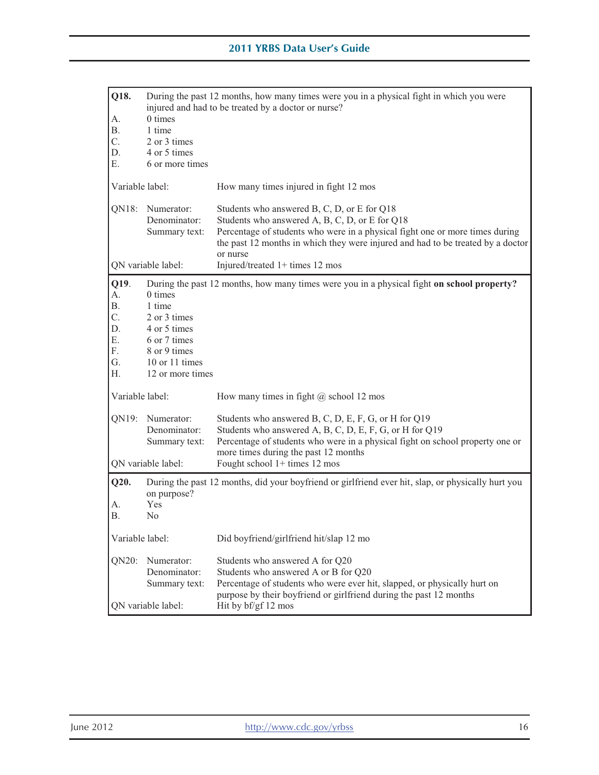| Q18.            |                              |                                                                                                                                                 |
|-----------------|------------------------------|-------------------------------------------------------------------------------------------------------------------------------------------------|
|                 |                              | During the past 12 months, how many times were you in a physical fight in which you were<br>injured and had to be treated by a doctor or nurse? |
| А.              | 0 times                      |                                                                                                                                                 |
| Β.              | 1 time                       |                                                                                                                                                 |
| C.              | 2 or 3 times                 |                                                                                                                                                 |
| D.              | 4 or 5 times                 |                                                                                                                                                 |
| Е.              | 6 or more times              |                                                                                                                                                 |
| Variable label: |                              | How many times injured in fight 12 mos                                                                                                          |
| QN18:           | Numerator:                   | Students who answered B, C, D, or E for Q18                                                                                                     |
|                 | Denominator:                 | Students who answered A, B, C, D, or E for Q18                                                                                                  |
|                 | Summary text:                | Percentage of students who were in a physical fight one or more times during                                                                    |
|                 |                              | the past 12 months in which they were injured and had to be treated by a doctor                                                                 |
|                 |                              | or nurse                                                                                                                                        |
|                 | QN variable label:           | Injured/treated 1+ times 12 mos                                                                                                                 |
| Q19.            |                              | During the past 12 months, how many times were you in a physical fight on school property?                                                      |
| А.              | 0 times                      |                                                                                                                                                 |
| Β.              | 1 time                       |                                                                                                                                                 |
| C.              | 2 or 3 times                 |                                                                                                                                                 |
| D.              | 4 or 5 times                 |                                                                                                                                                 |
| Е.<br>F.        | 6 or 7 times<br>8 or 9 times |                                                                                                                                                 |
| G.              | 10 or 11 times               |                                                                                                                                                 |
| Н.              | 12 or more times             |                                                                                                                                                 |
|                 |                              |                                                                                                                                                 |
| Variable label: |                              | How many times in fight $(a)$ school 12 mos                                                                                                     |
| QN19:           | Numerator:                   | Students who answered B, C, D, E, F, G, or H for Q19                                                                                            |
|                 | Denominator:                 | Students who answered A, B, C, D, E, F, G, or H for Q19                                                                                         |
|                 | Summary text:                | Percentage of students who were in a physical fight on school property one or                                                                   |
|                 |                              | more times during the past 12 months                                                                                                            |
|                 | QN variable label:           | Fought school $1+$ times 12 mos                                                                                                                 |
| Q20.            |                              | During the past 12 months, did your boyfriend or girlfriend ever hit, slap, or physically hurt you                                              |
|                 | on purpose?                  |                                                                                                                                                 |
| А.              | Yes                          |                                                                                                                                                 |
| В.              | N <sub>0</sub>               |                                                                                                                                                 |
| Variable label: |                              | Did boyfriend/girlfriend hit/slap 12 mo                                                                                                         |
| QN20:           | Numerator:                   | Students who answered A for Q20                                                                                                                 |
|                 | Denominator:                 | Students who answered A or B for Q20                                                                                                            |
|                 | Summary text:                | Percentage of students who were ever hit, slapped, or physically hurt on                                                                        |
|                 |                              | purpose by their boyfriend or girlfriend during the past 12 months                                                                              |
|                 | QN variable label:           | Hit by bf/gf 12 mos                                                                                                                             |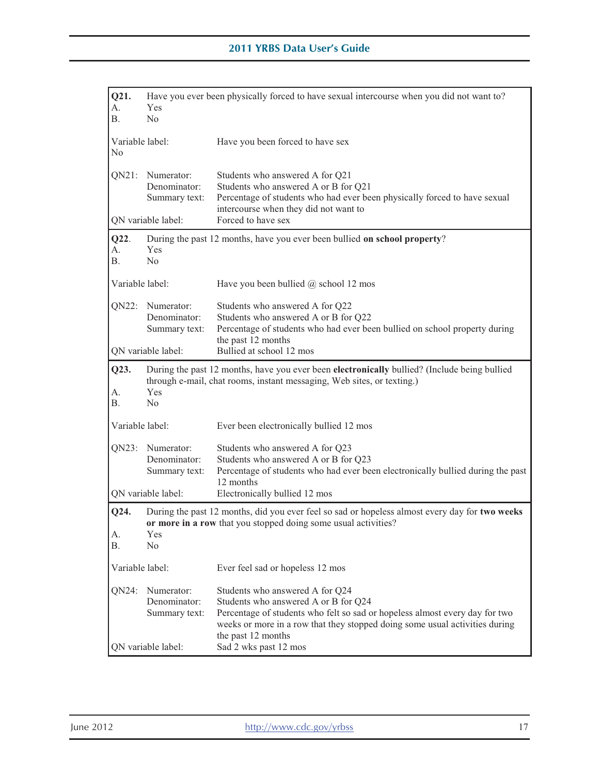| Q21.<br>А.<br><b>B.</b>           | Have you ever been physically forced to have sexual intercourse when you did not want to?<br>Yes<br>N <sub>o</sub> |                                                                                                                                                                                                                                                                                      |
|-----------------------------------|--------------------------------------------------------------------------------------------------------------------|--------------------------------------------------------------------------------------------------------------------------------------------------------------------------------------------------------------------------------------------------------------------------------------|
| Variable label:<br>N <sub>0</sub> |                                                                                                                    | Have you been forced to have sex                                                                                                                                                                                                                                                     |
|                                   | QN21: Numerator:<br>Denominator:<br>Summary text:                                                                  | Students who answered A for Q21<br>Students who answered A or B for Q21<br>Percentage of students who had ever been physically forced to have sexual<br>intercourse when they did not want to                                                                                        |
|                                   | QN variable label:                                                                                                 | Forced to have sex                                                                                                                                                                                                                                                                   |
| Q22.<br>А.<br><b>B.</b>           | Yes<br>No                                                                                                          | During the past 12 months, have you ever been bullied on school property?                                                                                                                                                                                                            |
| Variable label:                   |                                                                                                                    | Have you been bullied $(a)$ school 12 mos                                                                                                                                                                                                                                            |
| QN22:                             | Numerator:<br>Denominator:<br>Summary text:                                                                        | Students who answered A for Q22<br>Students who answered A or B for Q22<br>Percentage of students who had ever been bullied on school property during<br>the past 12 months                                                                                                          |
|                                   | QN variable label:                                                                                                 | Bullied at school 12 mos                                                                                                                                                                                                                                                             |
| Q23.<br>A.<br><b>B.</b>           | Yes<br>N <sub>o</sub>                                                                                              | During the past 12 months, have you ever been electronically bullied? (Include being bullied<br>through e-mail, chat rooms, instant messaging, Web sites, or texting.)                                                                                                               |
| Variable label:                   |                                                                                                                    | Ever been electronically bullied 12 mos                                                                                                                                                                                                                                              |
| QN23:                             | Numerator:<br>Denominator:<br>Summary text:                                                                        | Students who answered A for Q23<br>Students who answered A or B for Q23<br>Percentage of students who had ever been electronically bullied during the past<br>12 months                                                                                                              |
|                                   | QN variable label:                                                                                                 | Electronically bullied 12 mos                                                                                                                                                                                                                                                        |
| Q24.<br>А.<br>В.                  | Yes<br>N <sub>0</sub>                                                                                              | During the past 12 months, did you ever feel so sad or hopeless almost every day for two weeks<br>or more in a row that you stopped doing some usual activities?                                                                                                                     |
| Variable label:                   |                                                                                                                    | Ever feel sad or hopeless 12 mos                                                                                                                                                                                                                                                     |
| QN24:                             | Numerator:<br>Denominator:<br>Summary text:<br>QN variable label:                                                  | Students who answered A for Q24<br>Students who answered A or B for Q24<br>Percentage of students who felt so sad or hopeless almost every day for two<br>weeks or more in a row that they stopped doing some usual activities during<br>the past 12 months<br>Sad 2 wks past 12 mos |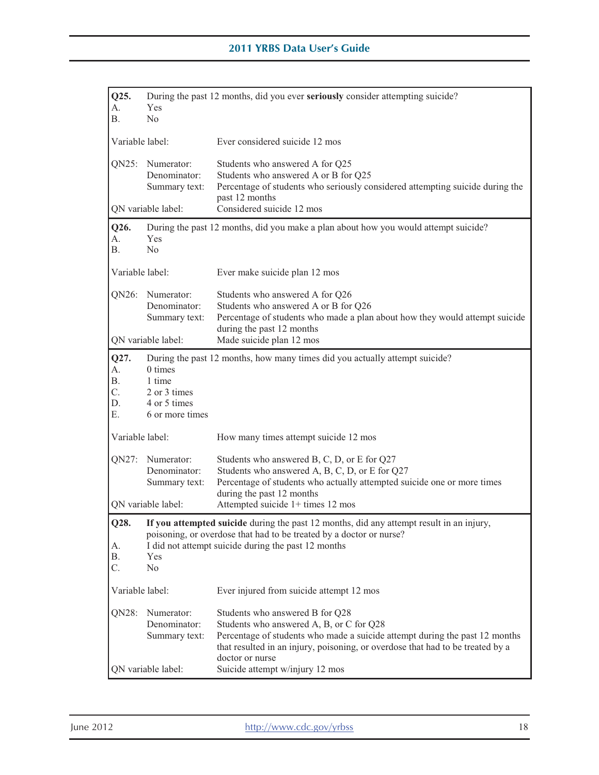| Q25.<br>А.<br>Β.                   | Yes<br>No                                                               | During the past 12 months, did you ever seriously consider attempting suicide?                                                                                                                                                                                                                     |
|------------------------------------|-------------------------------------------------------------------------|----------------------------------------------------------------------------------------------------------------------------------------------------------------------------------------------------------------------------------------------------------------------------------------------------|
| Variable label:                    |                                                                         | Ever considered suicide 12 mos                                                                                                                                                                                                                                                                     |
|                                    | QN25: Numerator:<br>Denominator:<br>Summary text:                       | Students who answered A for Q25<br>Students who answered A or B for Q25<br>Percentage of students who seriously considered attempting suicide during the<br>past 12 months                                                                                                                         |
|                                    | QN variable label:                                                      | Considered suicide 12 mos                                                                                                                                                                                                                                                                          |
| Q26.<br>А.<br><b>B.</b>            | <b>Yes</b><br>No                                                        | During the past 12 months, did you make a plan about how you would attempt suicide?                                                                                                                                                                                                                |
| Variable label:                    |                                                                         | Ever make suicide plan 12 mos                                                                                                                                                                                                                                                                      |
|                                    | QN26: Numerator:<br>Denominator:<br>Summary text:                       | Students who answered A for Q26<br>Students who answered A or B for Q26<br>Percentage of students who made a plan about how they would attempt suicide<br>during the past 12 months                                                                                                                |
|                                    | QN variable label:                                                      | Made suicide plan 12 mos                                                                                                                                                                                                                                                                           |
| Q27.<br>A.<br>Β.<br>C.<br>D.<br>Е. | $0 \times$<br>1 time<br>2 or 3 times<br>4 or 5 times<br>6 or more times | During the past 12 months, how many times did you actually attempt suicide?                                                                                                                                                                                                                        |
| Variable label:                    |                                                                         | How many times attempt suicide 12 mos                                                                                                                                                                                                                                                              |
|                                    | QN27: Numerator:<br>Denominator:<br>Summary text:                       | Students who answered B, C, D, or E for Q27<br>Students who answered A, B, C, D, or E for Q27<br>Percentage of students who actually attempted suicide one or more times<br>during the past 12 months                                                                                              |
|                                    | ON variable label:                                                      | Attempted suicide 1+ times 12 mos                                                                                                                                                                                                                                                                  |
| O28.<br>А.<br>В.<br>C.             | Yes<br>N <sub>0</sub>                                                   | If you attempted suicide during the past 12 months, did any attempt result in an injury,<br>poisoning, or overdose that had to be treated by a doctor or nurse?<br>I did not attempt suicide during the past 12 months                                                                             |
| Variable label:                    |                                                                         | Ever injured from suicide attempt 12 mos                                                                                                                                                                                                                                                           |
| QN28:                              | Numerator:<br>Denominator:<br>Summary text:<br>QN variable label:       | Students who answered B for Q28<br>Students who answered A, B, or C for Q28<br>Percentage of students who made a suicide attempt during the past 12 months<br>that resulted in an injury, poisoning, or overdose that had to be treated by a<br>doctor or nurse<br>Suicide attempt w/injury 12 mos |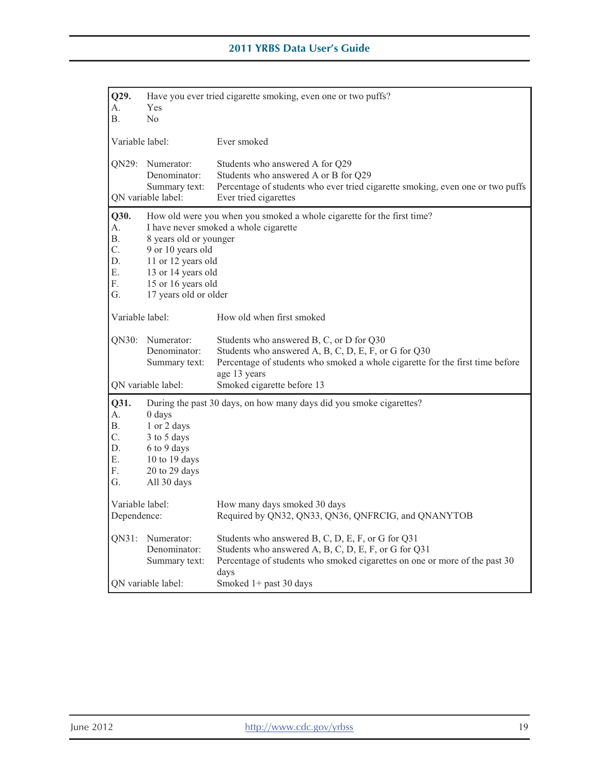| Q29.<br>А.<br>В.                               | Yes<br>No.                                                                                                                             | Have you ever tried cigarette smoking, even one or two puffs?                                                                                                                                                                   |
|------------------------------------------------|----------------------------------------------------------------------------------------------------------------------------------------|---------------------------------------------------------------------------------------------------------------------------------------------------------------------------------------------------------------------------------|
| Variable label:                                |                                                                                                                                        | Ever smoked                                                                                                                                                                                                                     |
| ON29:                                          | Numerator:<br>Denominator:<br>Summary text:<br>QN variable label:                                                                      | Students who answered A for Q29<br>Students who answered A or B for Q29<br>Percentage of students who ever tried cigarette smoking, even one or two puffs<br>Ever tried cigarettes                                              |
| Q30.<br>А.<br>В.<br>C.<br>D.<br>Ε.<br>F.<br>G. | 8 years old or younger<br>9 or 10 years old<br>11 or 12 years old<br>13 or 14 years old<br>15 or 16 years old<br>17 years old or older | How old were you when you smoked a whole cigarette for the first time?<br>I have never smoked a whole cigarette                                                                                                                 |
| Variable label:                                |                                                                                                                                        | How old when first smoked                                                                                                                                                                                                       |
| QN30:                                          | Numerator:<br>Denominator:<br>Summary text:<br>QN variable label:                                                                      | Students who answered B, C, or D for Q30<br>Students who answered A, B, C, D, E, F, or G for Q30<br>Percentage of students who smoked a whole cigarette for the first time before<br>age 13 years<br>Smoked cigarette before 13 |
| Q31.<br>А.<br>Β.<br>C.<br>D.<br>Ε.<br>F.<br>G. | 0 days<br>1 or 2 days<br>3 to 5 days<br>6 to 9 days<br>10 to 19 days<br>20 to 29 days<br>All 30 days                                   | During the past 30 days, on how many days did you smoke cigarettes?                                                                                                                                                             |
| Variable label:<br>Dependence:                 |                                                                                                                                        | How many days smoked 30 days<br>Required by QN32, QN33, QN36, QNFRCIG, and QNANYTOB                                                                                                                                             |
| QN31:                                          | Numerator:<br>Denominator:<br>Summary text:<br>ON variable label:                                                                      | Students who answered B, C, D, E, F, or G for Q31<br>Students who answered A, B, C, D, E, F, or G for Q31<br>Percentage of students who smoked cigarettes on one or more of the past 30<br>days<br>Smoked $1+$ past 30 days     |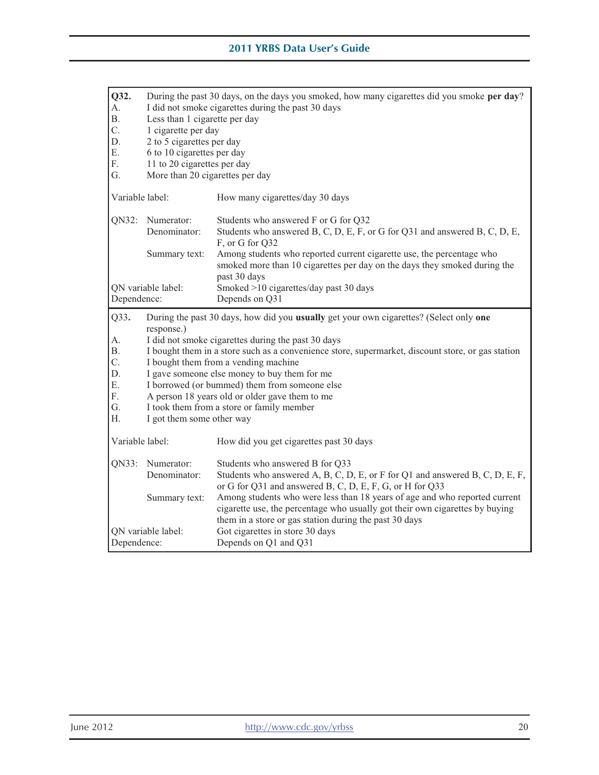| Q32.<br>А.<br>Β.<br>C.<br>D.<br>Ε.<br>F.<br>G.       | During the past 30 days, on the days you smoked, how many cigarettes did you smoke per day?<br>I did not smoke cigarettes during the past 30 days<br>Less than 1 cigarette per day<br>1 cigarette per day<br>2 to 5 cigarettes per day<br>6 to 10 cigarettes per day<br>11 to 20 cigarettes per day<br>More than 20 cigarettes per day                                                                                                                                                                                               |                                                                                                                                                                                                                                                                                                                                                                                                     |  |
|------------------------------------------------------|--------------------------------------------------------------------------------------------------------------------------------------------------------------------------------------------------------------------------------------------------------------------------------------------------------------------------------------------------------------------------------------------------------------------------------------------------------------------------------------------------------------------------------------|-----------------------------------------------------------------------------------------------------------------------------------------------------------------------------------------------------------------------------------------------------------------------------------------------------------------------------------------------------------------------------------------------------|--|
| Variable label:                                      |                                                                                                                                                                                                                                                                                                                                                                                                                                                                                                                                      | How many cigarettes/day 30 days                                                                                                                                                                                                                                                                                                                                                                     |  |
| QN32:                                                | Numerator:<br>Denominator:<br>Summary text:                                                                                                                                                                                                                                                                                                                                                                                                                                                                                          | Students who answered F or G for Q32<br>Students who answered B, C, D, E, F, or G for Q31 and answered B, C, D, E,<br>F, or G for Q32<br>Among students who reported current cigarette use, the percentage who<br>smoked more than 10 cigarettes per day on the days they smoked during the<br>past 30 days                                                                                         |  |
| QN variable label:<br>Dependence:                    |                                                                                                                                                                                                                                                                                                                                                                                                                                                                                                                                      | Smoked >10 cigarettes/day past 30 days<br>Depends on Q31                                                                                                                                                                                                                                                                                                                                            |  |
| Q33.<br>А.<br>В.<br>C.<br>D.<br>Ε.<br>F.<br>G.<br>Η. | During the past 30 days, how did you usually get your own cigarettes? (Select only one<br>response.)<br>I did not smoke cigarettes during the past 30 days<br>I bought them in a store such as a convenience store, supermarket, discount store, or gas station<br>I bought them from a vending machine<br>I gave someone else money to buy them for me<br>I borrowed (or bummed) them from someone else<br>A person 18 years old or older gave them to me<br>I took them from a store or family member<br>I got them some other way |                                                                                                                                                                                                                                                                                                                                                                                                     |  |
| Variable label:                                      |                                                                                                                                                                                                                                                                                                                                                                                                                                                                                                                                      | How did you get cigarettes past 30 days                                                                                                                                                                                                                                                                                                                                                             |  |
| QN33:                                                | Numerator:<br>Denominator:<br>Summary text:                                                                                                                                                                                                                                                                                                                                                                                                                                                                                          | Students who answered B for Q33<br>Students who answered A, B, C, D, E, or F for Q1 and answered B, C, D, E, F,<br>or G for Q31 and answered B, C, D, E, F, G, or H for Q33<br>Among students who were less than 18 years of age and who reported current<br>cigarette use, the percentage who usually got their own cigarettes by buying<br>them in a store or gas station during the past 30 days |  |
| QN variable label:<br>Dependence:                    |                                                                                                                                                                                                                                                                                                                                                                                                                                                                                                                                      | Got cigarettes in store 30 days<br>Depends on Q1 and Q31                                                                                                                                                                                                                                                                                                                                            |  |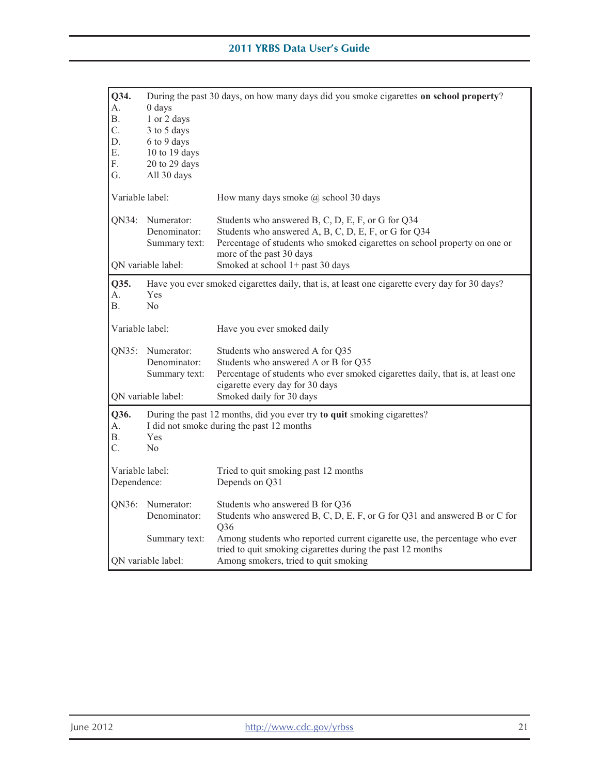| Q34.<br>А.<br>Β.<br>C.<br>D.<br>Ε.<br>F.<br>G. | $0$ days<br>1 or 2 days<br>3 to 5 days<br>6 to 9 days<br>10 to 19 days<br>20 to 29 days<br>All 30 days | During the past 30 days, on how many days did you smoke cigarettes on school property?                                                                                                                             |
|------------------------------------------------|--------------------------------------------------------------------------------------------------------|--------------------------------------------------------------------------------------------------------------------------------------------------------------------------------------------------------------------|
| Variable label:                                |                                                                                                        | How many days smoke $\omega$ school 30 days                                                                                                                                                                        |
| QN34:                                          | Numerator:<br>Denominator:<br>Summary text:                                                            | Students who answered B, C, D, E, F, or G for Q34<br>Students who answered A, B, C, D, E, F, or G for Q34<br>Percentage of students who smoked cigarettes on school property on one or<br>more of the past 30 days |
|                                                | QN variable label:                                                                                     | Smoked at school 1+ past 30 days                                                                                                                                                                                   |
| Q35.<br>А.<br>В.                               | <b>Yes</b><br>N <sub>o</sub>                                                                           | Have you ever smoked cigarettes daily, that is, at least one cigarette every day for 30 days?                                                                                                                      |
| Variable label:                                |                                                                                                        | Have you ever smoked daily                                                                                                                                                                                         |
| QN35:                                          | Numerator:<br>Denominator:<br>Summary text:                                                            | Students who answered A for Q35<br>Students who answered A or B for Q35<br>Percentage of students who ever smoked cigarettes daily, that is, at least one<br>cigarette every day for 30 days                       |
|                                                | QN variable label:                                                                                     | Smoked daily for 30 days                                                                                                                                                                                           |
| Q36.<br>А.<br>Β.<br>C.                         | Yes<br>N <sub>o</sub>                                                                                  | During the past 12 months, did you ever try to quit smoking cigarettes?<br>I did not smoke during the past 12 months                                                                                               |
| Variable label:<br>Dependence:                 |                                                                                                        | Tried to quit smoking past 12 months<br>Depends on Q31                                                                                                                                                             |
| QN36:                                          | Numerator:<br>Denominator:                                                                             | Students who answered B for Q36<br>Students who answered B, C, D, E, F, or G for Q31 and answered B or C for<br>Q36                                                                                                |
|                                                | Summary text:<br>ON variable label:                                                                    | Among students who reported current cigarette use, the percentage who ever<br>tried to quit smoking cigarettes during the past 12 months<br>Among smokers, tried to quit smoking                                   |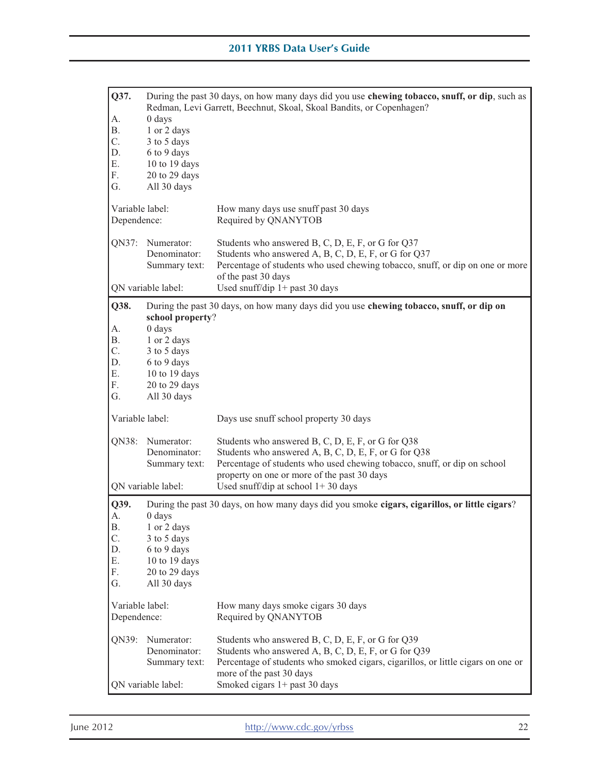| Q37.            | During the past 30 days, on how many days did you use chewing tobacco, snuff, or dip, such as<br>Redman, Levi Garrett, Beechnut, Skoal, Skoal Bandits, or Copenhagen? |                                                                                               |  |
|-----------------|-----------------------------------------------------------------------------------------------------------------------------------------------------------------------|-----------------------------------------------------------------------------------------------|--|
| А.              | $0$ days                                                                                                                                                              |                                                                                               |  |
| Β.              | 1 or 2 days                                                                                                                                                           |                                                                                               |  |
| C.              | 3 to 5 days                                                                                                                                                           |                                                                                               |  |
| D.              | 6 to 9 days                                                                                                                                                           |                                                                                               |  |
| Ε.              | 10 to 19 days                                                                                                                                                         |                                                                                               |  |
| F.              | 20 to 29 days                                                                                                                                                         |                                                                                               |  |
| G.              | All 30 days                                                                                                                                                           |                                                                                               |  |
| Variable label: |                                                                                                                                                                       | How many days use snuff past 30 days                                                          |  |
| Dependence:     |                                                                                                                                                                       | Required by QNANYTOB                                                                          |  |
| QN37:           | Numerator:                                                                                                                                                            | Students who answered B, C, D, E, F, or G for Q37                                             |  |
|                 | Denominator:                                                                                                                                                          | Students who answered A, B, C, D, E, F, or G for Q37                                          |  |
|                 | Summary text:                                                                                                                                                         | Percentage of students who used chewing tobacco, snuff, or dip on one or more                 |  |
|                 |                                                                                                                                                                       | of the past 30 days                                                                           |  |
|                 | QN variable label:                                                                                                                                                    | Used snuff/dip $1+$ past 30 days                                                              |  |
| Q38.            | school property?                                                                                                                                                      | During the past 30 days, on how many days did you use chewing tobacco, snuff, or dip on       |  |
| А.              | $0$ days                                                                                                                                                              |                                                                                               |  |
| Β.              | 1 or 2 days                                                                                                                                                           |                                                                                               |  |
| C.              | 3 to 5 days                                                                                                                                                           |                                                                                               |  |
| D.              | 6 to 9 days                                                                                                                                                           |                                                                                               |  |
| Ε.              | 10 to 19 days                                                                                                                                                         |                                                                                               |  |
| F.              | 20 to 29 days                                                                                                                                                         |                                                                                               |  |
| G.              | All 30 days                                                                                                                                                           |                                                                                               |  |
| Variable label: |                                                                                                                                                                       | Days use snuff school property 30 days                                                        |  |
| QN38:           | Numerator:                                                                                                                                                            | Students who answered B, C, D, E, F, or G for Q38                                             |  |
|                 | Denominator:                                                                                                                                                          | Students who answered A, B, C, D, E, F, or G for Q38                                          |  |
|                 | Summary text:                                                                                                                                                         | Percentage of students who used chewing tobacco, snuff, or dip on school                      |  |
|                 |                                                                                                                                                                       | property on one or more of the past 30 days                                                   |  |
|                 | QN variable label:                                                                                                                                                    | Used snuff/dip at school $1+30$ days                                                          |  |
| Q39.            |                                                                                                                                                                       | During the past 30 days, on how many days did you smoke cigars, cigarillos, or little cigars? |  |
| А.              | 0 days                                                                                                                                                                |                                                                                               |  |
| <b>B.</b>       | 1 or 2 days                                                                                                                                                           |                                                                                               |  |
| C.              | 3 to 5 days                                                                                                                                                           |                                                                                               |  |
| D.              | 6 to 9 days                                                                                                                                                           |                                                                                               |  |
| Ε.<br>F.        | 10 to 19 days                                                                                                                                                         |                                                                                               |  |
|                 | 20 to 29 days                                                                                                                                                         |                                                                                               |  |
| G.              | All 30 days                                                                                                                                                           |                                                                                               |  |
| Variable label: |                                                                                                                                                                       | How many days smoke cigars 30 days                                                            |  |
| Dependence:     |                                                                                                                                                                       | Required by QNANYTOB                                                                          |  |
| QN39:           | Numerator:                                                                                                                                                            | Students who answered B, C, D, E, F, or G for Q39                                             |  |
|                 | Denominator:                                                                                                                                                          | Students who answered A, B, C, D, E, F, or G for Q39                                          |  |
|                 | Summary text:                                                                                                                                                         | Percentage of students who smoked cigars, cigarillos, or little cigars on one or              |  |
|                 |                                                                                                                                                                       | more of the past 30 days                                                                      |  |
|                 | QN variable label:                                                                                                                                                    | Smoked cigars 1+ past 30 days                                                                 |  |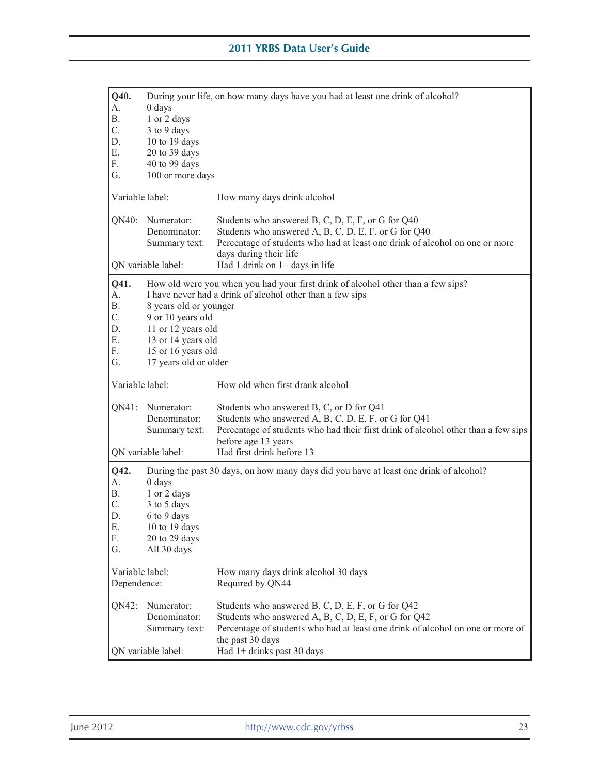| Q40.<br>А.<br>Β.                                      | $0$ days<br>1 or 2 days                                                                                                                | During your life, on how many days have you had at least one drink of alcohol?                                                                                                                                                                |
|-------------------------------------------------------|----------------------------------------------------------------------------------------------------------------------------------------|-----------------------------------------------------------------------------------------------------------------------------------------------------------------------------------------------------------------------------------------------|
| C.<br>D.<br>Ε.<br>F.                                  | 3 to 9 days<br>10 to 19 days<br>20 to 39 days<br>40 to 99 days                                                                         |                                                                                                                                                                                                                                               |
| G.                                                    | 100 or more days                                                                                                                       |                                                                                                                                                                                                                                               |
| Variable label:                                       |                                                                                                                                        | How many days drink alcohol                                                                                                                                                                                                                   |
| QN40:                                                 | Numerator:<br>Denominator:<br>Summary text:                                                                                            | Students who answered B, C, D, E, F, or G for Q40<br>Students who answered A, B, C, D, E, F, or G for Q40<br>Percentage of students who had at least one drink of alcohol on one or more<br>days during their life                            |
|                                                       | QN variable label:                                                                                                                     | Had 1 drink on $1+$ days in life                                                                                                                                                                                                              |
| Q41.<br>A.<br><b>B.</b><br>C.<br>D.<br>Ε.<br>F.<br>G. | 8 years old or younger<br>9 or 10 years old<br>11 or 12 years old<br>13 or 14 years old<br>15 or 16 years old<br>17 years old or older | How old were you when you had your first drink of alcohol other than a few sips?<br>I have never had a drink of alcohol other than a few sips                                                                                                 |
| Variable label:                                       |                                                                                                                                        | How old when first drank alcohol                                                                                                                                                                                                              |
| QN41:                                                 | Numerator:<br>Denominator:<br>Summary text:                                                                                            | Students who answered B, C, or D for Q41<br>Students who answered A, B, C, D, E, F, or G for Q41<br>Percentage of students who had their first drink of alcohol other than a few sips<br>before age 13 years                                  |
|                                                       | QN variable label:                                                                                                                     | Had first drink before 13                                                                                                                                                                                                                     |
| Q42.<br>A.<br>Β.<br>C.<br>D.<br>Ε.<br>F.<br>G.        | 0 days<br>1 or 2 days<br>3 to 5 days<br>6 to 9 days<br>10 to 19 days<br>20 to 29 days<br>All 30 days                                   | During the past 30 days, on how many days did you have at least one drink of alcohol?                                                                                                                                                         |
| Variable label:<br>Dependence:                        |                                                                                                                                        | How many days drink alcohol 30 days<br>Required by QN44                                                                                                                                                                                       |
| QN42:                                                 | Numerator:<br>Denominator:<br>Summary text:<br>QN variable label:                                                                      | Students who answered B, C, D, E, F, or G for Q42<br>Students who answered A, B, C, D, E, F, or G for Q42<br>Percentage of students who had at least one drink of alcohol on one or more of<br>the past 30 days<br>Had 1+ drinks past 30 days |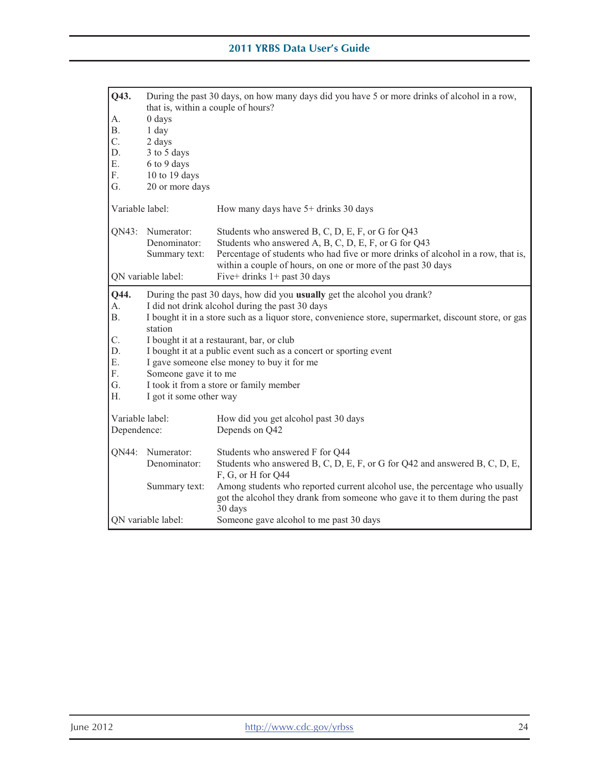| Q43.             | During the past 30 days, on how many days did you have 5 or more drinks of alcohol in a row,<br>that is, within a couple of hours? |                                                                                                                                                                                                                                                               |  |  |
|------------------|------------------------------------------------------------------------------------------------------------------------------------|---------------------------------------------------------------------------------------------------------------------------------------------------------------------------------------------------------------------------------------------------------------|--|--|
| А.               | $0$ days                                                                                                                           |                                                                                                                                                                                                                                                               |  |  |
| Β.               | 1 day                                                                                                                              |                                                                                                                                                                                                                                                               |  |  |
| $\overline{C}$ . | 2 days                                                                                                                             |                                                                                                                                                                                                                                                               |  |  |
| D.               | 3 to 5 days                                                                                                                        |                                                                                                                                                                                                                                                               |  |  |
| Ε.               | 6 to 9 days                                                                                                                        |                                                                                                                                                                                                                                                               |  |  |
| F.               | 10 to 19 days                                                                                                                      |                                                                                                                                                                                                                                                               |  |  |
| G.               | 20 or more days                                                                                                                    |                                                                                                                                                                                                                                                               |  |  |
| Variable label:  |                                                                                                                                    | How many days have 5+ drinks 30 days                                                                                                                                                                                                                          |  |  |
| QN43:            | Numerator:<br>Denominator:<br>Summary text:                                                                                        | Students who answered B, C, D, E, F, or G for Q43<br>Students who answered A, B, C, D, E, F, or G for Q43<br>Percentage of students who had five or more drinks of alcohol in a row, that is,<br>within a couple of hours, on one or more of the past 30 days |  |  |
|                  | QN variable label:                                                                                                                 | Five+ drinks $1+$ past 30 days                                                                                                                                                                                                                                |  |  |
| Q44.             | During the past 30 days, how did you usually get the alcohol you drank?                                                            |                                                                                                                                                                                                                                                               |  |  |
| А.               | I did not drink alcohol during the past 30 days                                                                                    |                                                                                                                                                                                                                                                               |  |  |
| <b>B.</b>        | I bought it in a store such as a liquor store, convenience store, supermarket, discount store, or gas<br>station                   |                                                                                                                                                                                                                                                               |  |  |
| C.               | I bought it at a restaurant, bar, or club                                                                                          |                                                                                                                                                                                                                                                               |  |  |
| D.               |                                                                                                                                    | I bought it at a public event such as a concert or sporting event                                                                                                                                                                                             |  |  |
| Е.               |                                                                                                                                    | I gave someone else money to buy it for me                                                                                                                                                                                                                    |  |  |
| F.               | Someone gave it to me                                                                                                              |                                                                                                                                                                                                                                                               |  |  |
| G.               |                                                                                                                                    | I took it from a store or family member                                                                                                                                                                                                                       |  |  |
| Н.               | I got it some other way                                                                                                            |                                                                                                                                                                                                                                                               |  |  |
| Variable label:  |                                                                                                                                    | How did you get alcohol past 30 days                                                                                                                                                                                                                          |  |  |
| Dependence:      |                                                                                                                                    | Depends on Q42                                                                                                                                                                                                                                                |  |  |
|                  | QN44: Numerator:                                                                                                                   | Students who answered F for Q44                                                                                                                                                                                                                               |  |  |
|                  | Denominator:                                                                                                                       | Students who answered B, C, D, E, F, or G for Q42 and answered B, C, D, E,<br>F, G, or H for Q44                                                                                                                                                              |  |  |
|                  | Summary text:                                                                                                                      | Among students who reported current alcohol use, the percentage who usually<br>got the alcohol they drank from someone who gave it to them during the past<br>30 days                                                                                         |  |  |
|                  | QN variable label:                                                                                                                 | Someone gave alcohol to me past 30 days                                                                                                                                                                                                                       |  |  |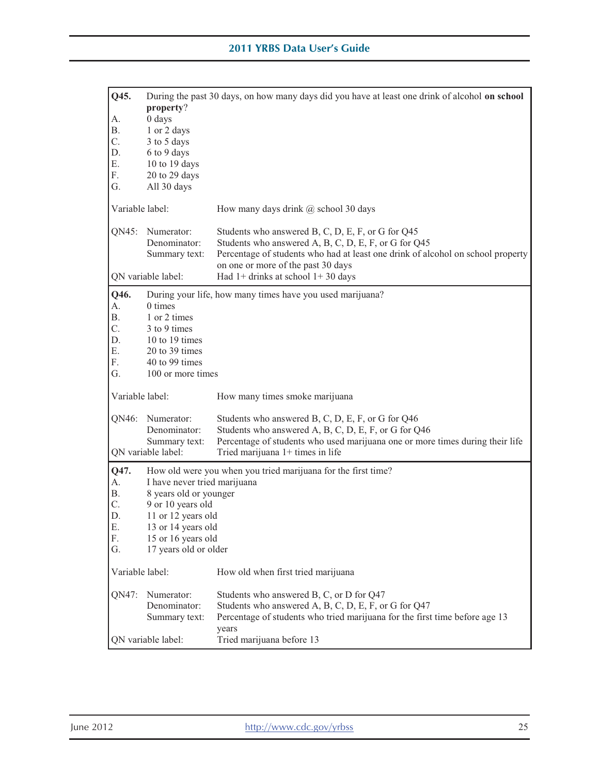| Q45.            | property?                                                         | During the past 30 days, on how many days did you have at least one drink of alcohol on school                                                                                                                                   |
|-----------------|-------------------------------------------------------------------|----------------------------------------------------------------------------------------------------------------------------------------------------------------------------------------------------------------------------------|
| A.              | $0$ days                                                          |                                                                                                                                                                                                                                  |
| <b>B.</b>       | 1 or 2 days                                                       |                                                                                                                                                                                                                                  |
| C.<br>D.        | 3 to 5 days                                                       |                                                                                                                                                                                                                                  |
| Ε.              | 6 to 9 days<br>10 to 19 days                                      |                                                                                                                                                                                                                                  |
| F.              | 20 to 29 days                                                     |                                                                                                                                                                                                                                  |
| G.              | All 30 days                                                       |                                                                                                                                                                                                                                  |
| Variable label: |                                                                   | How many days drink @ school 30 days                                                                                                                                                                                             |
| QN45:           | Numerator:<br>Denominator:<br>Summary text:                       | Students who answered B, C, D, E, F, or G for Q45<br>Students who answered A, B, C, D, E, F, or G for Q45<br>Percentage of students who had at least one drink of alcohol on school property                                     |
|                 | QN variable label:                                                | on one or more of the past 30 days<br>Had $1+$ drinks at school $1+30$ days                                                                                                                                                      |
| Q46.            |                                                                   | During your life, how many times have you used marijuana?                                                                                                                                                                        |
| A.              | 0 times                                                           |                                                                                                                                                                                                                                  |
| В.<br>C.        | 1 or 2 times<br>3 to 9 times                                      |                                                                                                                                                                                                                                  |
| D.              | 10 to 19 times                                                    |                                                                                                                                                                                                                                  |
| Ε.              | 20 to 39 times                                                    |                                                                                                                                                                                                                                  |
| F.              | 40 to 99 times                                                    |                                                                                                                                                                                                                                  |
| G.              | 100 or more times                                                 |                                                                                                                                                                                                                                  |
| Variable label: |                                                                   | How many times smoke marijuana                                                                                                                                                                                                   |
| QN46:           | Numerator:<br>Denominator:<br>Summary text:<br>QN variable label: | Students who answered B, C, D, E, F, or G for Q46<br>Students who answered A, B, C, D, E, F, or G for Q46<br>Percentage of students who used marijuana one or more times during their life<br>Tried marijuana $1+$ times in life |
| Q47.            |                                                                   | How old were you when you tried marijuana for the first time?                                                                                                                                                                    |
| А.              | I have never tried marijuana                                      |                                                                                                                                                                                                                                  |
| Β.              | 8 years old or younger                                            |                                                                                                                                                                                                                                  |
| C.<br>D.        | 9 or 10 years old<br>11 or 12 years old                           |                                                                                                                                                                                                                                  |
| Ε.              | 13 or 14 years old                                                |                                                                                                                                                                                                                                  |
| F.              | 15 or 16 years old                                                |                                                                                                                                                                                                                                  |
| G.              | 17 years old or older                                             |                                                                                                                                                                                                                                  |
| Variable label: |                                                                   | How old when first tried marijuana                                                                                                                                                                                               |
| QN47:           | Numerator:                                                        | Students who answered B, C, or D for Q47                                                                                                                                                                                         |
|                 | Denominator:                                                      | Students who answered A, B, C, D, E, F, or G for Q47                                                                                                                                                                             |
|                 | Summary text:                                                     | Percentage of students who tried marijuana for the first time before age 13                                                                                                                                                      |
|                 | QN variable label:                                                | years<br>Tried marijuana before 13                                                                                                                                                                                               |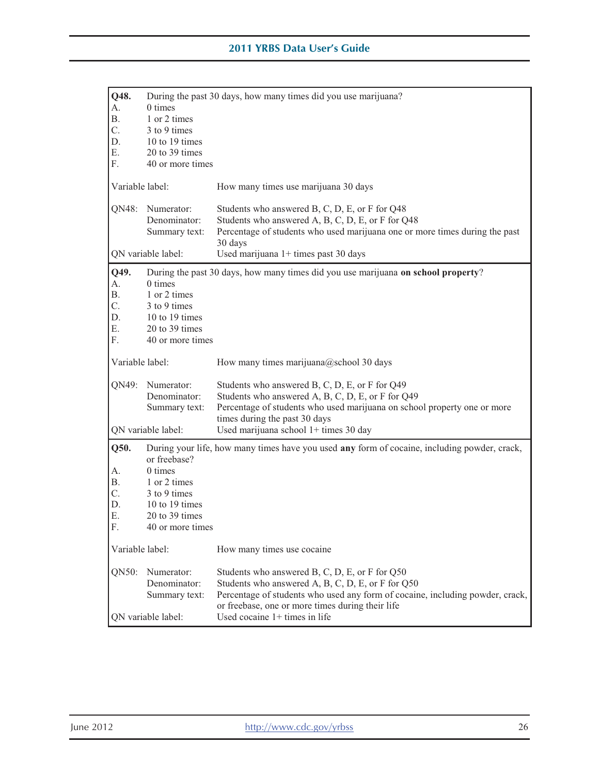| Q48.<br>А.<br><b>B.</b><br>C.<br>D.<br>Е.       | 0 times<br>1 or 2 times<br>3 to 9 times<br>10 to 19 times<br>20 to 39 times                                     | During the past 30 days, how many times did you use marijuana?                                                                                                                                                                           |
|-------------------------------------------------|-----------------------------------------------------------------------------------------------------------------|------------------------------------------------------------------------------------------------------------------------------------------------------------------------------------------------------------------------------------------|
| F.                                              | 40 or more times                                                                                                |                                                                                                                                                                                                                                          |
| Variable label:                                 |                                                                                                                 | How many times use marijuana 30 days                                                                                                                                                                                                     |
| QN48:                                           | Numerator:<br>Denominator:<br>Summary text:                                                                     | Students who answered B, C, D, E, or F for Q48<br>Students who answered A, B, C, D, E, or F for Q48<br>Percentage of students who used marijuana one or more times during the past<br>30 days                                            |
|                                                 | QN variable label:                                                                                              | Used marijuana 1+ times past 30 days                                                                                                                                                                                                     |
| Q49.<br>А.<br><b>B.</b><br>C.<br>D.<br>Ε.<br>F. | 0 times<br>1 or 2 times<br>3 to 9 times<br>10 to 19 times<br>20 to 39 times<br>40 or more times                 | During the past 30 days, how many times did you use marijuana on school property?                                                                                                                                                        |
| Variable label:                                 |                                                                                                                 | How many times marijuana@school 30 days                                                                                                                                                                                                  |
| QN49:                                           | Numerator:<br>Denominator:<br>Summary text:                                                                     | Students who answered B, C, D, E, or F for Q49<br>Students who answered A, B, C, D, E, or F for Q49<br>Percentage of students who used marijuana on school property one or more                                                          |
|                                                 | QN variable label:                                                                                              | times during the past 30 days<br>Used marijuana school 1+ times 30 day                                                                                                                                                                   |
| Q50.<br>А.<br>Β.<br>C.<br>D.<br>Ε.<br>F.        | or freebase?<br>0 times<br>1 or 2 times<br>3 to 9 times<br>10 to 19 times<br>20 to 39 times<br>40 or more times | During your life, how many times have you used any form of cocaine, including powder, crack,                                                                                                                                             |
| Variable label:                                 |                                                                                                                 | How many times use cocaine                                                                                                                                                                                                               |
| QN50:                                           | Numerator:<br>Denominator:<br>Summary text:                                                                     | Students who answered B, C, D, E, or F for Q50<br>Students who answered A, B, C, D, E, or F for Q50<br>Percentage of students who used any form of cocaine, including powder, crack,<br>or freebase, one or more times during their life |
|                                                 | QN variable label:                                                                                              | Used cocaine $1+$ times in life                                                                                                                                                                                                          |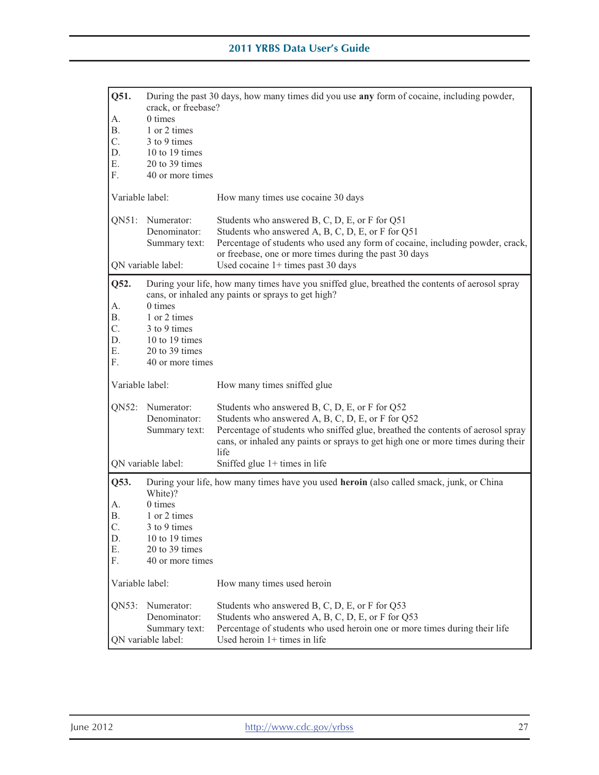| Q51.            | During the past 30 days, how many times did you use any form of cocaine, including powder,<br>crack, or freebase? |                                                                                                                                                                                                                                                                                    |  |
|-----------------|-------------------------------------------------------------------------------------------------------------------|------------------------------------------------------------------------------------------------------------------------------------------------------------------------------------------------------------------------------------------------------------------------------------|--|
| А.              | 0 times                                                                                                           |                                                                                                                                                                                                                                                                                    |  |
| Β.              | 1 or 2 times                                                                                                      |                                                                                                                                                                                                                                                                                    |  |
| C.              | 3 to 9 times                                                                                                      |                                                                                                                                                                                                                                                                                    |  |
| D.              | 10 to 19 times                                                                                                    |                                                                                                                                                                                                                                                                                    |  |
| Ε.              | 20 to 39 times                                                                                                    |                                                                                                                                                                                                                                                                                    |  |
| F.              | 40 or more times                                                                                                  |                                                                                                                                                                                                                                                                                    |  |
| Variable label: |                                                                                                                   | How many times use cocaine 30 days                                                                                                                                                                                                                                                 |  |
| $QN51$ :        | Numerator:<br>Denominator:<br>Summary text:                                                                       | Students who answered B, C, D, E, or F for Q51<br>Students who answered A, B, C, D, E, or F for Q51<br>Percentage of students who used any form of cocaine, including powder, crack,<br>or freebase, one or more times during the past 30 days                                     |  |
|                 | QN variable label:                                                                                                | Used cocaine $1+$ times past 30 days                                                                                                                                                                                                                                               |  |
| Q52.            |                                                                                                                   | During your life, how many times have you sniffed glue, breathed the contents of aerosol spray<br>cans, or inhaled any paints or sprays to get high?                                                                                                                               |  |
| А.              | 0 times                                                                                                           |                                                                                                                                                                                                                                                                                    |  |
| Β.              | 1 or 2 times                                                                                                      |                                                                                                                                                                                                                                                                                    |  |
| C.              | 3 to 9 times                                                                                                      |                                                                                                                                                                                                                                                                                    |  |
| D.              | 10 to 19 times                                                                                                    |                                                                                                                                                                                                                                                                                    |  |
| Ε.              | 20 to 39 times                                                                                                    |                                                                                                                                                                                                                                                                                    |  |
| F.              | 40 or more times                                                                                                  |                                                                                                                                                                                                                                                                                    |  |
| Variable label: |                                                                                                                   | How many times sniffed glue                                                                                                                                                                                                                                                        |  |
| QN52:           | Numerator:<br>Denominator:<br>Summary text:                                                                       | Students who answered B, C, D, E, or F for Q52<br>Students who answered A, B, C, D, E, or F for Q52<br>Percentage of students who sniffed glue, breathed the contents of aerosol spray<br>cans, or inhaled any paints or sprays to get high one or more times during their<br>life |  |
|                 | QN variable label:                                                                                                | Sniffed glue $1+$ times in life                                                                                                                                                                                                                                                    |  |
| Q53.            | White)?                                                                                                           | During your life, how many times have you used heroin (also called smack, junk, or China                                                                                                                                                                                           |  |
| А.              | 0 times                                                                                                           |                                                                                                                                                                                                                                                                                    |  |
| Β.              | 1 or 2 times                                                                                                      |                                                                                                                                                                                                                                                                                    |  |
| C.              | 3 to 9 times                                                                                                      |                                                                                                                                                                                                                                                                                    |  |
| D.              | 10 to 19 times                                                                                                    |                                                                                                                                                                                                                                                                                    |  |
| Ε.              | 20 to 39 times                                                                                                    |                                                                                                                                                                                                                                                                                    |  |
| F.              | 40 or more times                                                                                                  |                                                                                                                                                                                                                                                                                    |  |
| Variable label: |                                                                                                                   | How many times used heroin                                                                                                                                                                                                                                                         |  |
| ON53:           | Numerator:<br>Denominator:<br>Summary text:                                                                       | Students who answered B, C, D, E, or F for Q53<br>Students who answered A, B, C, D, E, or F for Q53<br>Percentage of students who used heroin one or more times during their life                                                                                                  |  |
|                 | QN variable label:                                                                                                | Used heroin $1+$ times in life                                                                                                                                                                                                                                                     |  |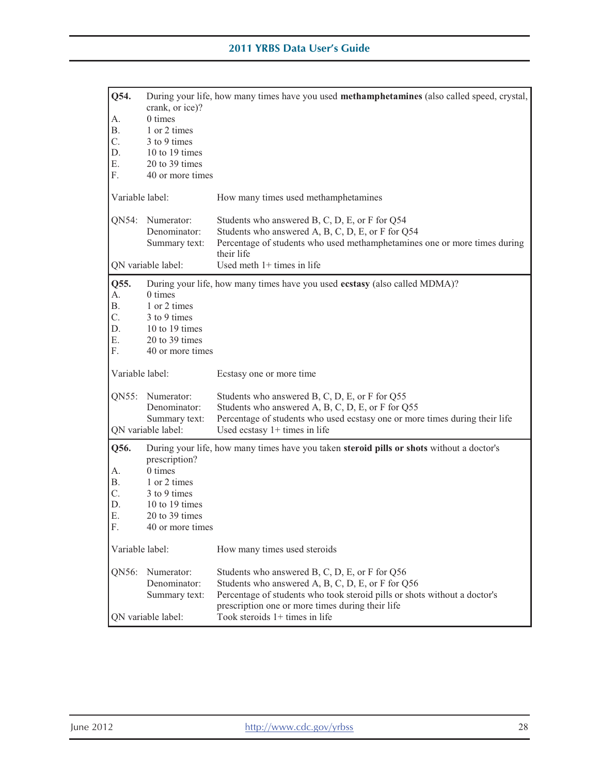| Q54.            | crank, or ice)?                     | During your life, how many times have you used methamphetamines (also called speed, crystal,                                  |
|-----------------|-------------------------------------|-------------------------------------------------------------------------------------------------------------------------------|
| А.              | 0 times                             |                                                                                                                               |
| Β.              | 1 or 2 times                        |                                                                                                                               |
| C.              | 3 to 9 times                        |                                                                                                                               |
| D.              | 10 to 19 times                      |                                                                                                                               |
| Ε.              | 20 to 39 times                      |                                                                                                                               |
| F.              | 40 or more times                    |                                                                                                                               |
|                 |                                     |                                                                                                                               |
| Variable label: |                                     | How many times used methamphetamines                                                                                          |
| QN54:           | Numerator:                          | Students who answered B, C, D, E, or F for Q54                                                                                |
|                 | Denominator:                        | Students who answered A, B, C, D, E, or F for Q54                                                                             |
|                 | Summary text:                       | Percentage of students who used methamphetamines one or more times during<br>their life                                       |
|                 |                                     |                                                                                                                               |
|                 | QN variable label:                  | Used meth $1+$ times in life                                                                                                  |
| Q55.            |                                     | During your life, how many times have you used ecstasy (also called MDMA)?                                                    |
| А.              | 0 times                             |                                                                                                                               |
| Β.              | 1 or 2 times                        |                                                                                                                               |
| C.              | 3 to 9 times                        |                                                                                                                               |
| D.              | 10 to 19 times                      |                                                                                                                               |
| Ε.              | 20 to 39 times                      |                                                                                                                               |
| F.              | 40 or more times                    |                                                                                                                               |
|                 |                                     |                                                                                                                               |
| Variable label: |                                     | Ecstasy one or more time                                                                                                      |
|                 |                                     |                                                                                                                               |
| QN55:           | Numerator:                          | Students who answered B, C, D, E, or F for Q55                                                                                |
|                 | Denominator:                        | Students who answered A, B, C, D, E, or F for Q55                                                                             |
|                 | Summary text:<br>QN variable label: | Percentage of students who used ecstasy one or more times during their life<br>Used ecstasy $1+$ times in life                |
|                 |                                     |                                                                                                                               |
| Q56.            | prescription?                       | During your life, how many times have you taken steroid pills or shots without a doctor's                                     |
| А.              | 0 times                             |                                                                                                                               |
| В.              | 1 or 2 times                        |                                                                                                                               |
| C.              | 3 to 9 times                        |                                                                                                                               |
| D.              | 10 to 19 times                      |                                                                                                                               |
| Ε.              | 20 to 39 times                      |                                                                                                                               |
| F.              | 40 or more times                    |                                                                                                                               |
| Variable label: |                                     | How many times used steroids                                                                                                  |
|                 |                                     |                                                                                                                               |
| QN56:           | Numerator:                          | Students who answered B, C, D, E, or F for Q56                                                                                |
|                 | Denominator:                        | Students who answered A, B, C, D, E, or F for Q56                                                                             |
|                 | Summary text:                       | Percentage of students who took steroid pills or shots without a doctor's<br>prescription one or more times during their life |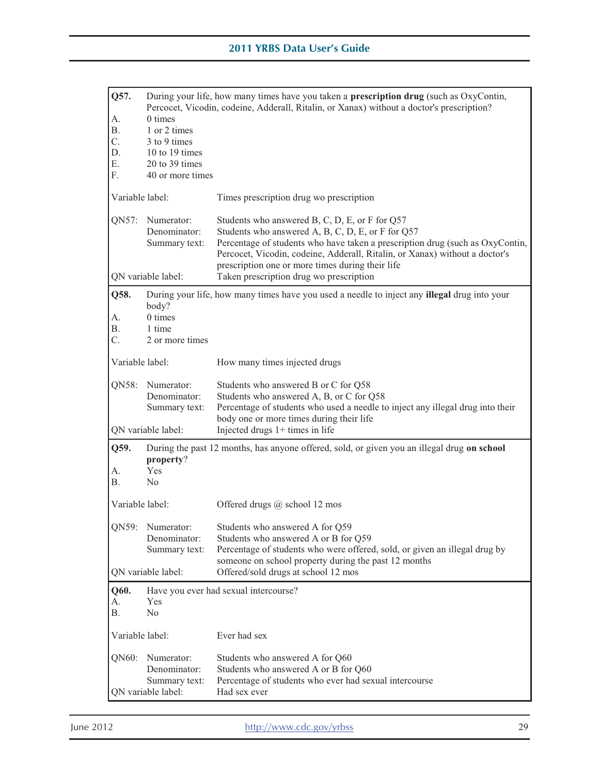| Q57.<br>А.<br><b>B.</b><br>C.<br>D.<br>Ε.<br>F. | 0 times<br>1 or 2 times<br>3 to 9 times<br>10 to 19 times<br>20 to 39 times<br>40 or more times | During your life, how many times have you taken a <b>prescription drug</b> (such as OxyContin,<br>Percocet, Vicodin, codeine, Adderall, Ritalin, or Xanax) without a doctor's prescription?                                                                                                                                                                        |
|-------------------------------------------------|-------------------------------------------------------------------------------------------------|--------------------------------------------------------------------------------------------------------------------------------------------------------------------------------------------------------------------------------------------------------------------------------------------------------------------------------------------------------------------|
| Variable label:                                 |                                                                                                 | Times prescription drug wo prescription                                                                                                                                                                                                                                                                                                                            |
| QN57:                                           | Numerator:<br>Denominator:<br>Summary text:<br>QN variable label:                               | Students who answered B, C, D, E, or F for Q57<br>Students who answered A, B, C, D, E, or F for Q57<br>Percentage of students who have taken a prescription drug (such as OxyContin,<br>Percocet, Vicodin, codeine, Adderall, Ritalin, or Xanax) without a doctor's<br>prescription one or more times during their life<br>Taken prescription drug wo prescription |
| Q58.                                            |                                                                                                 | During your life, how many times have you used a needle to inject any <b>illegal</b> drug into your                                                                                                                                                                                                                                                                |
| А.<br>В.<br>C.                                  | body?<br>$0 \times$<br>1 time<br>2 or more times                                                |                                                                                                                                                                                                                                                                                                                                                                    |
| Variable label:                                 |                                                                                                 | How many times injected drugs                                                                                                                                                                                                                                                                                                                                      |
| QN58:                                           | Numerator:<br>Denominator:<br>Summary text:                                                     | Students who answered B or C for Q58<br>Students who answered A, B, or C for Q58<br>Percentage of students who used a needle to inject any illegal drug into their<br>body one or more times during their life                                                                                                                                                     |
|                                                 | QN variable label:                                                                              | Injected drugs $1+$ times in life                                                                                                                                                                                                                                                                                                                                  |
| Q59.<br>А.<br><b>B.</b>                         | property?<br>Yes<br>N <sub>0</sub>                                                              | During the past 12 months, has anyone offered, sold, or given you an illegal drug on school                                                                                                                                                                                                                                                                        |
| Variable label:                                 |                                                                                                 | Offered drugs @ school 12 mos                                                                                                                                                                                                                                                                                                                                      |
|                                                 | QN59: Numerator:<br>Denominator:<br>Summary text:                                               | Students who answered A for Q59<br>Students who answered A or B for Q59<br>Percentage of students who were offered, sold, or given an illegal drug by<br>someone on school property during the past 12 months                                                                                                                                                      |
|                                                 | QN variable label:                                                                              | Offered/sold drugs at school 12 mos                                                                                                                                                                                                                                                                                                                                |
| Q60.<br>А.<br>Β.                                | Have you ever had sexual intercourse?<br>Yes<br>N <sub>0</sub>                                  |                                                                                                                                                                                                                                                                                                                                                                    |
| Variable label:                                 |                                                                                                 | Ever had sex                                                                                                                                                                                                                                                                                                                                                       |
| QN60:                                           | Numerator:<br>Denominator:<br>Summary text:<br>QN variable label:                               | Students who answered A for Q60<br>Students who answered A or B for Q60<br>Percentage of students who ever had sexual intercourse<br>Had sex ever                                                                                                                                                                                                                  |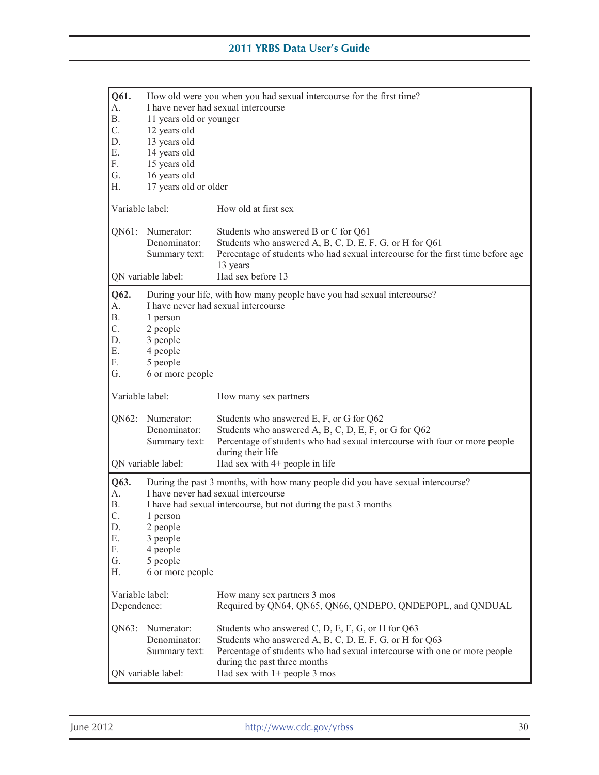| Q61.<br>А.<br><b>B.</b><br>C.<br>D.<br>Ε.<br>F.<br>G.<br>Η. | 11 years old or younger<br>12 years old<br>13 years old<br>14 years old<br>15 years old<br>16 years old<br>17 years old or older | How old were you when you had sexual intercourse for the first time?<br>I have never had sexual intercourse                                                                                                                             |
|-------------------------------------------------------------|----------------------------------------------------------------------------------------------------------------------------------|-----------------------------------------------------------------------------------------------------------------------------------------------------------------------------------------------------------------------------------------|
| Variable label:                                             |                                                                                                                                  | How old at first sex                                                                                                                                                                                                                    |
| QN61:                                                       | Numerator:<br>Denominator:<br>Summary text:                                                                                      | Students who answered B or C for Q61<br>Students who answered A, B, C, D, E, F, G, or H for Q61<br>Percentage of students who had sexual intercourse for the first time before age<br>13 years                                          |
|                                                             | QN variable label:                                                                                                               | Had sex before 13                                                                                                                                                                                                                       |
| Q62.<br>A.<br><b>B.</b><br>C.<br>D.<br>Ε.<br>F.<br>G.       | 1 person<br>2 people<br>3 people<br>4 people<br>5 people<br>6 or more people                                                     | During your life, with how many people have you had sexual intercourse?<br>I have never had sexual intercourse                                                                                                                          |
| Variable label:                                             |                                                                                                                                  | How many sex partners                                                                                                                                                                                                                   |
| QN62:                                                       | Numerator:<br>Denominator:<br>Summary text:<br>QN variable label:                                                                | Students who answered E, F, or G for Q62<br>Students who answered A, B, C, D, E, F, or G for Q62<br>Percentage of students who had sexual intercourse with four or more people<br>during their life<br>Had sex with $4+$ people in life |
|                                                             |                                                                                                                                  |                                                                                                                                                                                                                                         |
| Q63.<br>А.<br><b>B.</b><br>C.<br>D.<br>Ε.<br>F.<br>G.<br>Н. | 1 person<br>2 people<br>3 people<br>4 people<br>5 people<br>6 or more people                                                     | During the past 3 months, with how many people did you have sexual intercourse?<br>I have never had sexual intercourse<br>I have had sexual intercourse, but not during the past 3 months                                               |
| Variable label:<br>Dependence:                              |                                                                                                                                  | How many sex partners 3 mos<br>Required by QN64, QN65, QN66, QNDEPO, QNDEPOPL, and QNDUAL                                                                                                                                               |
|                                                             |                                                                                                                                  |                                                                                                                                                                                                                                         |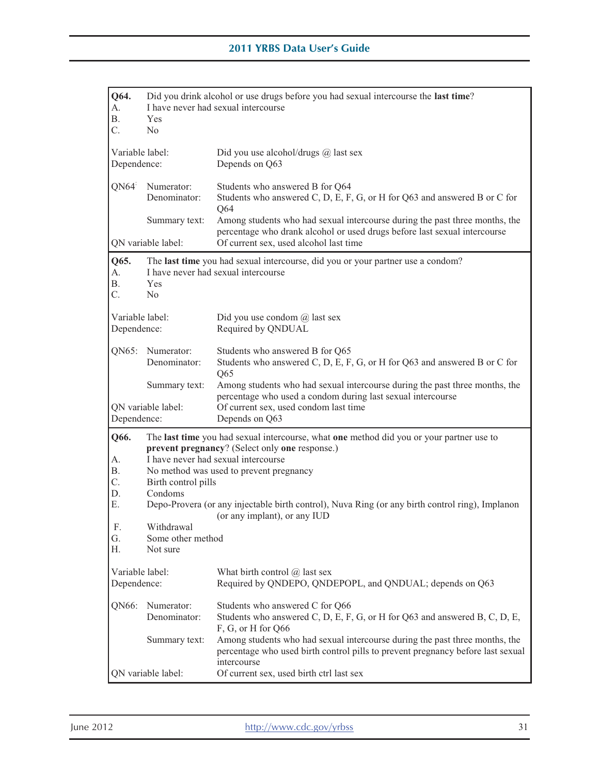| Q64.                                | Did you drink alcohol or use drugs before you had sexual intercourse the last time? |                                                                                                                                                                                                                              |
|-------------------------------------|-------------------------------------------------------------------------------------|------------------------------------------------------------------------------------------------------------------------------------------------------------------------------------------------------------------------------|
| А.<br>В.                            | Yes                                                                                 | I have never had sexual intercourse                                                                                                                                                                                          |
| C.                                  | No                                                                                  |                                                                                                                                                                                                                              |
|                                     |                                                                                     |                                                                                                                                                                                                                              |
| Variable label:                     |                                                                                     | Did you use alcohol/drugs $@$ last sex                                                                                                                                                                                       |
| Dependence:                         |                                                                                     | Depends on Q63                                                                                                                                                                                                               |
| QN64                                | Numerator:<br>Denominator:                                                          | Students who answered B for Q64<br>Students who answered C, D, E, F, G, or H for Q63 and answered B or C for<br>Q64                                                                                                          |
|                                     | Summary text:                                                                       | Among students who had sexual intercourse during the past three months, the<br>percentage who drank alcohol or used drugs before last sexual intercourse                                                                     |
|                                     | QN variable label:                                                                  | Of current sex, used alcohol last time                                                                                                                                                                                       |
| Q65.<br>А.<br>Β.<br>C.              | Yes<br>No                                                                           | The last time you had sexual intercourse, did you or your partner use a condom?<br>I have never had sexual intercourse                                                                                                       |
| Variable label:<br>Dependence:      |                                                                                     | Did you use condom $\omega$ last sex<br>Required by QNDUAL                                                                                                                                                                   |
| QN65:                               | Numerator:<br>Denominator:                                                          | Students who answered B for Q65<br>Students who answered C, D, E, F, G, or H for Q63 and answered B or C for<br>Q65                                                                                                          |
|                                     | Summary text:                                                                       | Among students who had sexual intercourse during the past three months, the<br>percentage who used a condom during last sexual intercourse                                                                                   |
| Dependence:                         | QN variable label:                                                                  | Of current sex, used condom last time<br>Depends on Q63                                                                                                                                                                      |
| Q66.<br>A.<br><b>B.</b><br>C.<br>D. | Birth control pills<br>Condoms                                                      | The last time you had sexual intercourse, what one method did you or your partner use to<br>prevent pregnancy? (Select only one response.)<br>I have never had sexual intercourse<br>No method was used to prevent pregnancy |
| Ε.                                  |                                                                                     | Depo-Provera (or any injectable birth control), Nuva Ring (or any birth control ring), Implanon<br>(or any implant), or any IUD                                                                                              |
| F.                                  | Withdrawal                                                                          |                                                                                                                                                                                                                              |
| G.                                  | Some other method                                                                   |                                                                                                                                                                                                                              |
| Н.                                  | Not sure                                                                            |                                                                                                                                                                                                                              |
| Variable label:<br>Dependence:      |                                                                                     | What birth control $\omega$ last sex<br>Required by QNDEPO, QNDEPOPL, and QNDUAL; depends on Q63                                                                                                                             |
| QN66:                               | Numerator:<br>Denominator:                                                          | Students who answered C for Q66<br>Students who answered C, D, E, F, G, or H for Q63 and answered B, C, D, E,<br>F, G, or H for Q66                                                                                          |
|                                     | Summary text:                                                                       | Among students who had sexual intercourse during the past three months, the<br>percentage who used birth control pills to prevent pregnancy before last sexual<br>intercourse                                                |
|                                     | QN variable label:                                                                  | Of current sex, used birth ctrl last sex                                                                                                                                                                                     |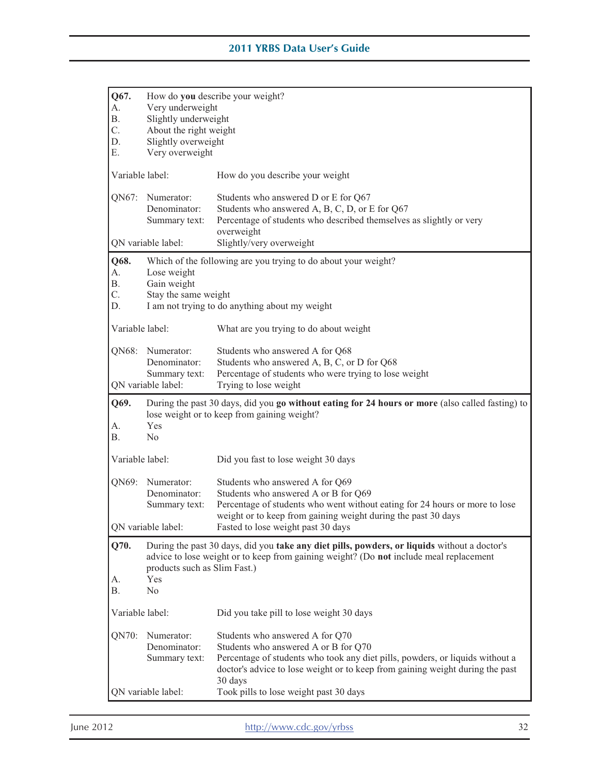| Q67.            | How do you describe your weight? |                                                                                                                                                 |  |  |
|-----------------|----------------------------------|-------------------------------------------------------------------------------------------------------------------------------------------------|--|--|
| А.              | Very underweight                 |                                                                                                                                                 |  |  |
| <b>B.</b>       | Slightly underweight             |                                                                                                                                                 |  |  |
| C.              |                                  |                                                                                                                                                 |  |  |
|                 | About the right weight           |                                                                                                                                                 |  |  |
| D.              | Slightly overweight              |                                                                                                                                                 |  |  |
| Ε.              | Very overweight                  |                                                                                                                                                 |  |  |
|                 | Variable label:                  |                                                                                                                                                 |  |  |
|                 |                                  | How do you describe your weight                                                                                                                 |  |  |
| QN67:           | Numerator:                       | Students who answered D or E for Q67                                                                                                            |  |  |
|                 | Denominator:                     | Students who answered A, B, C, D, or E for Q67                                                                                                  |  |  |
|                 | Summary text:                    | Percentage of students who described themselves as slightly or very                                                                             |  |  |
|                 |                                  | overweight                                                                                                                                      |  |  |
|                 | QN variable label:               | Slightly/very overweight                                                                                                                        |  |  |
|                 |                                  |                                                                                                                                                 |  |  |
| Q68.            |                                  | Which of the following are you trying to do about your weight?                                                                                  |  |  |
| A.              | Lose weight                      |                                                                                                                                                 |  |  |
| <b>B.</b>       | Gain weight                      |                                                                                                                                                 |  |  |
| C.              | Stay the same weight             |                                                                                                                                                 |  |  |
| D.              |                                  | I am not trying to do anything about my weight                                                                                                  |  |  |
|                 |                                  |                                                                                                                                                 |  |  |
| Variable label: |                                  | What are you trying to do about weight                                                                                                          |  |  |
|                 |                                  |                                                                                                                                                 |  |  |
| QN68:           | Numerator:                       | Students who answered A for Q68                                                                                                                 |  |  |
|                 | Denominator:                     | Students who answered A, B, C, or D for Q68                                                                                                     |  |  |
|                 |                                  |                                                                                                                                                 |  |  |
|                 | Summary text:                    | Percentage of students who were trying to lose weight                                                                                           |  |  |
|                 | QN variable label:               | Trying to lose weight                                                                                                                           |  |  |
|                 |                                  |                                                                                                                                                 |  |  |
| Q69.            |                                  | During the past 30 days, did you go without eating for 24 hours or more (also called fasting) to<br>lose weight or to keep from gaining weight? |  |  |
| А.              | Yes                              |                                                                                                                                                 |  |  |
| Β.              | N <sub>0</sub>                   |                                                                                                                                                 |  |  |
|                 |                                  |                                                                                                                                                 |  |  |
| Variable label: |                                  | Did you fast to lose weight 30 days                                                                                                             |  |  |
| QN69:           | Numerator:                       |                                                                                                                                                 |  |  |
|                 |                                  | Students who answered A for Q69                                                                                                                 |  |  |
|                 | Denominator:                     | Students who answered A or B for Q69                                                                                                            |  |  |
|                 | Summary text:                    | Percentage of students who went without eating for 24 hours or more to lose                                                                     |  |  |
|                 |                                  | weight or to keep from gaining weight during the past 30 days                                                                                   |  |  |
|                 | QN variable label:               | Fasted to lose weight past 30 days                                                                                                              |  |  |
| Q70.            |                                  | During the past 30 days, did you take any diet pills, powders, or liquids without a doctor's                                                    |  |  |
|                 |                                  | advice to lose weight or to keep from gaining weight? (Do not include meal replacement                                                          |  |  |
|                 |                                  |                                                                                                                                                 |  |  |
|                 | products such as Slim Fast.)     |                                                                                                                                                 |  |  |
| А.              | Yes                              |                                                                                                                                                 |  |  |
| <b>B.</b>       | N <sub>0</sub>                   |                                                                                                                                                 |  |  |
| Variable label: |                                  |                                                                                                                                                 |  |  |
|                 |                                  | Did you take pill to lose weight 30 days                                                                                                        |  |  |
| QN70:           | Numerator:                       | Students who answered A for Q70                                                                                                                 |  |  |
|                 | Denominator:                     | Students who answered A or B for Q70                                                                                                            |  |  |
|                 |                                  |                                                                                                                                                 |  |  |
|                 | Summary text:                    | Percentage of students who took any diet pills, powders, or liquids without a                                                                   |  |  |
|                 |                                  | doctor's advice to lose weight or to keep from gaining weight during the past                                                                   |  |  |
|                 | QN variable label:               | 30 days<br>Took pills to lose weight past 30 days                                                                                               |  |  |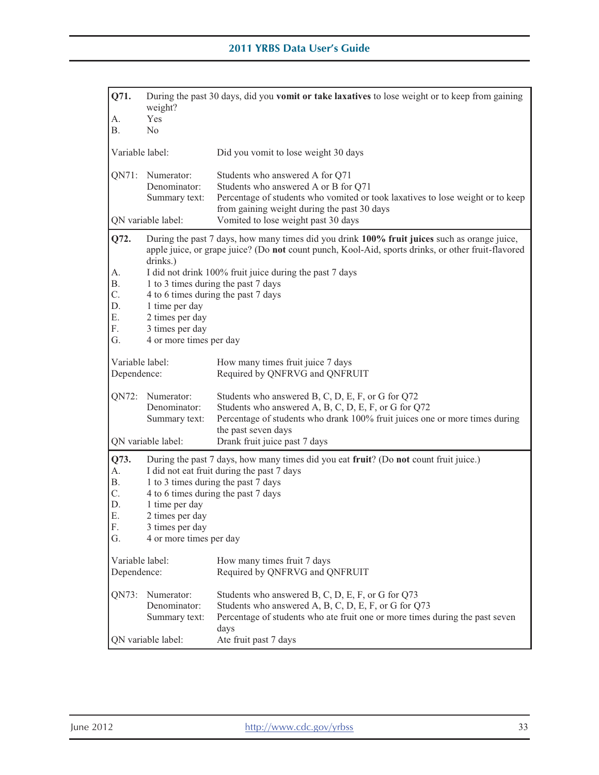| Q71.                           | During the past 30 days, did you <b>vomit or take laxatives</b> to lose weight or to keep from gaining<br>weight? |                                                                                                                                                                                                                                                               |  |
|--------------------------------|-------------------------------------------------------------------------------------------------------------------|---------------------------------------------------------------------------------------------------------------------------------------------------------------------------------------------------------------------------------------------------------------|--|
| A.                             | Yes                                                                                                               |                                                                                                                                                                                                                                                               |  |
| <b>B.</b>                      | N <sub>0</sub>                                                                                                    |                                                                                                                                                                                                                                                               |  |
| Variable label:                |                                                                                                                   | Did you vomit to lose weight 30 days                                                                                                                                                                                                                          |  |
| QN71:                          | Numerator:<br>Denominator:<br>Summary text:                                                                       | Students who answered A for Q71<br>Students who answered A or B for Q71<br>Percentage of students who vomited or took laxatives to lose weight or to keep<br>from gaining weight during the past 30 days                                                      |  |
|                                | QN variable label:                                                                                                | Vomited to lose weight past 30 days                                                                                                                                                                                                                           |  |
| Q72.<br>A.                     | drinks.)                                                                                                          | During the past 7 days, how many times did you drink 100% fruit juices such as orange juice,<br>apple juice, or grape juice? (Do not count punch, Kool-Aid, sports drinks, or other fruit-flavored<br>I did not drink 100% fruit juice during the past 7 days |  |
| <b>B.</b>                      |                                                                                                                   | 1 to 3 times during the past 7 days                                                                                                                                                                                                                           |  |
| C.                             |                                                                                                                   | 4 to 6 times during the past 7 days                                                                                                                                                                                                                           |  |
| D.                             | 1 time per day                                                                                                    |                                                                                                                                                                                                                                                               |  |
| Е.                             | 2 times per day                                                                                                   |                                                                                                                                                                                                                                                               |  |
| F.                             | 3 times per day                                                                                                   |                                                                                                                                                                                                                                                               |  |
| G.                             | 4 or more times per day                                                                                           |                                                                                                                                                                                                                                                               |  |
| Variable label:<br>Dependence: |                                                                                                                   | How many times fruit juice 7 days<br>Required by QNFRVG and QNFRUIT                                                                                                                                                                                           |  |
| QN72:                          | Numerator:<br>Denominator:<br>Summary text:                                                                       | Students who answered B, C, D, E, F, or G for Q72<br>Students who answered A, B, C, D, E, F, or G for Q72<br>Percentage of students who drank 100% fruit juices one or more times during                                                                      |  |
|                                | QN variable label:                                                                                                | the past seven days<br>Drank fruit juice past 7 days                                                                                                                                                                                                          |  |
| Q73.<br>A.                     |                                                                                                                   | During the past 7 days, how many times did you eat fruit? (Do not count fruit juice.)<br>I did not eat fruit during the past 7 days                                                                                                                           |  |
| Β.                             | 1 to 3 times during the past 7 days                                                                               |                                                                                                                                                                                                                                                               |  |
| C.                             | 4 to 6 times during the past 7 days                                                                               |                                                                                                                                                                                                                                                               |  |
| D.                             | 1 time per day                                                                                                    |                                                                                                                                                                                                                                                               |  |
| Ε.                             | 2 times per day                                                                                                   |                                                                                                                                                                                                                                                               |  |
| F.                             | 3 times per day                                                                                                   |                                                                                                                                                                                                                                                               |  |
| G.                             | 4 or more times per day                                                                                           |                                                                                                                                                                                                                                                               |  |
| Variable label:<br>Dependence: |                                                                                                                   | How many times fruit 7 days<br>Required by QNFRVG and QNFRUIT                                                                                                                                                                                                 |  |
| QN73:                          | Numerator:<br>Denominator:<br>Summary text:<br>QN variable label:                                                 | Students who answered B, C, D, E, F, or G for Q73<br>Students who answered A, B, C, D, E, F, or G for Q73<br>Percentage of students who ate fruit one or more times during the past seven<br>days                                                             |  |
|                                |                                                                                                                   | Ate fruit past 7 days                                                                                                                                                                                                                                         |  |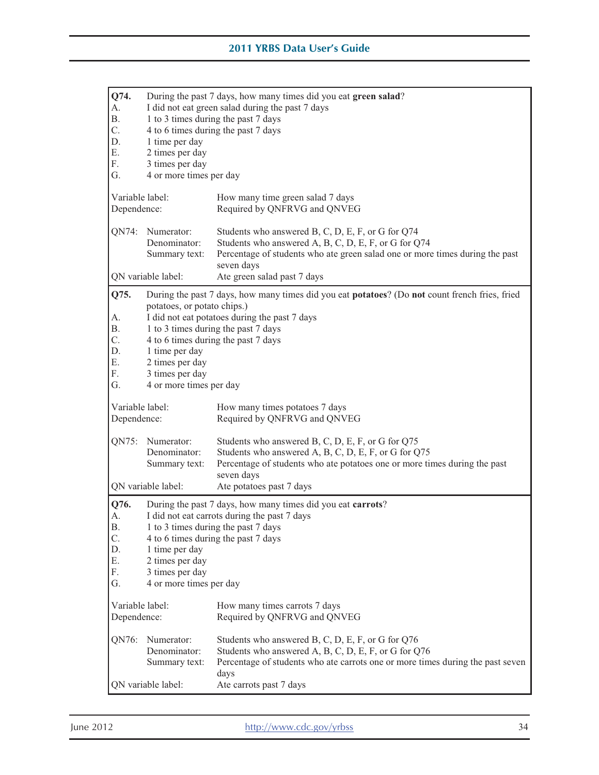| Q74.<br>A.<br><b>B.</b><br>C.<br>D.<br>Ε.<br>F.<br>G. | During the past 7 days, how many times did you eat green salad?<br>I did not eat green salad during the past 7 days<br>1 to 3 times during the past 7 days<br>4 to 6 times during the past 7 days<br>1 time per day<br>2 times per day<br>3 times per day<br>4 or more times per day                                                            |                                                                                                                                                                                                                                        |  |
|-------------------------------------------------------|-------------------------------------------------------------------------------------------------------------------------------------------------------------------------------------------------------------------------------------------------------------------------------------------------------------------------------------------------|----------------------------------------------------------------------------------------------------------------------------------------------------------------------------------------------------------------------------------------|--|
| Variable label:<br>Dependence:                        |                                                                                                                                                                                                                                                                                                                                                 | How many time green salad 7 days<br>Required by QNFRVG and QNVEG                                                                                                                                                                       |  |
| QN74:                                                 | Numerator:<br>Denominator:<br>Summary text:<br>QN variable label:                                                                                                                                                                                                                                                                               | Students who answered B, C, D, E, F, or G for Q74<br>Students who answered A, B, C, D, E, F, or G for Q74<br>Percentage of students who ate green salad one or more times during the past<br>seven days<br>Ate green salad past 7 days |  |
| Q75.<br>А.<br>Β.<br>C.<br>D.<br>Ε.<br>F.<br>G.        | During the past 7 days, how many times did you eat potatoes? (Do not count french fries, fried<br>potatoes, or potato chips.)<br>I did not eat potatoes during the past 7 days<br>1 to 3 times during the past 7 days<br>4 to 6 times during the past 7 days<br>1 time per day<br>2 times per day<br>3 times per day<br>4 or more times per day |                                                                                                                                                                                                                                        |  |
| Variable label:<br>Dependence:                        |                                                                                                                                                                                                                                                                                                                                                 | How many times potatoes 7 days<br>Required by QNFRVG and QNVEG                                                                                                                                                                         |  |
| QN75:                                                 | Numerator:<br>Denominator:<br>Summary text:                                                                                                                                                                                                                                                                                                     | Students who answered B, C, D, E, F, or G for Q75<br>Students who answered A, B, C, D, E, F, or G for Q75<br>Percentage of students who ate potatoes one or more times during the past<br>seven days                                   |  |
|                                                       | QN variable label:                                                                                                                                                                                                                                                                                                                              | Ate potatoes past 7 days                                                                                                                                                                                                               |  |
| Q76.<br>А.<br>Β.<br>C.<br>D.<br>Ε.<br>F.<br>G.        | During the past 7 days, how many times did you eat carrots?<br>I did not eat carrots during the past 7 days<br>1 to 3 times during the past 7 days<br>4 to 6 times during the past 7 days<br>1 time per day<br>2 times per day<br>3 times per day<br>4 or more times per day                                                                    |                                                                                                                                                                                                                                        |  |
| Variable label:<br>Dependence:                        |                                                                                                                                                                                                                                                                                                                                                 | How many times carrots 7 days<br>Required by QNFRVG and QNVEG                                                                                                                                                                          |  |
| QN76:                                                 | Numerator:<br>Denominator:<br>Summary text:<br>QN variable label:                                                                                                                                                                                                                                                                               | Students who answered B, C, D, E, F, or G for Q76<br>Students who answered A, B, C, D, E, F, or G for Q76<br>Percentage of students who ate carrots one or more times during the past seven<br>days<br>Ate carrots past 7 days         |  |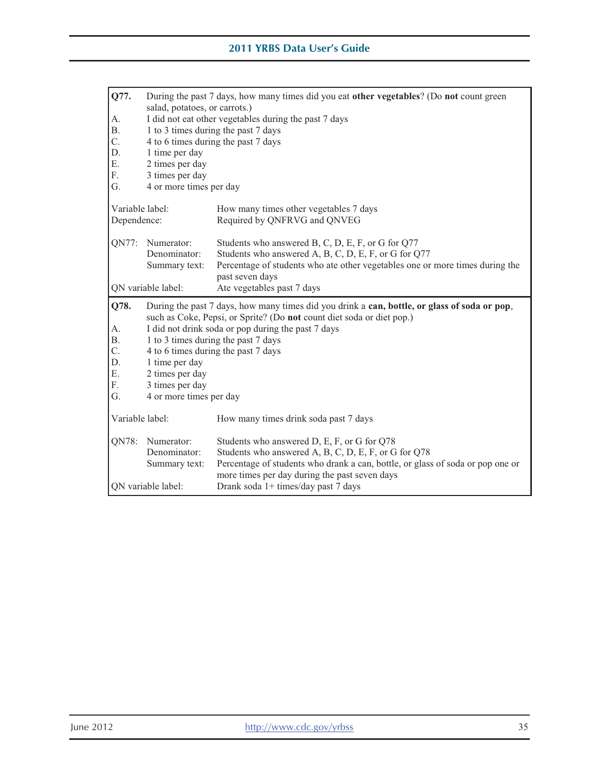| Q77.               | During the past 7 days, how many times did you eat other vegetables? (Do not count green<br>salad, potatoes, or carrots.) |                                                                                                                                 |  |
|--------------------|---------------------------------------------------------------------------------------------------------------------------|---------------------------------------------------------------------------------------------------------------------------------|--|
| А.                 | I did not eat other vegetables during the past 7 days                                                                     |                                                                                                                                 |  |
| <b>B.</b>          | 1 to 3 times during the past 7 days                                                                                       |                                                                                                                                 |  |
| C.                 |                                                                                                                           | 4 to 6 times during the past 7 days                                                                                             |  |
| D.                 | 1 time per day                                                                                                            |                                                                                                                                 |  |
| Ε.                 | 2 times per day                                                                                                           |                                                                                                                                 |  |
| F.                 | 3 times per day                                                                                                           |                                                                                                                                 |  |
| G.                 | 4 or more times per day                                                                                                   |                                                                                                                                 |  |
|                    | Variable label:<br>How many times other vegetables 7 days                                                                 |                                                                                                                                 |  |
| Dependence:        |                                                                                                                           | Required by QNFRVG and QNVEG                                                                                                    |  |
| QN77:              | Numerator:                                                                                                                | Students who answered B, C, D, E, F, or G for Q77                                                                               |  |
|                    | Denominator:                                                                                                              | Students who answered A, B, C, D, E, F, or G for Q77                                                                            |  |
|                    | Summary text:                                                                                                             | Percentage of students who ate other vegetables one or more times during the<br>past seven days                                 |  |
|                    | QN variable label:                                                                                                        | Ate vegetables past 7 days                                                                                                      |  |
| Q78.               | During the past 7 days, how many times did you drink a can, bottle, or glass of soda or pop,                              |                                                                                                                                 |  |
|                    | such as Coke, Pepsi, or Sprite? (Do not count diet soda or diet pop.)                                                     |                                                                                                                                 |  |
| А.                 |                                                                                                                           | I did not drink soda or pop during the past 7 days                                                                              |  |
| <b>B.</b>          |                                                                                                                           | 1 to 3 times during the past 7 days                                                                                             |  |
| C.                 |                                                                                                                           | 4 to 6 times during the past 7 days                                                                                             |  |
| D.                 | 1 time per day                                                                                                            |                                                                                                                                 |  |
| Ε.                 | 2 times per day                                                                                                           |                                                                                                                                 |  |
| F.                 | 3 times per day                                                                                                           |                                                                                                                                 |  |
| G.                 | 4 or more times per day                                                                                                   |                                                                                                                                 |  |
| Variable label:    |                                                                                                                           | How many times drink soda past 7 days                                                                                           |  |
| QN78:              | Numerator:                                                                                                                | Students who answered D, E, F, or G for Q78                                                                                     |  |
|                    | Denominator:                                                                                                              | Students who answered A, B, C, D, E, F, or G for Q78                                                                            |  |
|                    | Summary text:                                                                                                             | Percentage of students who drank a can, bottle, or glass of soda or pop one or<br>more times per day during the past seven days |  |
| QN variable label: |                                                                                                                           |                                                                                                                                 |  |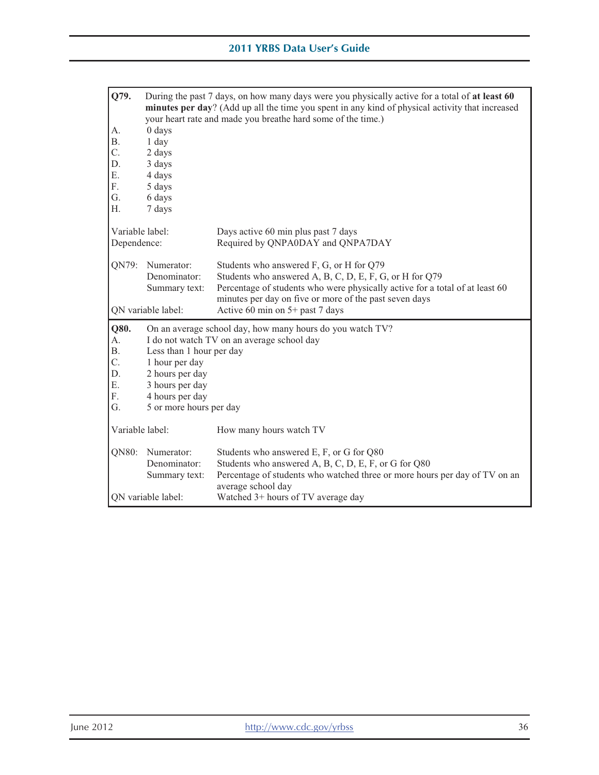| Q79.            | During the past 7 days, on how many days were you physically active for a total of at least 60<br>minutes per day? (Add up all the time you spent in any kind of physical activity that increased |                                                                                                                                                                                                      |  |
|-----------------|---------------------------------------------------------------------------------------------------------------------------------------------------------------------------------------------------|------------------------------------------------------------------------------------------------------------------------------------------------------------------------------------------------------|--|
|                 | your heart rate and made you breathe hard some of the time.)                                                                                                                                      |                                                                                                                                                                                                      |  |
| A.              | $0$ days                                                                                                                                                                                          |                                                                                                                                                                                                      |  |
| <b>B.</b>       | 1 day                                                                                                                                                                                             |                                                                                                                                                                                                      |  |
| C.              | 2 days                                                                                                                                                                                            |                                                                                                                                                                                                      |  |
| D.              | 3 days                                                                                                                                                                                            |                                                                                                                                                                                                      |  |
| Ε.              | 4 days                                                                                                                                                                                            |                                                                                                                                                                                                      |  |
| F.              | 5 days                                                                                                                                                                                            |                                                                                                                                                                                                      |  |
| G.              | 6 days                                                                                                                                                                                            |                                                                                                                                                                                                      |  |
| Η.              | 7 days                                                                                                                                                                                            |                                                                                                                                                                                                      |  |
| Variable label: |                                                                                                                                                                                                   | Days active 60 min plus past 7 days                                                                                                                                                                  |  |
| Dependence:     |                                                                                                                                                                                                   | Required by QNPA0DAY and QNPA7DAY                                                                                                                                                                    |  |
| QN79:           | Numerator:                                                                                                                                                                                        | Students who answered F, G, or H for Q79                                                                                                                                                             |  |
|                 | Denominator:                                                                                                                                                                                      | Students who answered A, B, C, D, E, F, G, or H for Q79                                                                                                                                              |  |
|                 | Summary text:                                                                                                                                                                                     | Percentage of students who were physically active for a total of at least 60                                                                                                                         |  |
|                 | minutes per day on five or more of the past seven days                                                                                                                                            |                                                                                                                                                                                                      |  |
|                 | ON variable label:<br>Active 60 min on $5+$ past 7 days                                                                                                                                           |                                                                                                                                                                                                      |  |
| Q80.            | On an average school day, how many hours do you watch TV?                                                                                                                                         |                                                                                                                                                                                                      |  |
| A.              | I do not watch TV on an average school day                                                                                                                                                        |                                                                                                                                                                                                      |  |
|                 |                                                                                                                                                                                                   |                                                                                                                                                                                                      |  |
| <b>B.</b>       | Less than 1 hour per day                                                                                                                                                                          |                                                                                                                                                                                                      |  |
| C.              | 1 hour per day                                                                                                                                                                                    |                                                                                                                                                                                                      |  |
| D.              | 2 hours per day                                                                                                                                                                                   |                                                                                                                                                                                                      |  |
| E.              | 3 hours per day                                                                                                                                                                                   |                                                                                                                                                                                                      |  |
| F.              | 4 hours per day                                                                                                                                                                                   |                                                                                                                                                                                                      |  |
| G.              | 5 or more hours per day                                                                                                                                                                           |                                                                                                                                                                                                      |  |
| Variable label: |                                                                                                                                                                                                   | How many hours watch TV                                                                                                                                                                              |  |
| QN80:           | Numerator:<br>Denominator:<br>Summary text:                                                                                                                                                       | Students who answered E, F, or G for Q80<br>Students who answered A, B, C, D, E, F, or G for Q80<br>Percentage of students who watched three or more hours per day of TV on an<br>average school day |  |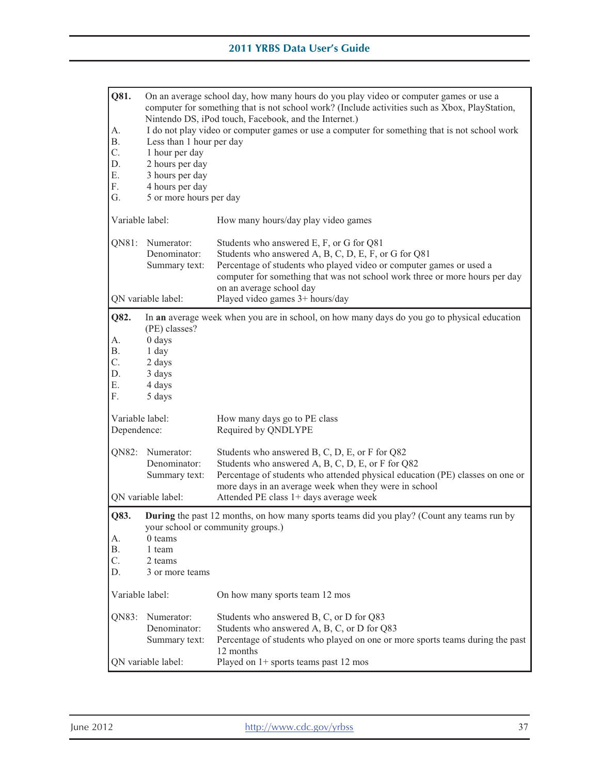| Q81.<br>A.<br><b>B.</b>                 | On an average school day, how many hours do you play video or computer games or use a<br>computer for something that is not school work? (Include activities such as Xbox, PlayStation,<br>Nintendo DS, iPod touch, Facebook, and the Internet.)<br>I do not play video or computer games or use a computer for something that is not school work<br>Less than 1 hour per day |                                                                                                                                                                                                                                                                                    |  |
|-----------------------------------------|-------------------------------------------------------------------------------------------------------------------------------------------------------------------------------------------------------------------------------------------------------------------------------------------------------------------------------------------------------------------------------|------------------------------------------------------------------------------------------------------------------------------------------------------------------------------------------------------------------------------------------------------------------------------------|--|
| C.<br>D.<br>Ε.<br>F.<br>G.              | 1 hour per day<br>2 hours per day<br>3 hours per day<br>4 hours per day<br>5 or more hours per day                                                                                                                                                                                                                                                                            |                                                                                                                                                                                                                                                                                    |  |
| Variable label:                         |                                                                                                                                                                                                                                                                                                                                                                               | How many hours/day play video games                                                                                                                                                                                                                                                |  |
| QN81:                                   | Numerator:<br>Denominator:<br>Summary text:                                                                                                                                                                                                                                                                                                                                   | Students who answered E, F, or G for Q81<br>Students who answered A, B, C, D, E, F, or G for Q81<br>Percentage of students who played video or computer games or used a<br>computer for something that was not school work three or more hours per day<br>on an average school day |  |
| Q82.                                    | QN variable label:                                                                                                                                                                                                                                                                                                                                                            | Played video games 3+ hours/day                                                                                                                                                                                                                                                    |  |
| А.<br><b>B.</b><br>C.<br>D.<br>Ε.<br>F. | In an average week when you are in school, on how many days do you go to physical education<br>(PE) classes?<br>0 days<br>1 day<br>2 days<br>3 days<br>4 days<br>5 days                                                                                                                                                                                                       |                                                                                                                                                                                                                                                                                    |  |
| Variable label:<br>Dependence:          |                                                                                                                                                                                                                                                                                                                                                                               | How many days go to PE class<br>Required by QNDLYPE                                                                                                                                                                                                                                |  |
| QN82:                                   | Numerator:<br>Denominator:<br>Summary text:                                                                                                                                                                                                                                                                                                                                   | Students who answered B, C, D, E, or F for Q82<br>Students who answered A, B, C, D, E, or F for Q82<br>Percentage of students who attended physical education (PE) classes on one or<br>more days in an average week when they were in school                                      |  |
|                                         | QN variable label:<br>Attended PE class 1+ days average week                                                                                                                                                                                                                                                                                                                  |                                                                                                                                                                                                                                                                                    |  |
| Q83.<br>А.                              | <b>During</b> the past 12 months, on how many sports teams did you play? (Count any teams run by<br>your school or community groups.)                                                                                                                                                                                                                                         |                                                                                                                                                                                                                                                                                    |  |
| <b>B.</b>                               | 0 teams<br>1 team                                                                                                                                                                                                                                                                                                                                                             |                                                                                                                                                                                                                                                                                    |  |
| C.                                      | 2 teams                                                                                                                                                                                                                                                                                                                                                                       |                                                                                                                                                                                                                                                                                    |  |
| D.                                      | 3 or more teams                                                                                                                                                                                                                                                                                                                                                               |                                                                                                                                                                                                                                                                                    |  |
| Variable label:                         |                                                                                                                                                                                                                                                                                                                                                                               | On how many sports team 12 mos                                                                                                                                                                                                                                                     |  |
| QN83:                                   | Numerator:<br>Denominator:<br>Summary text:                                                                                                                                                                                                                                                                                                                                   | Students who answered B, C, or D for Q83<br>Students who answered A, B, C, or D for Q83<br>Percentage of students who played on one or more sports teams during the past<br>12 months                                                                                              |  |
| QN variable label:                      |                                                                                                                                                                                                                                                                                                                                                                               | Played on 1+ sports teams past 12 mos                                                                                                                                                                                                                                              |  |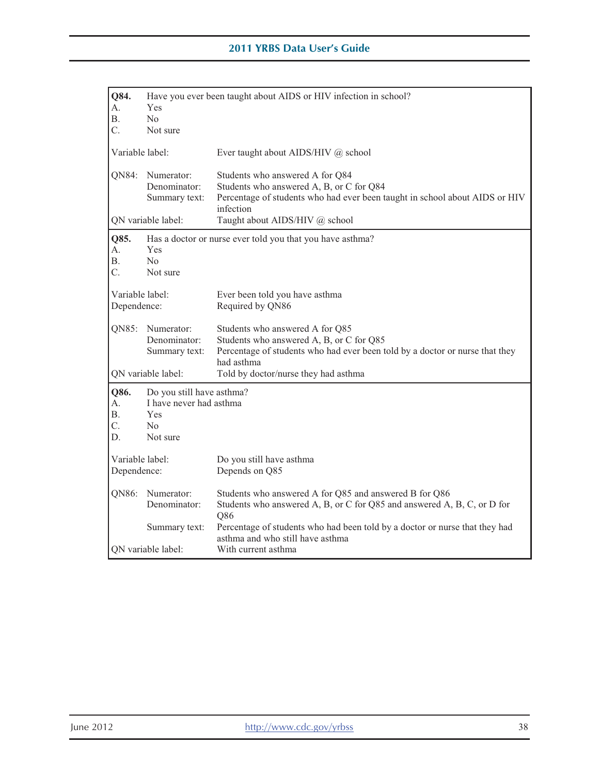| Q84.<br>A.<br>В.<br>C.              | Have you ever been taught about AIDS or HIV infection in school?<br>Yes<br>No<br>Not sure        |                                                                                                                                                                                                                   |  |
|-------------------------------------|--------------------------------------------------------------------------------------------------|-------------------------------------------------------------------------------------------------------------------------------------------------------------------------------------------------------------------|--|
| Variable label:                     |                                                                                                  | Ever taught about AIDS/HIV @ school                                                                                                                                                                               |  |
| QN84:                               | Numerator:<br>Denominator:<br>Summary text:                                                      | Students who answered A for Q84<br>Students who answered A, B, or C for Q84<br>Percentage of students who had ever been taught in school about AIDS or HIV<br>infection                                           |  |
|                                     | QN variable label:                                                                               | Taught about AIDS/HIV @ school                                                                                                                                                                                    |  |
| Q85.<br>А.<br><b>B.</b><br>C.       | Yes<br>No<br>Not sure                                                                            | Has a doctor or nurse ever told you that you have asthma?                                                                                                                                                         |  |
| Variable label:<br>Dependence:      |                                                                                                  | Ever been told you have asthma<br>Required by QN86                                                                                                                                                                |  |
| QN85:                               | Numerator:<br>Denominator:<br>Summary text:<br>QN variable label:                                | Students who answered A for Q85<br>Students who answered A, B, or C for Q85<br>Percentage of students who had ever been told by a doctor or nurse that they<br>had asthma<br>Told by doctor/nurse they had asthma |  |
| Q86.<br>А.<br><b>B.</b><br>C.<br>D. | Do you still have asthma?<br>I have never had asthma<br><b>Yes</b><br>N <sub>0</sub><br>Not sure |                                                                                                                                                                                                                   |  |
| Variable label:<br>Dependence:      |                                                                                                  | Do you still have asthma<br>Depends on Q85                                                                                                                                                                        |  |
| QN86:                               | Numerator:<br>Denominator:                                                                       | Students who answered A for Q85 and answered B for Q86<br>Students who answered A, B, or C for Q85 and answered A, B, C, or D for<br>Q86                                                                          |  |
|                                     | Summary text:                                                                                    | Percentage of students who had been told by a doctor or nurse that they had<br>asthma and who still have asthma                                                                                                   |  |
| QN variable label:                  |                                                                                                  | With current asthma                                                                                                                                                                                               |  |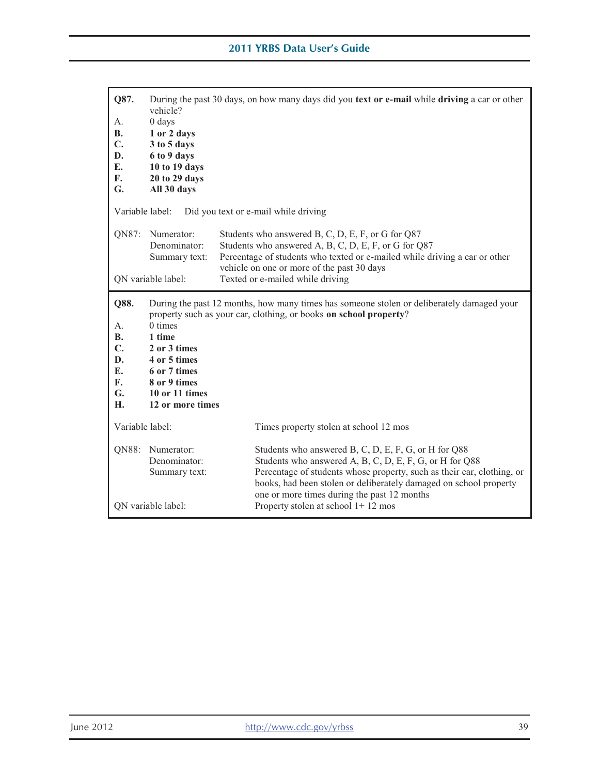| During the past 30 days, on how many days did you text or e-mail while driving a car or other<br>vehicle?<br>$0$ days<br>1 or 2 days<br>3 to 5 days<br>6 to 9 days<br>10 to 19 days<br>20 to 29 days<br>All 30 days                                                                                  |  |
|------------------------------------------------------------------------------------------------------------------------------------------------------------------------------------------------------------------------------------------------------------------------------------------------------|--|
|                                                                                                                                                                                                                                                                                                      |  |
| Percentage of students who texted or e-mailed while driving a car or other                                                                                                                                                                                                                           |  |
|                                                                                                                                                                                                                                                                                                      |  |
| Q88.<br>During the past 12 months, how many times has someone stolen or deliberately damaged your<br>property such as your car, clothing, or books on school property?<br>$0 \times$<br>1 time<br>2 or 3 times<br>4 or 5 times<br>6 or 7 times<br>8 or 9 times<br>10 or 11 times<br>12 or more times |  |
|                                                                                                                                                                                                                                                                                                      |  |
| Students who answered B, C, D, E, F, G, or H for Q88<br>Students who answered A, B, C, D, E, F, G, or H for Q88<br>Percentage of students whose property, such as their car, clothing, or<br>books, had been stolen or deliberately damaged on school property                                       |  |
|                                                                                                                                                                                                                                                                                                      |  |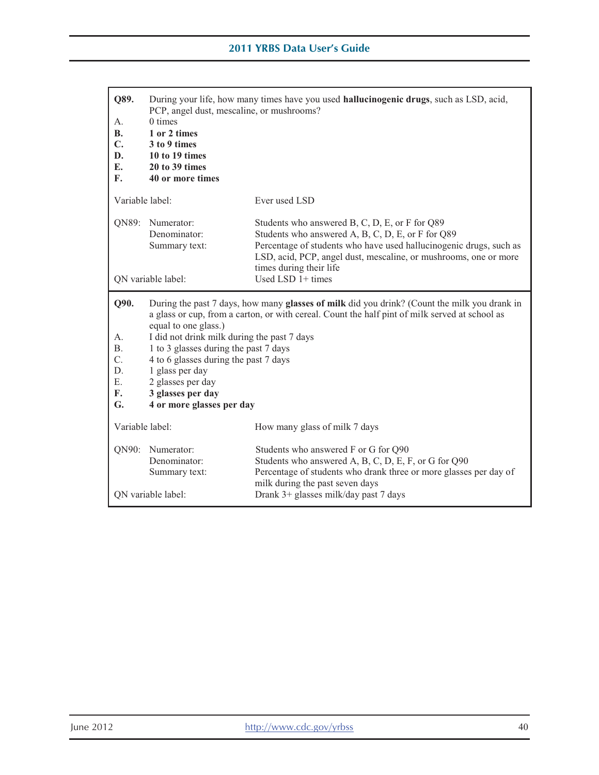| Q89.<br>А.<br><b>B.</b><br>C.<br>D.<br>E.<br>F.             | During your life, how many times have you used <b>hallucinogenic drugs</b> , such as LSD, acid,<br>PCP, angel dust, mescaline, or mushrooms?<br>$0 \times$<br>1 or 2 times<br>3 to 9 times<br>10 to 19 times<br>20 to 39 times<br>40 or more times                                                                                                                                                                                                |                                                                                                                                                                                                                                                                          |
|-------------------------------------------------------------|---------------------------------------------------------------------------------------------------------------------------------------------------------------------------------------------------------------------------------------------------------------------------------------------------------------------------------------------------------------------------------------------------------------------------------------------------|--------------------------------------------------------------------------------------------------------------------------------------------------------------------------------------------------------------------------------------------------------------------------|
| Variable label:                                             |                                                                                                                                                                                                                                                                                                                                                                                                                                                   | Ever used LSD                                                                                                                                                                                                                                                            |
| QN89:                                                       | Numerator:<br>Denominator:<br>Summary text:                                                                                                                                                                                                                                                                                                                                                                                                       | Students who answered B, C, D, E, or F for Q89<br>Students who answered A, B, C, D, E, or F for Q89<br>Percentage of students who have used hallucinogenic drugs, such as<br>LSD, acid, PCP, angel dust, mescaline, or mushrooms, one or more<br>times during their life |
|                                                             | QN variable label:                                                                                                                                                                                                                                                                                                                                                                                                                                | Used LSD $1+$ times                                                                                                                                                                                                                                                      |
| Q90.<br>А.<br><b>B.</b><br>C.<br>D.<br>Ε.<br>F.<br>G.       | During the past 7 days, how many glasses of milk did you drink? (Count the milk you drank in<br>a glass or cup, from a carton, or with cereal. Count the half pint of milk served at school as<br>equal to one glass.)<br>I did not drink milk during the past 7 days<br>1 to 3 glasses during the past 7 days<br>4 to 6 glasses during the past 7 days<br>1 glass per day<br>2 glasses per day<br>3 glasses per day<br>4 or more glasses per day |                                                                                                                                                                                                                                                                          |
| Variable label:                                             |                                                                                                                                                                                                                                                                                                                                                                                                                                                   | How many glass of milk 7 days                                                                                                                                                                                                                                            |
| QN90:                                                       | Students who answered F or G for Q90<br>Numerator:<br>Students who answered A, B, C, D, E, F, or G for Q90<br>Denominator:<br>Percentage of students who drank three or more glasses per day of<br>Summary text:<br>milk during the past seven days                                                                                                                                                                                               |                                                                                                                                                                                                                                                                          |
| Drank 3+ glasses milk/day past 7 days<br>QN variable label: |                                                                                                                                                                                                                                                                                                                                                                                                                                                   |                                                                                                                                                                                                                                                                          |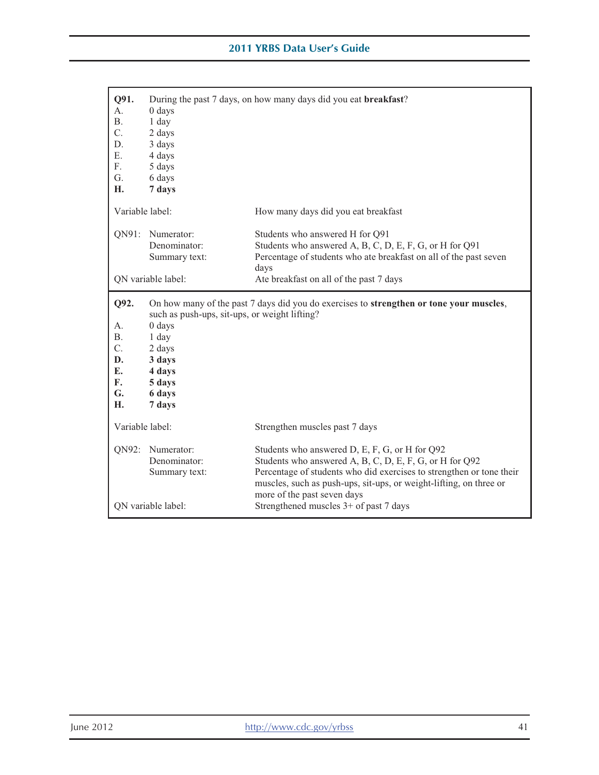| Q91.<br>A.<br>Β.<br>C.<br>D.<br>Е.<br>F.<br>G.<br>Н.                      | $0$ days<br>$1$ day<br>2 days<br>3 days<br>4 days<br>5 days<br>6 days<br>7 days                                              | During the past 7 days, on how many days did you eat breakfast?                                                                                                                                                                                                                        |
|---------------------------------------------------------------------------|------------------------------------------------------------------------------------------------------------------------------|----------------------------------------------------------------------------------------------------------------------------------------------------------------------------------------------------------------------------------------------------------------------------------------|
| Variable label:                                                           |                                                                                                                              | How many days did you eat breakfast                                                                                                                                                                                                                                                    |
|                                                                           | QN91: Numerator:<br>Denominator:<br>Summary text:                                                                            | Students who answered H for Q91<br>Students who answered A, B, C, D, E, F, G, or H for Q91<br>Percentage of students who ate breakfast on all of the past seven<br>days                                                                                                                |
|                                                                           | QN variable label:                                                                                                           | Ate breakfast on all of the past 7 days                                                                                                                                                                                                                                                |
| Q92.<br>А.<br><b>B.</b><br>$\overline{C}$ .<br>D.<br>E.<br>F.<br>G.<br>Н. | such as push-ups, sit-ups, or weight lifting?<br>0 days<br>1 day<br>2 days<br>3 days<br>4 days<br>5 days<br>6 days<br>7 days | On how many of the past 7 days did you do exercises to strengthen or tone your muscles,                                                                                                                                                                                                |
| Variable label:                                                           |                                                                                                                              | Strengthen muscles past 7 days                                                                                                                                                                                                                                                         |
|                                                                           | QN92: Numerator:<br>Denominator:<br>Summary text:                                                                            | Students who answered D, E, F, G, or H for Q92<br>Students who answered A, B, C, D, E, F, G, or H for Q92<br>Percentage of students who did exercises to strengthen or tone their<br>muscles, such as push-ups, sit-ups, or weight-lifting, on three or<br>more of the past seven days |
| QN variable label:                                                        |                                                                                                                              | Strengthened muscles 3+ of past 7 days                                                                                                                                                                                                                                                 |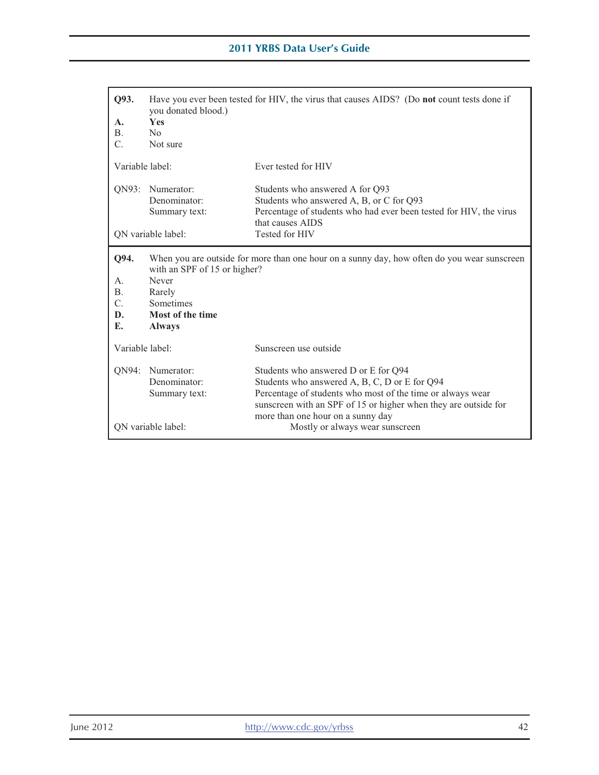| Q93.<br>A.<br><b>B.</b><br>C.                          | Have you ever been tested for HIV, the virus that causes AIDS? (Do not count tests done if<br>you donated blood.)<br><b>Yes</b><br>N <sub>0</sub><br>Not sure                                                                                                                                                    |                                                                                                                                                                       |
|--------------------------------------------------------|------------------------------------------------------------------------------------------------------------------------------------------------------------------------------------------------------------------------------------------------------------------------------------------------------------------|-----------------------------------------------------------------------------------------------------------------------------------------------------------------------|
| Variable label:                                        |                                                                                                                                                                                                                                                                                                                  | Ever tested for HIV                                                                                                                                                   |
| QN93:                                                  | Numerator:<br>Denominator:<br>Summary text:                                                                                                                                                                                                                                                                      | Students who answered A for Q93<br>Students who answered A, B, or C for Q93<br>Percentage of students who had ever been tested for HIV, the virus<br>that causes AIDS |
|                                                        | QN variable label:                                                                                                                                                                                                                                                                                               | Tested for HIV                                                                                                                                                        |
| Q94.<br>А.<br><b>B.</b><br>$\mathcal{C}$ .<br>D.<br>E. | When you are outside for more than one hour on a sunny day, how often do you wear sunscreen<br>with an SPF of 15 or higher?<br>Never<br>Rarely<br><b>Sometimes</b><br>Most of the time<br><b>Always</b>                                                                                                          |                                                                                                                                                                       |
| Variable label:                                        |                                                                                                                                                                                                                                                                                                                  | Sunscreen use outside                                                                                                                                                 |
|                                                        | QN94: Numerator:<br>Students who answered D or E for Q94<br>Denominator:<br>Students who answered A, B, C, D or E for Q94<br>Percentage of students who most of the time or always wear<br>Summary text:<br>sunscreen with an SPF of 15 or higher when they are outside for<br>more than one hour on a sunny day |                                                                                                                                                                       |
| ON variable label:                                     |                                                                                                                                                                                                                                                                                                                  | Mostly or always wear sunscreen                                                                                                                                       |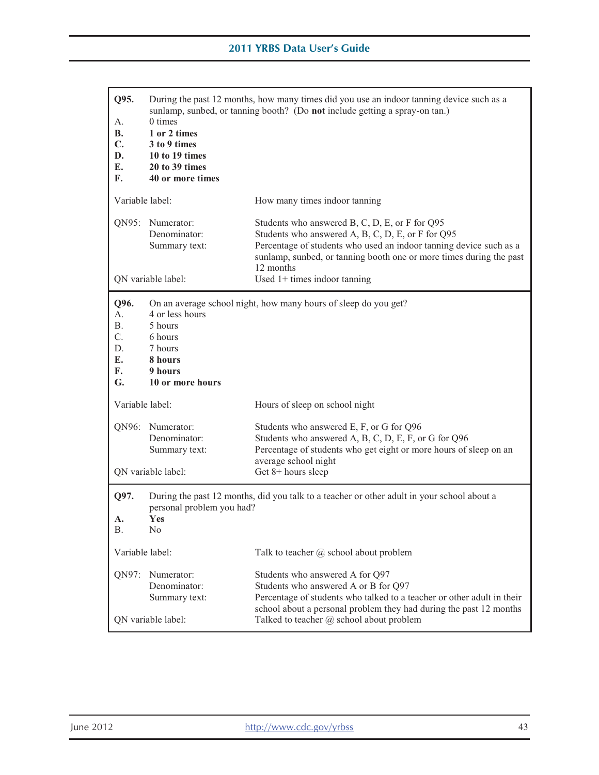| Q95.<br>А.<br><b>B.</b><br>C.<br>D.<br>E.<br>F. | During the past 12 months, how many times did you use an indoor tanning device such as a<br>sunlamp, sunbed, or tanning booth? (Do not include getting a spray-on tan.)<br>0 times<br>1 or 2 times<br>3 to 9 times<br>10 to 19 times<br>20 to 39 times<br>40 or more times |                                                                                                                                                                                                                                                                                                 |
|-------------------------------------------------|----------------------------------------------------------------------------------------------------------------------------------------------------------------------------------------------------------------------------------------------------------------------------|-------------------------------------------------------------------------------------------------------------------------------------------------------------------------------------------------------------------------------------------------------------------------------------------------|
| Variable label:                                 |                                                                                                                                                                                                                                                                            | How many times indoor tanning                                                                                                                                                                                                                                                                   |
|                                                 | QN95: Numerator:<br>Denominator:<br>Summary text:<br>QN variable label:                                                                                                                                                                                                    | Students who answered B, C, D, E, or F for Q95<br>Students who answered A, B, C, D, E, or F for Q95<br>Percentage of students who used an indoor tanning device such as a<br>sunlamp, sunbed, or tanning booth one or more times during the past<br>12 months<br>Used $1+$ times indoor tanning |
| Q96.<br>А.<br>Β.<br>C.<br>D.<br>E.<br>F.<br>G.  | 4 or less hours<br>5 hours<br>6 hours<br>7 hours<br>8 hours<br>9 hours<br>10 or more hours                                                                                                                                                                                 | On an average school night, how many hours of sleep do you get?                                                                                                                                                                                                                                 |
| Variable label:                                 |                                                                                                                                                                                                                                                                            | Hours of sleep on school night                                                                                                                                                                                                                                                                  |
|                                                 | QN96: Numerator:<br>Denominator:<br>Summary text:<br>QN variable label:                                                                                                                                                                                                    | Students who answered E, F, or G for Q96<br>Students who answered A, B, C, D, E, F, or G for Q96<br>Percentage of students who get eight or more hours of sleep on an<br>average school night<br>Get 8+ hours sleep                                                                             |
| Q97.                                            |                                                                                                                                                                                                                                                                            | During the past 12 months, did you talk to a teacher or other adult in your school about a                                                                                                                                                                                                      |
| A.<br>В.                                        | personal problem you had?<br>Yes<br>N <sub>o</sub>                                                                                                                                                                                                                         |                                                                                                                                                                                                                                                                                                 |
| Variable label:                                 |                                                                                                                                                                                                                                                                            | Talk to teacher $\omega$ school about problem                                                                                                                                                                                                                                                   |
| QN97:                                           | Numerator:<br>Denominator:<br>Summary text:<br>QN variable label:                                                                                                                                                                                                          | Students who answered A for Q97<br>Students who answered A or B for Q97<br>Percentage of students who talked to a teacher or other adult in their<br>school about a personal problem they had during the past 12 months<br>Talked to teacher @ school about problem                             |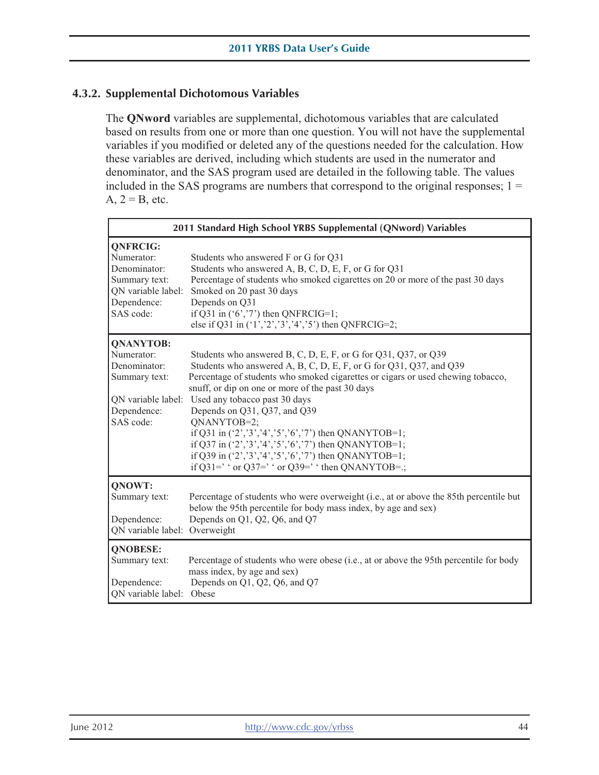# **4.3.2. Supplemental Dichotomous Variables**

 $A, 2 = B,$  etc. The **QNword** variables are supplemental, dichotomous variables that are calculated based on results from one or more than one question. You will not have the supplemental variables if you modified or deleted any of the questions needed for the calculation. How these variables are derived, including which students are used in the numerator and denominator, and the SAS program used are detailed in the following table. The values included in the SAS programs are numbers that correspond to the original responses;  $1 =$ 

| 2011 Standard High School YRBS Supplemental (QNword) Variables                                                    |                                                                                                                                                                                                                                                                                                                                                                                                                                                                                                                                                                                                            |  |
|-------------------------------------------------------------------------------------------------------------------|------------------------------------------------------------------------------------------------------------------------------------------------------------------------------------------------------------------------------------------------------------------------------------------------------------------------------------------------------------------------------------------------------------------------------------------------------------------------------------------------------------------------------------------------------------------------------------------------------------|--|
| <b>QNFRCIG:</b><br>Numerator:<br>Denominator:<br>Summary text:<br>QN variable label:<br>Dependence:<br>SAS code:  | Students who answered F or G for Q31<br>Students who answered A, B, C, D, E, F, or G for Q31<br>Percentage of students who smoked cigarettes on 20 or more of the past 30 days<br>Smoked on 20 past 30 days<br>Depends on Q31<br>if Q31 in $(6, 77)$ then QNFRCIG=1;<br>else if Q31 in $(1', 2', 3', 4', 5')$ then QNFRCIG=2;                                                                                                                                                                                                                                                                              |  |
| <b>QNANYTOB:</b><br>Numerator:<br>Denominator:<br>Summary text:<br>QN variable label:<br>Dependence:<br>SAS code: | Students who answered B, C, D, E, F, or G for Q31, Q37, or Q39<br>Students who answered A, B, C, D, E, F, or G for Q31, Q37, and Q39<br>Percentage of students who smoked cigarettes or cigars or used chewing tobacco,<br>snuff, or dip on one or more of the past 30 days<br>Used any tobacco past 30 days<br>Depends on Q31, Q37, and Q39<br>QNANYTOB=2;<br>if Q31 in $(2', 3', 4', 5', 6', 7)$ then QNANYTOB=1;<br>if Q37 in $(2', 3', 4', 5', 6', 7)$ then QNANYTOB=1;<br>if Q39 in $(2', 3', 4', 5', 6', 7)$ then QNANYTOB=1;<br>if Q31=' $\cdot$ or Q37=' $\cdot$ or Q39=' $\cdot$ then QNANYTOB=.; |  |
| QNOWT:<br>Summary text:<br>Dependence:<br>QN variable label: Overweight                                           | Percentage of students who were overweight (i.e., at or above the 85th percentile but<br>below the 95th percentile for body mass index, by age and sex)<br>Depends on Q1, Q2, Q6, and Q7                                                                                                                                                                                                                                                                                                                                                                                                                   |  |
| <b>QNOBESE:</b><br>Summary text:<br>Dependence:<br>QN variable label:                                             | Percentage of students who were obese (i.e., at or above the 95th percentile for body<br>mass index, by age and sex)<br>Depends on Q1, Q2, Q6, and Q7<br>Obese                                                                                                                                                                                                                                                                                                                                                                                                                                             |  |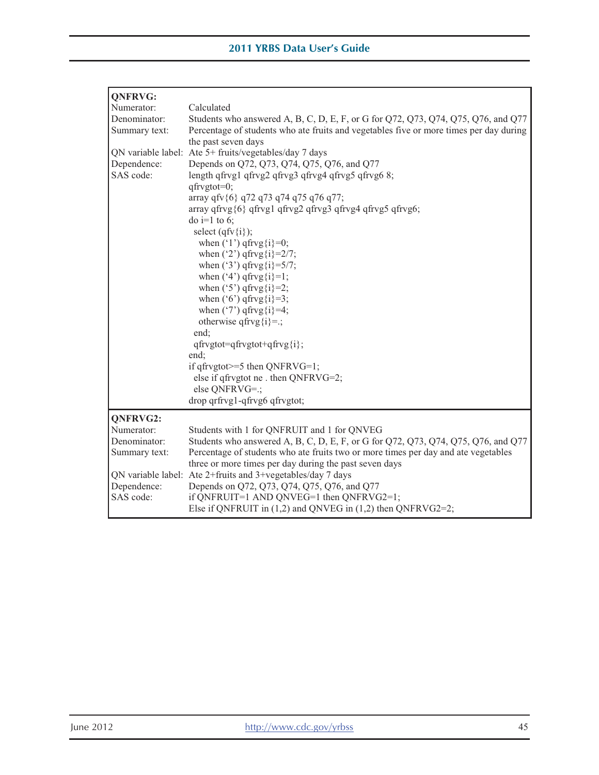| <b>QNFRVG:</b> |                                                                                        |
|----------------|----------------------------------------------------------------------------------------|
| Numerator:     | Calculated                                                                             |
| Denominator:   | Students who answered A, B, C, D, E, F, or G for Q72, Q73, Q74, Q75, Q76, and Q77      |
| Summary text:  | Percentage of students who ate fruits and vegetables five or more times per day during |
|                | the past seven days                                                                    |
|                | QN variable label: Ate 5+ fruits/vegetables/day 7 days                                 |
| Dependence:    | Depends on Q72, Q73, Q74, Q75, Q76, and Q77                                            |
| SAS code:      | length qfrvg1 qfrvg2 qfrvg3 qfrvg4 qfrvg5 qfrvg6 8;                                    |
|                | qfrvgtot=0;                                                                            |
|                | array qfv{6} q72 q73 q74 q75 q76 q77;                                                  |
|                | array qfrvg{6} qfrvg1 qfrvg2 qfrvg3 qfrvg4 qfrvg5 qfrvg6;                              |
|                | do i=1 to 6;                                                                           |
|                | select $(qfv\{i\})$ ;                                                                  |
|                | when $('1')$ qfrvg $\{i\} = 0$ ;                                                       |
|                | when $('2')$ qfrvg $\{i\} = 2/7$ ;<br>when $('3')$ qfrvg $\{i\} = 5/7$ ;               |
|                | when $(4')$ qfrvg $\{i\}$ =1;                                                          |
|                | when $('5')$ qfrvg $\{i\} = 2;$                                                        |
|                | when $('6')$ qfrvg $\{i\} = 3;$                                                        |
|                | when $('7')$ qfrvg $\{i\}$ =4;                                                         |
|                | otherwise qfrvg $\{i\} =$ ;                                                            |
|                | end:                                                                                   |
|                | qfrvgtot=qfrvgtot+qfrvg{i};                                                            |
|                | end:                                                                                   |
|                | if $qfrygtot \geq 5$ then QNFRVG=1;                                                    |
|                | else if qfrvgtot ne . then QNFRVG=2;                                                   |
|                | else QNFRVG=.;                                                                         |
|                | drop qrfrvg1-qfrvg6 qfrvgtot;                                                          |
| QNFRVG2:       |                                                                                        |
| Numerator:     | Students with 1 for QNFRUIT and 1 for QNVEG                                            |
| Denominator:   | Students who answered A, B, C, D, E, F, or G for Q72, Q73, Q74, Q75, Q76, and Q77      |
| Summary text:  | Percentage of students who ate fruits two or more times per day and ate vegetables     |
|                | three or more times per day during the past seven days                                 |
|                | QN variable label: Ate 2+fruits and 3+vegetables/day 7 days                            |
| Dependence:    | Depends on Q72, Q73, Q74, Q75, Q76, and Q77                                            |
| SAS code:      | if QNFRUIT=1 AND QNVEG=1 then QNFRVG2=1;                                               |
|                | Else if QNFRUIT in $(1,2)$ and QNVEG in $(1,2)$ then QNFRVG2=2;                        |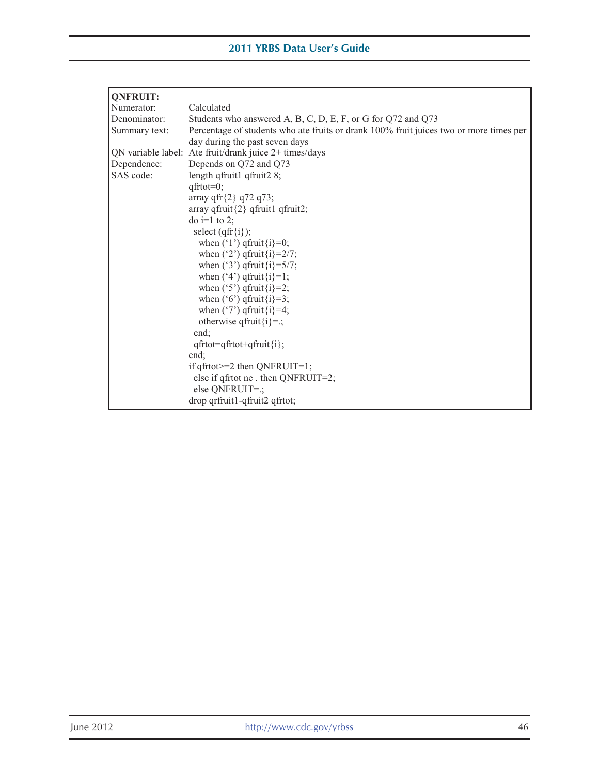| <b>QNFRUIT:</b> |                                                                                        |
|-----------------|----------------------------------------------------------------------------------------|
| Numerator:      | Calculated                                                                             |
| Denominator:    | Students who answered A, B, C, D, E, F, or G for Q72 and Q73                           |
| Summary text:   | Percentage of students who ate fruits or drank 100% fruit juices two or more times per |
|                 | day during the past seven days                                                         |
|                 | QN variable label: Ate fruit/drank juice 2+ times/days                                 |
| Dependence:     | Depends on Q72 and Q73                                                                 |
| SAS code:       | length qfruit1 qfruit2 8;                                                              |
|                 | $qftot=0;$                                                                             |
|                 | array qfr ${2}$ q72 q73;                                                               |
|                 | array qfruit $\{2\}$ qfruit1 qfruit2;                                                  |
|                 | $\phi$ i=1 to 2;                                                                       |
|                 | select $(qfr{f}i)$ ;                                                                   |
|                 | when $('1')$ qfruit $\{i\} = 0$ ;                                                      |
|                 | when $('2')$ qfruit $\{i\} = 2/7$ ;                                                    |
|                 | when ('3') qfruit $\{i\} = 5/7$ ;                                                      |
|                 | when $(4')$ qfruit $\{i\} = 1$ ;                                                       |
|                 | when $('5')$ qfruit $\{i\} = 2$ ;                                                      |
|                 | when $('6')$ qfruit $\{i\} = 3$ ;                                                      |
|                 | when $('7')$ qfruit $\{i\} = 4$ ;                                                      |
|                 | otherwise qfruit $\{i\} =$ ;                                                           |
|                 | end:                                                                                   |
|                 | $qfrtot = qfrtot + qfruit \{i};$                                                       |
|                 | end:                                                                                   |
|                 | if $q$ frtot $>=$ 2 then QNFRUIT=1;                                                    |
|                 | else if qfrtot ne . then QNFRUIT=2;                                                    |
|                 | else QNFRUIT=.;<br>drop qrfruit1-qfruit2 qfrtot;                                       |
|                 |                                                                                        |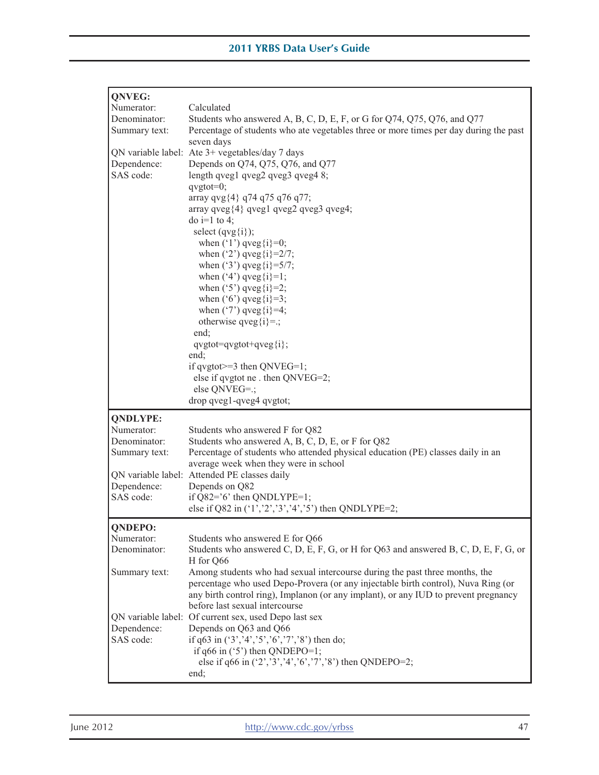| QNVEG:                |                                                                                              |  |  |  |  |  |
|-----------------------|----------------------------------------------------------------------------------------------|--|--|--|--|--|
| Numerator:            | Calculated                                                                                   |  |  |  |  |  |
| Denominator:          | Students who answered A, B, C, D, E, F, or G for Q74, Q75, Q76, and Q77                      |  |  |  |  |  |
| Summary text:         | Percentage of students who ate vegetables three or more times per day during the past        |  |  |  |  |  |
|                       | seven days                                                                                   |  |  |  |  |  |
|                       | QN variable label: Ate 3+ vegetables/day 7 days                                              |  |  |  |  |  |
| Dependence:           | Depends on Q74, Q75, Q76, and Q77                                                            |  |  |  |  |  |
| SAS code:             | length qveg1 qveg2 qveg3 qveg4 8;                                                            |  |  |  |  |  |
|                       | $qvgtot=0;$                                                                                  |  |  |  |  |  |
|                       | array qvg{4} q74 q75 q76 q77;                                                                |  |  |  |  |  |
|                       | array qveg $\{4\}$ qveg $1$ qveg $2$ qveg $3$ qveg $4$ ;<br>do i=1 to 4;                     |  |  |  |  |  |
|                       | select $(qvg\{i\})$ ;                                                                        |  |  |  |  |  |
|                       | when $('1')$ qveg $\{i\} = 0;$                                                               |  |  |  |  |  |
|                       | when $('2')$ qveg $\{i\} = 2/7;$                                                             |  |  |  |  |  |
|                       | when $('3')$ qveg $\{i\} = 5/7$ ;                                                            |  |  |  |  |  |
|                       | when $('4')$ qveg $\{i\} = 1;$                                                               |  |  |  |  |  |
|                       | when $('5')$ qveg $\{i\} = 2;$                                                               |  |  |  |  |  |
|                       | when $('6')$ qveg $\{i\} = 3;$                                                               |  |  |  |  |  |
|                       | when $('7')$ qveg $\{i\} = 4;$                                                               |  |  |  |  |  |
|                       | otherwise qveg $\{i\} =$ ;                                                                   |  |  |  |  |  |
|                       | end;                                                                                         |  |  |  |  |  |
|                       | $q\text{vgtot} = q\text{vgtot} + q\text{veg}\{i\};$<br>end:                                  |  |  |  |  |  |
|                       | if $q\text{vgtot} = 3$ then $QNVEG=1$ ;                                                      |  |  |  |  |  |
|                       | else if qvgtot ne . then QNVEG=2;                                                            |  |  |  |  |  |
|                       | else QNVEG=.;                                                                                |  |  |  |  |  |
|                       | drop qveg1-qveg4 qvgtot;                                                                     |  |  |  |  |  |
| <b>QNDLYPE:</b>       |                                                                                              |  |  |  |  |  |
|                       |                                                                                              |  |  |  |  |  |
|                       |                                                                                              |  |  |  |  |  |
| Numerator:            | Students who answered F for Q82                                                              |  |  |  |  |  |
| Denominator:          | Students who answered A, B, C, D, E, or F for Q82                                            |  |  |  |  |  |
| Summary text:         | Percentage of students who attended physical education (PE) classes daily in an              |  |  |  |  |  |
|                       | average week when they were in school<br>QN variable label: Attended PE classes daily        |  |  |  |  |  |
| Dependence:           | Depends on Q82                                                                               |  |  |  |  |  |
| SAS code:             | if $Q82='6'$ then $QNDLYPE=1$ ;                                                              |  |  |  |  |  |
|                       | else if Q82 in ('1','2','3','4','5') then QNDLYPE=2;                                         |  |  |  |  |  |
|                       |                                                                                              |  |  |  |  |  |
| QNDEPO:<br>Numerator: | Students who answered E for Q66                                                              |  |  |  |  |  |
| Denominator:          | Students who answered C, D, E, F, G, or H for Q63 and answered B, C, D, E, F, G, or          |  |  |  |  |  |
|                       | H for Q66                                                                                    |  |  |  |  |  |
| Summary text:         | Among students who had sexual intercourse during the past three months, the                  |  |  |  |  |  |
|                       | percentage who used Depo-Provera (or any injectable birth control), Nuva Ring (or            |  |  |  |  |  |
|                       | any birth control ring), Implanon (or any implant), or any IUD to prevent pregnancy          |  |  |  |  |  |
|                       | before last sexual intercourse                                                               |  |  |  |  |  |
|                       | QN variable label: Of current sex, used Depo last sex                                        |  |  |  |  |  |
| Dependence:           | Depends on Q63 and Q66                                                                       |  |  |  |  |  |
| SAS code:             | if q63 in $(*3, '4', '5', '6', '7', '8')$ then do;                                           |  |  |  |  |  |
|                       | if $q66$ in ('5') then QNDEPO=1;<br>else if q66 in $(2', 3', 4', 6', 7', 8')$ then QNDEPO=2; |  |  |  |  |  |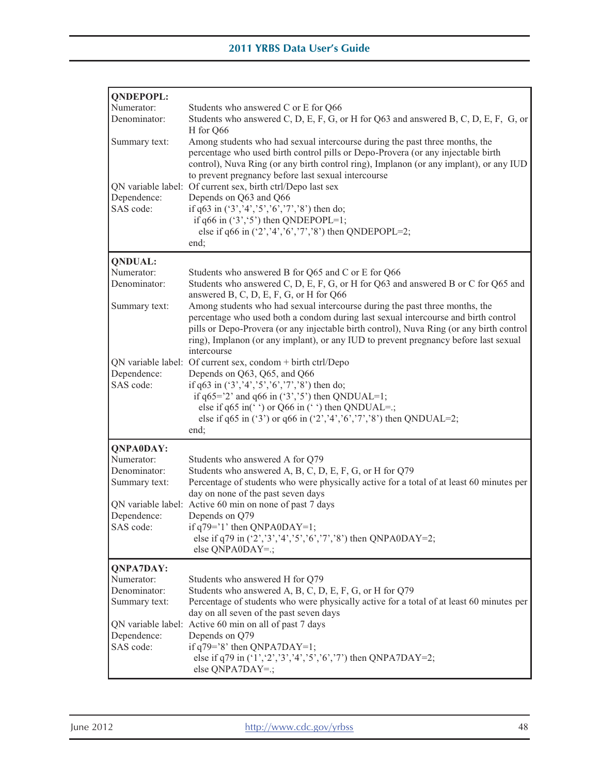| <b>QNDEPOPL:</b>               |                                                                                                                                                                                                                                                                                                                                                       |
|--------------------------------|-------------------------------------------------------------------------------------------------------------------------------------------------------------------------------------------------------------------------------------------------------------------------------------------------------------------------------------------------------|
| Numerator:                     | Students who answered C or E for Q66                                                                                                                                                                                                                                                                                                                  |
| Denominator:                   | Students who answered C, D, E, F, G, or H for Q63 and answered B, C, D, E, F, G, or                                                                                                                                                                                                                                                                   |
| Summary text:                  | H for Q66<br>Among students who had sexual intercourse during the past three months, the<br>percentage who used birth control pills or Depo-Provera (or any injectable birth<br>control), Nuva Ring (or any birth control ring), Implanon (or any implant), or any IUD<br>to prevent pregnancy before last sexual intercourse                         |
| Dependence:                    | QN variable label: Of current sex, birth ctrl/Depo last sex<br>Depends on Q63 and Q66                                                                                                                                                                                                                                                                 |
| SAS code:                      | if $q63$ in $('3', '4', '5', '6', '7', '8')$ then do;                                                                                                                                                                                                                                                                                                 |
|                                | if $q66$ in $('3', '5')$ then QNDEPOPL=1;<br>else if q66 in $(2, 4, 7, 6, 7, 7, 8)$ then QNDEPOPL=2;<br>end;                                                                                                                                                                                                                                          |
|                                |                                                                                                                                                                                                                                                                                                                                                       |
| <b>QNDUAL:</b><br>Numerator:   | Students who answered B for Q65 and C or E for Q66                                                                                                                                                                                                                                                                                                    |
| Denominator:                   | Students who answered C, D, E, F, G, or H for Q63 and answered B or C for Q65 and<br>answered B, C, D, E, F, G, or H for Q66                                                                                                                                                                                                                          |
| Summary text:                  | Among students who had sexual intercourse during the past three months, the<br>percentage who used both a condom during last sexual intercourse and birth control<br>pills or Depo-Provera (or any injectable birth control), Nuva Ring (or any birth control<br>ring), Implanon (or any implant), or any IUD to prevent pregnancy before last sexual |
|                                | intercourse<br>QN variable label: Of current sex, condom + birth ctrl/Depo                                                                                                                                                                                                                                                                            |
| Dependence:                    | Depends on Q63, Q65, and Q66                                                                                                                                                                                                                                                                                                                          |
| SAS code:                      | if $q63$ in $('3', '4', '5', '6', '7', '8')$ then do;<br>if $q65 = '2'$ and $q66$ in $('3', '5')$ then QNDUAL=1;<br>else if q65 in( $\degree$ ) or Q66 in ( $\degree$ ) then QNDUAL=.;<br>else if q65 in ('3') or q66 in ('2','4','6','7','8') then QNDUAL=2;<br>end;                                                                                 |
| <b>QNPA0DAY:</b>               |                                                                                                                                                                                                                                                                                                                                                       |
| Numerator:                     | Students who answered A for Q79                                                                                                                                                                                                                                                                                                                       |
| Denominator:                   | Students who answered A, B, C, D, E, F, G, or H for Q79                                                                                                                                                                                                                                                                                               |
| Summary text:                  | Percentage of students who were physically active for a total of at least 60 minutes per<br>day on none of the past seven days                                                                                                                                                                                                                        |
|                                | QN variable label: Active 60 min on none of past 7 days                                                                                                                                                                                                                                                                                               |
| Dependence:                    | Depends on Q79                                                                                                                                                                                                                                                                                                                                        |
| SAS code:                      | if $q79 = 1$ ' then QNPA0DAY=1;                                                                                                                                                                                                                                                                                                                       |
|                                | else if q79 in $(2', 3', 4', 5', 6', 7', 8')$ then QNPA0DAY=2;<br>else QNPA0DAY=.;                                                                                                                                                                                                                                                                    |
|                                |                                                                                                                                                                                                                                                                                                                                                       |
| <b>QNPA7DAY:</b><br>Numerator: | Students who answered H for Q79                                                                                                                                                                                                                                                                                                                       |
| Denominator:                   | Students who answered A, B, C, D, E, F, G, or H for Q79                                                                                                                                                                                                                                                                                               |
| Summary text:                  | Percentage of students who were physically active for a total of at least 60 minutes per                                                                                                                                                                                                                                                              |
|                                | day on all seven of the past seven days                                                                                                                                                                                                                                                                                                               |
|                                | QN variable label: Active 60 min on all of past 7 days                                                                                                                                                                                                                                                                                                |
| Dependence:<br>SAS code:       | Depends on Q79<br>if $q79 = 8'$ then QNPA7DAY=1;                                                                                                                                                                                                                                                                                                      |
|                                | else if q79 in $(1', 2', 3', 4', 5', 6', 7')$ then QNPA7DAY=2;<br>else QNPA7DAY=.;                                                                                                                                                                                                                                                                    |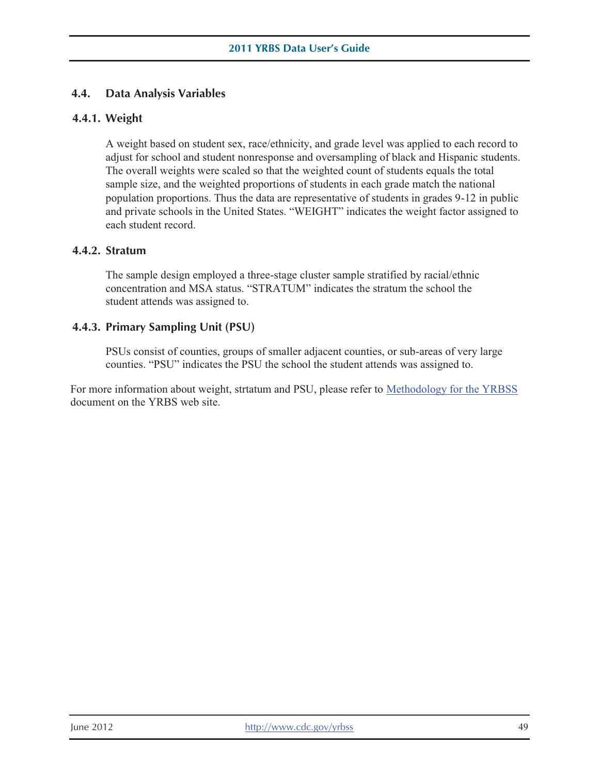# **4.4. Data Analysis Variables 4.4.1. Weight**

A weight based on student sex, race/ethnicity, and grade level was applied to each record to adjust for school and student nonresponse and oversampling of black and Hispanic students. The overall weights were scaled so that the weighted count of students equals the total sample size, and the weighted proportions of students in each grade match the national population proportions. Thus the data are representative of students in grades 9-12 in public and private schools in the United States. "WEIGHT" indicates the weight factor assigned to each student record.

# **4.4.2. Stratum**

The sample design employed a three-stage cluster sample stratified by racial/ethnic concentration and MSA status. "STRATUM" indicates the stratum the school the student attends was assigned to.

# **4.4.3. Primary Sampling Unit (PSU)**

PSUs consist of counties, groups of smaller adjacent counties, or sub-areas of very large counties. "PSU" indicates the PSU the school the student attends was assigned to.

For more information about weight, strtatum and PSU, please refer to Methodology for the YRBSS document on the YRBS web site.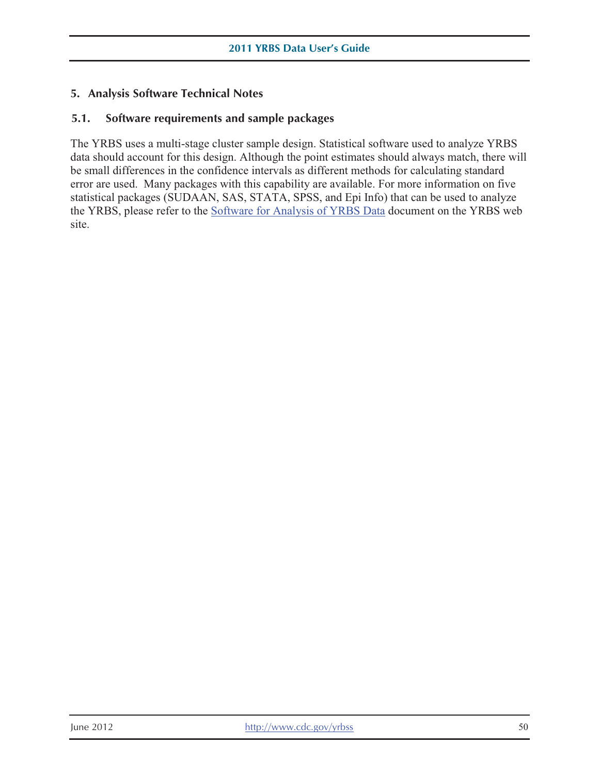# **5. Analysis Software Technical Notes**

# **5.1. Software requirements and sample packages**

The YRBS uses a multi-stage cluster sample design. Statistical software used to analyze YRBS data should account for this design. Although the point estimates should always match, there will be small differences in the confidence intervals as different methods for calculating standard error are used. Many packages with this capability are available. For more information on five statistical packages (SUDAAN, SAS, STATA, SPSS, and Epi Info) that can be used to analyze the YRBS, please refer to the Software for Analysis of YRBS Data document on the YRBS web site.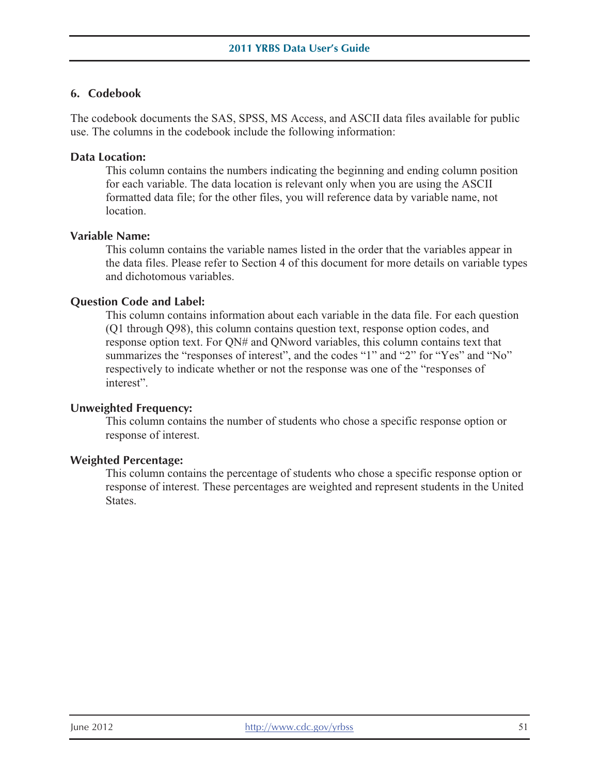# **6. Codebook**

The codebook documents the SAS, SPSS, MS Access, and ASCII data files available for public use. The columns in the codebook include the following information:

### **Data Location:**

This column contains the numbers indicating the beginning and ending column position for each variable. The data location is relevant only when you are using the ASCII formatted data file; for the other files, you will reference data by variable name, not location.

#### **Variable Name:**

This column contains the variable names listed in the order that the variables appear in the data files. Please refer to Section 4 of this document for more details on variable types and dichotomous variables.

## **Question Code and Label:**

This column contains information about each variable in the data file. For each question (Q1 through Q98), this column contains question text, response option codes, and response option text. For QN# and QNword variables, this column contains text that summarizes the "responses of interest", and the codes "1" and "2" for "Yes" and "No" respectively to indicate whether or not the response was one of the "responses of interest".

### **Unweighted Frequency:**

This column contains the number of students who chose a specific response option or response of interest.

#### **Weighted Percentage:**

This column contains the percentage of students who chose a specific response option or response of interest. These percentages are weighted and represent students in the United States.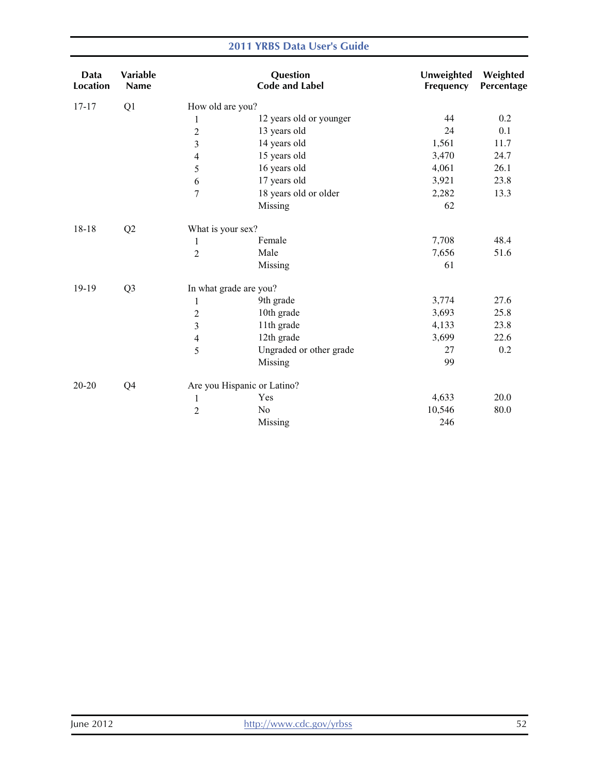#### Data Location Variable Name **Question** Code and Label Unweighted Weighted Frequency Percentage 17-17 Q1 How old are you? 1 12 years old or younger 2 13 years old 3 14 years old 4 15 years old 5 16 years old 6 17 years old 7 18 years old or older Missing 44 0.2 24 0.1 1,561 11.7 3,470 24.7 4,061 26.1 3,921 23.8 2,282 13.3 62 18-18 Q2 What is your sex? 1 Female 7,708 48.4 2 Male 7,656 51.6 Missing 61 19-19 Q3 In what grade are you? 1 9th grade 3,774 27.6 2 10th grade 3,693 25.8 3 11th grade 4,133 23.8 4 12th grade 3,699 22.6 5 Ungraded or other grade 27 0.2 Missing 99 20-20 Q4 Are you Hispanic or Latino? 1 Yes 4,633 20.0 2 No 10,546 80.0 Missing 246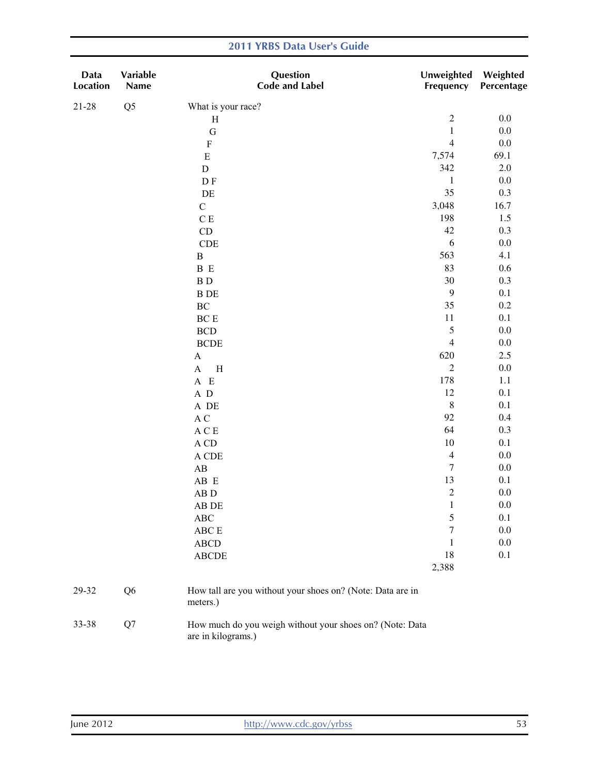| Data<br>Location | Variable<br>Name | Question<br><b>Code and Label</b>                                              | Unweighted<br>Frequency | Weighted<br>Percentage |
|------------------|------------------|--------------------------------------------------------------------------------|-------------------------|------------------------|
| $21 - 28$        | Q <sub>5</sub>   | What is your race?                                                             |                         |                        |
|                  |                  | H                                                                              | $\sqrt{2}$              | $0.0\,$                |
|                  |                  | $\mathbf G$                                                                    | $\,1$                   | $0.0\,$                |
|                  |                  | ${\bf F}$                                                                      | $\overline{4}$          | $0.0\,$                |
|                  |                  | ${\bf E}$                                                                      | 7,574                   | 69.1                   |
|                  |                  | ${\rm D}$                                                                      | 342                     | $2.0\,$                |
|                  |                  | D F                                                                            | $\mathbf{1}$            | $0.0\,$                |
|                  |                  | $\rm DE$                                                                       | 35                      | 0.3                    |
|                  |                  | $\mathsf C$                                                                    | 3,048                   | 16.7                   |
|                  |                  | $\mathbf C$ E                                                                  | 198                     | 1.5                    |
|                  |                  | CD                                                                             | $42\,$                  | 0.3                    |
|                  |                  | CDE                                                                            | 6                       | $0.0\,$                |
|                  |                  | $\, {\bf B}$                                                                   | 563                     | 4.1                    |
|                  |                  | B E                                                                            | 83                      | 0.6                    |
|                  |                  | <b>BD</b>                                                                      | $30\,$                  | 0.3                    |
|                  |                  | <b>B</b> DE                                                                    | $\mathbf{9}$            | 0.1                    |
|                  |                  | $\rm BC$                                                                       | 35                      | $0.2\,$                |
|                  |                  | $\operatorname{BC}$ E                                                          | 11                      | 0.1                    |
|                  |                  | $\operatorname{BCD}$                                                           | 5                       | $0.0\,$                |
|                  |                  | <b>BCDE</b>                                                                    | $\overline{4}$          | $0.0\,$                |
|                  |                  | $\boldsymbol{\rm{A}}$                                                          | 620                     | 2.5                    |
|                  |                  | $\mathbf A$<br>$\, {\rm H}$                                                    | $\sqrt{2}$              | $0.0\,$                |
|                  |                  | $A$ E                                                                          | 178                     | $1.1\,$                |
|                  |                  | $\,$ A $\,$ D                                                                  | 12                      | 0.1                    |
|                  |                  | A DE                                                                           | $\,$ 8 $\,$             | 0.1                    |
|                  |                  | $\mathbf A$ C                                                                  | 92                      | 0.4                    |
|                  |                  | $\mathbf A \mathrel{\mathbf C} \mathbf E$                                      | 64                      | 0.3                    |
|                  |                  | $\Lambda$ CD                                                                   | 10                      | 0.1                    |
|                  |                  | A CDE                                                                          | $\overline{4}$          | $0.0\,$                |
|                  |                  | $\mathbf{A}\mathbf{B}$                                                         | $\sqrt{ }$              | $0.0\,$                |
|                  |                  | AB E                                                                           | 13                      | 0.1                    |
|                  |                  | ${\bf AB}$ D                                                                   | $\mathfrak{2}$          | 0.0                    |
|                  |                  | AB DE                                                                          | $\mathbf{1}$            | $0.0\,$                |
|                  |                  | ABC                                                                            | 5                       | 0.1                    |
|                  |                  | ${\rm ABC} \to$                                                                | 7                       | $0.0\,$                |
|                  |                  | ${\bf ABCD}$                                                                   | 1                       | 0.0                    |
|                  |                  | ${\bf ABCDE}$                                                                  | 18                      | 0.1                    |
|                  |                  |                                                                                | 2,388                   |                        |
| 29-32            | Q <sub>6</sub>   | How tall are you without your shoes on? (Note: Data are in<br>meters.)         |                         |                        |
| 33-38            | Q7               | How much do you weigh without your shoes on? (Note: Data<br>are in kilograms.) |                         |                        |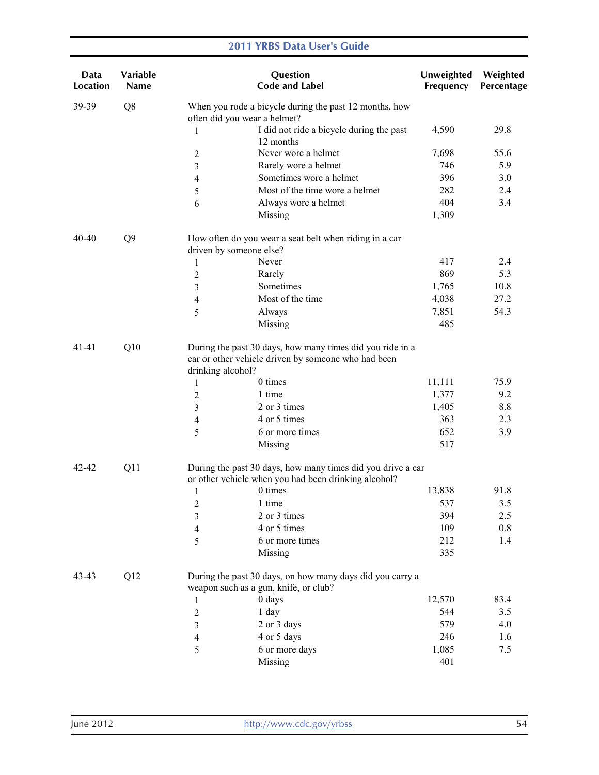| Data<br><b>Location</b> | Variable<br><b>Name</b> |                                                                                                                                       | Question<br><b>Code and Label</b>                                                                                   | Unweighted<br>Frequency | Weighted<br>Percentage |  |
|-------------------------|-------------------------|---------------------------------------------------------------------------------------------------------------------------------------|---------------------------------------------------------------------------------------------------------------------|-------------------------|------------------------|--|
| 39-39                   | Q8                      | often did you wear a helmet?                                                                                                          | When you rode a bicycle during the past 12 months, how                                                              |                         |                        |  |
|                         |                         | 1                                                                                                                                     | I did not ride a bicycle during the past<br>12 months                                                               | 4,590                   | 29.8                   |  |
|                         |                         | $\overline{c}$                                                                                                                        | Never wore a helmet                                                                                                 | 7,698                   | 55.6                   |  |
|                         |                         | 3                                                                                                                                     | Rarely wore a helmet                                                                                                | 746                     | 5.9                    |  |
|                         |                         | 4                                                                                                                                     | Sometimes wore a helmet                                                                                             | 396                     | 3.0                    |  |
|                         |                         | 5                                                                                                                                     | Most of the time wore a helmet                                                                                      | 282                     | 2.4                    |  |
|                         |                         | 6                                                                                                                                     | Always wore a helmet                                                                                                | 404                     | 3.4                    |  |
|                         |                         |                                                                                                                                       | Missing                                                                                                             | 1,309                   |                        |  |
| 40-40                   | Q <sub>9</sub>          | driven by someone else?                                                                                                               | How often do you wear a seat belt when riding in a car                                                              |                         |                        |  |
|                         |                         | 1                                                                                                                                     | Never                                                                                                               | 417                     | 2.4                    |  |
|                         |                         | 2                                                                                                                                     | Rarely                                                                                                              | 869                     | 5.3                    |  |
|                         |                         | 3                                                                                                                                     | Sometimes                                                                                                           | 1,765                   | 10.8                   |  |
|                         |                         | 4                                                                                                                                     | Most of the time                                                                                                    | 4,038                   | 27.2                   |  |
|                         |                         | 5                                                                                                                                     | Always                                                                                                              | 7,851                   | 54.3                   |  |
|                         |                         |                                                                                                                                       | Missing                                                                                                             | 485                     |                        |  |
| Q10<br>$41 - 41$        |                         | During the past 30 days, how many times did you ride in a<br>car or other vehicle driven by someone who had been<br>drinking alcohol? |                                                                                                                     |                         |                        |  |
|                         |                         | $\mathbf{1}$                                                                                                                          | 0 times                                                                                                             | 11,111                  | 75.9                   |  |
|                         |                         | $\overline{2}$                                                                                                                        | 1 time                                                                                                              | 1,377                   | 9.2                    |  |
|                         |                         | 3                                                                                                                                     | 2 or 3 times                                                                                                        | 1,405                   | 8.8                    |  |
|                         |                         | 4                                                                                                                                     | 4 or 5 times                                                                                                        | 363                     | 2.3                    |  |
|                         |                         | 5                                                                                                                                     | 6 or more times                                                                                                     | 652                     | 3.9                    |  |
|                         |                         |                                                                                                                                       | Missing                                                                                                             | 517                     |                        |  |
| 42-42                   | Q11                     |                                                                                                                                       | During the past 30 days, how many times did you drive a car<br>or other vehicle when you had been drinking alcohol? |                         |                        |  |
|                         |                         | 1                                                                                                                                     | 0 times                                                                                                             | 13,838                  | 91.8                   |  |
|                         |                         | $\overline{c}$                                                                                                                        | 1 time                                                                                                              | 537                     | 3.5                    |  |
|                         |                         | 3                                                                                                                                     | 2 or 3 times                                                                                                        | 394                     | 2.5                    |  |
|                         |                         | 4                                                                                                                                     | 4 or 5 times                                                                                                        | 109                     | 0.8                    |  |
|                         |                         | 5                                                                                                                                     | 6 or more times                                                                                                     | 212                     | 1.4                    |  |
|                         |                         |                                                                                                                                       | Missing                                                                                                             | 335                     |                        |  |
| 43-43                   | Q12                     |                                                                                                                                       | During the past 30 days, on how many days did you carry a<br>weapon such as a gun, knife, or club?                  |                         |                        |  |
|                         |                         | 1                                                                                                                                     | 0 days                                                                                                              | 12,570                  | 83.4                   |  |
|                         |                         | $\overline{c}$                                                                                                                        | 1 day                                                                                                               | 544                     | 3.5                    |  |
|                         |                         | 3                                                                                                                                     | 2 or 3 days                                                                                                         | 579                     | 4.0                    |  |
|                         |                         | 4                                                                                                                                     | 4 or 5 days                                                                                                         | 246                     | 1.6                    |  |
|                         |                         | 5                                                                                                                                     | 6 or more days                                                                                                      | 1,085                   | 7.5                    |  |
|                         |                         |                                                                                                                                       | Missing                                                                                                             | 401                     |                        |  |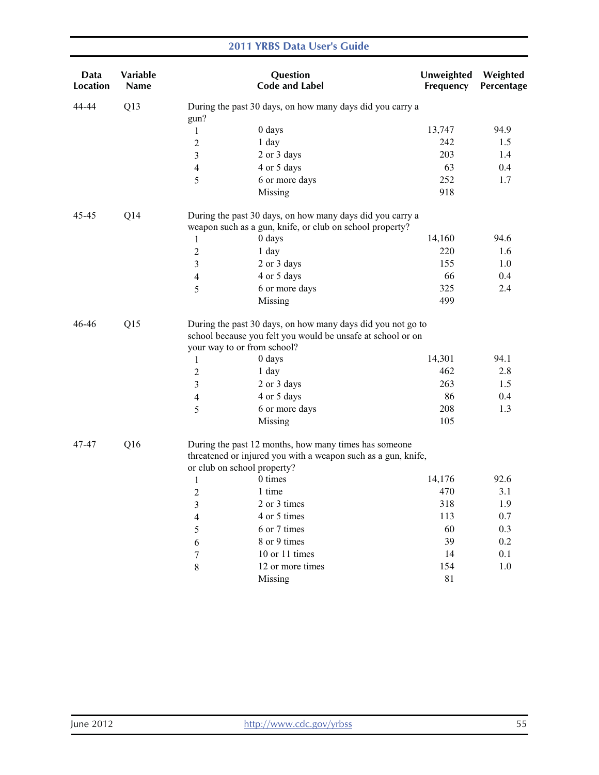| Data<br><b>Location</b> | <b>Variable</b><br><b>Name</b> |                         | Question<br><b>Code and Label</b>                                                                                                                         | Unweighted<br>Frequency | Weighted<br>Percentage |
|-------------------------|--------------------------------|-------------------------|-----------------------------------------------------------------------------------------------------------------------------------------------------------|-------------------------|------------------------|
| 44-44                   | Q13                            | gun?                    | During the past 30 days, on how many days did you carry a                                                                                                 |                         |                        |
|                         |                                | 1                       | 0 days                                                                                                                                                    | 13,747                  | 94.9                   |
|                         |                                | $\overline{c}$          | 1 day                                                                                                                                                     | 242                     | 1.5                    |
|                         |                                | 3                       | 2 or 3 days                                                                                                                                               | 203                     | 1.4                    |
|                         |                                | 4                       | 4 or 5 days                                                                                                                                               | 63                      | 0.4                    |
|                         |                                | 5                       | 6 or more days                                                                                                                                            | 252                     | 1.7                    |
|                         |                                |                         | Missing                                                                                                                                                   | 918                     |                        |
| 45-45                   | Q14                            |                         | During the past 30 days, on how many days did you carry a<br>weapon such as a gun, knife, or club on school property?                                     |                         |                        |
|                         |                                | $\mathbf{1}$            | 0 days                                                                                                                                                    | 14,160                  | 94.6                   |
|                         |                                | 2                       | 1 day                                                                                                                                                     | 220                     | 1.6                    |
|                         |                                | 3                       | 2 or 3 days                                                                                                                                               | 155                     | 1.0                    |
|                         |                                | $\overline{\mathbf{4}}$ | 4 or 5 days                                                                                                                                               | 66                      | 0.4                    |
|                         |                                | 5                       | 6 or more days                                                                                                                                            | 325                     | 2.4                    |
|                         |                                |                         | Missing                                                                                                                                                   | 499                     |                        |
| 46-46<br>Q15            |                                |                         | During the past 30 days, on how many days did you not go to<br>school because you felt you would be unsafe at school or on<br>your way to or from school? |                         |                        |
|                         |                                | 1                       | 0 days                                                                                                                                                    | 14,301                  | 94.1                   |
|                         |                                | 2                       | 1 day                                                                                                                                                     | 462                     | 2.8                    |
|                         |                                | 3                       | 2 or 3 days                                                                                                                                               | 263                     | 1.5                    |
|                         |                                | 4                       | 4 or 5 days                                                                                                                                               | 86                      | 0.4                    |
|                         |                                | 5                       | 6 or more days                                                                                                                                            | 208                     | 1.3                    |
|                         |                                |                         | Missing                                                                                                                                                   | 105                     |                        |
| 47-47                   | Q16                            |                         | During the past 12 months, how many times has someone<br>threatened or injured you with a weapon such as a gun, knife,<br>or club on school property?     |                         |                        |
|                         |                                | $\mathbf{1}$            | 0 times                                                                                                                                                   | 14,176                  | 92.6                   |
|                         |                                | $\overline{c}$          | 1 time                                                                                                                                                    | 470                     | 3.1                    |
|                         |                                | 3                       | 2 or 3 times                                                                                                                                              | 318                     | 1.9                    |
|                         |                                | $\overline{\mathbf{4}}$ | 4 or 5 times                                                                                                                                              | 113                     | 0.7                    |
|                         |                                | 5                       | 6 or 7 times                                                                                                                                              | 60                      | 0.3                    |
|                         |                                | 6                       | 8 or 9 times                                                                                                                                              | 39                      | 0.2                    |
|                         |                                | 7                       | 10 or 11 times                                                                                                                                            | 14                      | 0.1                    |
|                         |                                | $8\,$                   | 12 or more times                                                                                                                                          | 154                     | 1.0                    |
|                         |                                |                         | Missing                                                                                                                                                   | $8\sqrt{1}$             |                        |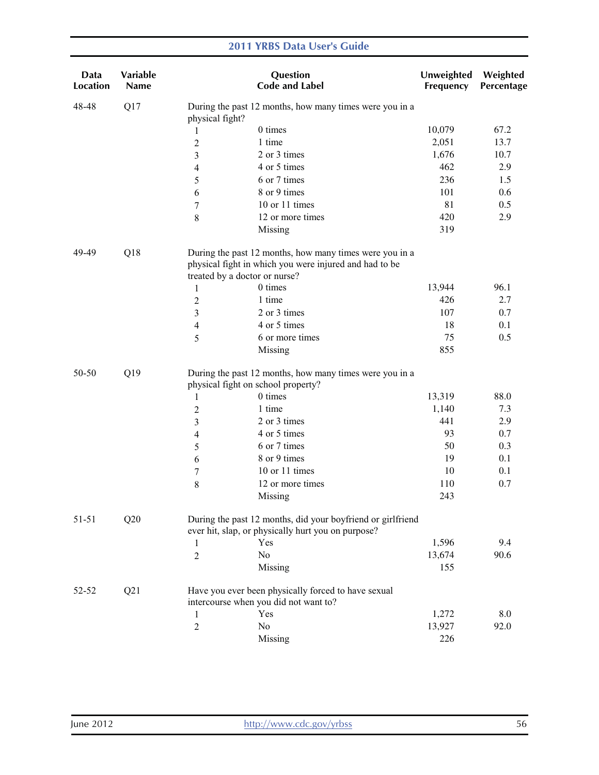| Data<br>Location | Variable<br>Name |                               | Question<br><b>Code and Label</b>                                                                                 | Unweighted<br>Frequency | Weighted<br>Percentage |
|------------------|------------------|-------------------------------|-------------------------------------------------------------------------------------------------------------------|-------------------------|------------------------|
| 48-48            | Q17              | physical fight?               | During the past 12 months, how many times were you in a                                                           |                         |                        |
|                  |                  | 1                             | 0 times                                                                                                           | 10,079                  | 67.2                   |
|                  |                  | $\overline{2}$                | 1 time                                                                                                            | 2,051                   | 13.7                   |
|                  |                  | 3                             | 2 or 3 times                                                                                                      | 1,676                   | 10.7                   |
|                  |                  | 4                             | 4 or 5 times                                                                                                      | 462                     | 2.9                    |
|                  |                  | 5                             | 6 or 7 times                                                                                                      | 236                     | 1.5                    |
|                  |                  | 6                             | 8 or 9 times                                                                                                      | 101                     | 0.6                    |
|                  |                  | 7                             | 10 or 11 times                                                                                                    | 81                      | 0.5                    |
|                  |                  | $\,8\,$                       | 12 or more times                                                                                                  | 420                     | 2.9                    |
|                  |                  |                               | Missing                                                                                                           | 319                     |                        |
| 49-49            | Q18              | treated by a doctor or nurse? | During the past 12 months, how many times were you in a<br>physical fight in which you were injured and had to be |                         |                        |
|                  |                  | $\mathbf{1}$                  | 0 times                                                                                                           | 13,944                  | 96.1                   |
|                  |                  | $\overline{2}$                | 1 time                                                                                                            | 426                     | 2.7                    |
|                  |                  | 3                             | 2 or 3 times                                                                                                      | 107                     | 0.7                    |
|                  |                  | 4                             | 4 or 5 times                                                                                                      | 18                      | 0.1                    |
|                  |                  | 5                             | 6 or more times                                                                                                   | 75                      | 0.5                    |
|                  |                  |                               | Missing                                                                                                           | 855                     |                        |
| Q19<br>50-50     |                  |                               | During the past 12 months, how many times were you in a<br>physical fight on school property?                     |                         |                        |
|                  |                  | 1                             | 0 times                                                                                                           | 13,319                  | 88.0                   |
|                  |                  | 2                             | 1 time                                                                                                            | 1,140                   | 7.3                    |
|                  |                  | 3                             | 2 or 3 times                                                                                                      | 441                     | 2.9                    |
|                  |                  | 4                             | 4 or 5 times                                                                                                      | 93                      | 0.7                    |
|                  |                  | 5                             | 6 or 7 times                                                                                                      | 50                      | 0.3                    |
|                  |                  | 6                             | 8 or 9 times                                                                                                      | 19                      | 0.1                    |
|                  |                  | $\boldsymbol{7}$              | 10 or 11 times                                                                                                    | 10                      | 0.1                    |
|                  |                  | $\,$ 8 $\,$                   | 12 or more times                                                                                                  | 110                     | 0.7                    |
|                  |                  |                               | Missing                                                                                                           | 243                     |                        |
| $51 - 51$        | Q20              |                               | During the past 12 months, did your boyfriend or girlfriend<br>ever hit, slap, or physically hurt you on purpose? |                         |                        |
|                  |                  | 1                             | Yes                                                                                                               | 1,596                   | 9.4                    |
|                  |                  | $\overline{2}$                | No                                                                                                                | 13,674                  | 90.6                   |
|                  |                  |                               | Missing                                                                                                           | 155                     |                        |
| 52-52            | Q21              |                               | Have you ever been physically forced to have sexual                                                               |                         |                        |
|                  |                  |                               | intercourse when you did not want to?                                                                             |                         |                        |
|                  |                  | 1                             | Yes                                                                                                               | 1,272                   | 8.0                    |
|                  |                  | $\overline{2}$                | No                                                                                                                | 13,927                  | 92.0                   |
|                  |                  |                               | Missing                                                                                                           | 226                     |                        |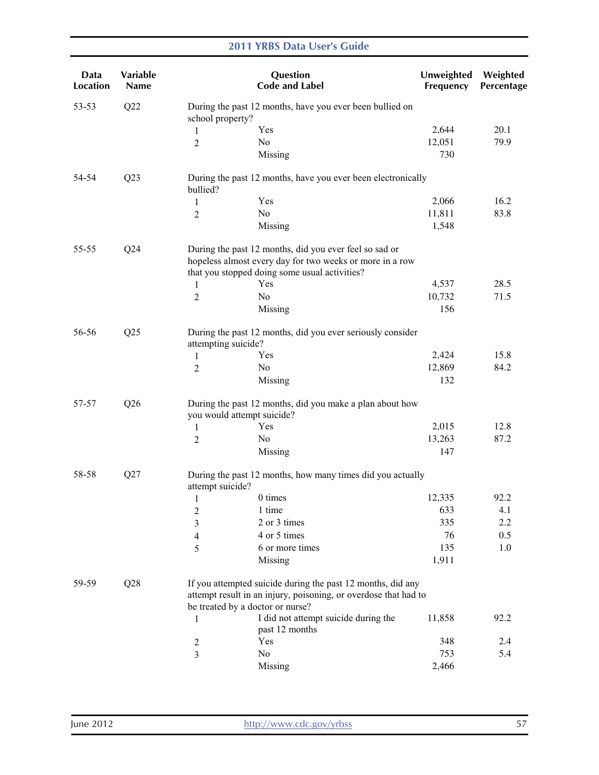| Data<br>Location | Variable<br><b>Name</b> |                                                                                   | Question<br><b>Code and Label</b>                                                                                                                                   | Unweighted<br>Frequency | Weighted<br>Percentage |  |
|------------------|-------------------------|-----------------------------------------------------------------------------------|---------------------------------------------------------------------------------------------------------------------------------------------------------------------|-------------------------|------------------------|--|
| 53-53            | Q22                     | school property?                                                                  | During the past 12 months, have you ever been bullied on                                                                                                            |                         |                        |  |
|                  |                         | 1                                                                                 | Yes                                                                                                                                                                 | 2,644                   | 20.1                   |  |
|                  |                         | 2                                                                                 | No                                                                                                                                                                  | 12,051                  | 79.9                   |  |
|                  |                         |                                                                                   | Missing                                                                                                                                                             | 730                     |                        |  |
| 54-54            | Q23                     | bullied?                                                                          | During the past 12 months, have you ever been electronically                                                                                                        |                         |                        |  |
|                  |                         | $\mathbf{1}$                                                                      | Yes                                                                                                                                                                 | 2,066                   | 16.2                   |  |
|                  |                         | $\overline{2}$                                                                    | No                                                                                                                                                                  | 11,811                  | 83.8                   |  |
|                  |                         |                                                                                   | Missing                                                                                                                                                             | 1,548                   |                        |  |
| 55-55            | Q24                     |                                                                                   | During the past 12 months, did you ever feel so sad or<br>hopeless almost every day for two weeks or more in a row<br>that you stopped doing some usual activities? |                         |                        |  |
|                  |                         | $\mathbf{1}$                                                                      | Yes                                                                                                                                                                 | 4,537                   | 28.5                   |  |
|                  |                         | 2                                                                                 | N <sub>0</sub>                                                                                                                                                      | 10,732                  | 71.5                   |  |
|                  |                         |                                                                                   | Missing                                                                                                                                                             | 156                     |                        |  |
| Q25<br>56-56     |                         | During the past 12 months, did you ever seriously consider<br>attempting suicide? |                                                                                                                                                                     |                         |                        |  |
|                  |                         | $\mathbf{1}$                                                                      | Yes                                                                                                                                                                 | 2,424                   | 15.8                   |  |
|                  |                         | $\overline{2}$                                                                    | N <sub>0</sub>                                                                                                                                                      | 12,869                  | 84.2                   |  |
|                  |                         |                                                                                   | Missing                                                                                                                                                             | 132                     |                        |  |
| Q26<br>57-57     |                         | you would attempt suicide?                                                        | During the past 12 months, did you make a plan about how                                                                                                            |                         |                        |  |
|                  |                         | $\mathbf{1}$                                                                      | Yes                                                                                                                                                                 | 2,015                   | 12.8                   |  |
|                  |                         | $\overline{c}$                                                                    | N <sub>0</sub>                                                                                                                                                      | 13,263                  | 87.2                   |  |
|                  |                         |                                                                                   | Missing                                                                                                                                                             | 147                     |                        |  |
| 58-58            | Q27                     | attempt suicide?                                                                  | During the past 12 months, how many times did you actually                                                                                                          |                         |                        |  |
|                  |                         | 1                                                                                 | 0 times                                                                                                                                                             | 12,335                  | 92.2                   |  |
|                  |                         | $\overline{c}$                                                                    | 1 time                                                                                                                                                              | 633                     | 4.1                    |  |
|                  |                         | 3                                                                                 | 2 or 3 times                                                                                                                                                        | 335                     | 2.2                    |  |
|                  |                         | 4                                                                                 | 4 or 5 times                                                                                                                                                        | 76                      | 0.5                    |  |
|                  |                         | 5                                                                                 | 6 or more times                                                                                                                                                     | 135                     | 1.0                    |  |
|                  |                         |                                                                                   | Missing                                                                                                                                                             | 1,911                   |                        |  |
| 59-59            | Q28                     |                                                                                   | If you attempted suicide during the past 12 months, did any<br>attempt result in an injury, poisoning, or overdose that had to<br>be treated by a doctor or nurse?  |                         |                        |  |
|                  |                         | 1                                                                                 | I did not attempt suicide during the<br>past 12 months                                                                                                              | 11,858                  | 92.2                   |  |
|                  |                         | 2                                                                                 | Yes                                                                                                                                                                 | 348                     | 2.4                    |  |
|                  |                         | 3                                                                                 | No                                                                                                                                                                  | 753                     | 5.4                    |  |
|                  |                         |                                                                                   | Missing                                                                                                                                                             | 2,466                   |                        |  |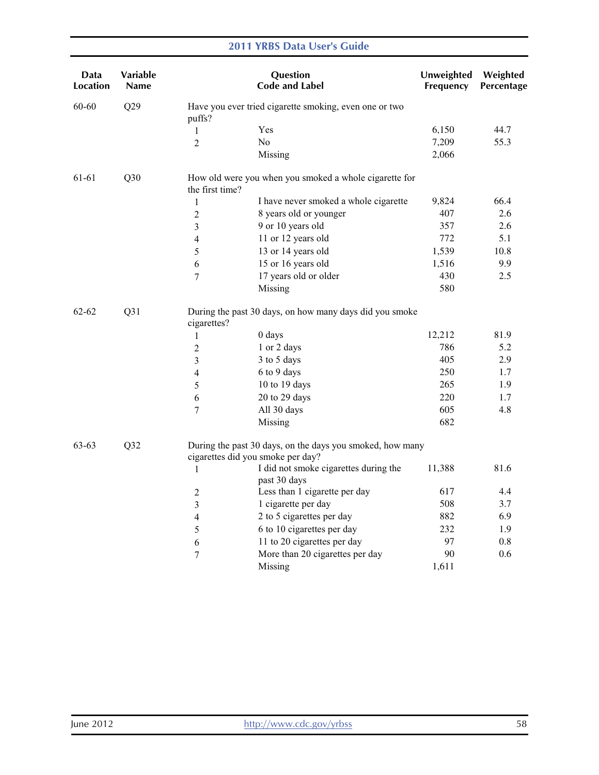| Data<br>Location | <b>Variable</b><br>Name |                                   | Question<br><b>Code and Label</b>                         | Unweighted<br>Frequency | Weighted<br>Percentage |
|------------------|-------------------------|-----------------------------------|-----------------------------------------------------------|-------------------------|------------------------|
| 60-60            | Q29                     | puffs?                            | Have you ever tried cigarette smoking, even one or two    |                         |                        |
|                  |                         | 1                                 | Yes                                                       | 6,150                   | 44.7                   |
|                  |                         | $\overline{2}$                    | No                                                        | 7,209                   | 55.3                   |
|                  |                         |                                   | Missing                                                   | 2,066                   |                        |
| 61-61            | Q30                     | the first time?                   | How old were you when you smoked a whole cigarette for    |                         |                        |
|                  |                         | 1                                 | I have never smoked a whole cigarette                     | 9,824                   | 66.4                   |
|                  |                         | $\overline{2}$                    | 8 years old or younger                                    | 407                     | 2.6                    |
|                  |                         | 3                                 | 9 or 10 years old                                         | 357                     | 2.6                    |
|                  |                         | 4                                 | 11 or 12 years old                                        | 772                     | 5.1                    |
|                  |                         | 5                                 | 13 or 14 years old                                        | 1,539                   | 10.8                   |
|                  |                         | $\sqrt{6}$                        | 15 or 16 years old                                        | 1,516                   | 9.9                    |
|                  |                         | $\tau$                            | 17 years old or older                                     | 430                     | 2.5                    |
|                  |                         |                                   | Missing                                                   | 580                     |                        |
| $62 - 62$<br>Q31 |                         | cigarettes?                       | During the past 30 days, on how many days did you smoke   |                         |                        |
|                  |                         | 1                                 | 0 days                                                    | 12,212                  | 81.9                   |
|                  |                         | $\overline{2}$                    | 1 or 2 days                                               | 786                     | 5.2                    |
|                  |                         | $\mathfrak{Z}$                    | 3 to 5 days                                               | 405                     | 2.9                    |
|                  |                         | 4                                 | 6 to 9 days                                               | 250                     | 1.7                    |
|                  |                         | 5                                 | 10 to 19 days                                             | 265                     | 1.9                    |
|                  |                         | 6                                 | 20 to 29 days                                             | 220                     | 1.7                    |
|                  |                         | $\tau$                            | All 30 days                                               | 605                     | 4.8                    |
|                  |                         |                                   | Missing                                                   | 682                     |                        |
| 63-63            | Q32                     | cigarettes did you smoke per day? | During the past 30 days, on the days you smoked, how many |                         |                        |
|                  |                         | $\mathbf{1}$                      | I did not smoke cigarettes during the<br>past 30 days     | 11,388                  | 81.6                   |
|                  |                         | $\overline{2}$                    | Less than 1 cigarette per day                             | 617                     | 4.4                    |
|                  |                         | 3                                 | 1 cigarette per day                                       | 508                     | 3.7                    |
|                  |                         | 4                                 | 2 to 5 cigarettes per day                                 | 882                     | 6.9                    |
|                  |                         | 5                                 | 6 to 10 cigarettes per day                                | 232                     | 1.9                    |
|                  |                         | 6                                 | 11 to 20 cigarettes per day                               | 97                      | 0.8                    |
|                  |                         | 7                                 | More than 20 cigarettes per day                           | 90                      | 0.6                    |
|                  |                         |                                   | Missing                                                   | 1,611                   |                        |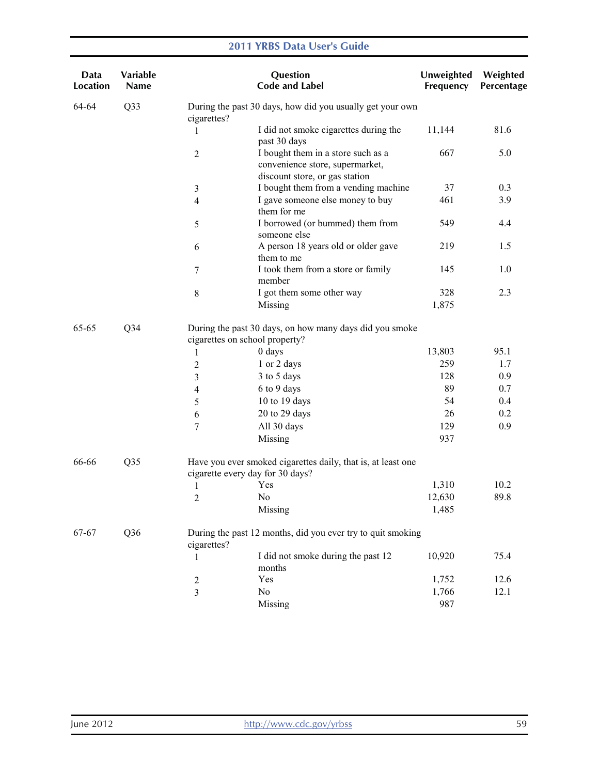| Data<br>Location | Variable<br><b>Name</b> |                                  | Question<br><b>Code and Label</b>                                                                       | Unweighted<br>Frequency | Weighted<br>Percentage |
|------------------|-------------------------|----------------------------------|---------------------------------------------------------------------------------------------------------|-------------------------|------------------------|
| 64-64            | Q33                     | cigarettes?                      | During the past 30 days, how did you usually get your own                                               |                         |                        |
|                  |                         | 1                                | I did not smoke cigarettes during the<br>past 30 days                                                   | 11,144                  | 81.6                   |
|                  |                         | $\overline{2}$                   | I bought them in a store such as a<br>convenience store, supermarket,<br>discount store, or gas station | 667                     | 5.0                    |
|                  |                         | $\mathfrak{Z}$                   | I bought them from a vending machine                                                                    | 37                      | 0.3                    |
|                  |                         | $\overline{4}$                   | I gave someone else money to buy<br>them for me                                                         | 461                     | 3.9                    |
|                  |                         | 5                                | I borrowed (or bummed) them from<br>someone else                                                        | 549                     | 4.4                    |
|                  |                         | 6                                | A person 18 years old or older gave<br>them to me                                                       | 219                     | 1.5                    |
|                  |                         | $\tau$                           | I took them from a store or family<br>member                                                            | 145                     | 1.0                    |
|                  |                         | 8                                | I got them some other way                                                                               | 328                     | 2.3                    |
|                  |                         |                                  | Missing                                                                                                 | 1,875                   |                        |
| 65-65            | Q <sub>34</sub>         | cigarettes on school property?   | During the past 30 days, on how many days did you smoke                                                 |                         |                        |
|                  |                         | 1                                | 0 days                                                                                                  | 13,803                  | 95.1                   |
|                  |                         | $\boldsymbol{2}$                 | 1 or 2 days                                                                                             | 259                     | 1.7                    |
|                  |                         | 3                                | 3 to 5 days                                                                                             | 128                     | 0.9                    |
|                  |                         | $\overline{4}$                   | 6 to 9 days                                                                                             | 89                      | 0.7                    |
|                  |                         | 5                                | 10 to 19 days                                                                                           | 54                      | 0.4                    |
|                  |                         | 6                                | 20 to 29 days                                                                                           | 26                      | 0.2                    |
|                  |                         | 7                                | All 30 days                                                                                             | 129                     | 0.9                    |
|                  |                         |                                  | Missing                                                                                                 | 937                     |                        |
| 66-66            | Q <sub>35</sub>         | cigarette every day for 30 days? | Have you ever smoked cigarettes daily, that is, at least one                                            |                         |                        |
|                  |                         | 1                                | Yes                                                                                                     | 1,310                   | 10.2                   |
|                  |                         | $\overline{c}$                   | No                                                                                                      | 12,630                  | 89.8                   |
|                  |                         |                                  | Missing                                                                                                 | 1,485                   |                        |
| 67-67            | Q <sub>36</sub>         | cigarettes?                      | During the past 12 months, did you ever try to quit smoking                                             |                         |                        |
|                  |                         | 1                                | I did not smoke during the past 12<br>months                                                            | 10,920                  | 75.4                   |
|                  |                         | $\overline{c}$                   | Yes                                                                                                     | 1,752                   | 12.6                   |
|                  |                         | 3                                | No                                                                                                      | 1,766                   | 12.1                   |
|                  |                         |                                  | Missing                                                                                                 | 987                     |                        |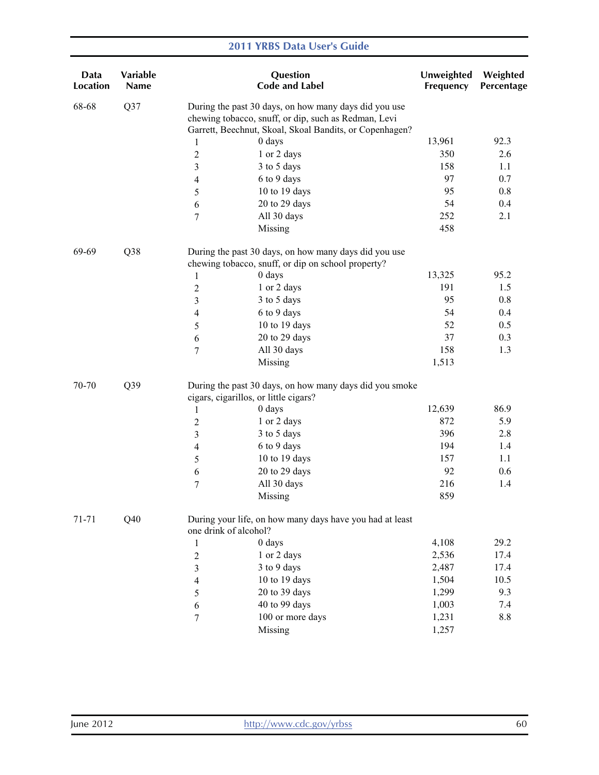| Data<br>Location | Variable<br>Name |                                       | Question<br><b>Code and Label</b>                                                                                                                                        | Unweighted<br>Frequency | Weighted<br>Percentage |
|------------------|------------------|---------------------------------------|--------------------------------------------------------------------------------------------------------------------------------------------------------------------------|-------------------------|------------------------|
| 68-68            | Q37              |                                       | During the past 30 days, on how many days did you use<br>chewing tobacco, snuff, or dip, such as Redman, Levi<br>Garrett, Beechnut, Skoal, Skoal Bandits, or Copenhagen? |                         |                        |
|                  |                  | 1                                     | 0 days                                                                                                                                                                   | 13,961                  | 92.3                   |
|                  |                  | $\overline{2}$                        | 1 or 2 days                                                                                                                                                              | 350                     | 2.6                    |
|                  |                  | 3                                     | 3 to 5 days                                                                                                                                                              | 158                     | 1.1                    |
|                  |                  | 4                                     | 6 to 9 days                                                                                                                                                              | 97                      | 0.7                    |
|                  |                  | 5                                     | 10 to 19 days                                                                                                                                                            | 95                      | 0.8                    |
|                  |                  | 6                                     | 20 to 29 days                                                                                                                                                            | 54                      | 0.4                    |
|                  |                  | $\boldsymbol{7}$                      | All 30 days                                                                                                                                                              | 252                     | 2.1                    |
|                  |                  |                                       | Missing                                                                                                                                                                  | 458                     |                        |
| 69-69            | Q <sub>38</sub>  |                                       | During the past 30 days, on how many days did you use<br>chewing tobacco, snuff, or dip on school property?                                                              |                         |                        |
|                  |                  | $\mathbf{1}$                          | 0 days                                                                                                                                                                   | 13,325                  | 95.2                   |
|                  |                  | $\overline{c}$                        | 1 or 2 days                                                                                                                                                              | 191                     | 1.5                    |
|                  |                  | 3                                     | 3 to 5 days                                                                                                                                                              | 95                      | 0.8                    |
|                  |                  | 4                                     | 6 to 9 days                                                                                                                                                              | 54                      | 0.4                    |
|                  |                  | 5                                     | 10 to 19 days                                                                                                                                                            | 52                      | 0.5                    |
|                  |                  | 6                                     | 20 to 29 days                                                                                                                                                            | 37                      | 0.3                    |
|                  |                  | 7                                     | All 30 days                                                                                                                                                              | 158                     | 1.3                    |
|                  |                  |                                       | Missing                                                                                                                                                                  | 1,513                   |                        |
| 70-70            | Q39              | cigars, cigarillos, or little cigars? | During the past 30 days, on how many days did you smoke                                                                                                                  |                         |                        |
|                  |                  | 1                                     | 0 days                                                                                                                                                                   | 12,639                  | 86.9                   |
|                  |                  | $\boldsymbol{2}$                      | 1 or 2 days                                                                                                                                                              | 872                     | 5.9                    |
|                  |                  | 3                                     | 3 to 5 days                                                                                                                                                              | 396                     | 2.8                    |
|                  |                  | 4                                     | 6 to 9 days                                                                                                                                                              | 194                     | 1.4                    |
|                  |                  | 5                                     | 10 to 19 days                                                                                                                                                            | 157                     | 1.1                    |
|                  |                  | 6                                     | 20 to 29 days                                                                                                                                                            | 92                      | 0.6                    |
|                  |                  | $\tau$                                | All 30 days                                                                                                                                                              | 216                     | 1.4                    |
|                  |                  |                                       | Missing                                                                                                                                                                  | 859                     |                        |
| 71-71            | Q40              | one drink of alcohol?                 | During your life, on how many days have you had at least                                                                                                                 |                         |                        |
|                  |                  | $\mathbf{1}$                          | 0 days                                                                                                                                                                   | 4,108                   | 29.2                   |
|                  |                  | $\overline{c}$                        | 1 or 2 days                                                                                                                                                              | 2,536                   | 17.4                   |
|                  |                  | 3                                     | 3 to 9 days                                                                                                                                                              | 2,487                   | 17.4                   |
|                  |                  | 4                                     | 10 to 19 days                                                                                                                                                            | 1,504                   | 10.5                   |
|                  |                  | 5                                     | 20 to 39 days                                                                                                                                                            | 1,299                   | 9.3                    |
|                  |                  | 6                                     | 40 to 99 days                                                                                                                                                            | 1,003                   | 7.4                    |
|                  |                  | 7                                     | 100 or more days                                                                                                                                                         | 1,231                   | 8.8                    |
|                  |                  |                                       | Missing                                                                                                                                                                  | 1,257                   |                        |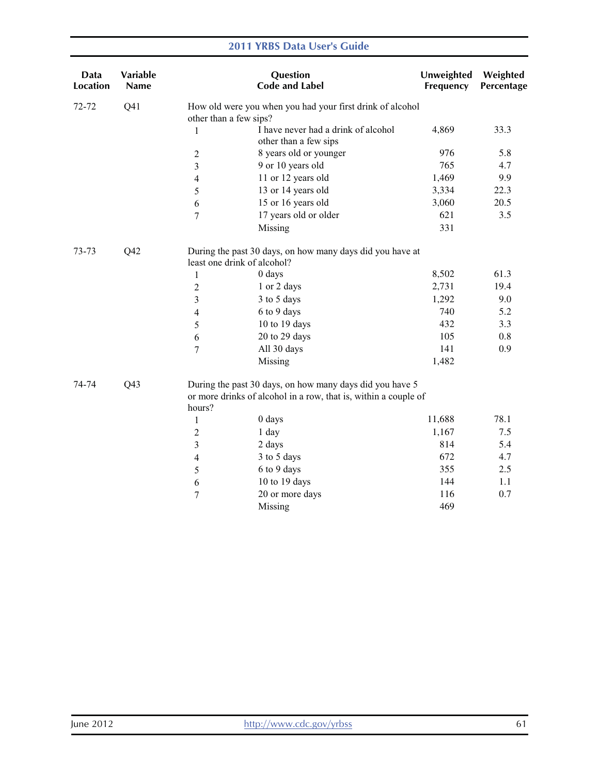| Data<br><b>Location</b>  | Variable<br>Name |                             | Question<br><b>Code and Label</b>                                                                                           | Unweighted<br>Frequency | Weighted<br>Percentage |
|--------------------------|------------------|-----------------------------|-----------------------------------------------------------------------------------------------------------------------------|-------------------------|------------------------|
| 72-72                    | Q <sub>41</sub>  | other than a few sips?      | How old were you when you had your first drink of alcohol                                                                   |                         |                        |
|                          |                  | 1                           | I have never had a drink of alcohol<br>other than a few sips                                                                | 4,869                   | 33.3                   |
|                          |                  | $\sqrt{2}$                  | 8 years old or younger                                                                                                      | 976                     | 5.8                    |
|                          |                  | 3                           | 9 or 10 years old                                                                                                           | 765                     | 4.7                    |
|                          |                  | $\overline{4}$              | 11 or 12 years old                                                                                                          | 1,469                   | 9.9                    |
|                          |                  | 5                           | 13 or 14 years old                                                                                                          | 3,334                   | 22.3                   |
|                          |                  | 6                           | 15 or 16 years old                                                                                                          | 3,060                   | 20.5                   |
|                          |                  | $\tau$                      | 17 years old or older                                                                                                       | 621                     | 3.5                    |
|                          |                  |                             | Missing                                                                                                                     | 331                     |                        |
| 73-73                    | Q42              | least one drink of alcohol? | During the past 30 days, on how many days did you have at                                                                   |                         |                        |
|                          |                  | 1                           | 0 days                                                                                                                      | 8,502                   | 61.3                   |
|                          |                  | $\overline{2}$              | 1 or 2 days                                                                                                                 | 2,731                   | 19.4                   |
|                          |                  | 3                           | 3 to 5 days                                                                                                                 | 1,292                   | 9.0                    |
|                          |                  | 4                           | 6 to 9 days                                                                                                                 | 740                     | 5.2                    |
|                          |                  | 5                           | 10 to 19 days                                                                                                               | 432                     | 3.3                    |
|                          |                  | 6                           | 20 to 29 days                                                                                                               | 105                     | 0.8                    |
|                          |                  | 7                           | All 30 days                                                                                                                 | 141                     | 0.9                    |
|                          |                  |                             | Missing                                                                                                                     | 1,482                   |                        |
| Q <sub>43</sub><br>74-74 |                  | hours?                      | During the past 30 days, on how many days did you have 5<br>or more drinks of alcohol in a row, that is, within a couple of |                         |                        |
|                          |                  | $\mathbf{1}$                | 0 days                                                                                                                      | 11,688                  | 78.1                   |
|                          |                  | $\overline{c}$              | 1 day                                                                                                                       | 1,167                   | 7.5                    |
|                          |                  | 3                           | 2 days                                                                                                                      | 814                     | 5.4                    |
|                          |                  | 4                           | 3 to 5 days                                                                                                                 | 672                     | 4.7                    |
|                          |                  | 5                           | 6 to 9 days                                                                                                                 | 355                     | 2.5                    |
|                          |                  | 6                           | 10 to 19 days                                                                                                               | 144                     | 1.1                    |
|                          |                  | $\overline{7}$              | 20 or more days                                                                                                             | 116                     | 0.7                    |
|                          |                  |                             | Missing                                                                                                                     | 469                     |                        |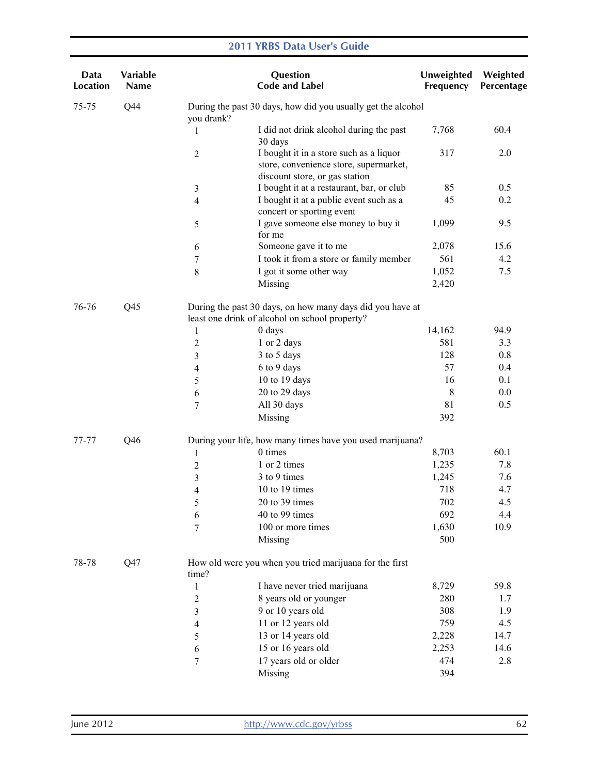| Data<br><b>Location</b> | Variable<br>Name |                | Question<br><b>Code and Label</b>                                                                                   | Unweighted<br>Frequency | Weighted<br>Percentage |
|-------------------------|------------------|----------------|---------------------------------------------------------------------------------------------------------------------|-------------------------|------------------------|
| 75-75                   | Q44              | you drank?     | During the past 30 days, how did you usually get the alcohol                                                        |                         |                        |
|                         |                  | 1              | I did not drink alcohol during the past<br>30 days                                                                  | 7,768                   | 60.4                   |
|                         |                  | $\overline{2}$ | I bought it in a store such as a liquor<br>store, convenience store, supermarket,<br>discount store, or gas station | 317                     | 2.0                    |
|                         |                  | 3              | I bought it at a restaurant, bar, or club                                                                           | 85                      | 0.5                    |
|                         |                  | 4              | I bought it at a public event such as a<br>concert or sporting event                                                | 45                      | 0.2                    |
|                         |                  | 5<br>for me    | I gave someone else money to buy it                                                                                 | 1,099                   | 9.5                    |
|                         |                  | 6              | Someone gave it to me                                                                                               | 2,078                   | 15.6                   |
|                         |                  | 7              | I took it from a store or family member                                                                             | 561                     | 4.2                    |
|                         |                  | $\,$ 8 $\,$    | I got it some other way                                                                                             | 1,052                   | 7.5                    |
|                         |                  |                | Missing                                                                                                             | 2,420                   |                        |
| 76-76                   | Q <sub>45</sub>  |                | During the past 30 days, on how many days did you have at<br>least one drink of alcohol on school property?         |                         |                        |
|                         |                  | 0 days<br>1    |                                                                                                                     | 14,162                  | 94.9                   |
|                         |                  | 2              | 1 or 2 days                                                                                                         | 581                     | 3.3                    |
|                         |                  | 3              | 3 to 5 days                                                                                                         | 128                     | 0.8                    |
|                         |                  | 4              | 6 to 9 days                                                                                                         | 57                      | 0.4                    |
|                         |                  | 5              | 10 to 19 days                                                                                                       | 16                      | 0.1                    |
|                         |                  | 6              | 20 to 29 days                                                                                                       | 8                       | 0.0                    |
|                         |                  | 7              | All 30 days                                                                                                         | 81                      | 0.5                    |
|                         |                  |                | Missing                                                                                                             | 392                     |                        |
| 77-77                   | Q46              |                | During your life, how many times have you used marijuana?                                                           |                         |                        |
|                         |                  | 1              | 0 times                                                                                                             | 8,703                   | 60.1                   |
|                         |                  | $\overline{c}$ | 1 or 2 times                                                                                                        | 1,235                   | 7.8                    |
|                         |                  | 3              | 3 to 9 times                                                                                                        | 1,245                   | 7.6                    |
|                         |                  | 4              | 10 to 19 times                                                                                                      | 718                     | 4.7                    |
|                         |                  | 5              | 20 to 39 times                                                                                                      | 702                     | 4.5                    |
|                         |                  | 6              | 40 to 99 times                                                                                                      | 692                     | 4.4                    |
|                         |                  | 7              | 100 or more times                                                                                                   | 1,630                   | 10.9                   |
|                         |                  |                | Missing                                                                                                             | 500                     |                        |
| 78-78                   | Q <sub>47</sub>  | time?          | How old were you when you tried marijuana for the first                                                             |                         |                        |
|                         |                  | $\mathbf{1}$   | I have never tried marijuana                                                                                        | 8,729                   | 59.8                   |
|                         |                  | $\overline{c}$ | 8 years old or younger                                                                                              | 280                     | 1.7                    |
|                         |                  | 3              | 9 or 10 years old                                                                                                   | 308                     | 1.9                    |
|                         |                  | 4              | 11 or 12 years old                                                                                                  | 759                     | 4.5                    |
|                         |                  | 5              | 13 or 14 years old                                                                                                  | 2,228                   | 14.7                   |
|                         |                  | 6              | 15 or 16 years old                                                                                                  | 2,253                   | 14.6                   |
|                         |                  | 7              | 17 years old or older                                                                                               | 474                     | 2.8                    |
|                         |                  |                | Missing                                                                                                             | 394                     |                        |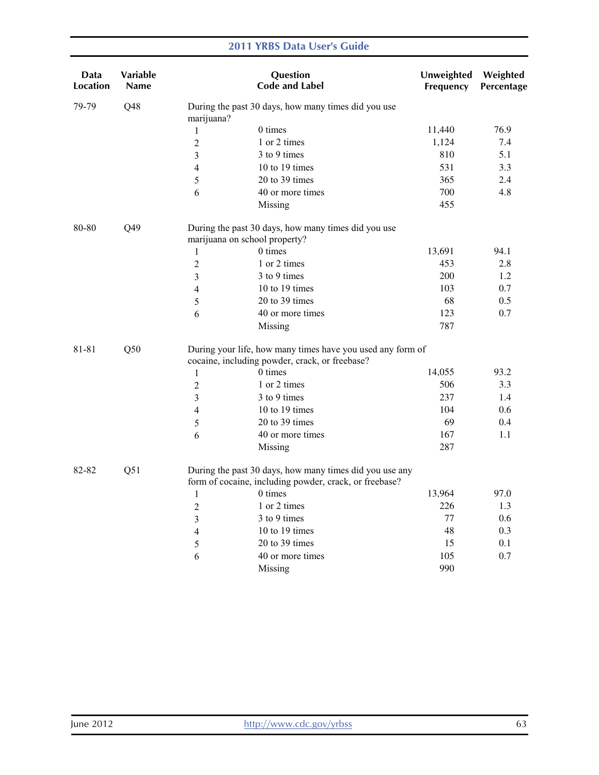| Data<br>Location | <b>Variable</b><br><b>Name</b> |                         | Question<br><b>Code and Label</b>                                                                                 | Unweighted<br>Frequency | Weighted<br>Percentage |
|------------------|--------------------------------|-------------------------|-------------------------------------------------------------------------------------------------------------------|-------------------------|------------------------|
| 79-79            | Q48                            | marijuana?              | During the past 30 days, how many times did you use                                                               |                         |                        |
|                  |                                | 1                       | 0 times                                                                                                           | 11,440                  | 76.9                   |
|                  |                                | $\overline{2}$          | 1 or 2 times                                                                                                      | 1,124                   | 7.4                    |
|                  |                                | 3                       | 3 to 9 times                                                                                                      | 810                     | 5.1                    |
|                  |                                | $\overline{4}$          | 10 to 19 times                                                                                                    | 531                     | 3.3                    |
|                  |                                | $\mathfrak{S}$          | 20 to 39 times                                                                                                    | 365                     | 2.4                    |
|                  |                                | 6                       | 40 or more times                                                                                                  | 700                     | 4.8                    |
|                  |                                |                         | Missing                                                                                                           | 455                     |                        |
| 80-80            | Q49                            |                         | During the past 30 days, how many times did you use<br>marijuana on school property?                              |                         |                        |
|                  |                                | 1                       | 0 times                                                                                                           | 13,691                  | 94.1                   |
|                  |                                | $\overline{2}$          | 1 or 2 times                                                                                                      | 453                     | 2.8                    |
|                  |                                | $\overline{\mathbf{3}}$ | 3 to 9 times                                                                                                      | 200                     | 1.2                    |
|                  |                                | 4                       | 10 to 19 times                                                                                                    | 103                     | 0.7                    |
|                  |                                | 5                       | 20 to 39 times                                                                                                    | 68                      | 0.5                    |
|                  |                                | 6                       | 40 or more times                                                                                                  | 123                     | 0.7                    |
|                  |                                |                         | Missing                                                                                                           | 787                     |                        |
| 81-81            | Q50                            |                         | During your life, how many times have you used any form of<br>cocaine, including powder, crack, or freebase?      |                         |                        |
|                  |                                | 1                       | 0 times                                                                                                           | 14,055                  | 93.2                   |
|                  |                                | $\overline{2}$          | 1 or 2 times                                                                                                      | 506                     | 3.3                    |
|                  |                                | 3                       | 3 to 9 times                                                                                                      | 237                     | 1.4                    |
|                  |                                | $\overline{4}$          | 10 to 19 times                                                                                                    | 104                     | 0.6                    |
|                  |                                | 5                       | 20 to 39 times                                                                                                    | 69                      | 0.4                    |
|                  |                                | 6                       | 40 or more times                                                                                                  | 167                     | 1.1                    |
|                  |                                |                         | Missing                                                                                                           | 287                     |                        |
| 82-82            | Q51                            |                         | During the past 30 days, how many times did you use any<br>form of cocaine, including powder, crack, or freebase? |                         |                        |
|                  |                                | $\mathbf{1}$            | 0 times                                                                                                           | 13,964                  | 97.0                   |
|                  |                                | $\overline{2}$          | 1 or 2 times                                                                                                      | 226                     | 1.3                    |
|                  |                                | 3                       | 3 to 9 times                                                                                                      | 77                      | 0.6                    |
|                  |                                | 4                       | 10 to 19 times                                                                                                    | 48                      | 0.3                    |
|                  |                                | 5                       | 20 to 39 times                                                                                                    | 15                      | 0.1                    |
|                  |                                | 6                       | 40 or more times                                                                                                  | 105                     | 0.7                    |
|                  |                                |                         | Missing                                                                                                           | 990                     |                        |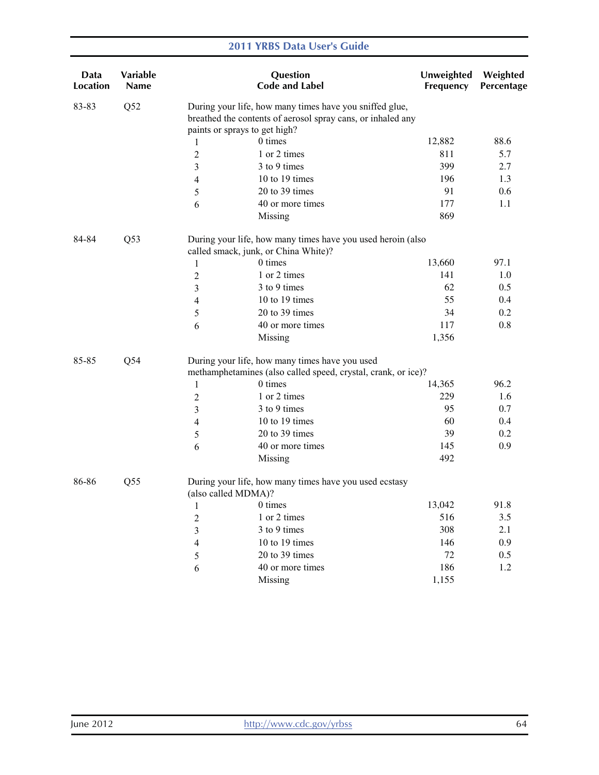| Data<br><b>Location</b> | Variable<br>Name |                               | Question<br><b>Code and Label</b>                                                                                      | Unweighted<br>Frequency | Weighted<br>Percentage |
|-------------------------|------------------|-------------------------------|------------------------------------------------------------------------------------------------------------------------|-------------------------|------------------------|
| 83-83                   | Q52              |                               | During your life, how many times have you sniffed glue,<br>breathed the contents of aerosol spray cans, or inhaled any |                         |                        |
|                         |                  | paints or sprays to get high? |                                                                                                                        |                         |                        |
|                         |                  | 1                             | 0 times                                                                                                                | 12,882                  | 88.6                   |
|                         |                  | $\overline{2}$                | 1 or 2 times                                                                                                           | 811                     | 5.7                    |
|                         |                  | 3                             | 3 to 9 times                                                                                                           | 399                     | 2.7                    |
|                         |                  | 4                             | 10 to 19 times                                                                                                         | 196                     | 1.3                    |
|                         |                  | 5                             | 20 to 39 times                                                                                                         | 91                      | 0.6                    |
|                         |                  | 6                             | 40 or more times                                                                                                       | 177                     | 1.1                    |
|                         |                  |                               | Missing                                                                                                                | 869                     |                        |
| 84-84                   | Q <sub>53</sub>  |                               | During your life, how many times have you used heroin (also                                                            |                         |                        |
|                         |                  |                               | called smack, junk, or China White)?                                                                                   |                         |                        |
|                         |                  | $\mathbf{1}$                  | 0 times                                                                                                                | 13,660                  | 97.1                   |
|                         |                  | $\boldsymbol{2}$              | 1 or 2 times                                                                                                           | 141                     | 1.0                    |
|                         |                  | 3                             | 3 to 9 times                                                                                                           | 62                      | 0.5                    |
|                         |                  | 4                             | 10 to 19 times                                                                                                         | 55                      | 0.4                    |
|                         |                  | 5                             | 20 to 39 times                                                                                                         | 34                      | 0.2                    |
|                         |                  | 6                             | 40 or more times                                                                                                       | 117                     | 0.8                    |
|                         |                  |                               | Missing                                                                                                                | 1,356                   |                        |
| 85-85                   | Q54              |                               | During your life, how many times have you used                                                                         |                         |                        |
|                         |                  |                               | methamphetamines (also called speed, crystal, crank, or ice)?                                                          |                         |                        |
|                         |                  | $\mathbf{1}$                  | 0 times                                                                                                                | 14,365                  | 96.2                   |
|                         |                  | $\boldsymbol{2}$              | 1 or 2 times                                                                                                           | 229                     | 1.6                    |
|                         |                  | 3                             | 3 to 9 times                                                                                                           | 95                      | 0.7                    |
|                         |                  | $\overline{4}$                | 10 to 19 times                                                                                                         | 60                      | 0.4                    |
|                         |                  | 5                             | 20 to 39 times                                                                                                         | 39                      | 0.2                    |
|                         |                  | 6                             | 40 or more times                                                                                                       | 145                     | 0.9                    |
|                         |                  |                               | Missing                                                                                                                | 492                     |                        |
| 86-86                   | Q <sub>55</sub>  | (also called MDMA)?           | During your life, how many times have you used ecstasy                                                                 |                         |                        |
|                         |                  | 1 0 times                     |                                                                                                                        | 13,042                  | 91.8                   |
|                         |                  | $\overline{c}$                | 1 or 2 times                                                                                                           | 516                     | 3.5                    |
|                         |                  | 3                             | 3 to 9 times                                                                                                           | 308                     | 2.1                    |
|                         |                  | 4                             | 10 to 19 times                                                                                                         | 146                     | 0.9                    |
|                         |                  | 5                             | 20 to 39 times                                                                                                         | 72                      | 0.5                    |
|                         |                  | 6                             | 40 or more times                                                                                                       | 186                     | 1.2                    |
|                         |                  |                               | Missing                                                                                                                | 1,155                   |                        |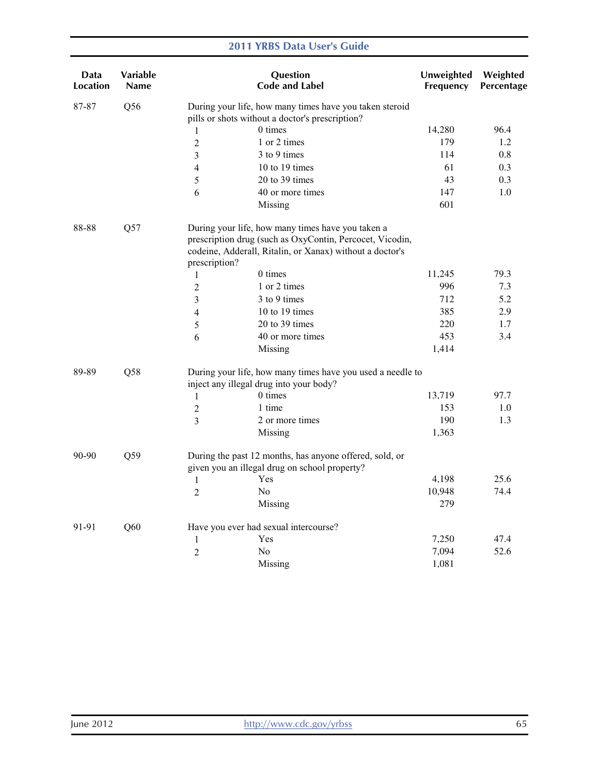| Data<br>Location | <b>Variable</b><br>Name |                | Question<br><b>Code and Label</b>                                                                                                                                         | Unweighted<br>Frequency | Weighted<br>Percentage |
|------------------|-------------------------|----------------|---------------------------------------------------------------------------------------------------------------------------------------------------------------------------|-------------------------|------------------------|
| 87-87            | Q56                     |                | During your life, how many times have you taken steroid<br>pills or shots without a doctor's prescription?                                                                |                         |                        |
|                  |                         | 1              | 0 times                                                                                                                                                                   | 14,280                  | 96.4                   |
|                  |                         | $\overline{2}$ | 1 or 2 times                                                                                                                                                              | 179                     | 1.2                    |
|                  |                         | 3              | 3 to 9 times                                                                                                                                                              | 114                     | 0.8                    |
|                  |                         | 4              | 10 to 19 times                                                                                                                                                            | 61                      | 0.3                    |
|                  |                         | 5              | 20 to 39 times                                                                                                                                                            | 43                      | 0.3                    |
|                  |                         | 6              | 40 or more times                                                                                                                                                          | 147                     | 1.0                    |
|                  |                         |                | Missing                                                                                                                                                                   | 601                     |                        |
| 88-88            | Q57                     | prescription?  | During your life, how many times have you taken a<br>prescription drug (such as OxyContin, Percocet, Vicodin,<br>codeine, Adderall, Ritalin, or Xanax) without a doctor's |                         |                        |
|                  |                         | 1              | $0 \times$                                                                                                                                                                | 11,245                  | 79.3                   |
|                  |                         | $\overline{2}$ | 1 or 2 times                                                                                                                                                              | 996                     | 7.3                    |
|                  |                         | 3              | 3 to 9 times                                                                                                                                                              | 712                     | 5.2                    |
|                  |                         | 4              | 10 to 19 times                                                                                                                                                            | 385                     | 2.9                    |
|                  |                         | 5              | 20 to 39 times                                                                                                                                                            | 220                     | 1.7                    |
|                  |                         | 6              | 40 or more times                                                                                                                                                          | 453                     | 3.4                    |
|                  |                         |                | Missing                                                                                                                                                                   | 1,414                   |                        |
| 89-89            | Q58                     |                | During your life, how many times have you used a needle to<br>inject any illegal drug into your body?                                                                     |                         |                        |
|                  |                         | 1              | 0 times                                                                                                                                                                   | 13,719                  | 97.7                   |
|                  |                         | $\overline{2}$ | 1 time                                                                                                                                                                    | 153                     | 1.0                    |
|                  |                         | 3              | 2 or more times                                                                                                                                                           | 190                     | 1.3                    |
|                  |                         |                | Missing                                                                                                                                                                   | 1,363                   |                        |
| 90-90            | Q59                     |                | During the past 12 months, has anyone offered, sold, or<br>given you an illegal drug on school property?                                                                  |                         |                        |
|                  |                         | $\mathbf{1}$   | Yes                                                                                                                                                                       | 4,198                   | 25.6                   |
|                  |                         | $\overline{2}$ | N <sub>0</sub>                                                                                                                                                            | 10,948                  | 74.4                   |
|                  |                         |                | Missing                                                                                                                                                                   | 279                     |                        |
| 91-91            | Q60                     |                | Have you ever had sexual intercourse?                                                                                                                                     |                         |                        |
|                  |                         | $\mathbf{1}$   | Yes                                                                                                                                                                       | 7,250                   | 47.4                   |
|                  |                         | $\overline{2}$ | No                                                                                                                                                                        | 7,094                   | 52.6                   |
|                  |                         |                | Missing                                                                                                                                                                   | 1,081                   |                        |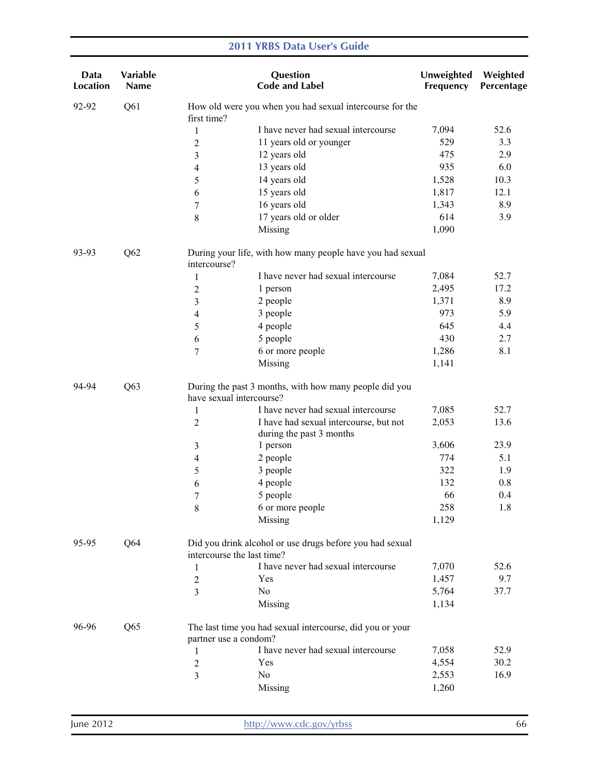| Data<br><b>Location</b> | Variable<br>Name                                                                              |                          | Question<br><b>Code and Label</b>                                  | Unweighted<br>Frequency | Weighted<br>Percentage |
|-------------------------|-----------------------------------------------------------------------------------------------|--------------------------|--------------------------------------------------------------------|-------------------------|------------------------|
| 92-92                   | Q <sub>61</sub>                                                                               | first time?              | How old were you when you had sexual intercourse for the           |                         |                        |
|                         |                                                                                               | 1                        | I have never had sexual intercourse                                | 7,094                   | 52.6                   |
|                         |                                                                                               | $\overline{2}$           | 11 years old or younger                                            | 529                     | 3.3                    |
|                         |                                                                                               | 3                        | 12 years old                                                       | 475                     | 2.9                    |
|                         |                                                                                               | 4                        | 13 years old                                                       | 935                     | 6.0                    |
|                         |                                                                                               | 5                        | 14 years old                                                       | 1,528                   | 10.3                   |
|                         |                                                                                               | 6                        | 15 years old                                                       | 1,817                   | 12.1                   |
|                         |                                                                                               | 7                        | 16 years old                                                       | 1,343                   | 8.9                    |
|                         |                                                                                               | $\,$ 8 $\,$              | 17 years old or older                                              | 614                     | 3.9                    |
|                         |                                                                                               |                          | Missing                                                            | 1,090                   |                        |
| 93-93                   | Q <sub>62</sub><br>During your life, with how many people have you had sexual<br>intercourse? |                          |                                                                    |                         |                        |
|                         |                                                                                               | 1                        | I have never had sexual intercourse                                | 7,084                   | 52.7                   |
|                         |                                                                                               | 2                        | 1 person                                                           | 2,495                   | 17.2                   |
|                         |                                                                                               | 3                        | 2 people                                                           | 1,371                   | 8.9                    |
|                         |                                                                                               | 4                        | 3 people                                                           | 973                     | 5.9                    |
|                         |                                                                                               | 5                        | 4 people                                                           | 645                     | 4.4                    |
|                         |                                                                                               | 6                        | 5 people                                                           | 430                     | 2.7                    |
|                         |                                                                                               | 7                        | 6 or more people                                                   | 1,286                   | 8.1                    |
|                         |                                                                                               |                          | Missing                                                            | 1,141                   |                        |
| 94-94                   | Q63                                                                                           | have sexual intercourse? | During the past 3 months, with how many people did you             |                         |                        |
|                         |                                                                                               | 1                        | I have never had sexual intercourse                                | 7,085                   | 52.7                   |
|                         |                                                                                               | $\overline{c}$           | I have had sexual intercourse, but not<br>during the past 3 months | 2,053                   | 13.6                   |
|                         |                                                                                               | 3                        | 1 person                                                           | 3,606                   | 23.9                   |
|                         |                                                                                               | $\overline{\mathcal{A}}$ | 2 people                                                           | 774                     | 5.1                    |
|                         |                                                                                               | 5                        | 3 people                                                           | 322                     | 1.9                    |
|                         |                                                                                               | 6                        | 4 people                                                           | 132                     | 0.8                    |
|                         |                                                                                               | $\boldsymbol{7}$         | 5 people                                                           | 66                      | 0.4                    |
|                         |                                                                                               | 8                        | 6 or more people                                                   | 258                     | 1.8                    |
|                         |                                                                                               |                          | Missing                                                            | 1,129                   |                        |
| 95-95                   | Q64<br>intercourse the last time?                                                             |                          | Did you drink alcohol or use drugs before you had sexual           |                         |                        |
|                         |                                                                                               | 1                        | I have never had sexual intercourse                                | 7,070                   | 52.6                   |
|                         |                                                                                               | $\mathbf{2}$             | Yes                                                                | 1,457                   | 9.7                    |
|                         |                                                                                               | 3                        | No                                                                 | 5,764                   | 37.7                   |
|                         |                                                                                               |                          | Missing                                                            | 1,134                   |                        |
| 96-96                   | Q65                                                                                           | partner use a condom?    | The last time you had sexual intercourse, did you or your          |                         |                        |
|                         |                                                                                               | 1                        | I have never had sexual intercourse                                | 7,058                   | 52.9                   |
|                         |                                                                                               | $\boldsymbol{2}$         | Yes                                                                | 4,554                   | 30.2                   |
|                         |                                                                                               | 3                        | No                                                                 | 2,553                   | 16.9                   |
|                         |                                                                                               |                          | Missing                                                            | 1,260                   |                        |
|                         |                                                                                               |                          |                                                                    |                         |                        |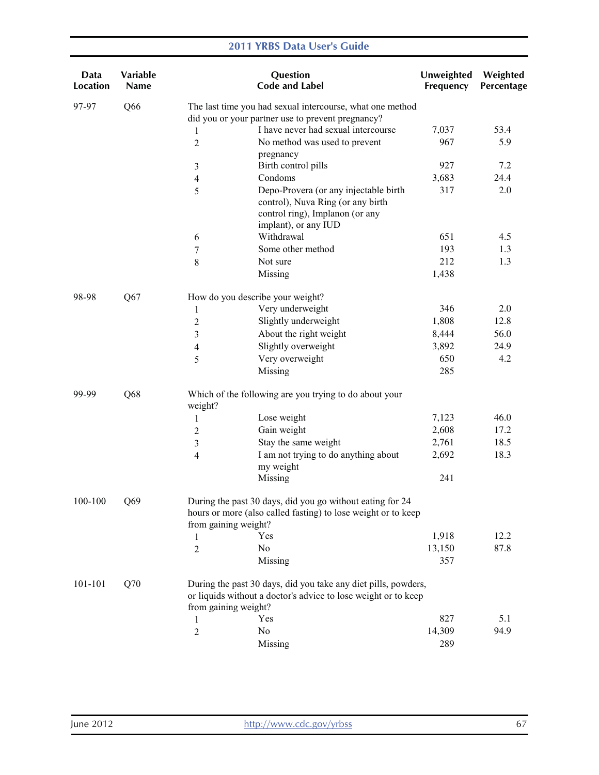| Data<br><b>Location</b> | Variable<br><b>Name</b> |                                                                                                                                                    | Question<br><b>Code and Label</b>                                                                                                | Unweighted<br>Frequency | Weighted<br>Percentage |
|-------------------------|-------------------------|----------------------------------------------------------------------------------------------------------------------------------------------------|----------------------------------------------------------------------------------------------------------------------------------|-------------------------|------------------------|
| 97-97                   | Q66                     |                                                                                                                                                    | The last time you had sexual intercourse, what one method                                                                        |                         |                        |
|                         |                         |                                                                                                                                                    | did you or your partner use to prevent pregnancy?                                                                                |                         |                        |
|                         |                         | 1                                                                                                                                                  | I have never had sexual intercourse                                                                                              | 7,037                   | 53.4                   |
|                         |                         | $\overline{2}$                                                                                                                                     | No method was used to prevent                                                                                                    | 967                     | 5.9                    |
|                         |                         |                                                                                                                                                    | pregnancy                                                                                                                        |                         |                        |
|                         |                         | $\mathfrak{Z}$                                                                                                                                     | Birth control pills                                                                                                              | 927                     | 7.2                    |
|                         |                         | $\overline{4}$                                                                                                                                     | Condoms                                                                                                                          | 3,683                   | 24.4                   |
|                         |                         | 5                                                                                                                                                  | Depo-Provera (or any injectable birth<br>control), Nuva Ring (or any birth<br>control ring), Implanon (or any                    | 317                     | 2.0                    |
|                         |                         |                                                                                                                                                    | implant), or any IUD                                                                                                             |                         |                        |
|                         |                         | 6                                                                                                                                                  | Withdrawal                                                                                                                       | 651                     | 4.5                    |
|                         |                         | 7                                                                                                                                                  | Some other method                                                                                                                | 193                     | 1.3                    |
|                         |                         | $\,8\,$                                                                                                                                            | Not sure                                                                                                                         | 212                     | 1.3                    |
|                         |                         |                                                                                                                                                    | Missing                                                                                                                          | 1,438                   |                        |
|                         |                         |                                                                                                                                                    |                                                                                                                                  |                         |                        |
| 98-98                   | Q67                     | How do you describe your weight?                                                                                                                   |                                                                                                                                  |                         |                        |
|                         |                         | 1                                                                                                                                                  | Very underweight                                                                                                                 | 346                     | 2.0                    |
|                         |                         | $\sqrt{2}$                                                                                                                                         | Slightly underweight                                                                                                             | 1,808                   | 12.8                   |
|                         |                         | 3                                                                                                                                                  | About the right weight                                                                                                           | 8,444                   | 56.0                   |
|                         |                         | $\overline{4}$                                                                                                                                     | Slightly overweight                                                                                                              | 3,892                   | 24.9                   |
|                         |                         | 5                                                                                                                                                  | Very overweight                                                                                                                  | 650                     | 4.2                    |
|                         |                         |                                                                                                                                                    | Missing                                                                                                                          | 285                     |                        |
| 99-99                   | Q68                     | weight?                                                                                                                                            | Which of the following are you trying to do about your                                                                           |                         |                        |
|                         |                         | $\mathbf{1}$                                                                                                                                       | Lose weight                                                                                                                      | 7,123                   | 46.0                   |
|                         |                         | $\overline{2}$                                                                                                                                     | Gain weight                                                                                                                      | 2,608                   | 17.2                   |
|                         |                         | 3                                                                                                                                                  | Stay the same weight                                                                                                             | 2,761                   | 18.5                   |
|                         |                         | $\overline{4}$                                                                                                                                     | I am not trying to do anything about                                                                                             | 2,692                   | 18.3                   |
|                         |                         |                                                                                                                                                    | my weight                                                                                                                        |                         |                        |
|                         |                         |                                                                                                                                                    | Missing                                                                                                                          | 241                     |                        |
| 100-100                 | Q69                     | During the past 30 days, did you go without eating for 24<br>hours or more (also called fasting) to lose weight or to keep<br>from gaining weight? |                                                                                                                                  |                         |                        |
|                         |                         | Yes<br>1                                                                                                                                           |                                                                                                                                  | 1,918                   | 12.2                   |
|                         |                         | No<br>$\overline{2}$                                                                                                                               |                                                                                                                                  | 13,150                  | 87.8                   |
|                         |                         |                                                                                                                                                    | Missing                                                                                                                          | 357                     |                        |
|                         |                         |                                                                                                                                                    |                                                                                                                                  |                         |                        |
| 101-101                 | Q70                     | from gaining weight?                                                                                                                               | During the past 30 days, did you take any diet pills, powders,<br>or liquids without a doctor's advice to lose weight or to keep |                         |                        |
|                         |                         | Yes<br>1                                                                                                                                           |                                                                                                                                  | 827                     | 5.1                    |
|                         |                         | No<br>$\overline{c}$                                                                                                                               |                                                                                                                                  | 14,309                  | 94.9                   |
|                         |                         |                                                                                                                                                    | Missing                                                                                                                          | 289                     |                        |
|                         |                         |                                                                                                                                                    |                                                                                                                                  |                         |                        |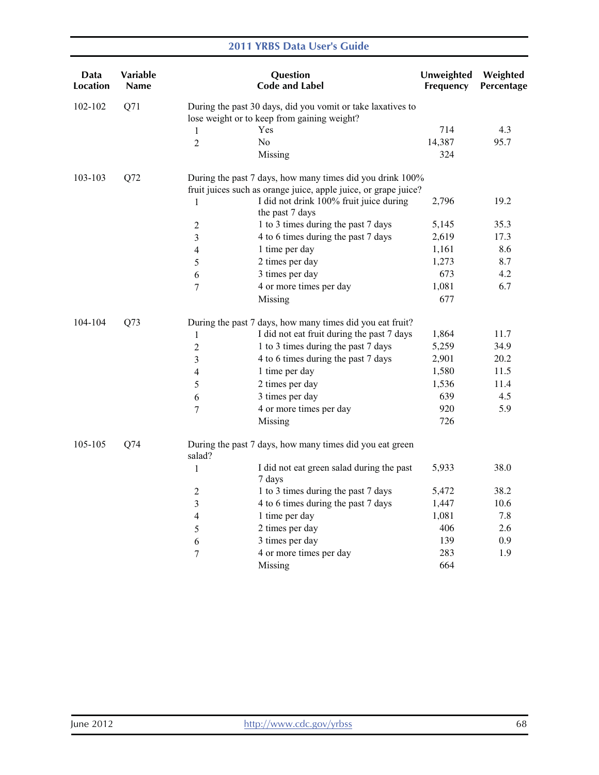| Data<br>Location | <b>Variable</b><br><b>Name</b> |                                                                                                                              | Question<br><b>Code and Label</b>                           | Unweighted<br>Frequency | Weighted<br>Percentage |
|------------------|--------------------------------|------------------------------------------------------------------------------------------------------------------------------|-------------------------------------------------------------|-------------------------|------------------------|
| 102-102          | Q71                            |                                                                                                                              | During the past 30 days, did you vomit or take laxatives to |                         |                        |
|                  |                                |                                                                                                                              | lose weight or to keep from gaining weight?                 |                         |                        |
|                  |                                | 1                                                                                                                            | Yes                                                         | 714                     | 4.3                    |
|                  |                                | $\overline{2}$                                                                                                               | N <sub>0</sub>                                              | 14,387                  | 95.7                   |
|                  |                                |                                                                                                                              | Missing                                                     | 324                     |                        |
| 103-103          | Q72                            | During the past 7 days, how many times did you drink 100%<br>fruit juices such as orange juice, apple juice, or grape juice? |                                                             |                         |                        |
|                  |                                | 1                                                                                                                            | I did not drink 100% fruit juice during<br>the past 7 days  | 2,796                   | 19.2                   |
|                  |                                | $\overline{2}$                                                                                                               | 1 to 3 times during the past 7 days                         | 5,145                   | 35.3                   |
|                  |                                | 3                                                                                                                            | 4 to 6 times during the past 7 days                         | 2,619                   | 17.3                   |
|                  |                                | 4                                                                                                                            | 1 time per day                                              | 1,161                   | 8.6                    |
|                  |                                | 5                                                                                                                            | 2 times per day                                             | 1,273                   | 8.7                    |
|                  |                                | 6                                                                                                                            | 3 times per day                                             | 673                     | 4.2                    |
|                  |                                | $\tau$                                                                                                                       | 4 or more times per day                                     | 1,081                   | 6.7                    |
|                  |                                |                                                                                                                              | Missing                                                     | 677                     |                        |
| 104-104          | Q73                            |                                                                                                                              | During the past 7 days, how many times did you eat fruit?   |                         |                        |
|                  |                                | $\mathbf{1}$                                                                                                                 | I did not eat fruit during the past 7 days                  | 1,864                   | 11.7                   |
|                  |                                | $\sqrt{2}$                                                                                                                   | 1 to 3 times during the past 7 days                         | 5,259                   | 34.9                   |
|                  |                                | 3                                                                                                                            | 4 to 6 times during the past 7 days                         | 2,901                   | 20.2                   |
|                  |                                | 4                                                                                                                            | 1 time per day                                              | 1,580                   | 11.5                   |
|                  |                                | 5                                                                                                                            | 2 times per day                                             | 1,536                   | 11.4                   |
|                  |                                | 6                                                                                                                            | 3 times per day                                             | 639                     | 4.5                    |
|                  |                                | $\overline{7}$                                                                                                               | 4 or more times per day                                     | 920                     | 5.9                    |
|                  |                                |                                                                                                                              | Missing                                                     | 726                     |                        |
| 105-105          | Q74                            | salad?                                                                                                                       | During the past 7 days, how many times did you eat green    |                         |                        |
|                  |                                | $\mathbf{1}$                                                                                                                 | I did not eat green salad during the past<br>7 days         | 5,933                   | 38.0                   |
|                  |                                | $\overline{2}$                                                                                                               | 1 to 3 times during the past 7 days                         | 5,472                   | 38.2                   |
|                  |                                | $\mathfrak{Z}$                                                                                                               | 4 to 6 times during the past 7 days                         | 1,447                   | 10.6                   |
|                  |                                | 4                                                                                                                            | 1 time per day                                              | 1,081                   | 7.8                    |
|                  |                                | 5                                                                                                                            | 2 times per day                                             | 406                     | 2.6                    |
|                  |                                | 6                                                                                                                            | 3 times per day                                             | 139                     | 0.9                    |
|                  |                                | 7                                                                                                                            | 4 or more times per day                                     | 283                     | 1.9                    |
|                  |                                |                                                                                                                              | Missing                                                     | 664                     |                        |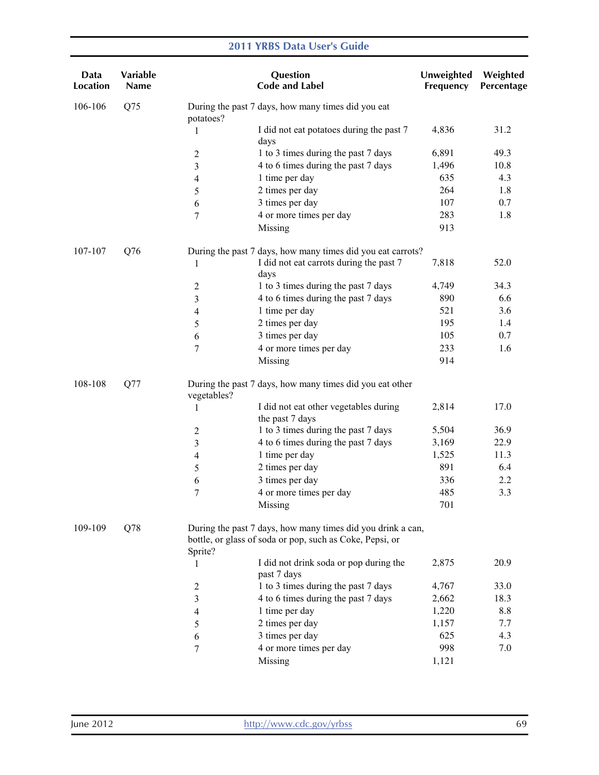| Data<br><b>Location</b> | Variable<br>Name |                | Question<br><b>Code and Label</b>                                                                                       | Unweighted<br>Frequency | Weighted<br>Percentage |
|-------------------------|------------------|----------------|-------------------------------------------------------------------------------------------------------------------------|-------------------------|------------------------|
| 106-106                 | Q75              | potatoes?      | During the past 7 days, how many times did you eat                                                                      |                         |                        |
|                         |                  | 1              | I did not eat potatoes during the past 7<br>days                                                                        | 4,836                   | 31.2                   |
|                         |                  | $\overline{2}$ | 1 to 3 times during the past 7 days                                                                                     | 6,891                   | 49.3                   |
|                         |                  | 3              | 4 to 6 times during the past 7 days                                                                                     | 1,496                   | 10.8                   |
|                         |                  | 4              | 1 time per day                                                                                                          | 635                     | 4.3                    |
|                         |                  | 5              | 2 times per day                                                                                                         | 264                     | 1.8                    |
|                         |                  | 6              | 3 times per day                                                                                                         | 107                     | 0.7                    |
|                         |                  | 7              | 4 or more times per day                                                                                                 | 283                     | 1.8                    |
|                         |                  |                | Missing                                                                                                                 | 913                     |                        |
| 107-107                 | Q76              |                | During the past 7 days, how many times did you eat carrots?                                                             |                         |                        |
|                         |                  | 1              | I did not eat carrots during the past 7<br>days                                                                         | 7,818                   | 52.0                   |
|                         |                  | 2              | 1 to 3 times during the past 7 days                                                                                     | 4,749                   | 34.3                   |
|                         |                  | 3              | 4 to 6 times during the past 7 days                                                                                     | 890                     | 6.6                    |
|                         |                  | 4              | 1 time per day                                                                                                          | 521                     | 3.6                    |
|                         |                  | 5              | 2 times per day                                                                                                         | 195                     | 1.4                    |
|                         |                  | 6              | 3 times per day                                                                                                         | 105                     | 0.7                    |
|                         |                  | 7              | 4 or more times per day                                                                                                 | 233                     | 1.6                    |
|                         |                  |                | Missing                                                                                                                 | 914                     |                        |
| 108-108                 | Q77              | vegetables?    | During the past 7 days, how many times did you eat other                                                                |                         |                        |
|                         |                  | 1              | I did not eat other vegetables during<br>the past 7 days                                                                | 2,814                   | 17.0                   |
|                         |                  | 2              | 1 to 3 times during the past 7 days                                                                                     | 5,504                   | 36.9                   |
|                         |                  | 3              | 4 to 6 times during the past 7 days                                                                                     | 3,169                   | 22.9                   |
|                         |                  | 4              | 1 time per day                                                                                                          | 1,525                   | 11.3                   |
|                         |                  | 5              | 2 times per day                                                                                                         | 891                     | 6.4                    |
|                         |                  | 6              | 3 times per day                                                                                                         | 336                     | 2.2                    |
|                         |                  | 7              | 4 or more times per day                                                                                                 | 485                     | 3.3                    |
|                         |                  |                | Missing                                                                                                                 | 701                     |                        |
| 109-109                 | Q78              | Sprite?        | During the past 7 days, how many times did you drink a can,<br>bottle, or glass of soda or pop, such as Coke, Pepsi, or |                         |                        |
|                         |                  | 1              | I did not drink soda or pop during the<br>past 7 days                                                                   | 2,875                   | 20.9                   |
|                         |                  | 2              | 1 to 3 times during the past 7 days                                                                                     | 4,767                   | 33.0                   |
|                         |                  | 3              | 4 to 6 times during the past 7 days                                                                                     | 2,662                   | 18.3                   |
|                         |                  | 4              | 1 time per day                                                                                                          | 1,220                   | 8.8                    |
|                         |                  | 5              | 2 times per day                                                                                                         | 1,157                   | 7.7                    |
|                         |                  | 6              | 3 times per day                                                                                                         | 625                     | 4.3                    |
|                         |                  | 7              | 4 or more times per day                                                                                                 | 998                     | 7.0                    |
|                         |                  |                | Missing                                                                                                                 | 1,121                   |                        |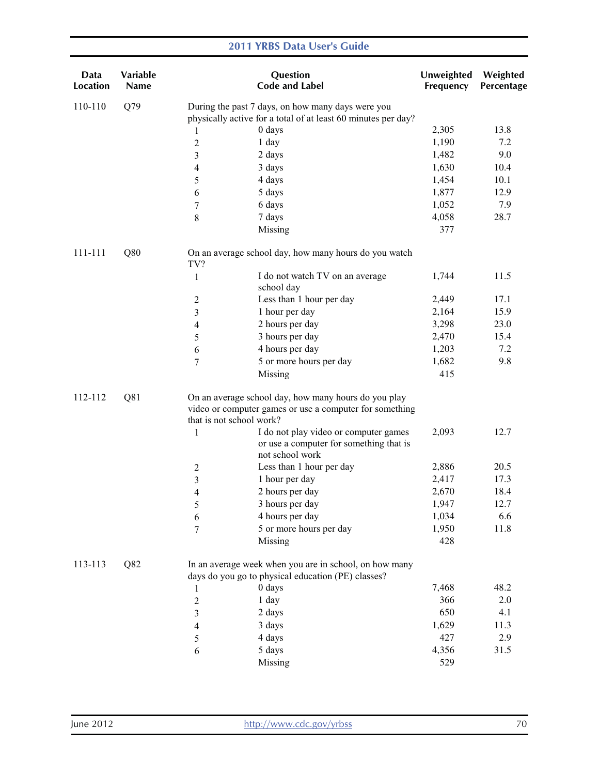| Data<br><b>Location</b> | Variable<br><b>Name</b> |                                                                                                                                                                                           | Question<br><b>Code and Label</b>                                                                            | Unweighted<br>Frequency | Weighted<br>Percentage |
|-------------------------|-------------------------|-------------------------------------------------------------------------------------------------------------------------------------------------------------------------------------------|--------------------------------------------------------------------------------------------------------------|-------------------------|------------------------|
| 110-110                 | Q79                     |                                                                                                                                                                                           | During the past 7 days, on how many days were you                                                            |                         |                        |
|                         |                         |                                                                                                                                                                                           | physically active for a total of at least 60 minutes per day?                                                |                         |                        |
|                         |                         | 1                                                                                                                                                                                         | 0 days                                                                                                       | 2,305                   | 13.8                   |
|                         |                         | $\overline{c}$                                                                                                                                                                            | 1 day                                                                                                        | 1,190                   | 7.2                    |
|                         |                         | 3                                                                                                                                                                                         | 2 days                                                                                                       | 1,482                   | 9.0                    |
|                         |                         | 4                                                                                                                                                                                         | 3 days                                                                                                       | 1,630                   | 10.4                   |
|                         |                         | 5                                                                                                                                                                                         | 4 days                                                                                                       | 1,454                   | 10.1                   |
|                         |                         | 6                                                                                                                                                                                         | 5 days                                                                                                       | 1,877                   | 12.9                   |
|                         |                         | 7                                                                                                                                                                                         | 6 days                                                                                                       | 1,052                   | 7.9                    |
|                         |                         | $8\,$                                                                                                                                                                                     | 7 days                                                                                                       | 4,058                   | 28.7                   |
|                         |                         |                                                                                                                                                                                           | Missing                                                                                                      | 377                     |                        |
| 111-111                 | Q80                     | TV?                                                                                                                                                                                       | On an average school day, how many hours do you watch                                                        |                         |                        |
|                         |                         | $\mathbf{1}$                                                                                                                                                                              | I do not watch TV on an average<br>school day                                                                | 1,744                   | 11.5                   |
|                         |                         | $\boldsymbol{2}$                                                                                                                                                                          | Less than 1 hour per day                                                                                     | 2,449                   | 17.1                   |
|                         |                         | 3                                                                                                                                                                                         | 1 hour per day                                                                                               | 2,164                   | 15.9                   |
|                         |                         | 4                                                                                                                                                                                         | 2 hours per day                                                                                              | 3,298                   | 23.0                   |
|                         |                         | 5                                                                                                                                                                                         | 3 hours per day                                                                                              | 2,470                   | 15.4                   |
|                         |                         | 6                                                                                                                                                                                         | 4 hours per day                                                                                              | 1,203                   | 7.2                    |
|                         |                         | 7                                                                                                                                                                                         | 5 or more hours per day                                                                                      | 1,682                   | 9.8                    |
|                         |                         |                                                                                                                                                                                           | Missing                                                                                                      | 415                     |                        |
| 112-112                 | Q81                     | On an average school day, how many hours do you play<br>video or computer games or use a computer for something<br>that is not school work?<br>I do not play video or computer games<br>1 |                                                                                                              | 2,093                   | 12.7                   |
|                         |                         |                                                                                                                                                                                           | or use a computer for something that is<br>not school work                                                   |                         |                        |
|                         |                         | $\overline{c}$                                                                                                                                                                            | Less than 1 hour per day                                                                                     | 2,886                   | 20.5                   |
|                         |                         | 3                                                                                                                                                                                         | 1 hour per day                                                                                               | 2,417                   | 17.3                   |
|                         |                         | 4                                                                                                                                                                                         | 2 hours per day                                                                                              | 2,670                   | 18.4                   |
|                         |                         | 5                                                                                                                                                                                         | 3 hours per day                                                                                              | 1,947                   | 12.7                   |
|                         |                         | 6                                                                                                                                                                                         | 4 hours per day                                                                                              | 1,034                   | 6.6                    |
|                         |                         | $\overline{7}$                                                                                                                                                                            | 5 or more hours per day                                                                                      | 1,950                   | 11.8                   |
|                         |                         |                                                                                                                                                                                           | Missing                                                                                                      | 428                     |                        |
| 113-113                 | Q82                     |                                                                                                                                                                                           | In an average week when you are in school, on how many<br>days do you go to physical education (PE) classes? |                         |                        |
|                         |                         | 1                                                                                                                                                                                         | 0 days                                                                                                       | 7,468                   | 48.2                   |
|                         |                         | $\sqrt{2}$                                                                                                                                                                                | 1 day                                                                                                        | 366                     | 2.0                    |
|                         |                         | 3                                                                                                                                                                                         | 2 days                                                                                                       | 650                     | 4.1                    |
|                         |                         | 4                                                                                                                                                                                         | 3 days                                                                                                       | 1,629                   | 11.3                   |
|                         |                         | 5                                                                                                                                                                                         | 4 days                                                                                                       | 427                     | 2.9                    |
|                         |                         | 6                                                                                                                                                                                         | 5 days                                                                                                       | 4,356                   | 31.5                   |
|                         |                         |                                                                                                                                                                                           | Missing                                                                                                      | 529                     |                        |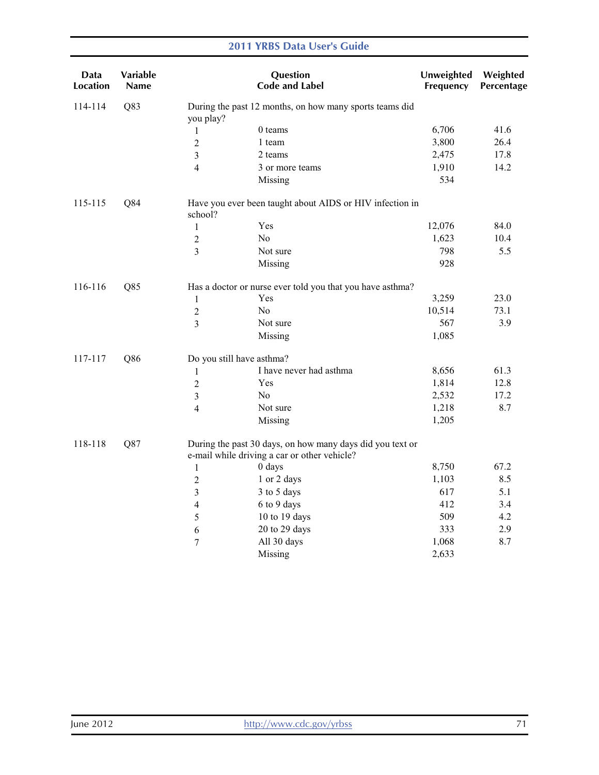#### **Data** Location Variable Name **Question** Code and Label Unweighted Frequency Weighted Percentage 114-114 Q83 During the past 12 months, on how many sports teams did you play? 1 0 teams 6,706 41.6 2 1 team 3,800 26.4 3 2 teams 2,475 17.8 4 3 or more teams 1,910 14.2 Missing 534 115-115 Q84 Have you ever been taught about AIDS or HIV infection in school? 1 Yes 12,076 84.0 2 No 1,623 10.4 3 Not sure 798 5.5 Missing 928 116-116 Q85 Has a doctor or nurse ever told you that you have asthma? 1 Yes 3,259 23.0 2 No 10,514 73.1 3 Not sure 567 3.9 Missing 1,085 117-117 Q86 Do you still have asthma? 1 I have never had asthma 8,656 61.3 2 Yes 1,814 12.8 3 No 2,532 17.2 4 Not sure 1,218 8.7 Missing 1,205 118-118 Q87 During the past 30 days, on how many days did you text or e-mail while driving a car or other vehicle? Missing 2,633 1 0 days 8,750 67.2 2 1 or 2 days 1,103 8.5 3 3 to 5 days 617 5.1 4 6 to 9 days 412 3.4 5 10 to 19 days 509 4.2 6 20 to 29 days 333 2.9 7 All 30 days 1,068 8.7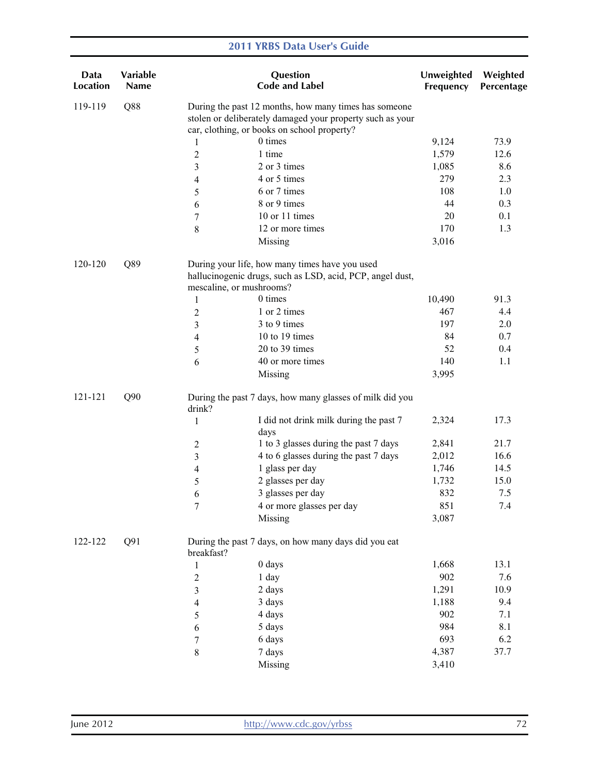| Data<br><b>Location</b> | Variable<br><b>Name</b> |                          | Question<br><b>Code and Label</b>                                                                                                                                 | Unweighted<br>Frequency | Weighted<br>Percentage |
|-------------------------|-------------------------|--------------------------|-------------------------------------------------------------------------------------------------------------------------------------------------------------------|-------------------------|------------------------|
| 119-119                 | Q88                     |                          | During the past 12 months, how many times has someone<br>stolen or deliberately damaged your property such as your<br>car, clothing, or books on school property? |                         |                        |
|                         |                         | 1                        | 0 times                                                                                                                                                           | 9,124                   | 73.9                   |
|                         |                         | $\overline{c}$           | 1 time                                                                                                                                                            | 1,579                   | 12.6                   |
|                         |                         | 3                        | 2 or 3 times                                                                                                                                                      | 1,085                   | 8.6                    |
|                         |                         | 4                        | 4 or 5 times                                                                                                                                                      | 279                     | 2.3                    |
|                         |                         | 5                        | 6 or 7 times                                                                                                                                                      | 108                     | 1.0                    |
|                         |                         | 6                        | 8 or 9 times                                                                                                                                                      | 44                      | 0.3                    |
|                         |                         | $\boldsymbol{7}$         | 10 or 11 times                                                                                                                                                    | $20\,$                  | 0.1                    |
|                         |                         | 8                        | 12 or more times                                                                                                                                                  | 170                     | 1.3                    |
|                         |                         |                          | Missing                                                                                                                                                           | 3,016                   |                        |
| 120-120                 | Q89                     |                          | During your life, how many times have you used<br>hallucinogenic drugs, such as LSD, acid, PCP, angel dust,                                                       |                         |                        |
|                         |                         | mescaline, or mushrooms? |                                                                                                                                                                   |                         |                        |
|                         |                         | $\mathbf{1}$             | 0 times                                                                                                                                                           | 10,490                  | 91.3                   |
|                         |                         | 2                        | 1 or 2 times                                                                                                                                                      | 467                     | 4.4                    |
|                         |                         | 3                        | 3 to 9 times                                                                                                                                                      | 197                     | 2.0                    |
|                         |                         | 4                        | 10 to 19 times                                                                                                                                                    | 84                      | 0.7                    |
|                         |                         | 5                        | 20 to 39 times                                                                                                                                                    | 52                      | 0.4                    |
|                         |                         | 6                        | 40 or more times                                                                                                                                                  | 140                     | 1.1                    |
|                         |                         |                          | Missing                                                                                                                                                           | 3,995                   |                        |
| 121-121                 | Q90                     | drink?                   | During the past 7 days, how many glasses of milk did you                                                                                                          |                         |                        |
|                         |                         | $\mathbf{1}$             | I did not drink milk during the past 7<br>days                                                                                                                    | 2,324                   | 17.3                   |
|                         |                         | 2                        | 1 to 3 glasses during the past 7 days                                                                                                                             | 2,841                   | 21.7                   |
|                         |                         | 3                        | 4 to 6 glasses during the past 7 days                                                                                                                             | 2,012                   | 16.6                   |
|                         |                         | 4                        | 1 glass per day                                                                                                                                                   | 1,746                   | 14.5                   |
|                         |                         | 5                        | 2 glasses per day                                                                                                                                                 | 1,732                   | 15.0                   |
|                         |                         | 6                        | 3 glasses per day                                                                                                                                                 | 832                     | 7.5                    |
|                         |                         | 7                        | 4 or more glasses per day                                                                                                                                         | 851                     | 7.4                    |
|                         |                         |                          | Missing                                                                                                                                                           | 3,087                   |                        |
| 122-122                 | Q91                     | breakfast?               | During the past 7 days, on how many days did you eat                                                                                                              |                         |                        |
|                         |                         | $\mathbf{1}$             | 0 days                                                                                                                                                            | 1,668                   | 13.1                   |
|                         |                         | $\boldsymbol{2}$         | 1 day                                                                                                                                                             | 902                     | 7.6                    |
|                         |                         | 3                        | 2 days                                                                                                                                                            | 1,291                   | 10.9                   |
|                         |                         | 4                        | 3 days                                                                                                                                                            | 1,188                   | 9.4                    |
|                         |                         | 5                        | 4 days                                                                                                                                                            | 902                     | 7.1                    |
|                         |                         | 6                        | 5 days                                                                                                                                                            | 984                     | 8.1                    |
|                         |                         | $\boldsymbol{7}$         | 6 days                                                                                                                                                            | 693                     | 6.2                    |
|                         |                         | $\,$ 8 $\,$              | 7 days                                                                                                                                                            | 4,387                   | 37.7                   |
|                         |                         |                          | Missing                                                                                                                                                           | 3,410                   |                        |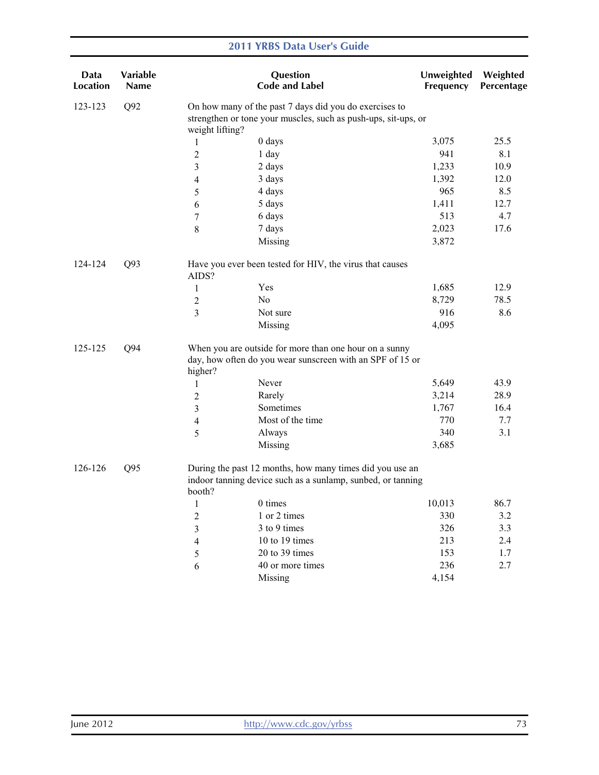| Data<br>Location | <b>Variable</b><br><b>Name</b> |                 | Question<br><b>Code and Label</b>                                                                                        | Unweighted<br>Frequency | Weighted<br>Percentage |
|------------------|--------------------------------|-----------------|--------------------------------------------------------------------------------------------------------------------------|-------------------------|------------------------|
| 123-123          | Q92                            |                 | On how many of the past 7 days did you do exercises to<br>strengthen or tone your muscles, such as push-ups, sit-ups, or |                         |                        |
|                  |                                | weight lifting? |                                                                                                                          |                         |                        |
|                  |                                | 1               | 0 days                                                                                                                   | 3,075                   | 25.5                   |
|                  |                                | $\overline{c}$  | 1 day                                                                                                                    | 941                     | 8.1                    |
|                  |                                | 3               | 2 days                                                                                                                   | 1,233                   | 10.9                   |
|                  |                                | 4               | 3 days                                                                                                                   | 1,392                   | 12.0                   |
|                  |                                | 5               | 4 days                                                                                                                   | 965                     | 8.5                    |
|                  |                                | 6               | 5 days                                                                                                                   | 1,411                   | 12.7                   |
|                  |                                | 7               | 6 days                                                                                                                   | 513                     | 4.7                    |
|                  |                                | $\,$ $\,$       | 7 days                                                                                                                   | 2,023                   | 17.6                   |
|                  |                                |                 | Missing                                                                                                                  | 3,872                   |                        |
| 124-124          | Q93                            | AIDS?           | Have you ever been tested for HIV, the virus that causes                                                                 |                         |                        |
|                  |                                | $\mathbf{1}$    | Yes                                                                                                                      | 1,685                   | 12.9                   |
|                  |                                | $\overline{c}$  | No                                                                                                                       | 8,729                   | 78.5                   |
|                  |                                | 3               | Not sure                                                                                                                 | 916                     | 8.6                    |
|                  |                                |                 | Missing                                                                                                                  | 4,095                   |                        |
| 125-125<br>Q94   |                                | higher?         | When you are outside for more than one hour on a sunny<br>day, how often do you wear sunscreen with an SPF of 15 or      |                         |                        |
|                  |                                | 1               | Never                                                                                                                    | 5,649                   | 43.9                   |
|                  |                                | $\overline{c}$  | Rarely                                                                                                                   | 3,214                   | 28.9                   |
|                  |                                | 3               | Sometimes                                                                                                                | 1,767                   | 16.4                   |
|                  |                                | 4               | Most of the time                                                                                                         | 770                     | 7.7                    |
|                  |                                | 5               | Always                                                                                                                   | 340                     | 3.1                    |
|                  |                                |                 | Missing                                                                                                                  | 3,685                   |                        |
| 126-126          | Q <sub>95</sub>                | booth?          | During the past 12 months, how many times did you use an<br>indoor tanning device such as a sunlamp, sunbed, or tanning  |                         |                        |
|                  |                                | $\mathbf{1}$    | 0 times                                                                                                                  | 10,013                  | 86.7                   |
|                  |                                | $\overline{c}$  | 1 or 2 times                                                                                                             | 330                     | 3.2                    |
|                  |                                | 3               | 3 to 9 times                                                                                                             | 326                     | 3.3                    |
|                  |                                | 4               | 10 to 19 times                                                                                                           | 213                     | 2.4                    |
|                  |                                | 5               | 20 to 39 times                                                                                                           | 153                     | 1.7                    |
|                  |                                | 6               | 40 or more times                                                                                                         | 236                     | 2.7                    |
|                  |                                |                 | Missing                                                                                                                  | 4,154                   |                        |
|                  |                                |                 |                                                                                                                          |                         |                        |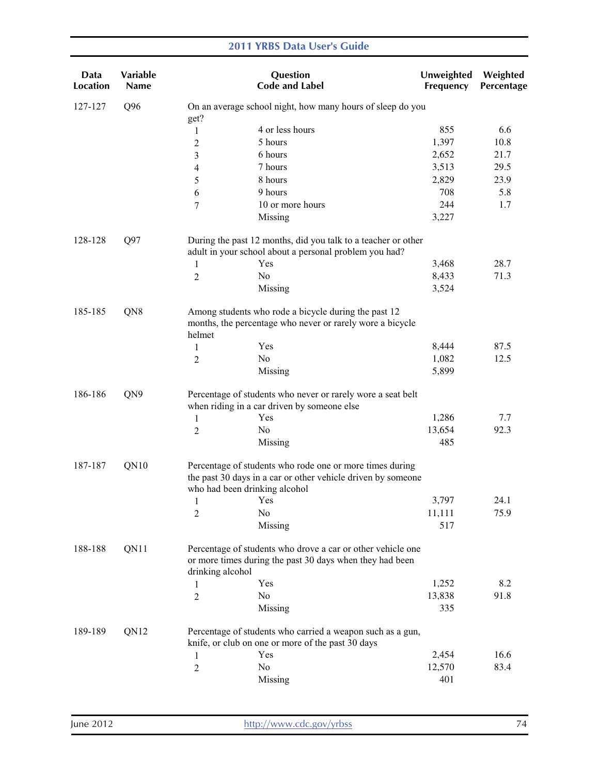#### Data Location Variable Name **Question** Code and Label Unweighted Frequency Weighted Percentage 127-127 Q96 On an average school night, how many hours of sleep do you get? 1 4 or less hours 2 5 hours 3 6 hours 4 7 hours 5 8 hours 6 9 hours 7 10 or more hours Missing 855 1,397 2,652 3,513 2,829 708 244 3,227 6.6 10.8 21.7 29.5 23.9 5.8 1.7 128-128 Q97 During the past 12 months, did you talk to a teacher or other adult in your school about a personal problem you had? 1 Yes 2 No Missing 3,468 8,433 3,524 28.7 71.3 185-185 QN8 Among students who rode a bicycle during the past 12 months, the percentage who never or rarely wore a bicycle helmet 1 Yes 2 No Missing 8,444 1,082 5,899 87.5 12.5 186-186 QN9 Percentage of students who never or rarely wore a seat belt when riding in a car driven by someone else 1 Yes 2 No Missing 1,286 13,654 485 7.7 92.3 187-187 QN10 Percentage of students who rode one or more times during the past 30 days in a car or other vehicle driven by someone who had been drinking alcohol 1 Yes 3,797 2 No 11,111 Missing 517 24.1 75.9 188-188 QN11 Percentage of students who drove a car or other vehicle one or more times during the past 30 days when they had been drinking alcohol 1 Yes 2 No Missing 1,252 13,838 335 8.2 91.8 189-189 QN12 Percentage of students who carried a weapon such as a gun, knife, or club on one or more of the past 30 days 1 Yes 2 No Missing 2,454 12,570 401 16.6 83.4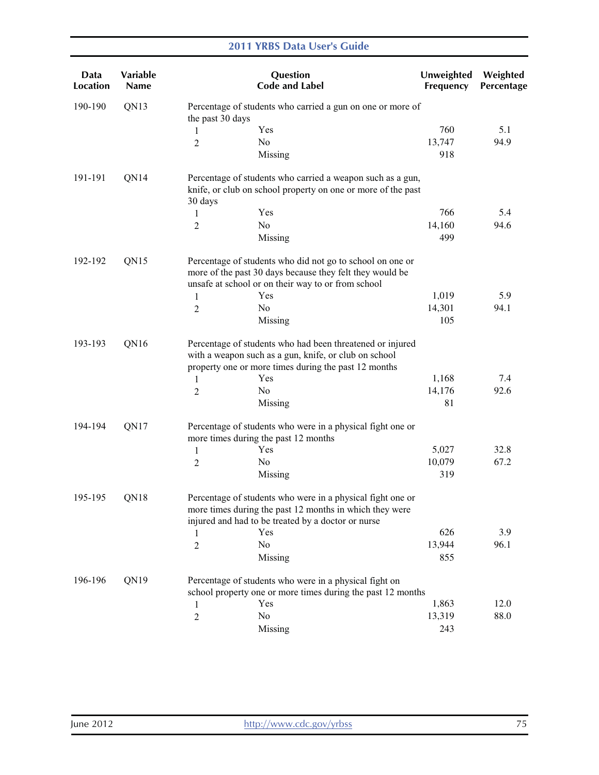| Data<br>Location | <b>Variable</b><br><b>Name</b> |                  | Question<br><b>Code and Label</b>                                                                                                                                           | Unweighted<br>Frequency | Weighted<br>Percentage |
|------------------|--------------------------------|------------------|-----------------------------------------------------------------------------------------------------------------------------------------------------------------------------|-------------------------|------------------------|
| 190-190          | QN13                           | the past 30 days | Percentage of students who carried a gun on one or more of                                                                                                                  |                         |                        |
|                  |                                | 1                | Yes                                                                                                                                                                         | 760                     | 5.1                    |
|                  |                                | $\overline{c}$   | N <sub>0</sub>                                                                                                                                                              | 13,747                  | 94.9                   |
|                  |                                |                  | Missing                                                                                                                                                                     | 918                     |                        |
| 191-191          | QN14                           | 30 days          | Percentage of students who carried a weapon such as a gun,<br>knife, or club on school property on one or more of the past                                                  |                         |                        |
|                  |                                | 1                | Yes                                                                                                                                                                         | 766                     | 5.4                    |
|                  |                                | $\overline{c}$   | N <sub>0</sub>                                                                                                                                                              | 14,160                  | 94.6                   |
|                  |                                |                  | Missing                                                                                                                                                                     | 499                     |                        |
| 192-192          | QN15                           |                  | Percentage of students who did not go to school on one or<br>more of the past 30 days because they felt they would be<br>unsafe at school or on their way to or from school |                         |                        |
|                  |                                | 1                | Yes                                                                                                                                                                         | 1,019                   | 5.9                    |
|                  |                                | $\overline{2}$   | N <sub>0</sub>                                                                                                                                                              | 14,301                  | 94.1                   |
|                  |                                |                  | Missing                                                                                                                                                                     | 105                     |                        |
| 193-193          | QN16                           |                  | Percentage of students who had been threatened or injured<br>with a weapon such as a gun, knife, or club on school<br>property one or more times during the past 12 months  |                         |                        |
|                  |                                | 1                | Yes                                                                                                                                                                         | 1,168                   | 7.4                    |
|                  |                                | $\overline{c}$   | No                                                                                                                                                                          | 14,176                  | 92.6                   |
|                  |                                |                  | Missing                                                                                                                                                                     | 81                      |                        |
| 194-194          | QN17                           |                  | Percentage of students who were in a physical fight one or<br>more times during the past 12 months                                                                          |                         |                        |
|                  |                                | 1                | Yes                                                                                                                                                                         | 5,027                   | 32.8                   |
|                  |                                | $\overline{c}$   | No                                                                                                                                                                          | 10,079                  | 67.2                   |
|                  |                                |                  | Missing                                                                                                                                                                     | 319                     |                        |
| QN18<br>195-195  |                                |                  | Percentage of students who were in a physical fight one or<br>more times during the past 12 months in which they were<br>injured and had to be treated by a doctor or nurse |                         |                        |
|                  |                                | 1                | Yes                                                                                                                                                                         | 626                     | 3.9                    |
|                  |                                | $\overline{c}$   | No                                                                                                                                                                          | 13,944                  | 96.1                   |
|                  |                                |                  | Missing                                                                                                                                                                     | 855                     |                        |
| 196-196          | QN19                           |                  | Percentage of students who were in a physical fight on<br>school property one or more times during the past 12 months                                                       |                         |                        |
|                  |                                | 1                | Yes                                                                                                                                                                         | 1,863                   | 12.0                   |
|                  |                                | $\overline{c}$   | No                                                                                                                                                                          | 13,319                  | 88.0                   |
|                  |                                |                  | Missing                                                                                                                                                                     | 243                     |                        |
|                  |                                |                  |                                                                                                                                                                             |                         |                        |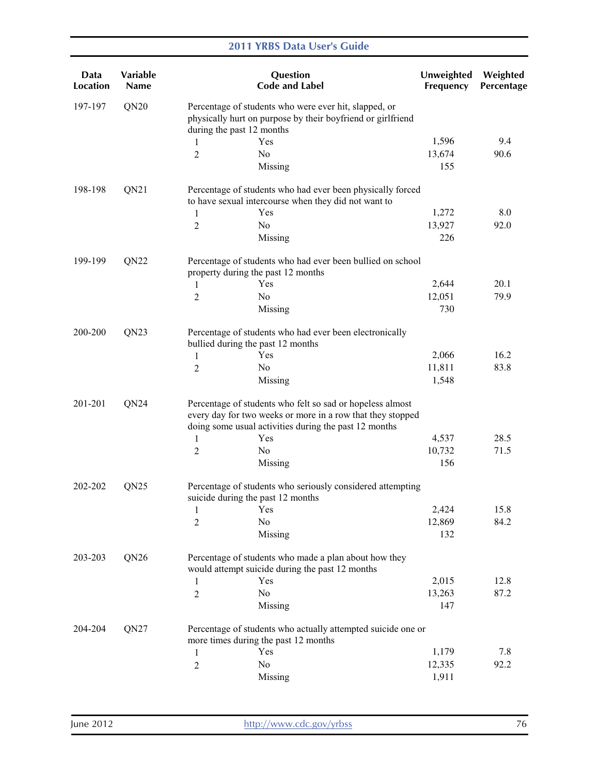| Data<br><b>Location</b> | Variable<br><b>Name</b> | Question<br><b>Code and Label</b>                                                                                                                                                | Unweighted<br>Frequency | Weighted<br>Percentage |
|-------------------------|-------------------------|----------------------------------------------------------------------------------------------------------------------------------------------------------------------------------|-------------------------|------------------------|
| 197-197                 | QN20                    | Percentage of students who were ever hit, slapped, or<br>physically hurt on purpose by their boyfriend or girlfriend<br>during the past 12 months                                |                         |                        |
|                         |                         | Yes<br>1                                                                                                                                                                         | 1,596                   | 9.4                    |
|                         |                         | No<br>2                                                                                                                                                                          | 13,674                  | 90.6                   |
|                         |                         | Missing                                                                                                                                                                          | 155                     |                        |
| 198-198                 | QN21                    | Percentage of students who had ever been physically forced<br>to have sexual intercourse when they did not want to                                                               |                         |                        |
|                         |                         | Yes<br>1                                                                                                                                                                         | 1,272                   | 8.0                    |
|                         |                         | No<br>2                                                                                                                                                                          | 13,927                  | 92.0                   |
|                         |                         | Missing                                                                                                                                                                          | 226                     |                        |
| 199-199                 | QN22                    | Percentage of students who had ever been bullied on school<br>property during the past 12 months                                                                                 |                         |                        |
|                         |                         | Yes<br>1                                                                                                                                                                         | 2,644                   | 20.1                   |
|                         |                         | No<br>2                                                                                                                                                                          | 12,051                  | 79.9                   |
|                         |                         | Missing                                                                                                                                                                          | 730                     |                        |
| 200-200                 | QN23                    | Percentage of students who had ever been electronically<br>bullied during the past 12 months                                                                                     |                         |                        |
|                         |                         | Yes<br>1                                                                                                                                                                         | 2,066                   | 16.2                   |
|                         |                         | $\overline{2}$<br>No                                                                                                                                                             | 11,811                  | 83.8                   |
|                         |                         | Missing                                                                                                                                                                          | 1,548                   |                        |
| 201-201                 | QN24                    | Percentage of students who felt so sad or hopeless almost<br>every day for two weeks or more in a row that they stopped<br>doing some usual activities during the past 12 months |                         |                        |
|                         |                         | Yes<br>1                                                                                                                                                                         | 4,537                   | 28.5                   |
|                         |                         | No<br>2                                                                                                                                                                          | 10,732                  | 71.5                   |
|                         |                         | Missing                                                                                                                                                                          | 156                     |                        |
| 202-202                 | QN25                    | Percentage of students who seriously considered attempting<br>suicide during the past 12 months                                                                                  |                         |                        |
|                         |                         | Yes<br>$\mathbf{1}$                                                                                                                                                              | 2,424                   | 15.8                   |
|                         |                         | No<br>$\overline{2}$                                                                                                                                                             | 12,869                  | 84.2                   |
|                         |                         | Missing                                                                                                                                                                          | 132                     |                        |
| 203-203                 | QN <sub>26</sub>        | Percentage of students who made a plan about how they<br>would attempt suicide during the past 12 months                                                                         |                         |                        |
|                         |                         | Yes<br>$\mathbf{1}$                                                                                                                                                              | 2,015                   | 12.8                   |
|                         |                         | No<br>2                                                                                                                                                                          | 13,263                  | 87.2                   |
|                         |                         | Missing                                                                                                                                                                          | 147                     |                        |
| 204-204                 | QN27                    | Percentage of students who actually attempted suicide one or<br>more times during the past 12 months                                                                             |                         |                        |
|                         |                         | Yes<br>1                                                                                                                                                                         | 1,179                   | 7.8                    |
|                         |                         | No<br>2                                                                                                                                                                          | 12,335                  | 92.2                   |
|                         |                         | Missing                                                                                                                                                                          | 1,911                   |                        |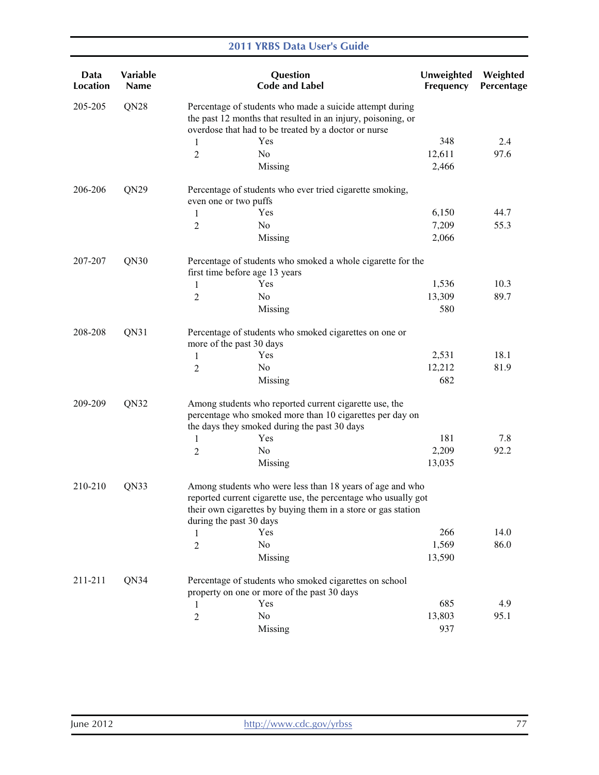| Data<br><b>Location</b> | Variable<br><b>Name</b> |                       | Question<br><b>Code and Label</b>                                                                                                                                                                                       | Unweighted<br>Frequency | Weighted<br>Percentage |
|-------------------------|-------------------------|-----------------------|-------------------------------------------------------------------------------------------------------------------------------------------------------------------------------------------------------------------------|-------------------------|------------------------|
| 205-205                 | QN <sub>28</sub>        |                       | Percentage of students who made a suicide attempt during<br>the past 12 months that resulted in an injury, poisoning, or<br>overdose that had to be treated by a doctor or nurse                                        |                         |                        |
|                         |                         | 1                     | Yes                                                                                                                                                                                                                     | 348                     | 2.4                    |
|                         |                         | 2                     | No                                                                                                                                                                                                                      | 12,611                  | 97.6                   |
|                         |                         |                       | Missing                                                                                                                                                                                                                 | 2,466                   |                        |
| 206-206                 | QN <sub>29</sub>        | even one or two puffs | Percentage of students who ever tried cigarette smoking,                                                                                                                                                                |                         |                        |
|                         |                         | 1                     | Yes                                                                                                                                                                                                                     | 6,150                   | 44.7                   |
|                         |                         | 2                     | No                                                                                                                                                                                                                      | 7,209                   | 55.3                   |
|                         |                         |                       | Missing                                                                                                                                                                                                                 | 2,066                   |                        |
| 207-207                 | QN30                    |                       | Percentage of students who smoked a whole cigarette for the<br>first time before age 13 years                                                                                                                           |                         |                        |
|                         |                         | 1                     | Yes                                                                                                                                                                                                                     | 1,536                   | 10.3                   |
|                         |                         | 2                     | No                                                                                                                                                                                                                      | 13,309                  | 89.7                   |
|                         |                         |                       | Missing                                                                                                                                                                                                                 | 580                     |                        |
| 208-208                 | QN31                    |                       | Percentage of students who smoked cigarettes on one or<br>more of the past 30 days                                                                                                                                      |                         |                        |
|                         |                         | 1                     | Yes                                                                                                                                                                                                                     | 2,531                   | 18.1                   |
|                         |                         | 2                     | No                                                                                                                                                                                                                      | 12,212                  | 81.9                   |
|                         |                         |                       | Missing                                                                                                                                                                                                                 | 682                     |                        |
| 209-209                 | QN32                    |                       | Among students who reported current cigarette use, the<br>percentage who smoked more than 10 cigarettes per day on<br>the days they smoked during the past 30 days                                                      |                         |                        |
|                         |                         | 1                     | Yes                                                                                                                                                                                                                     | 181                     | 7.8                    |
|                         |                         | 2                     | No                                                                                                                                                                                                                      | 2,209                   | 92.2                   |
|                         |                         |                       | Missing                                                                                                                                                                                                                 | 13,035                  |                        |
| 210-210                 | QN33                    |                       | Among students who were less than 18 years of age and who<br>reported current cigarette use, the percentage who usually got<br>their own cigarettes by buying them in a store or gas station<br>during the past 30 days |                         |                        |
|                         |                         | 1                     | Yes                                                                                                                                                                                                                     | 266                     | 14.0                   |
|                         |                         | $\overline{2}$        | No.                                                                                                                                                                                                                     | 1,569                   | 86.0                   |
|                         |                         |                       | Missing                                                                                                                                                                                                                 | 13,590                  |                        |
| 211-211                 | QN34                    |                       | Percentage of students who smoked cigarettes on school                                                                                                                                                                  |                         |                        |
|                         |                         |                       | property on one or more of the past 30 days                                                                                                                                                                             |                         |                        |
|                         |                         | 1                     | Yes                                                                                                                                                                                                                     | 685                     | 4.9                    |
|                         |                         | $\overline{c}$        | No                                                                                                                                                                                                                      | 13,803                  | 95.1                   |
|                         |                         |                       | Missing                                                                                                                                                                                                                 | 937                     |                        |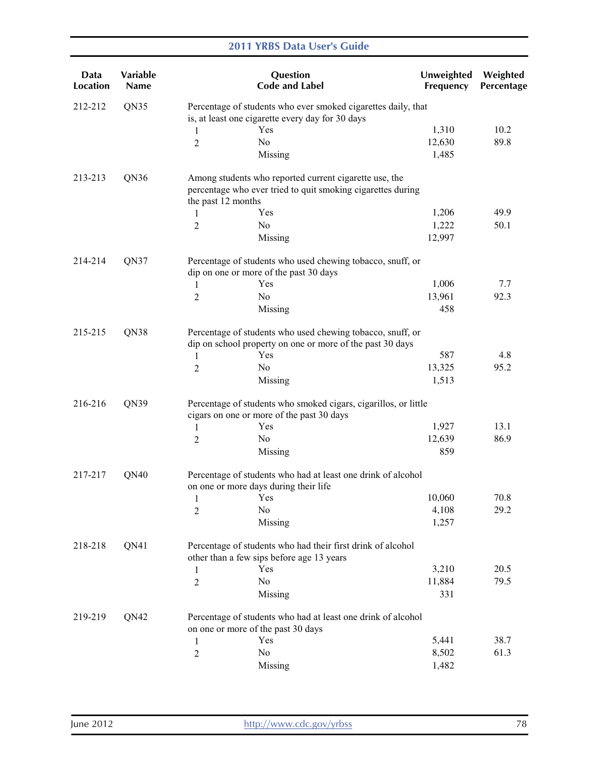| Data<br><b>Location</b> | Variable<br><b>Name</b> |                    | <b>Question</b><br><b>Code and Label</b>                                                                                | Unweighted<br>Frequency | Weighted<br>Percentage |
|-------------------------|-------------------------|--------------------|-------------------------------------------------------------------------------------------------------------------------|-------------------------|------------------------|
| 212-212                 | QN35                    |                    | Percentage of students who ever smoked cigarettes daily, that<br>is, at least one cigarette every day for 30 days       |                         |                        |
|                         |                         | 1                  | Yes                                                                                                                     | 1,310                   | 10.2                   |
|                         |                         | 2                  | N <sub>0</sub>                                                                                                          | 12,630                  | 89.8                   |
|                         |                         |                    | Missing                                                                                                                 | 1,485                   |                        |
| 213-213                 | QN36                    | the past 12 months | Among students who reported current cigarette use, the<br>percentage who ever tried to quit smoking cigarettes during   |                         |                        |
|                         |                         | 1                  | Yes                                                                                                                     | 1,206                   | 49.9                   |
|                         |                         | 2                  | N <sub>0</sub>                                                                                                          | 1,222                   | 50.1                   |
|                         |                         |                    | Missing                                                                                                                 | 12,997                  |                        |
| 214-214                 | QN37                    |                    | Percentage of students who used chewing tobacco, snuff, or<br>dip on one or more of the past 30 days                    |                         |                        |
|                         |                         | 1                  | Yes                                                                                                                     | 1,006                   | 7.7                    |
|                         |                         | $\overline{2}$     | N <sub>0</sub>                                                                                                          | 13,961                  | 92.3                   |
|                         |                         |                    | Missing                                                                                                                 | 458                     |                        |
| 215-215                 | QN38                    |                    | Percentage of students who used chewing tobacco, snuff, or<br>dip on school property on one or more of the past 30 days |                         |                        |
|                         |                         | 1                  | Yes                                                                                                                     | 587                     | 4.8                    |
|                         |                         | $\overline{2}$     | No                                                                                                                      | 13,325                  | 95.2                   |
|                         |                         |                    | Missing                                                                                                                 | 1,513                   |                        |
| 216-216                 | QN39                    |                    | Percentage of students who smoked cigars, cigarillos, or little<br>cigars on one or more of the past 30 days            |                         |                        |
|                         |                         | 1                  | Yes                                                                                                                     | 1,927                   | 13.1                   |
|                         |                         | 2                  | No                                                                                                                      | 12,639                  | 86.9                   |
|                         |                         |                    | Missing                                                                                                                 | 859                     |                        |
| 217-217                 | QN40                    |                    | Percentage of students who had at least one drink of alcohol<br>on one or more days during their life                   |                         |                        |
|                         |                         | 1                  | Yes                                                                                                                     | 10,060                  | 70.8                   |
|                         |                         | 2                  | No                                                                                                                      | 4,108                   | 29.2                   |
|                         |                         |                    | Missing                                                                                                                 | 1,257                   |                        |
| 218-218                 | QN41                    |                    | Percentage of students who had their first drink of alcohol<br>other than a few sips before age 13 years                |                         |                        |
|                         |                         | 1                  | Yes                                                                                                                     | 3,210                   | 20.5                   |
|                         |                         | $\overline{c}$     | No                                                                                                                      | 11,884                  | 79.5                   |
|                         |                         |                    | Missing                                                                                                                 | 331                     |                        |
| 219-219                 | QN42                    |                    | Percentage of students who had at least one drink of alcohol<br>on one or more of the past 30 days                      |                         |                        |
|                         |                         | 1                  | Yes                                                                                                                     | 5,441                   | 38.7                   |
|                         |                         | 2                  | N <sub>0</sub>                                                                                                          | 8,502                   | 61.3                   |
|                         |                         |                    | Missing                                                                                                                 | 1,482                   |                        |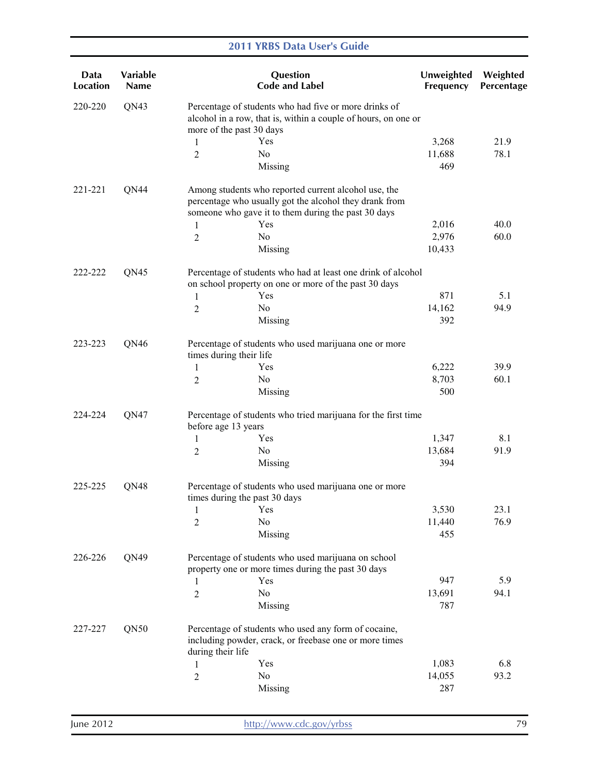| Data<br><b>Location</b> | <b>Variable</b><br><b>Name</b> |                          | Question<br><b>Code and Label</b>                                                                                                                                     | Unweighted<br>Frequency | Weighted<br>Percentage |
|-------------------------|--------------------------------|--------------------------|-----------------------------------------------------------------------------------------------------------------------------------------------------------------------|-------------------------|------------------------|
| 220-220                 | QN43                           | more of the past 30 days | Percentage of students who had five or more drinks of<br>alcohol in a row, that is, within a couple of hours, on one or                                               |                         |                        |
|                         |                                | 1                        | Yes                                                                                                                                                                   | 3,268                   | 21.9                   |
|                         |                                | $\overline{2}$           | N <sub>0</sub>                                                                                                                                                        | 11,688                  | 78.1                   |
|                         |                                |                          | Missing                                                                                                                                                               | 469                     |                        |
| 221-221                 | QN44                           |                          | Among students who reported current alcohol use, the<br>percentage who usually got the alcohol they drank from<br>someone who gave it to them during the past 30 days |                         |                        |
|                         |                                | 1                        | Yes                                                                                                                                                                   | 2,016                   | 40.0                   |
|                         |                                | $\overline{2}$           | N <sub>0</sub>                                                                                                                                                        | 2,976                   | 60.0                   |
|                         |                                |                          | Missing                                                                                                                                                               | 10,433                  |                        |
| 222-222                 | QN45                           |                          | Percentage of students who had at least one drink of alcohol<br>on school property on one or more of the past 30 days                                                 |                         |                        |
|                         |                                | 1                        | Yes                                                                                                                                                                   | 871                     | 5.1                    |
|                         |                                | $\overline{2}$           | N <sub>0</sub>                                                                                                                                                        | 14,162                  | 94.9                   |
|                         |                                |                          | Missing                                                                                                                                                               | 392                     |                        |
| 223-223                 | QN46                           | times during their life  | Percentage of students who used marijuana one or more                                                                                                                 |                         |                        |
|                         |                                | 1                        | Yes                                                                                                                                                                   | 6,222                   | 39.9                   |
|                         |                                | 2                        | N <sub>0</sub>                                                                                                                                                        | 8,703                   | 60.1                   |
|                         |                                |                          | Missing                                                                                                                                                               | 500                     |                        |
| 224-224                 | QN47                           | before age 13 years      | Percentage of students who tried marijuana for the first time                                                                                                         |                         |                        |
|                         |                                | 1                        | Yes                                                                                                                                                                   | 1,347                   | 8.1                    |
|                         |                                | $\overline{2}$           | No                                                                                                                                                                    | 13,684                  | 91.9                   |
|                         |                                |                          | Missing                                                                                                                                                               | 394                     |                        |
| 225-225                 | QN48                           |                          | Percentage of students who used marijuana one or more<br>times during the past 30 days                                                                                |                         |                        |
|                         |                                | 1                        | Yes                                                                                                                                                                   | 3,530                   | 23.1                   |
|                         |                                | $\overline{2}$           | No                                                                                                                                                                    | 11,440                  | 76.9                   |
|                         |                                |                          | Missing                                                                                                                                                               | 455                     |                        |
| 226-226                 | QN49                           |                          | Percentage of students who used marijuana on school<br>property one or more times during the past 30 days                                                             |                         |                        |
|                         |                                | 1                        | Yes                                                                                                                                                                   | 947                     | 5.9                    |
|                         |                                | $\overline{2}$           | No                                                                                                                                                                    | 13,691                  | 94.1                   |
|                         |                                |                          | Missing                                                                                                                                                               | 787                     |                        |
| 227-227                 | QN50                           | during their life        | Percentage of students who used any form of cocaine,<br>including powder, crack, or freebase one or more times                                                        |                         |                        |
|                         |                                | 1                        | Yes                                                                                                                                                                   | 1,083                   | 6.8                    |
|                         |                                | $\overline{2}$           | No                                                                                                                                                                    | 14,055                  | 93.2                   |
|                         |                                |                          | Missing                                                                                                                                                               | 287                     |                        |
|                         |                                |                          |                                                                                                                                                                       |                         |                        |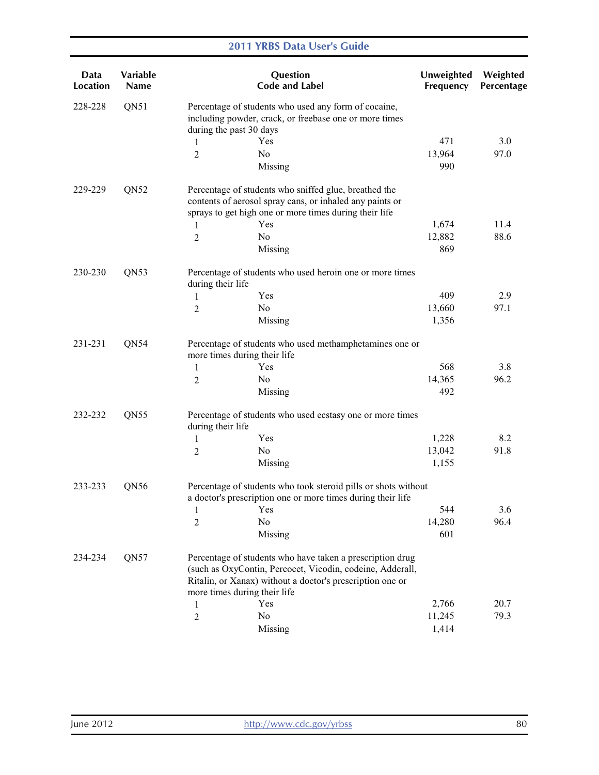| Data<br><b>Location</b> | Variable<br><b>Name</b> |                                                                                                                               | Question<br><b>Code and Label</b>                                                                                                                                                   | Unweighted<br>Frequency | Weighted<br>Percentage |  |
|-------------------------|-------------------------|-------------------------------------------------------------------------------------------------------------------------------|-------------------------------------------------------------------------------------------------------------------------------------------------------------------------------------|-------------------------|------------------------|--|
| 228-228                 | QN51                    | during the past 30 days                                                                                                       | Percentage of students who used any form of cocaine,<br>including powder, crack, or freebase one or more times                                                                      |                         |                        |  |
|                         |                         | 1                                                                                                                             | Yes                                                                                                                                                                                 | 471                     | 3.0                    |  |
|                         |                         | 2                                                                                                                             | No                                                                                                                                                                                  | 13,964                  | 97.0                   |  |
|                         |                         |                                                                                                                               | Missing                                                                                                                                                                             | 990                     |                        |  |
| 229-229                 | QN52                    |                                                                                                                               | Percentage of students who sniffed glue, breathed the<br>contents of aerosol spray cans, or inhaled any paints or<br>sprays to get high one or more times during their life         |                         |                        |  |
|                         |                         | 1                                                                                                                             | Yes                                                                                                                                                                                 | 1,674                   | 11.4                   |  |
|                         |                         | 2                                                                                                                             | No                                                                                                                                                                                  | 12,882                  | 88.6                   |  |
|                         |                         |                                                                                                                               | Missing                                                                                                                                                                             | 869                     |                        |  |
| 230-230                 | QN53                    | during their life                                                                                                             | Percentage of students who used heroin one or more times                                                                                                                            |                         |                        |  |
|                         |                         | 1                                                                                                                             | Yes                                                                                                                                                                                 | 409                     | 2.9                    |  |
|                         |                         | 2                                                                                                                             | N <sub>0</sub>                                                                                                                                                                      | 13,660                  | 97.1                   |  |
|                         |                         |                                                                                                                               | Missing                                                                                                                                                                             | 1,356                   |                        |  |
| 231-231                 | QN54                    | more times during their life                                                                                                  | Percentage of students who used methamphetamines one or                                                                                                                             |                         |                        |  |
|                         |                         | 1                                                                                                                             | Yes                                                                                                                                                                                 | 568                     | 3.8                    |  |
|                         |                         | 2                                                                                                                             | N <sub>0</sub>                                                                                                                                                                      | 14,365                  | 96.2                   |  |
|                         |                         |                                                                                                                               | Missing                                                                                                                                                                             | 492                     |                        |  |
| 232-232                 | QN55                    | during their life                                                                                                             | Percentage of students who used ecstasy one or more times                                                                                                                           |                         |                        |  |
|                         |                         | 1                                                                                                                             | Yes                                                                                                                                                                                 | 1,228                   | 8.2                    |  |
|                         |                         | $\overline{c}$                                                                                                                | No                                                                                                                                                                                  | 13,042                  | 91.8                   |  |
|                         |                         |                                                                                                                               | Missing                                                                                                                                                                             | 1,155                   |                        |  |
| 233-233<br>QN56         |                         | Percentage of students who took steroid pills or shots without<br>a doctor's prescription one or more times during their life |                                                                                                                                                                                     |                         |                        |  |
|                         |                         | 1                                                                                                                             | Yes                                                                                                                                                                                 | 544                     | 3.6                    |  |
|                         |                         | $\overline{2}$                                                                                                                | No                                                                                                                                                                                  | 14,280                  | 96.4                   |  |
|                         |                         |                                                                                                                               | Missing                                                                                                                                                                             | 601                     |                        |  |
| 234-234                 | QN <sub>57</sub>        | more times during their life                                                                                                  | Percentage of students who have taken a prescription drug<br>(such as OxyContin, Percocet, Vicodin, codeine, Adderall,<br>Ritalin, or Xanax) without a doctor's prescription one or |                         |                        |  |
|                         |                         | 1                                                                                                                             | Yes                                                                                                                                                                                 | 2,766                   | 20.7                   |  |
|                         |                         | $\overline{c}$                                                                                                                | No                                                                                                                                                                                  | 11,245                  | 79.3                   |  |
|                         |                         |                                                                                                                               | Missing                                                                                                                                                                             | 1,414                   |                        |  |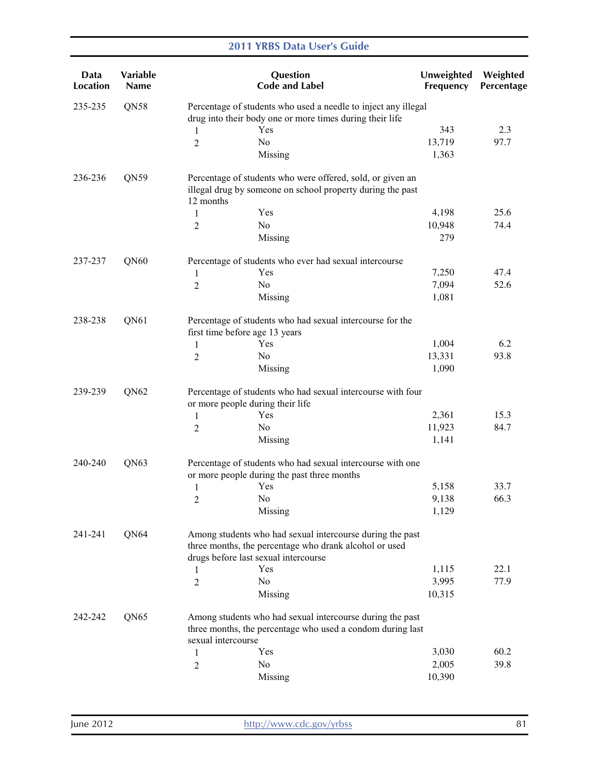| Data<br><b>Location</b> | Variable<br><b>Name</b> |                                      | Question<br><b>Code and Label</b>                                                                                          | Unweighted<br>Frequency | Weighted<br>Percentage |
|-------------------------|-------------------------|--------------------------------------|----------------------------------------------------------------------------------------------------------------------------|-------------------------|------------------------|
| 235-235                 | QN58                    |                                      | Percentage of students who used a needle to inject any illegal<br>drug into their body one or more times during their life |                         |                        |
|                         |                         | Yes<br>1                             |                                                                                                                            | 343                     | 2.3                    |
|                         |                         | No<br>2                              |                                                                                                                            | 13,719                  | 97.7                   |
|                         |                         |                                      | Missing                                                                                                                    | 1,363                   |                        |
| 236-236                 | QN59                    | 12 months                            | Percentage of students who were offered, sold, or given an<br>illegal drug by someone on school property during the past   |                         |                        |
|                         |                         | Yes<br>1                             |                                                                                                                            | 4,198                   | 25.6                   |
|                         |                         | No<br>2                              |                                                                                                                            | 10,948                  | 74.4                   |
|                         |                         |                                      | Missing                                                                                                                    | 279                     |                        |
| 237-237                 | QN60                    |                                      | Percentage of students who ever had sexual intercourse                                                                     |                         |                        |
|                         |                         | Yes<br>1                             |                                                                                                                            | 7,250                   | 47.4                   |
|                         |                         | N <sub>0</sub><br>$\overline{2}$     |                                                                                                                            | 7,094                   | 52.6                   |
|                         |                         |                                      | Missing                                                                                                                    | 1,081                   |                        |
| 238-238                 | QN61                    | first time before age 13 years       | Percentage of students who had sexual intercourse for the                                                                  |                         |                        |
|                         |                         | Yes<br>1                             |                                                                                                                            | 1,004                   | 6.2                    |
|                         |                         | No<br>$\overline{2}$                 |                                                                                                                            | 13,331                  | 93.8                   |
|                         |                         |                                      | Missing                                                                                                                    | 1,090                   |                        |
| 239-239                 | QN62                    | or more people during their life     | Percentage of students who had sexual intercourse with four                                                                |                         |                        |
|                         |                         | Yes<br>1                             |                                                                                                                            | 2,361                   | 15.3                   |
|                         |                         | N <sub>0</sub><br>$\overline{c}$     |                                                                                                                            | 11,923                  | 84.7                   |
|                         |                         |                                      | Missing                                                                                                                    | 1,141                   |                        |
| 240-240                 | QN63                    |                                      | Percentage of students who had sexual intercourse with one<br>or more people during the past three months                  |                         |                        |
|                         |                         | Yes<br>$\mathbf{1}$                  |                                                                                                                            | 5,158                   | 33.7                   |
|                         |                         | No<br>2                              |                                                                                                                            | 9,138                   | 66.3                   |
|                         |                         |                                      | Missing                                                                                                                    | 1,129                   |                        |
| 241-241                 | QN64                    |                                      | Among students who had sexual intercourse during the past<br>three months, the percentage who drank alcohol or used        |                         |                        |
|                         |                         | drugs before last sexual intercourse |                                                                                                                            |                         |                        |
|                         |                         | Yes<br>1                             |                                                                                                                            | 1,115                   | 22.1                   |
|                         |                         | No<br>2                              |                                                                                                                            | 3,995                   | 77.9                   |
|                         |                         |                                      | Missing                                                                                                                    | 10,315                  |                        |
| 242-242                 | QN <sub>65</sub>        | sexual intercourse                   | Among students who had sexual intercourse during the past<br>three months, the percentage who used a condom during last    |                         |                        |
|                         |                         | Yes<br>1                             |                                                                                                                            | 3,030                   | 60.2                   |
|                         |                         | No<br>$\overline{c}$                 |                                                                                                                            | 2,005                   | 39.8                   |
|                         |                         |                                      | Missing                                                                                                                    | 10,390                  |                        |
|                         |                         |                                      |                                                                                                                            |                         |                        |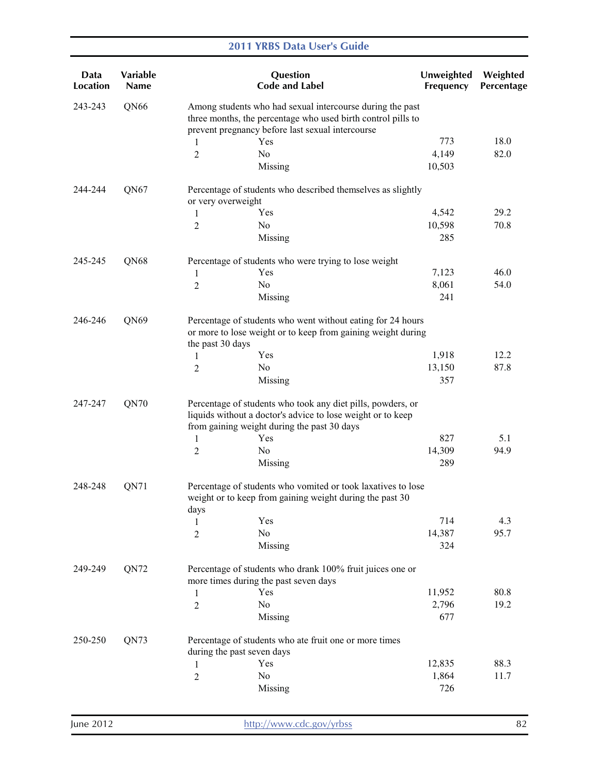| Data<br><b>Location</b> | Variable<br><b>Name</b> |                    | Question<br><b>Code and Label</b>                                                                                                                                             | Unweighted<br>Frequency | Weighted<br>Percentage |
|-------------------------|-------------------------|--------------------|-------------------------------------------------------------------------------------------------------------------------------------------------------------------------------|-------------------------|------------------------|
| 243-243                 | QN66                    |                    | Among students who had sexual intercourse during the past<br>three months, the percentage who used birth control pills to<br>prevent pregnancy before last sexual intercourse |                         |                        |
|                         |                         | 1                  | Yes                                                                                                                                                                           | 773                     | 18.0                   |
|                         |                         | 2                  | N <sub>0</sub>                                                                                                                                                                | 4,149                   | 82.0                   |
|                         |                         |                    | Missing                                                                                                                                                                       | 10,503                  |                        |
| 244-244                 | QN67                    | or very overweight | Percentage of students who described themselves as slightly                                                                                                                   |                         |                        |
|                         |                         | 1                  | Yes                                                                                                                                                                           | 4,542                   | 29.2                   |
|                         |                         | $\overline{c}$     | No                                                                                                                                                                            | 10,598                  | 70.8                   |
|                         |                         |                    | Missing                                                                                                                                                                       | 285                     |                        |
| 245-245                 | QN68                    |                    | Percentage of students who were trying to lose weight                                                                                                                         |                         |                        |
|                         |                         | 1                  | Yes                                                                                                                                                                           | 7,123                   | 46.0                   |
|                         |                         | $\overline{2}$     | No                                                                                                                                                                            | 8,061                   | 54.0                   |
|                         |                         |                    | Missing                                                                                                                                                                       | 241                     |                        |
| 246-246                 | QN69                    | the past 30 days   | Percentage of students who went without eating for 24 hours<br>or more to lose weight or to keep from gaining weight during                                                   |                         |                        |
|                         |                         | 1                  | Yes                                                                                                                                                                           | 1,918                   | 12.2                   |
|                         |                         | 2                  | No                                                                                                                                                                            | 13,150                  | 87.8                   |
|                         |                         |                    | Missing                                                                                                                                                                       | 357                     |                        |
| 247-247                 | QN70                    |                    | Percentage of students who took any diet pills, powders, or<br>liquids without a doctor's advice to lose weight or to keep<br>from gaining weight during the past 30 days     |                         |                        |
|                         |                         | 1                  | Yes                                                                                                                                                                           | 827                     | 5.1                    |
|                         |                         | $\overline{2}$     | No                                                                                                                                                                            | 14,309                  | 94.9                   |
|                         |                         |                    | Missing                                                                                                                                                                       | 289                     |                        |
| 248-248                 | QN71                    | days               | Percentage of students who vomited or took laxatives to lose<br>weight or to keep from gaining weight during the past 30                                                      |                         |                        |
|                         |                         | 1                  | Yes                                                                                                                                                                           | 714                     | 4.3                    |
|                         |                         | $\overline{2}$     | No                                                                                                                                                                            | 14,387                  | 95.7                   |
|                         |                         |                    | Missing                                                                                                                                                                       | 324                     |                        |
| 249-249                 | QN72                    |                    | Percentage of students who drank 100% fruit juices one or<br>more times during the past seven days                                                                            |                         |                        |
|                         |                         | 1                  | Yes                                                                                                                                                                           | 11,952                  | 80.8                   |
|                         |                         | 2                  | No                                                                                                                                                                            | 2,796                   | 19.2                   |
|                         |                         |                    | Missing                                                                                                                                                                       | 677                     |                        |
| 250-250                 | QN73                    |                    | Percentage of students who ate fruit one or more times<br>during the past seven days                                                                                          |                         |                        |
|                         |                         | 1                  | Yes                                                                                                                                                                           | 12,835                  | 88.3                   |
|                         |                         | 2                  | No                                                                                                                                                                            | 1,864                   | 11.7                   |
|                         |                         |                    | Missing                                                                                                                                                                       | 726                     |                        |
|                         |                         |                    |                                                                                                                                                                               |                         |                        |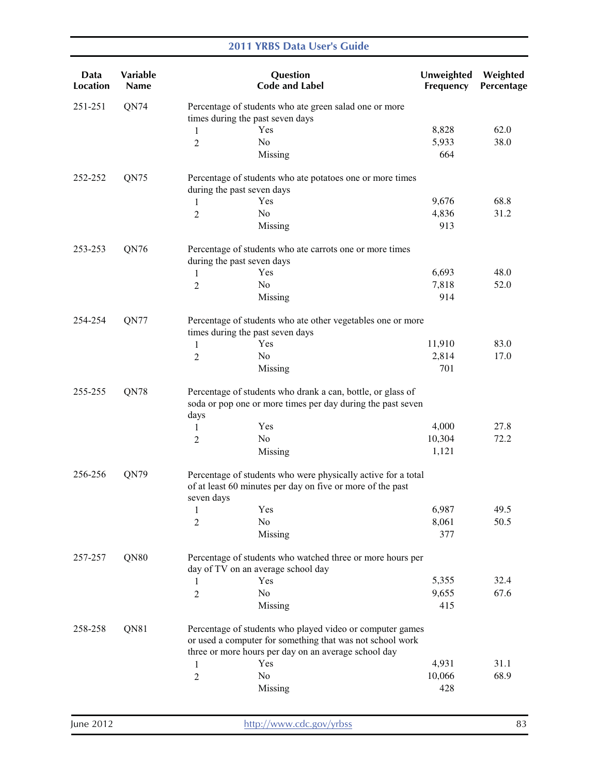|  |  |  |  |  | <b>2011 YRBS Data User's Guide</b> |
|--|--|--|--|--|------------------------------------|
|--|--|--|--|--|------------------------------------|

| Data<br><b>Location</b> | Variable<br>Name |                | Question<br><b>Code and Label</b>                                                                                                                                              | Unweighted<br>Frequency | Weighted<br>Percentage |
|-------------------------|------------------|----------------|--------------------------------------------------------------------------------------------------------------------------------------------------------------------------------|-------------------------|------------------------|
| 251-251                 | QN74             |                | Percentage of students who ate green salad one or more<br>times during the past seven days                                                                                     |                         |                        |
|                         |                  | 1              | Yes                                                                                                                                                                            | 8,828                   | 62.0                   |
|                         |                  | 2              | N <sub>0</sub>                                                                                                                                                                 | 5,933                   | 38.0                   |
|                         |                  |                | Missing                                                                                                                                                                        | 664                     |                        |
| 252-252                 | QN75             |                | Percentage of students who ate potatoes one or more times<br>during the past seven days                                                                                        |                         |                        |
|                         |                  | 1              | Yes                                                                                                                                                                            | 9,676                   | 68.8                   |
|                         |                  | $\overline{2}$ | No                                                                                                                                                                             | 4,836                   | 31.2                   |
|                         |                  |                | Missing                                                                                                                                                                        | 913                     |                        |
| 253-253                 | QN76             |                | Percentage of students who ate carrots one or more times<br>during the past seven days                                                                                         |                         |                        |
|                         |                  | 1              | Yes                                                                                                                                                                            | 6,693                   | 48.0                   |
|                         |                  | 2              | N <sub>o</sub>                                                                                                                                                                 | 7,818                   | 52.0                   |
|                         |                  |                | Missing                                                                                                                                                                        | 914                     |                        |
| 254-254                 | QN77             |                | Percentage of students who ate other vegetables one or more<br>times during the past seven days                                                                                |                         |                        |
|                         |                  | 1              | Yes                                                                                                                                                                            | 11,910                  | 83.0                   |
|                         |                  | $\overline{2}$ | N <sub>0</sub>                                                                                                                                                                 | 2,814                   | 17.0                   |
|                         |                  |                | Missing                                                                                                                                                                        | 701                     |                        |
| 255-255                 | QN78             | days           | Percentage of students who drank a can, bottle, or glass of<br>soda or pop one or more times per day during the past seven                                                     |                         |                        |
|                         |                  | 1              | Yes                                                                                                                                                                            | 4,000                   | 27.8                   |
|                         |                  | 2              | No                                                                                                                                                                             | 10,304                  | 72.2                   |
|                         |                  |                | Missing                                                                                                                                                                        | 1,121                   |                        |
| 256-256                 | QN79             | seven days     | Percentage of students who were physically active for a total<br>of at least 60 minutes per day on five or more of the past                                                    |                         |                        |
|                         |                  | $\mathbf{1}$   | Yes                                                                                                                                                                            | 6,987                   | 49.5                   |
|                         |                  | 2              | No                                                                                                                                                                             | 8,061                   | 50.5                   |
|                         |                  |                | Missing                                                                                                                                                                        | 377                     |                        |
| 257-257                 | QN80             |                | Percentage of students who watched three or more hours per<br>day of TV on an average school day                                                                               |                         |                        |
|                         |                  | 1              | Yes                                                                                                                                                                            | 5,355                   | 32.4                   |
|                         |                  | 2              | No                                                                                                                                                                             | 9,655                   | 67.6                   |
|                         |                  |                | Missing                                                                                                                                                                        | 415                     |                        |
| 258-258                 | QN81             |                | Percentage of students who played video or computer games<br>or used a computer for something that was not school work<br>three or more hours per day on an average school day |                         |                        |
|                         |                  | 1              | Yes                                                                                                                                                                            | 4,931                   | 31.1                   |
|                         |                  | $\overline{2}$ | No                                                                                                                                                                             | 10,066                  | 68.9                   |
|                         |                  |                | Missing                                                                                                                                                                        | 428                     |                        |
|                         |                  |                |                                                                                                                                                                                |                         |                        |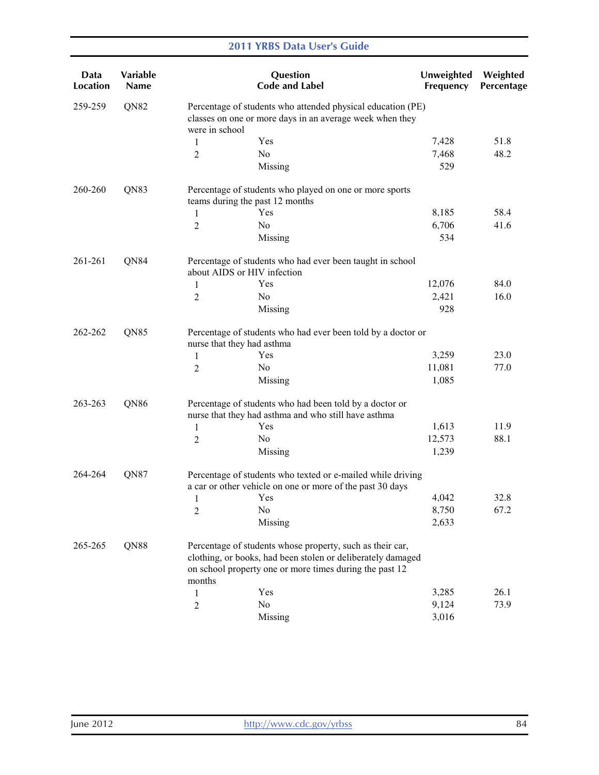| Data<br><b>Location</b> | Variable<br><b>Name</b> |                                                                                                                                           | Question<br><b>Code and Label</b>                                                                                                                                                   | Unweighted<br>Frequency | Weighted<br>Percentage |  |
|-------------------------|-------------------------|-------------------------------------------------------------------------------------------------------------------------------------------|-------------------------------------------------------------------------------------------------------------------------------------------------------------------------------------|-------------------------|------------------------|--|
| 259-259                 | QN82                    | Percentage of students who attended physical education (PE)<br>classes on one or more days in an average week when they<br>were in school |                                                                                                                                                                                     |                         |                        |  |
|                         |                         | 1                                                                                                                                         | Yes                                                                                                                                                                                 | 7,428                   | 51.8                   |  |
|                         |                         | 2                                                                                                                                         | No                                                                                                                                                                                  | 7,468                   | 48.2                   |  |
|                         |                         |                                                                                                                                           | Missing                                                                                                                                                                             | 529                     |                        |  |
| 260-260                 | QN83                    |                                                                                                                                           | Percentage of students who played on one or more sports<br>teams during the past 12 months                                                                                          |                         |                        |  |
|                         |                         | 1                                                                                                                                         | Yes                                                                                                                                                                                 | 8,185                   | 58.4                   |  |
|                         |                         | $\overline{2}$                                                                                                                            | N <sub>0</sub>                                                                                                                                                                      | 6,706                   | 41.6                   |  |
|                         |                         |                                                                                                                                           | Missing                                                                                                                                                                             | 534                     |                        |  |
| 261-261                 | QN84                    | about AIDS or HIV infection                                                                                                               | Percentage of students who had ever been taught in school                                                                                                                           |                         |                        |  |
|                         |                         | 1                                                                                                                                         | Yes                                                                                                                                                                                 | 12,076                  | 84.0                   |  |
|                         |                         | 2                                                                                                                                         | N <sub>0</sub>                                                                                                                                                                      | 2,421                   | 16.0                   |  |
|                         |                         |                                                                                                                                           | Missing                                                                                                                                                                             | 928                     |                        |  |
| 262-262                 | QN85                    | Percentage of students who had ever been told by a doctor or<br>nurse that they had asthma                                                |                                                                                                                                                                                     |                         |                        |  |
|                         |                         | 1                                                                                                                                         | Yes                                                                                                                                                                                 | 3,259                   | 23.0                   |  |
|                         |                         | $\overline{2}$                                                                                                                            | No                                                                                                                                                                                  | 11,081                  | 77.0                   |  |
|                         |                         |                                                                                                                                           | Missing                                                                                                                                                                             | 1,085                   |                        |  |
| 263-263                 | QN86                    |                                                                                                                                           | Percentage of students who had been told by a doctor or<br>nurse that they had asthma and who still have asthma                                                                     |                         |                        |  |
|                         |                         | 1                                                                                                                                         | Yes                                                                                                                                                                                 | 1,613                   | 11.9                   |  |
|                         |                         | 2                                                                                                                                         | N <sub>0</sub>                                                                                                                                                                      | 12,573                  | 88.1                   |  |
|                         |                         |                                                                                                                                           | Missing                                                                                                                                                                             | 1,239                   |                        |  |
| 264-264                 | QN87                    |                                                                                                                                           | Percentage of students who texted or e-mailed while driving<br>a car or other vehicle on one or more of the past 30 days                                                            |                         |                        |  |
|                         |                         | 1                                                                                                                                         | Yes                                                                                                                                                                                 | 4,042                   | 32.8                   |  |
|                         |                         | 2                                                                                                                                         | No                                                                                                                                                                                  | 8,750                   | 67.2                   |  |
|                         |                         |                                                                                                                                           | Missing                                                                                                                                                                             | 2,633                   |                        |  |
| 265-265                 | QN88                    | months                                                                                                                                    | Percentage of students whose property, such as their car,<br>clothing, or books, had been stolen or deliberately damaged<br>on school property one or more times during the past 12 |                         |                        |  |
|                         |                         | 1                                                                                                                                         | Yes                                                                                                                                                                                 | 3,285                   | 26.1                   |  |
|                         |                         | 2                                                                                                                                         | No                                                                                                                                                                                  | 9,124                   | 73.9                   |  |
|                         |                         |                                                                                                                                           | Missing                                                                                                                                                                             | 3,016                   |                        |  |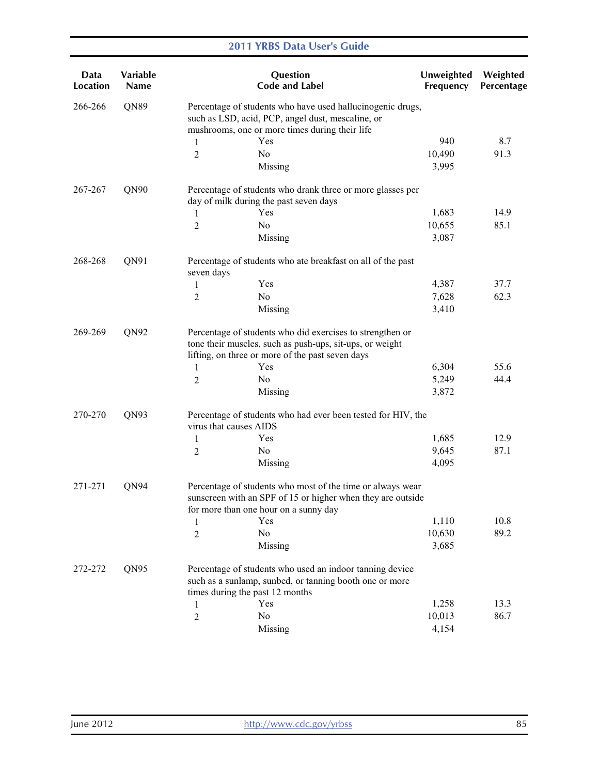| Data<br><b>Location</b> | Variable<br><b>Name</b> |                        | Question<br><b>Code and Label</b>                                                                                                                                         | Unweighted<br>Frequency | Weighted<br>Percentage |  |  |
|-------------------------|-------------------------|------------------------|---------------------------------------------------------------------------------------------------------------------------------------------------------------------------|-------------------------|------------------------|--|--|
| 266-266                 | QN89                    |                        | Percentage of students who have used hallucinogenic drugs,<br>such as LSD, acid, PCP, angel dust, mescaline, or<br>mushrooms, one or more times during their life         |                         |                        |  |  |
|                         |                         | 1                      | Yes                                                                                                                                                                       | 940                     | 8.7                    |  |  |
|                         |                         | 2                      | No                                                                                                                                                                        | 10,490                  | 91.3                   |  |  |
|                         |                         |                        | Missing                                                                                                                                                                   | 3,995                   |                        |  |  |
| 267-267                 | QN90                    |                        | Percentage of students who drank three or more glasses per<br>day of milk during the past seven days                                                                      |                         |                        |  |  |
|                         |                         | 1                      | Yes                                                                                                                                                                       | 1,683                   | 14.9                   |  |  |
|                         |                         | 2                      | N <sub>o</sub>                                                                                                                                                            | 10,655                  | 85.1                   |  |  |
|                         |                         |                        | Missing                                                                                                                                                                   | 3,087                   |                        |  |  |
| 268-268                 | QN91                    | seven days             | Percentage of students who ate breakfast on all of the past                                                                                                               |                         |                        |  |  |
|                         |                         | 1                      | Yes                                                                                                                                                                       | 4,387                   | 37.7                   |  |  |
|                         |                         | 2                      | No                                                                                                                                                                        | 7,628                   | 62.3                   |  |  |
|                         |                         |                        | Missing                                                                                                                                                                   | 3,410                   |                        |  |  |
| 269-269                 | QN92                    |                        | Percentage of students who did exercises to strengthen or<br>tone their muscles, such as push-ups, sit-ups, or weight<br>lifting, on three or more of the past seven days |                         |                        |  |  |
|                         |                         | 1                      | Yes                                                                                                                                                                       | 6,304                   | 55.6                   |  |  |
|                         |                         | 2                      | No                                                                                                                                                                        | 5,249                   | 44.4                   |  |  |
|                         |                         |                        | Missing                                                                                                                                                                   | 3,872                   |                        |  |  |
| 270-270                 | QN93                    | virus that causes AIDS | Percentage of students who had ever been tested for HIV, the                                                                                                              |                         |                        |  |  |
|                         |                         | $\mathbf{1}$           | Yes                                                                                                                                                                       | 1,685                   | 12.9                   |  |  |
|                         |                         | 2                      | No                                                                                                                                                                        | 9,645                   | 87.1                   |  |  |
|                         |                         |                        | Missing                                                                                                                                                                   | 4,095                   |                        |  |  |
| 271-271                 | QN94                    |                        | Percentage of students who most of the time or always wear<br>sunscreen with an SPF of 15 or higher when they are outside<br>for more than one hour on a sunny day        |                         |                        |  |  |
|                         |                         | 1                      | Yes                                                                                                                                                                       | 1,110                   | 10.8                   |  |  |
|                         |                         | $\overline{c}$         | No                                                                                                                                                                        | 10,630                  | 89.2                   |  |  |
|                         |                         |                        | Missing                                                                                                                                                                   | 3,685                   |                        |  |  |
| 272-272                 | QN95                    |                        | Percentage of students who used an indoor tanning device<br>such as a sunlamp, sunbed, or tanning booth one or more                                                       |                         |                        |  |  |
|                         |                         |                        | times during the past 12 months                                                                                                                                           |                         |                        |  |  |
|                         |                         | 1                      | Yes                                                                                                                                                                       | 1,258                   | 13.3                   |  |  |
|                         |                         | $\overline{2}$         | No                                                                                                                                                                        | 10,013                  | 86.7                   |  |  |
|                         |                         |                        | Missing                                                                                                                                                                   | 4,154                   |                        |  |  |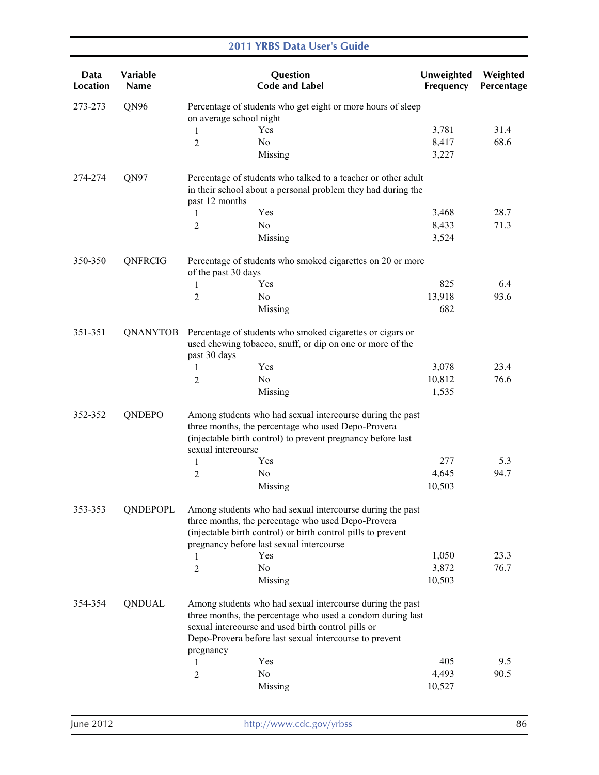| Data<br>Location | Variable<br>Name | Question<br><b>Code and Label</b>                                                                                                                                                                                                                    | Unweighted<br>Frequency | Weighted<br>Percentage |  |  |
|------------------|------------------|------------------------------------------------------------------------------------------------------------------------------------------------------------------------------------------------------------------------------------------------------|-------------------------|------------------------|--|--|
| 273-273          | QN96             | Percentage of students who get eight or more hours of sleep<br>on average school night                                                                                                                                                               |                         |                        |  |  |
|                  |                  | Yes<br>1                                                                                                                                                                                                                                             | 3,781                   | 31.4                   |  |  |
|                  |                  | N <sub>0</sub><br>2                                                                                                                                                                                                                                  | 8,417                   | 68.6                   |  |  |
|                  |                  | Missing                                                                                                                                                                                                                                              | 3,227                   |                        |  |  |
| 274-274          | QN97             | Percentage of students who talked to a teacher or other adult<br>in their school about a personal problem they had during the<br>past 12 months                                                                                                      |                         |                        |  |  |
|                  |                  | Yes<br>1                                                                                                                                                                                                                                             | 3,468                   | 28.7                   |  |  |
|                  |                  | N <sub>0</sub><br>2                                                                                                                                                                                                                                  | 8,433                   | 71.3                   |  |  |
|                  |                  | Missing                                                                                                                                                                                                                                              | 3,524                   |                        |  |  |
| 350-350          | QNFRCIG          | Percentage of students who smoked cigarettes on 20 or more<br>of the past 30 days                                                                                                                                                                    |                         |                        |  |  |
|                  |                  | Yes<br>1                                                                                                                                                                                                                                             | 825                     | 6.4                    |  |  |
|                  |                  | No<br>2                                                                                                                                                                                                                                              | 13,918                  | 93.6                   |  |  |
|                  |                  | Missing                                                                                                                                                                                                                                              | 682                     |                        |  |  |
| 351-351          | QNANYTOB         | Percentage of students who smoked cigarettes or cigars or<br>used chewing tobacco, snuff, or dip on one or more of the<br>past 30 days                                                                                                               |                         |                        |  |  |
|                  |                  | Yes<br>1                                                                                                                                                                                                                                             | 3,078                   | 23.4                   |  |  |
|                  |                  | No<br>2                                                                                                                                                                                                                                              | 10,812                  | 76.6                   |  |  |
|                  |                  | Missing                                                                                                                                                                                                                                              | 1,535                   |                        |  |  |
| 352-352          | QNDEPO           | Among students who had sexual intercourse during the past<br>three months, the percentage who used Depo-Provera<br>(injectable birth control) to prevent pregnancy before last<br>sexual intercourse                                                 |                         |                        |  |  |
|                  |                  | Yes<br>1                                                                                                                                                                                                                                             | 277                     | 5.3                    |  |  |
|                  |                  | No<br>2                                                                                                                                                                                                                                              | 4,645                   | 94.7                   |  |  |
|                  |                  | Missing                                                                                                                                                                                                                                              | 10,503                  |                        |  |  |
|                  |                  |                                                                                                                                                                                                                                                      |                         |                        |  |  |
| 353-353          | <b>QNDEPOPL</b>  | Among students who had sexual intercourse during the past<br>three months, the percentage who used Depo-Provera<br>(injectable birth control) or birth control pills to prevent<br>pregnancy before last sexual intercourse                          |                         |                        |  |  |
|                  |                  | Yes<br>1                                                                                                                                                                                                                                             | 1,050                   | 23.3                   |  |  |
|                  |                  | No<br>2                                                                                                                                                                                                                                              | 3,872                   | 76.7                   |  |  |
|                  |                  | Missing                                                                                                                                                                                                                                              | 10,503                  |                        |  |  |
| 354-354          | <b>QNDUAL</b>    | Among students who had sexual intercourse during the past<br>three months, the percentage who used a condom during last<br>sexual intercourse and used birth control pills or<br>Depo-Provera before last sexual intercourse to prevent<br>pregnancy |                         |                        |  |  |
|                  |                  | Yes<br>1                                                                                                                                                                                                                                             | 405                     | 9.5                    |  |  |
|                  |                  | No<br>$\overline{c}$                                                                                                                                                                                                                                 | 4,493                   | 90.5                   |  |  |
|                  |                  | Missing                                                                                                                                                                                                                                              | 10,527                  |                        |  |  |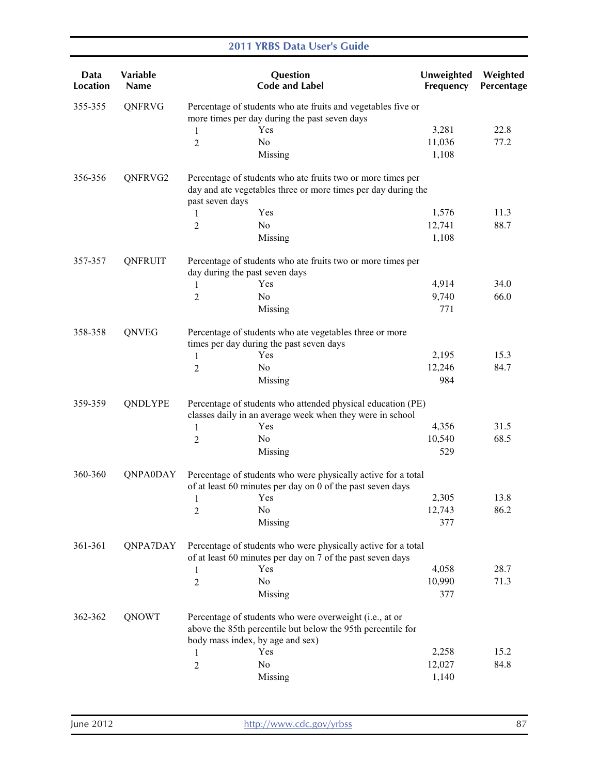| Data<br><b>Location</b> | Variable<br><b>Name</b> |                                                                                                                          | Question<br><b>Code and Label</b>                                                                                            | Unweighted<br>Frequency | Weighted<br>Percentage |  |
|-------------------------|-------------------------|--------------------------------------------------------------------------------------------------------------------------|------------------------------------------------------------------------------------------------------------------------------|-------------------------|------------------------|--|
| 355-355                 | QNFRVG                  | Percentage of students who ate fruits and vegetables five or<br>more times per day during the past seven days            |                                                                                                                              |                         |                        |  |
|                         |                         | 1                                                                                                                        | Yes                                                                                                                          | 3,281                   | 22.8                   |  |
|                         |                         | 2                                                                                                                        | No                                                                                                                           | 11,036                  | 77.2                   |  |
|                         |                         |                                                                                                                          | Missing                                                                                                                      | 1,108                   |                        |  |
| 356-356                 | QNFRVG2                 | past seven days                                                                                                          | Percentage of students who ate fruits two or more times per<br>day and ate vegetables three or more times per day during the |                         |                        |  |
|                         |                         | 1                                                                                                                        | Yes                                                                                                                          | 1,576                   | 11.3                   |  |
|                         |                         | 2                                                                                                                        | No                                                                                                                           | 12,741                  | 88.7                   |  |
|                         |                         |                                                                                                                          | Missing                                                                                                                      | 1,108                   |                        |  |
| 357-357                 | QNFRUIT                 | day during the past seven days                                                                                           | Percentage of students who ate fruits two or more times per                                                                  |                         |                        |  |
|                         |                         | 1                                                                                                                        | Yes                                                                                                                          | 4,914                   | 34.0                   |  |
|                         |                         | 2                                                                                                                        | N <sub>0</sub>                                                                                                               | 9,740                   | 66.0                   |  |
|                         |                         |                                                                                                                          | Missing                                                                                                                      | 771                     |                        |  |
| 358-358                 | QNVEG                   |                                                                                                                          | Percentage of students who ate vegetables three or more<br>times per day during the past seven days                          |                         |                        |  |
|                         |                         | 1                                                                                                                        | Yes                                                                                                                          | 2,195                   | 15.3                   |  |
|                         |                         | $\overline{2}$                                                                                                           | N <sub>0</sub>                                                                                                               | 12,246                  | 84.7                   |  |
|                         |                         |                                                                                                                          | Missing                                                                                                                      | 984                     |                        |  |
| 359-359                 | QNDLYPE                 | Percentage of students who attended physical education (PE)<br>classes daily in an average week when they were in school |                                                                                                                              |                         |                        |  |
|                         |                         | 1                                                                                                                        | Yes                                                                                                                          | 4,356                   | 31.5                   |  |
|                         |                         | 2                                                                                                                        | No                                                                                                                           | 10,540                  | 68.5                   |  |
|                         |                         |                                                                                                                          | Missing                                                                                                                      | 529                     |                        |  |
| 360-360                 | <b>QNPA0DAY</b>         |                                                                                                                          | Percentage of students who were physically active for a total<br>of at least 60 minutes per day on 0 of the past seven days  |                         |                        |  |
|                         |                         | $\mathbf{1}$                                                                                                             | Yes                                                                                                                          | 2,305                   | 13.8                   |  |
|                         |                         | $\overline{c}$                                                                                                           | N <sub>0</sub>                                                                                                               | 12,743                  | 86.2                   |  |
|                         |                         |                                                                                                                          | Missing                                                                                                                      | 377                     |                        |  |
| 361-361                 | QNPA7DAY                |                                                                                                                          | Percentage of students who were physically active for a total<br>of at least 60 minutes per day on 7 of the past seven days  |                         |                        |  |
|                         |                         | 1                                                                                                                        | Yes                                                                                                                          | 4,058                   | 28.7                   |  |
|                         |                         | $\overline{2}$                                                                                                           | No                                                                                                                           | 10,990                  | 71.3                   |  |
|                         |                         |                                                                                                                          | Missing                                                                                                                      | 377                     |                        |  |
| 362-362                 | QNOWT                   |                                                                                                                          | Percentage of students who were overweight (i.e., at or<br>above the 85th percentile but below the 95th percentile for       |                         |                        |  |
|                         |                         | body mass index, by age and sex)                                                                                         |                                                                                                                              |                         |                        |  |
|                         |                         | 1                                                                                                                        | Yes                                                                                                                          | 2,258                   | 15.2                   |  |
|                         |                         | $\overline{c}$                                                                                                           | No                                                                                                                           | 12,027                  | 84.8                   |  |
|                         |                         |                                                                                                                          | Missing                                                                                                                      | 1,140                   |                        |  |